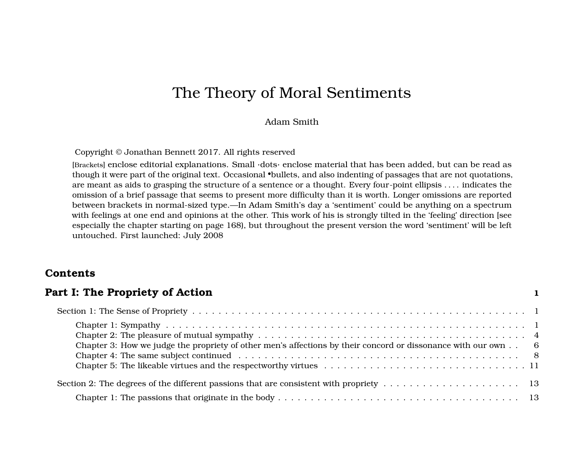# The Theory of Moral Sentiments

# Adam Smith

Copyright © Jonathan Bennett 2017. All rights reserved

[Brackets] enclose editorial explanations. Small ·dots· enclose material that has been added, but can be read as though it were part of the original text. Occasional •bullets, and also indenting of passages that are not quotations, are meant as aids to grasping the structure of a sentence or a thought. Every four-point ellipsis . . . . indicates the omission of a brief passage that seems to present more difficulty than it is worth. Longer omissions are reported between brackets in normal-sized type.—In Adam Smith's day a 'sentiment' could be anything on a spectrum with feelings at one end and opinions at the other. This work of his is strongly tilted in the 'feeling' direction [see especially the chapter starting on page [168\)](#page-171-0), but throughout the present version the word 'sentiment' will be left untouched. First launched: July 2008

# **Contents**

| Part I: The Propriety of Action                                                                                                                        |  |
|--------------------------------------------------------------------------------------------------------------------------------------------------------|--|
|                                                                                                                                                        |  |
|                                                                                                                                                        |  |
| Chapter 2: The pleasure of mutual sympathy $\dots \dots \dots \dots \dots \dots \dots \dots \dots \dots \dots \dots \dots \dots \dots \dots$           |  |
| Chapter 3: How we judge the propriety of other men's affections by their concord or dissonance with our own 6                                          |  |
| Chapter 4: The same subject continued $\dots \dots \dots \dots \dots \dots \dots \dots \dots \dots \dots \dots \dots \dots \dots \dots \dots$          |  |
| Chapter 5: The likeable virtues and the respectworthy virtues $\ldots \ldots \ldots \ldots \ldots \ldots \ldots \ldots \ldots \ldots \ldots \ldots 11$ |  |
| Section 2: The degrees of the different passions that are consistent with propriety $\dots \dots \dots \dots \dots \dots \dots \dots$                  |  |
|                                                                                                                                                        |  |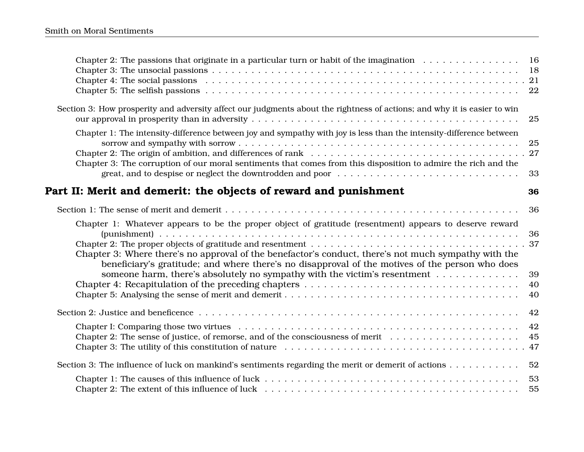| Chapter 2: The passions that originate in a particular turn or habit of the imagination $\ldots \ldots \ldots \ldots$                                                                                                                                                                                                                                              | 16<br>18<br>22 |
|--------------------------------------------------------------------------------------------------------------------------------------------------------------------------------------------------------------------------------------------------------------------------------------------------------------------------------------------------------------------|----------------|
| Section 3: How prosperity and adversity affect our judgments about the rightness of actions; and why it is easier to win                                                                                                                                                                                                                                           | 25             |
| Chapter 1: The intensity-difference between joy and sympathy with joy is less than the intensity-difference between<br>Chapter 3: The corruption of our moral sentiments that comes from this disposition to admire the rich and the<br>great, and to despise or neglect the downtrodden and poor $\ldots \ldots \ldots \ldots \ldots \ldots \ldots \ldots \ldots$ | 25<br>27<br>33 |
| Part II: Merit and demerit: the objects of reward and punishment                                                                                                                                                                                                                                                                                                   | 36             |
|                                                                                                                                                                                                                                                                                                                                                                    | 36             |
| Chapter 1: Whatever appears to be the proper object of gratitude (resentment) appears to deserve reward<br>Chapter 3: Where there's no approval of the benefactor's conduct, there's not much sympathy with the<br>beneficiary's gratitude; and where there's no disapproval of the motives of the person who does                                                 | 36<br>37       |
| someone harm, there's absolutely no sympathy with the victim's resentment                                                                                                                                                                                                                                                                                          | 39             |
|                                                                                                                                                                                                                                                                                                                                                                    | 40<br>40       |
|                                                                                                                                                                                                                                                                                                                                                                    | 42             |
|                                                                                                                                                                                                                                                                                                                                                                    | 42             |
|                                                                                                                                                                                                                                                                                                                                                                    | 45             |
|                                                                                                                                                                                                                                                                                                                                                                    |                |
| Section 3: The influence of luck on mankind's sentiments regarding the merit or demerit of actions                                                                                                                                                                                                                                                                 | 52             |
|                                                                                                                                                                                                                                                                                                                                                                    | 53             |
|                                                                                                                                                                                                                                                                                                                                                                    | 55             |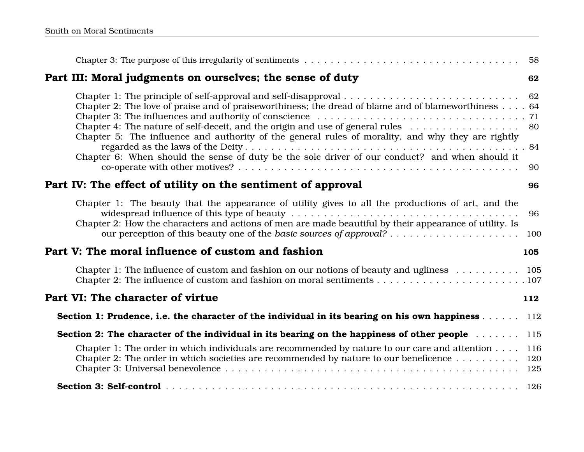|                                                                                                                                                                                                                                                                                                                                                                                                                                                                                                                                                                     | 58             |
|---------------------------------------------------------------------------------------------------------------------------------------------------------------------------------------------------------------------------------------------------------------------------------------------------------------------------------------------------------------------------------------------------------------------------------------------------------------------------------------------------------------------------------------------------------------------|----------------|
| Part III: Moral judgments on ourselves; the sense of duty                                                                                                                                                                                                                                                                                                                                                                                                                                                                                                           | 62             |
| Chapter 1: The principle of self-approval and self-disapproval $\ldots \ldots \ldots \ldots \ldots \ldots \ldots \ldots \ldots$<br>Chapter 2: The love of praise and of praiseworthiness; the dread of blame and of blameworthiness 64<br>Chapter 4: The nature of self-deceit, and the origin and use of general rules $\ldots \ldots \ldots \ldots \ldots$<br>Chapter 5: The influence and authority of the general rules of morality, and why they are rightly<br>Chapter 6: When should the sense of duty be the sole driver of our conduct? and when should it | 62<br>80<br>90 |
| Part IV: The effect of utility on the sentiment of approval                                                                                                                                                                                                                                                                                                                                                                                                                                                                                                         | 96             |
| Chapter 1: The beauty that the appearance of utility gives to all the productions of art, and the<br>widespread influence of this type of beauty $\dots \dots \dots \dots \dots \dots \dots \dots \dots \dots \dots \dots \dots \dots$<br>Chapter 2: How the characters and actions of men are made beautiful by their appearance of utility. Is                                                                                                                                                                                                                    | 96<br>100      |
| Part V: The moral influence of custom and fashion                                                                                                                                                                                                                                                                                                                                                                                                                                                                                                                   | 105            |
| Chapter 1: The influence of custom and fashion on our notions of beauty and ugliness $\dots \dots \dots$                                                                                                                                                                                                                                                                                                                                                                                                                                                            |                |
| Part VI: The character of virtue                                                                                                                                                                                                                                                                                                                                                                                                                                                                                                                                    | 112            |
| Section 1: Prudence, i.e. the character of the individual in its bearing on his own happiness                                                                                                                                                                                                                                                                                                                                                                                                                                                                       | 112            |
| Section 2: The character of the individual in its bearing on the happiness of other people contact the character                                                                                                                                                                                                                                                                                                                                                                                                                                                    | 115            |
| Chapter 1: The order in which individuals are recommended by nature to our care and attention<br>Chapter 2: The order in which societies are recommended by nature to our beneficence                                                                                                                                                                                                                                                                                                                                                                               | 116<br>120     |
|                                                                                                                                                                                                                                                                                                                                                                                                                                                                                                                                                                     |                |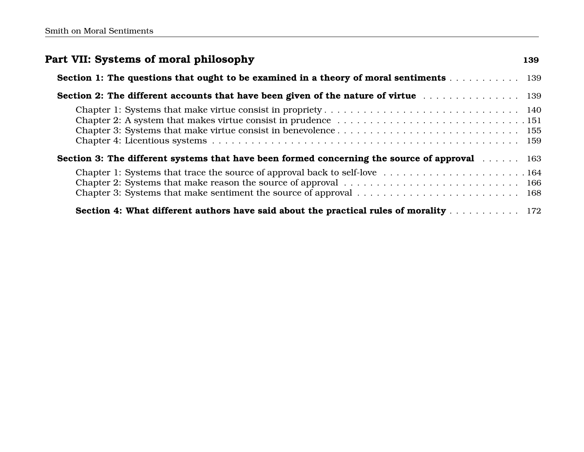| Part VII: Systems of moral philosophy                                                                    | 139 |
|----------------------------------------------------------------------------------------------------------|-----|
| Section 1: The questions that ought to be examined in a theory of moral sentiments 139                   |     |
|                                                                                                          |     |
|                                                                                                          |     |
| Section 3: The different systems that have been formed concerning the source of approval contact the 163 |     |
|                                                                                                          |     |
| Section 4: What different authors have said about the practical rules of morality 172                    |     |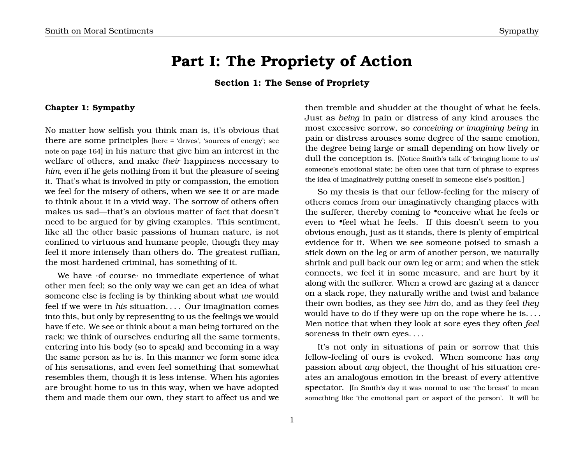# <span id="page-4-0"></span>**Part I: The Propriety of Action**

<span id="page-4-1"></span>**Section 1: The Sense of Propriety**

#### <span id="page-4-2"></span>**Chapter 1: Sympathy**

No matter how selfish you think man is, it's obvious that there are some principles [here = 'drives', 'sources of energy'; see note on page [164](#page-166-0)] in his nature that give him an interest in the welfare of others, and make *their* happiness necessary to *him*, even if he gets nothing from it but the pleasure of seeing it. That's what is involved in pity or compassion, the emotion we feel for the misery of others, when we see it or are made to think about it in a vivid way. The sorrow of others often makes us sad—that's an obvious matter of fact that doesn't need to be argued for by giving examples. This sentiment, like all the other basic passions of human nature, is not confined to virtuous and humane people, though they may feel it more intensely than others do. The greatest ruffian, the most hardened criminal, has something of it.

We have ·of course· no immediate experience of what other men feel; so the only way we can get an idea of what someone else is feeling is by thinking about what *we* would feel if we were in *his* situation.... Our imagination comes into this, but only by representing to us the feelings we would have if etc. We see or think about a man being tortured on the rack; we think of ourselves enduring all the same torments, entering into his body (so to speak) and becoming in a way the same person as he is. In this manner we form some idea of his sensations, and even feel something that somewhat resembles them, though it is less intense. When his agonies are brought home to us in this way, when we have adopted them and made them our own, they start to affect us and we

then tremble and shudder at the thought of what he feels. Just as *being* in pain or distress of any kind arouses the most excessive sorrow, so *conceiving or imagining being* in pain or distress arouses some degree of the same emotion, the degree being large or small depending on how lively or dull the conception is. [Notice Smith's talk of 'bringing home to us' someone's emotional state; he often uses that turn of phrase to express the idea of imaginatively putting oneself in someone else's position.]

So my thesis is that our fellow-feeling for the misery of others comes from our imaginatively changing places with the sufferer, thereby coming to •conceive what he feels or even to •feel what he feels. If this doesn't seem to you obvious enough, just as it stands, there is plenty of empirical evidence for it. When we see someone poised to smash a stick down on the leg or arm of another person, we naturally shrink and pull back our own leg or arm; and when the stick connects, we feel it in some measure, and are hurt by it along with the sufferer. When a crowd are gazing at a dancer on a slack rope, they naturally writhe and twist and balance their own bodies, as they see *him* do, and as they feel *they* would have to do if they were up on the rope where he is. . . . Men notice that when they look at sore eyes they often *feel* soreness in their own eyes. . . .

It's not only in situations of pain or sorrow that this fellow-feeling of ours is evoked. When someone has *any* passion about *any* object, the thought of his situation creates an analogous emotion in the breast of every attentive spectator. [In Smith's day it was normal to use 'the breast' to mean something like 'the emotional part or aspect of the person'. It will be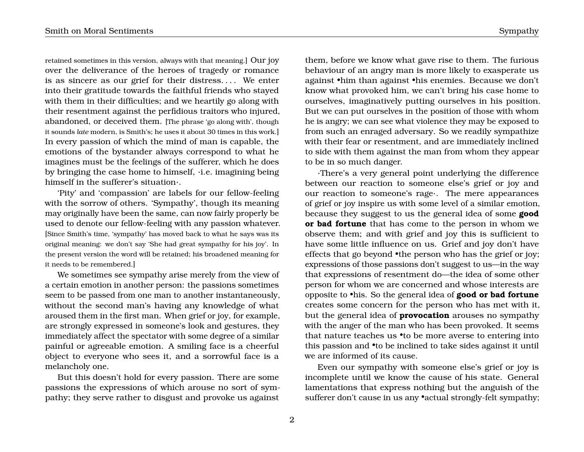retained sometimes in this version, always with that meaning.] Our joy over the deliverance of the heroes of tragedy or romance is as sincere as our grief for their distress.... We enter into their gratitude towards the faithful friends who stayed with them in their difficulties; and we heartily go along with their resentment against the perfidious traitors who injured, abandoned, or deceived them. [The phrase 'go along with', though it sounds *late* modern, is Smith's; he uses it about 30 times in this work.] In every passion of which the mind of man is capable, the emotions of the bystander always correspond to what he imagines must be the feelings of the sufferer, which he does by bringing the case home to himself, ·i.e. imagining being himself in the sufferer's situation·.

'Pity' and 'compassion' are labels for our fellow-feeling with the sorrow of others. 'Sympathy', though its meaning may originally have been the same, can now fairly properly be used to denote our fellow-feeling with any passion whatever. [Since Smith's time, 'sympathy' has moved back to what he says was its original meaning: we don't say 'She had great sympathy for his joy'. In the present version the word will be retained; his broadened meaning for it needs to be remembered.]

We sometimes see sympathy arise merely from the view of a certain emotion in another person: the passions sometimes seem to be passed from one man to another instantaneously, without the second man's having any knowledge of what aroused them in the first man. When grief or joy, for example, are strongly expressed in someone's look and gestures, they immediately affect the spectator with some degree of a similar painful or agreeable emotion. A smiling face is a cheerful object to everyone who sees it, and a sorrowful face is a melancholy one.

But this doesn't hold for every passion. There are some passions the expressions of which arouse no sort of sympathy; they serve rather to disgust and provoke us against them, before we know what gave rise to them. The furious behaviour of an angry man is more likely to exasperate us against •him than against •his enemies. Because we don't know what provoked him, we can't bring his case home to ourselves, imaginatively putting ourselves in his position. But we can put ourselves in the position of those with whom he is angry; we can see what violence they may be exposed to from such an enraged adversary. So we readily sympathize with their fear or resentment, and are immediately inclined to side with them against the man from whom they appear to be in so much danger.

·There's a very general point underlying the difference between our reaction to someone else's grief or joy and our reaction to someone's rage·. The mere appearances of grief or joy inspire us with some level of a similar emotion, because they suggest to us the general idea of some **good or bad fortune** that has come to the person in whom we observe them; and with grief and joy this is sufficient to have some little influence on us. Grief and joy don't have effects that go beyond •the person who has the grief or joy; expressions of those passions don't suggest to us—in the way that expressions of resentment do—the idea of some other person for whom we are concerned and whose interests are opposite to •his. So the general idea of **good or bad fortune** creates some concern for the person who has met with it, but the general idea of **provocation** arouses no sympathy with the anger of the man who has been provoked. It seems that nature teaches us •to be more averse to entering into this passion and •to be inclined to take sides against it until we are informed of its cause.

Even our sympathy with someone else's grief or joy is incomplete until we know the cause of his state. General lamentations that express nothing but the anguish of the sufferer don't cause in us any •actual strongly-felt sympathy;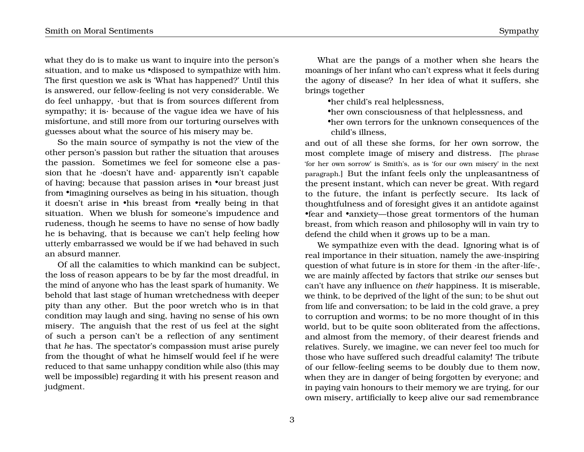what they do is to make us want to inquire into the person's situation, and to make us •disposed to sympathize with him. The first question we ask is 'What has happened?' Until this is answered, our fellow-feeling is not very considerable. We do feel unhappy, ·but that is from sources different from sympathy; it is· because of the vague idea we have of his misfortune, and still more from our torturing ourselves with guesses about what the source of his misery may be.

So the main source of sympathy is not the view of the other person's passion but rather the situation that arouses the passion. Sometimes we feel for someone else a passion that he  $-doesn't$  have and apparently isn't capable of having; because that passion arises in •our breast just from •imagining ourselves as being in his situation, though it doesn't arise in •his breast from •really being in that situation. When we blush for someone's impudence and rudeness, though he seems to have no sense of how badly he is behaving, that is because we can't help feeling how utterly embarrassed we would be if we had behaved in such an absurd manner.

Of all the calamities to which mankind can be subject, the loss of reason appears to be by far the most dreadful, in the mind of anyone who has the least spark of humanity. We behold that last stage of human wretchedness with deeper pity than any other. But the poor wretch who is in that condition may laugh and sing, having no sense of his own misery. The anguish that the rest of us feel at the sight of such a person can't be a reflection of any sentiment that *he* has. The spectator's compassion must arise purely from the thought of what he himself would feel if he were reduced to that same unhappy condition while also (this may well be impossible) regarding it with his present reason and judgment.

What are the pangs of a mother when she hears the moanings of her infant who can't express what it feels during the agony of disease? In her idea of what it suffers, she brings together

•her child's real helplessness,

•her own consciousness of that helplessness, and

•her own terrors for the unknown consequences of the child's illness,

and out of all these she forms, for her own sorrow, the most complete image of misery and distress. [The phrase 'for her own sorrow' is Smith's, as is 'for our own misery' in the next paragraph.] But the infant feels only the unpleasantness of the present instant, which can never be great. With regard to the future, the infant is perfectly secure. Its lack of thoughtfulness and of foresight gives it an antidote against •fear and •anxiety—those great tormentors of the human breast, from which reason and philosophy will in vain try to defend the child when it grows up to be a man.

We sympathize even with the dead. Ignoring what is of real importance in their situation, namely the awe-inspiring question of what future is in store for them ·in the after-life·, we are mainly affected by factors that strike *our* senses but can't have any influence on *their* happiness. It is miserable, we think, to be deprived of the light of the sun; to be shut out from life and conversation; to be laid in the cold grave, a prey to corruption and worms; to be no more thought of in this world, but to be quite soon obliterated from the affections, and almost from the memory, of their dearest friends and relatives. Surely, we imagine, we can never feel too much for those who have suffered such dreadful calamity! The tribute of our fellow-feeling seems to be doubly due to them now, when they are in danger of being forgotten by everyone; and in paying vain honours to their memory we are trying, for our own misery, artificially to keep alive our sad remembrance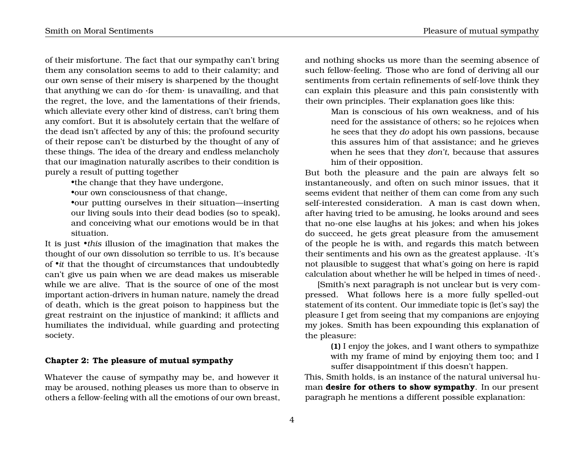of their misfortune. The fact that our sympathy can't bring them any consolation seems to add to their calamity; and our own sense of their misery is sharpened by the thought that anything we can do  $\cdot$  for them $\cdot$  is unavailing, and that the regret, the love, and the lamentations of their friends, which alleviate every other kind of distress, can't bring them any comfort. But it is absolutely certain that the welfare of the dead isn't affected by any of this; the profound security of their repose can't be disturbed by the thought of any of these things. The idea of the dreary and endless melancholy that our imagination naturally ascribes to their condition is purely a result of putting together

•the change that they have undergone,

•our own consciousness of that change,

•our putting ourselves in their situation—inserting our living souls into their dead bodies (so to speak), and conceiving what our emotions would be in that situation.

It is just •*this* illusion of the imagination that makes the thought of our own dissolution so terrible to us. It's because of •*it* that the thought of circumstances that undoubtedly can't give us pain when we are dead makes us miserable while we are alive. That is the source of one of the most important action-drivers in human nature, namely the dread of death, which is the great poison to happiness but the great restraint on the injustice of mankind; it afflicts and humiliates the individual, while guarding and protecting society.

## <span id="page-7-0"></span>**Chapter 2: The pleasure of mutual sympathy**

Whatever the cause of sympathy may be, and however it may be aroused, nothing pleases us more than to observe in others a fellow-feeling with all the emotions of our own breast,

Smith on Moral Sentiments **Example 2018** Pleasure of mutual sympathy

and nothing shocks us more than the seeming absence of such fellow-feeling. Those who are fond of deriving all our sentiments from certain refinements of self-love think they can explain this pleasure and this pain consistently with their own principles. Their explanation goes like this:

> Man is conscious of his own weakness, and of his need for the assistance of others; so he rejoices when he sees that they *do* adopt his own passions, because this assures him of that assistance; and he grieves when he sees that they *don't*, because that assures him of their opposition.

But both the pleasure and the pain are always felt so instantaneously, and often on such minor issues, that it seems evident that neither of them can come from any such self-interested consideration. A man is cast down when, after having tried to be amusing, he looks around and sees that no-one else laughs at his jokes; and when his jokes do succeed, he gets great pleasure from the amusement of the people he is with, and regards this match between their sentiments and his own as the greatest applause. ·It's not plausible to suggest that what's going on here is rapid calculation about whether he will be helped in times of need·.

[Smith's next paragraph is not unclear but is very compressed. What follows here is a more fully spelled-out statement of its content. Our immediate topic is (let's say) the pleasure I get from seeing that my companions are enjoying my jokes. Smith has been expounding this explanation of the pleasure:

> **(1)** I enjoy the jokes, and I want others to sympathize with my frame of mind by enjoying them too; and I suffer disappointment if this doesn't happen.

This, Smith holds, is an instance of the natural universal human **desire for others to show sympathy**. In our present paragraph he mentions a different possible explanation: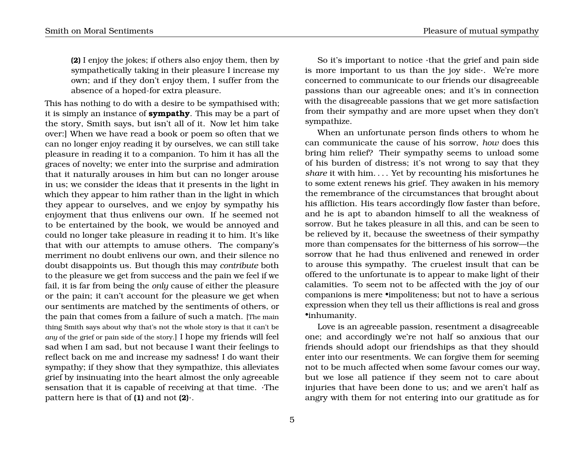**(2)** I enjoy the jokes; if others also enjoy them, then by sympathetically taking in their pleasure I increase my own; and if they don't enjoy them, I suffer from the absence of a hoped-for extra pleasure.

This has nothing to do with a desire to be sympathised with; it is simply an instance of **sympathy**. This may be a part of the story, Smith says, but isn't all of it. Now let him take over:] When we have read a book or poem so often that we can no longer enjoy reading it by ourselves, we can still take pleasure in reading it to a companion. To him it has all the graces of novelty; we enter into the surprise and admiration that it naturally arouses in him but can no longer arouse in us; we consider the ideas that it presents in the light in which they appear to him rather than in the light in which they appear to ourselves, and we enjoy by sympathy his enjoyment that thus enlivens our own. If he seemed not to be entertained by the book, we would be annoyed and could no longer take pleasure in reading it to him. It's like that with our attempts to amuse others. The company's merriment no doubt enlivens our own, and their silence no doubt disappoints us. But though this may *contribute* both to the pleasure we get from success and the pain we feel if we fail, it is far from being the *only* cause of either the pleasure or the pain; it can't account for the pleasure we get when our sentiments are matched by the sentiments of others, or the pain that comes from a failure of such a match. [The main thing Smith says about why that's not the whole story is that it can't be *any* of the grief or pain side of the story.] I hope my friends will feel sad when I am sad, but not because I want their feelings to reflect back on me and increase my sadness! I do want their sympathy; if they show that they sympathize, this alleviates grief by insinuating into the heart almost the only agreeable sensation that it is capable of receiving at that time. ·The pattern here is that of **(1)** and not **(2)**·.

So it's important to notice ·that the grief and pain side is more important to us than the joy side·. We're more concerned to communicate to our friends our disagreeable passions than our agreeable ones; and it's in connection with the disagreeable passions that we get more satisfaction from their sympathy and are more upset when they don't sympathize.

When an unfortunate person finds others to whom he can communicate the cause of his sorrow, *how* does this bring him relief? Their sympathy seems to unload some of his burden of distress; it's not wrong to say that they *share* it with him. . . . Yet by recounting his misfortunes he to some extent renews his grief. They awaken in his memory the remembrance of the circumstances that brought about his affliction. His tears accordingly flow faster than before, and he is apt to abandon himself to all the weakness of sorrow. But he takes pleasure in all this, and can be seen to be relieved by it, because the sweetness of their sympathy more than compensates for the bitterness of his sorrow—the sorrow that he had thus enlivened and renewed in order to arouse this sympathy. The cruelest insult that can be offered to the unfortunate is to appear to make light of their calamities. To seem not to be affected with the joy of our companions is mere •impoliteness; but not to have a serious expression when they tell us their afflictions is real and gross •inhumanity.

Love is an agreeable passion, resentment a disagreeable one; and accordingly we're not half so anxious that our friends should adopt our friendships as that they should enter into our resentments. We can forgive them for seeming not to be much affected when some favour comes our way, but we lose all patience if they seem not to care about injuries that have been done to us; and we aren't half as angry with them for not entering into our gratitude as for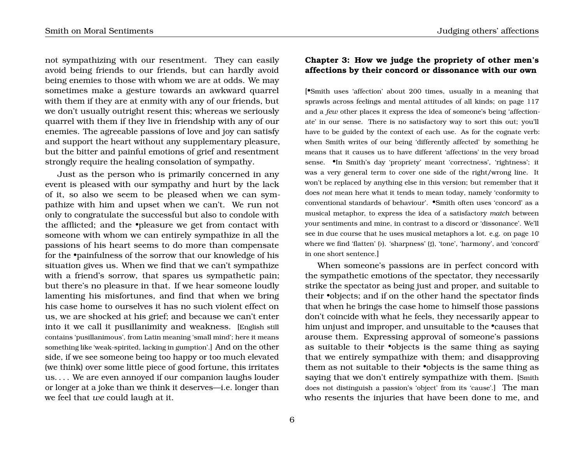not sympathizing with our resentment. They can easily avoid being friends to our friends, but can hardly avoid being enemies to those with whom we are at odds. We may sometimes make a gesture towards an awkward quarrel with them if they are at enmity with any of our friends, but we don't usually outright resent this; whereas we seriously quarrel with them if they live in friendship with any of our enemies. The agreeable passions of love and joy can satisfy and support the heart without any supplementary pleasure, but the bitter and painful emotions of grief and resentment strongly require the healing consolation of sympathy.

Just as the person who is primarily concerned in any event is pleased with our sympathy and hurt by the lack of it, so also we seem to be pleased when we can sympathize with him and upset when we can't. We run not only to congratulate the successful but also to condole with the afflicted; and the •pleasure we get from contact with someone with whom we can entirely sympathize in all the passions of his heart seems to do more than compensate for the •painfulness of the sorrow that our knowledge of his situation gives us. When we find that we can't sympathize with a friend's sorrow, that spares us sympathetic pain; but there's no pleasure in that. If we hear someone loudly lamenting his misfortunes, and find that when we bring his case home to ourselves it has no such violent effect on us, we are shocked at his grief; and because we can't enter into it we call it pusillanimity and weakness. [English still contains 'pusillanimous', from Latin meaning 'small mind'; here it means something like 'weak-spirited, lacking in gumption'.] And on the other side, if we see someone being too happy or too much elevated (we think) over some little piece of good fortune, this irritates us. . . . We are even annoyed if our companion laughs louder or longer at a joke than we think it deserves—i.e. longer than we feel that *we* could laugh at it.

# <span id="page-9-0"></span>**Chapter 3: How we judge the propriety of other men's affections by their concord or dissonance with our own**

[•Smith uses 'affection' about 200 times, usually in a meaning that sprawls across feelings and mental attitudes of all kinds; on page [117](#page-119-0) and a *few* other places it express the idea of someone's being 'affectionate' in our sense. There is no satisfactory way to sort this out; you'll have to be guided by the context of each use. As for the cognate verb: when Smith writes of our being 'differently affected' by something he means that it causes us to have different 'affections' in the very broad sense. •In Smith's day 'propriety' meant 'correctness', 'rightness'; it was a very general term to cover one side of the right/wrong line. It won't be replaced by anything else in this version; but remember that it does *not* mean here what it tends to mean today, namely 'conformity to conventional standards of behaviour'. •Smith often uses 'concord' as a musical metaphor, to express the idea of a satisfactory *match* between your sentiments and mine, in contrast to a discord or 'dissonance'. We'll see in due course that he uses musical metaphors a lot. e.g. on page [10](#page-11-0) where we find 'flatten'  $(b)$ . 'sharpness'  $(f)$ , 'tone', 'harmony', and 'concord' in one short sentence.]

When someone's passions are in perfect concord with the sympathetic emotions of the spectator, they necessarily strike the spectator as being just and proper, and suitable to their •objects; and if on the other hand the spectator finds that when he brings the case home to himself those passions don't coincide with what he feels, they necessarily appear to him unjust and improper, and unsuitable to the •causes that arouse them. Expressing approval of someone's passions as suitable to their •objects is the same thing as saying that we entirely sympathize with them; and disapproving them as not suitable to their •objects is the same thing as saying that we don't entirely sympathize with them. [Smith does not distinguish a passion's 'object' from its 'cause'.] The man who resents the injuries that have been done to me, and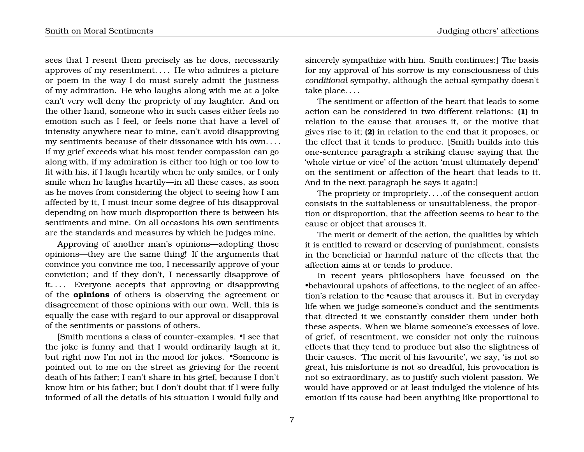sees that I resent them precisely as he does, necessarily approves of my resentment. . . . He who admires a picture or poem in the way I do must surely admit the justness of my admiration. He who laughs along with me at a joke can't very well deny the propriety of my laughter. And on the other hand, someone who in such cases either feels no emotion such as I feel, or feels none that have a level of intensity anywhere near to mine, can't avoid disapproving my sentiments because of their dissonance with his own. . . . If my grief exceeds what his most tender compassion can go along with, if my admiration is either too high or too low to fit with his, if I laugh heartily when he only smiles, or I only smile when he laughs heartily—in all these cases, as soon as he moves from considering the object to seeing how I am affected by it, I must incur some degree of his disapproval depending on how much disproportion there is between his sentiments and mine. On all occasions his own sentiments are the standards and measures by which he judges mine.

Approving of another man's opinions—adopting those opinions—they are the same thing! If the arguments that convince you convince me too, I necessarily approve of your conviction; and if they don't, I necessarily disapprove of it.... Everyone accepts that approving or disapproving of the **opinions** of others is observing the agreement or disagreement of those opinions with our own. Well, this is equally the case with regard to our approval or disapproval of the sentiments or passions of others.

[Smith mentions a class of counter-examples. •I see that the joke is funny and that I would ordinarily laugh at it, but right now I'm not in the mood for jokes. •Someone is pointed out to me on the street as grieving for the recent death of his father; I can't share in his grief, because I don't know him or his father; but I don't doubt that if I were fully informed of all the details of his situation I would fully and

sincerely sympathize with him. Smith continues:] The basis for my approval of his sorrow is my consciousness of this *conditional* sympathy, although the actual sympathy doesn't take place. . . .

The sentiment or affection of the heart that leads to some action can be considered in two different relations: **(1)** in relation to the cause that arouses it, or the motive that gives rise to it; **(2)** in relation to the end that it proposes, or the effect that it tends to produce. [Smith builds into this one-sentence paragraph a striking clause saying that the 'whole virtue or vice' of the action 'must ultimately depend' on the sentiment or affection of the heart that leads to it. And in the next paragraph he says it again:]

The propriety or impropriety. . . .of the consequent action consists in the suitableness or unsuitableness, the proportion or disproportion, that the affection seems to bear to the cause or object that arouses it.

The merit or demerit of the action, the qualities by which it is entitled to reward or deserving of punishment, consists in the beneficial or harmful nature of the effects that the affection aims at or tends to produce.

In recent years philosophers have focussed on the •behavioural upshots of affections, to the neglect of an affection's relation to the •cause that arouses it. But in everyday life when we judge someone's conduct and the sentiments that directed it we constantly consider them under both these aspects. When we blame someone's excesses of love, of grief, of resentment, we consider not only the ruinous effects that they tend to produce but also the slightness of their causes. 'The merit of his favourite', we say, 'is not so great, his misfortune is not so dreadful, his provocation is not so extraordinary, as to justify such violent passion. We would have approved or at least indulged the violence of his emotion if its cause had been anything like proportional to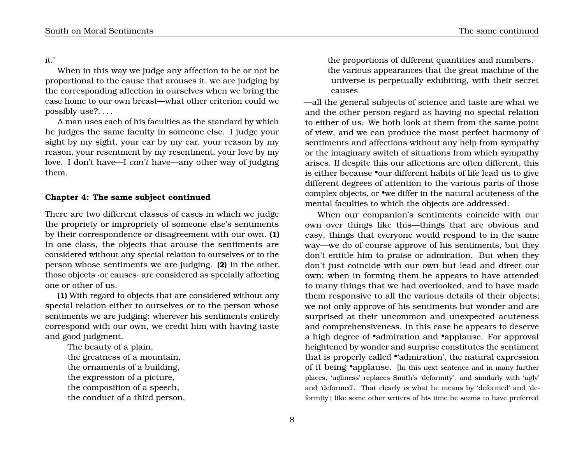#### it.'

When in this way we judge any affection to be or not be proportional to the cause that arouses it, we are judging by the corresponding affection in ourselves when we bring the case home to our own breast—what other criterion could we possibly use?. . . .

A man uses each of his faculties as the standard by which he judges the same faculty in someone else. I judge your sight by my sight, your ear by my ear, your reason by my reason, your resentment by my resentment, your love by my love. I don't have—I *can't* have—any other way of judging them.

#### <span id="page-11-0"></span>**Chapter 4: The same subject continued**

There are two different classes of cases in which we judge the propriety or impropriety of someone else's sentiments by their correspondence or disagreement with our own. **(1)** In one class, the objects that arouse the sentiments are considered without any special relation to ourselves or to the person whose sentiments we are judging. **(2)** In the other, those objects ·or causes· are considered as specially affecting one or other of us.

**(1)** With regard to objects that are considered without any special relation either to ourselves or to the person whose sentiments we are judging: wherever his sentiments entirely correspond with our own, we credit him with having taste and good judgment.

The beauty of a plain, the greatness of a mountain, the ornaments of a building, the expression of a picture, the composition of a speech, the conduct of a third person, the proportions of different quantities and numbers, the various appearances that the great machine of the universe is perpetually exhibiting, with their secret causes

—all the general subjects of science and taste are what we and the other person regard as having no special relation to either of us. We both look at them from the same point of view, and we can produce the most perfect harmony of sentiments and affections without any help from sympathy or the imaginary switch of situations from which sympathy arises. If despite this our affections are often different, this is either because •our different habits of life lead us to give different degrees of attention to the various parts of those complex objects, or •we differ in the natural acuteness of the mental faculties to which the objects are addressed.

When our companion's sentiments coincide with our own over things like this—things that are obvious and easy, things that everyone would respond to in the same way—we do of course approve of his sentiments, but they don't entitle him to praise or admiration. But when they don't just coincide with our own but lead and direct our own; when in forming them he appears to have attended to many things that we had overlooked, and to have made them responsive to all the various details of their objects; we not only approve of his sentiments but wonder and are surprised at their uncommon and unexpected acuteness and comprehensiveness. In this case he appears to deserve a high degree of •admiration and •applause. For approval heightened by wonder and surprise constitutes the sentiment that is properly called •'admiration', the natural expression of it being •applause. [In this next sentence and in many further places, 'ugliness' replaces Smith's 'deformity', and similarly with 'ugly' and 'deformed'. That clearly *is* what he means by 'deformed' and 'deformity'; like some other writers of his time he seems to have preferred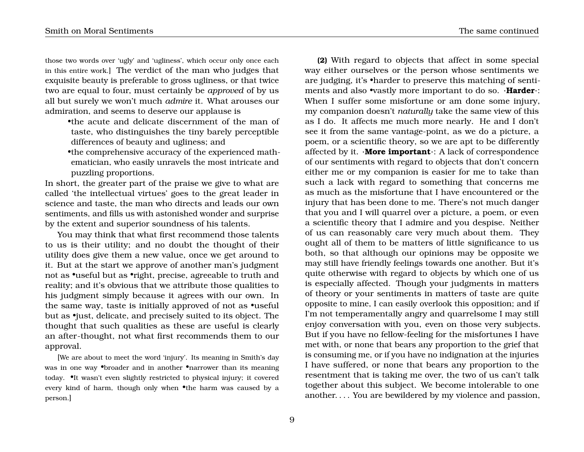those two words over 'ugly' and 'ugliness', which occur only once each in this entire work.] The verdict of the man who judges that exquisite beauty is preferable to gross ugliness, or that twice two are equal to four, must certainly be *approved* of by us all but surely we won't much *admire* it. What arouses our admiration, and seems to deserve our applause is

> •the acute and delicate discernment of the man of taste, who distinguishes the tiny barely perceptible differences of beauty and ugliness; and

> •the comprehensive accuracy of the experienced mathematician, who easily unravels the most intricate and puzzling proportions.

In short, the greater part of the praise we give to what are called 'the intellectual virtues' goes to the great leader in science and taste, the man who directs and leads our own sentiments, and fills us with astonished wonder and surprise by the extent and superior soundness of his talents.

You may think that what first recommend those talents to us is their utility; and no doubt the thought of their utility does give them a new value, once we get around to it. But at the start we approve of another man's judgment not as •useful but as •right, precise, agreeable to truth and reality; and it's obvious that we attribute those qualities to his judgment simply because it agrees with our own. In the same way, taste is initially approved of not as •useful but as •just, delicate, and precisely suited to its object. The thought that such qualities as these are useful is clearly an after-thought, not what first recommends them to our approval.

[We are about to meet the word 'injury'. Its meaning in Smith's day was in one way •broader and in another •narrower than its meaning today. •It wasn't even slightly restricted to physical injury; it covered every kind of harm, though only when •the harm was caused by a person.]

**(2)** With regard to objects that affect in some special way either ourselves or the person whose sentiments we are judging, it's •harder to preserve this matching of sentiments and also •vastly more important to do so. ·**Harder**·: When I suffer some misfortune or am done some injury, my companion doesn't *naturally* take the same view of this as I do. It affects me much more nearly. He and I don't see it from the same vantage-point, as we do a picture, a poem, or a scientific theory, so we are apt to be differently affected by it. ·**More important**·: A lack of correspondence of our sentiments with regard to objects that don't concern either me or my companion is easier for me to take than such a lack with regard to something that concerns me as much as the misfortune that I have encountered or the injury that has been done to me. There's not much danger that you and I will quarrel over a picture, a poem, or even a scientific theory that I admire and you despise. Neither of us can reasonably care very much about them. They ought all of them to be matters of little significance to us both, so that although our opinions may be opposite we may still have friendly feelings towards one another. But it's quite otherwise with regard to objects by which one of us is especially affected. Though your judgments in matters of theory or your sentiments in matters of taste are quite opposite to mine, I can easily overlook this opposition; and if I'm not temperamentally angry and quarrelsome I may still enjoy conversation with you, even on those very subjects. But if you have no fellow-feeling for the misfortunes I have met with, or none that bears any proportion to the grief that is consuming me, or if you have no indignation at the injuries I have suffered, or none that bears any proportion to the resentment that is taking me over, the two of us can't talk together about this subject. We become intolerable to one another. . . . You are bewildered by my violence and passion,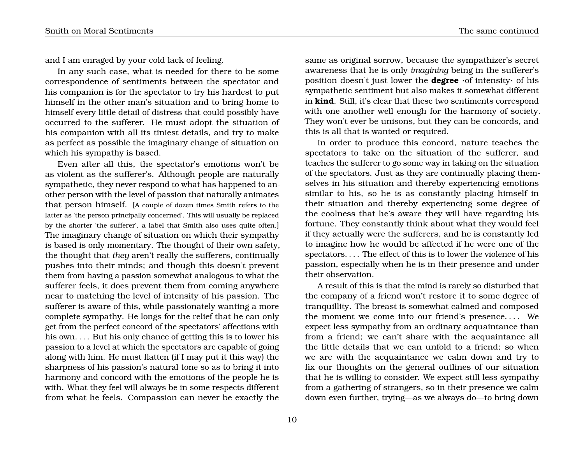and I am enraged by your cold lack of feeling.

In any such case, what is needed for there to be some correspondence of sentiments between the spectator and his companion is for the spectator to try his hardest to put himself in the other man's situation and to bring home to himself every little detail of distress that could possibly have occurred to the sufferer. He must adopt the situation of his companion with all its tiniest details, and try to make as perfect as possible the imaginary change of situation on which his sympathy is based.

Even after all this, the spectator's emotions won't be as violent as the sufferer's. Although people are naturally sympathetic, they never respond to what has happened to another person with the level of passion that naturally animates that person himself. [A couple of dozen times Smith refers to the latter as 'the person principally concerned'. This will usually be replaced by the shorter 'the sufferer', a label that Smith also uses quite often.] The imaginary change of situation on which their sympathy is based is only momentary. The thought of their own safety, the thought that *they* aren't really the sufferers, continually pushes into their minds; and though this doesn't prevent them from having a passion somewhat analogous to what the sufferer feels, it does prevent them from coming anywhere near to matching the level of intensity of his passion. The sufferer is aware of this, while passionately wanting a more complete sympathy. He longs for the relief that he can only get from the perfect concord of the spectators' affections with his own. . . . But his only chance of getting this is to lower his passion to a level at which the spectators are capable of going along with him. He must flatten (if I may put it this way) the sharpness of his passion's natural tone so as to bring it into harmony and concord with the emotions of the people he is with. What they feel will always be in some respects different from what he feels. Compassion can never be exactly the

same as original sorrow, because the sympathizer's secret awareness that he is only *imagining* being in the sufferer's position doesn't just lower the **degree** ·of intensity· of his sympathetic sentiment but also makes it somewhat different in **kind**. Still, it's clear that these two sentiments correspond with one another well enough for the harmony of society. They won't ever be unisons, but they can be concords, and this is all that is wanted or required.

In order to produce this concord, nature teaches the spectators to take on the situation of the sufferer, and teaches the sufferer to go some way in taking on the situation of the spectators. Just as they are continually placing themselves in his situation and thereby experiencing emotions similar to his, so he is as constantly placing himself in their situation and thereby experiencing some degree of the coolness that he's aware they will have regarding his fortune. They constantly think about what they would feel if they actually were the sufferers, and he is constantly led to imagine how he would be affected if he were one of the spectators. . . . The effect of this is to lower the violence of his passion, especially when he is in their presence and under their observation.

A result of this is that the mind is rarely so disturbed that the company of a friend won't restore it to some degree of tranquillity. The breast is somewhat calmed and composed the moment we come into our friend's presence. . . . We expect less sympathy from an ordinary acquaintance than from a friend; we can't share with the acquaintance all the little details that we can unfold to a friend; so when we are with the acquaintance we calm down and try to fix our thoughts on the general outlines of our situation that he is willing to consider. We expect still less sympathy from a gathering of strangers, so in their presence we calm down even further, trying—as we always do—to bring down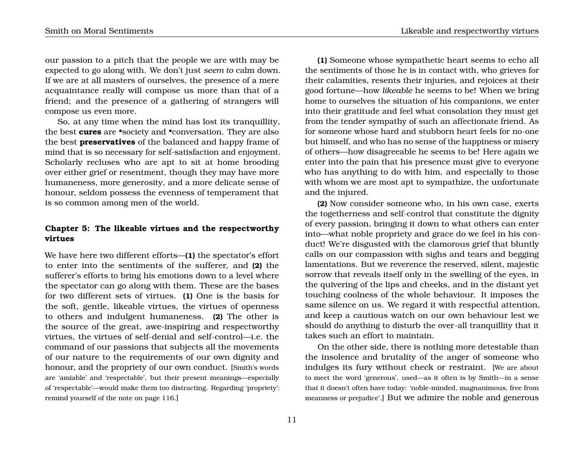Smith on Moral Sentiments Likeable and respectworthy virtues

our passion to a pitch that the people we are with may be expected to go along with. We don't just *seem to* calm down. If we are at all masters of ourselves, the presence of a mere acquaintance really will compose us more than that of a friend; and the presence of a gathering of strangers will compose us even more.

So, at any time when the mind has lost its tranquillity, the best **cures** are •society and •conversation. They are also the best **preservatives** of the balanced and happy frame of mind that is so necessary for self-satisfaction and enjoyment. Scholarly recluses who are apt to sit at home brooding over either grief or resentment, though they may have more humaneness, more generosity, and a more delicate sense of honour, seldom possess the evenness of temperament that is so common among men of the world.

#### <span id="page-14-0"></span>**Chapter 5: The likeable virtues and the respectworthy virtues**

We have here two different efforts—**(1)** the spectator's effort to enter into the sentiments of the sufferer, and **(2)** the sufferer's efforts to bring his emotions down to a level where the spectator can go along with them. These are the bases for two different sets of virtues. **(1)** One is the basis for the soft, gentle, likeable virtues, the virtues of openness to others and indulgent humaneness. **(2)** The other is the source of the great, awe-inspiring and respectworthy virtues, the virtues of self-denial and self-control—i.e. the command of our passions that subjects all the movements of our nature to the requirements of our own dignity and honour, and the propriety of our own conduct. [Smith's words are 'amiable' and 'respectable', but their present meanings—especially of 'respectable'—would make them too distracting. Regarding 'propriety': remind yourself of the note on page [116.](#page-119-0)]

**(1)** Someone whose sympathetic heart seems to echo all the sentiments of those he is in contact with, who grieves for their calamities, resents their injuries, and rejoices at their good fortune—how *likeable* he seems to be! When we bring home to ourselves the situation of his companions, we enter into their gratitude and feel what consolation they must get from the tender sympathy of such an affectionate friend. As for someone whose hard and stubborn heart feels for no-one but himself, and who has no sense of the happiness or misery of others—how disagreeable he seems to be! Here again we enter into the pain that his presence must give to everyone who has anything to do with him, and especially to those with whom we are most apt to sympathize, the unfortunate and the injured.

**(2)** Now consider someone who, in his own case, exerts the togetherness and self-control that constitute the dignity of every passion, bringing it down to what others can enter into—what noble propriety and grace do we feel in his conduct! We're disgusted with the clamorous grief that bluntly calls on our compassion with sighs and tears and begging lamentations. But we reverence the reserved, silent, majestic sorrow that reveals itself only in the swelling of the eyes, in the quivering of the lips and cheeks, and in the distant yet touching coolness of the whole behaviour. It imposes the same silence on us. We regard it with respectful attention, and keep a cautious watch on our own behaviour lest we should do anything to disturb the over-all tranquillity that it takes such an effort to maintain.

On the other side, there is nothing more detestable than the insolence and brutality of the anger of someone who indulges its fury without check or restraint. [We are about to meet the word 'generous', used—as it often is by Smith—in a sense that it doesn't often have today: 'noble-minded, magnanimous, free from meanness or prejudice'.] But we admire the noble and generous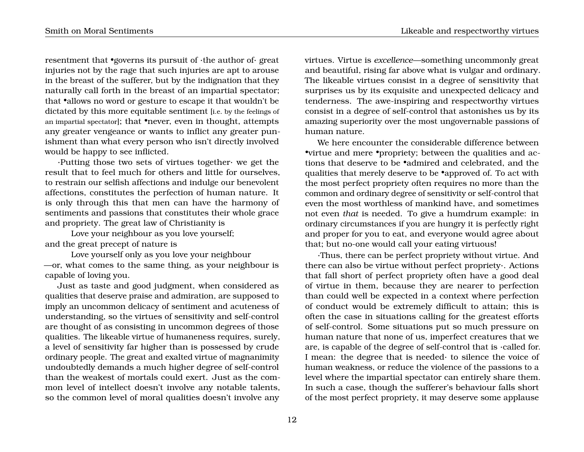resentment that •governs its pursuit of ·the author of· great injuries not by the rage that such injuries are apt to arouse in the breast of the sufferer, but by the indignation that they naturally call forth in the breast of an impartial spectator; that •allows no word or gesture to escape it that wouldn't be dictated by this more equitable sentiment [i.e. by the feelings of an impartial spectator]; that •never, even in thought, attempts any greater vengeance or wants to inflict any greater punishment than what every person who isn't directly involved would be happy to see inflicted.

·Putting those two sets of virtues together· we get the result that to feel much for others and little for ourselves, to restrain our selfish affections and indulge our benevolent affections, constitutes the perfection of human nature. It is only through this that men can have the harmony of sentiments and passions that constitutes their whole grace and propriety. The great law of Christianity is

Love your neighbour as you love yourself; and the great precept of nature is

Love yourself only as you love your neighbour —or, what comes to the same thing, as your neighbour is capable of loving you.

Just as taste and good judgment, when considered as qualities that deserve praise and admiration, are supposed to imply an uncommon delicacy of sentiment and acuteness of understanding, so the virtues of sensitivity and self-control are thought of as consisting in uncommon degrees of those qualities. The likeable virtue of humaneness requires, surely, a level of sensitivity far higher than is possessed by crude ordinary people. The great and exalted virtue of magnanimity undoubtedly demands a much higher degree of self-control than the weakest of mortals could exert. Just as the common level of intellect doesn't involve any notable talents, so the common level of moral qualities doesn't involve any virtues. Virtue is *excellence*—something uncommonly great and beautiful, rising far above what is vulgar and ordinary. The likeable virtues consist in a degree of sensitivity that surprises us by its exquisite and unexpected delicacy and tenderness. The awe-inspiring and respectworthy virtues consist in a degree of self-control that astonishes us by its amazing superiority over the most ungovernable passions of human nature.

We here encounter the considerable difference between •virtue and mere •propriety; between the qualities and actions that deserve to be •admired and celebrated, and the qualities that merely deserve to be •approved of. To act with the most perfect propriety often requires no more than the common and ordinary degree of sensitivity or self-control that even the most worthless of mankind have, and sometimes not even *that* is needed. To give a humdrum example: in ordinary circumstances if you are hungry it is perfectly right and proper for you to eat, and everyone would agree about that; but no-one would call your eating virtuous!

·Thus, there can be perfect propriety without virtue. And there can also be virtue without perfect propriety·. Actions that fall short of perfect propriety often have a good deal of virtue in them, because they are nearer to perfection than could well be expected in a context where perfection of conduct would be extremely difficult to attain; this is often the case in situations calling for the greatest efforts of self-control. Some situations put so much pressure on human nature that none of us, imperfect creatures that we are, is capable of the degree of self-control that is ·called for. I mean: the degree that is needed· to silence the voice of human weakness, or reduce the violence of the passions to a level where the impartial spectator can entirely share them. In such a case, though the sufferer's behaviour falls short of the most perfect propriety, it may deserve some applause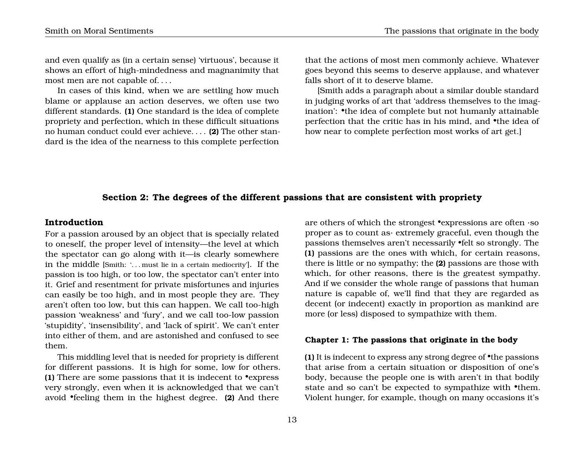and even qualify as (in a certain sense) 'virtuous', because it shows an effort of high-mindedness and magnanimity that most men are not capable of. . . .

In cases of this kind, when we are settling how much blame or applause an action deserves, we often use two different standards. **(1)** One standard is the idea of complete propriety and perfection, which in these difficult situations no human conduct could ever achieve. . . . **(2)** The other standard is the idea of the nearness to this complete perfection

that the actions of most men commonly achieve. Whatever goes beyond this seems to deserve applause, and whatever falls short of it to deserve blame.

[Smith adds a paragraph about a similar double standard in judging works of art that 'address themselves to the imagination': •the idea of complete but not humanly attainable perfection that the critic has in his mind, and •the idea of how near to complete perfection most works of art get.]

## <span id="page-16-0"></span>**Section 2: The degrees of the different passions that are consistent with propriety**

#### **Introduction**

For a passion aroused by an object that is specially related to oneself, the proper level of intensity—the level at which the spectator can go along with it—is clearly somewhere in the middle [Smith: '... must lie in a certain mediocrity']. If the passion is too high, or too low, the spectator can't enter into it. Grief and resentment for private misfortunes and injuries can easily be too high, and in most people they are. They aren't often too low, but this can happen. We call too-high passion 'weakness' and 'fury', and we call too-low passion 'stupidity', 'insensibility', and 'lack of spirit'. We can't enter into either of them, and are astonished and confused to see them.

This middling level that is needed for propriety is different for different passions. It is high for some, low for others. **(1)** There are some passions that it is indecent to •express very strongly, even when it is acknowledged that we can't avoid •feeling them in the highest degree. **(2)** And there

are others of which the strongest •expressions are often ·so proper as to count as· extremely graceful, even though the passions themselves aren't necessarily •felt so strongly. The **(1)** passions are the ones with which, for certain reasons, there is little or no sympathy; the **(2)** passions are those with which, for other reasons, there is the greatest sympathy. And if we consider the whole range of passions that human nature is capable of, we'll find that they are regarded as decent (or indecent) exactly in proportion as mankind are more (or less) disposed to sympathize with them.

#### <span id="page-16-1"></span>**Chapter 1: The passions that originate in the body**

**(1)** It is indecent to express any strong degree of •the passions that arise from a certain situation or disposition of one's body, because the people one is with aren't in that bodily state and so can't be expected to sympathize with •them. Violent hunger, for example, though on many occasions it's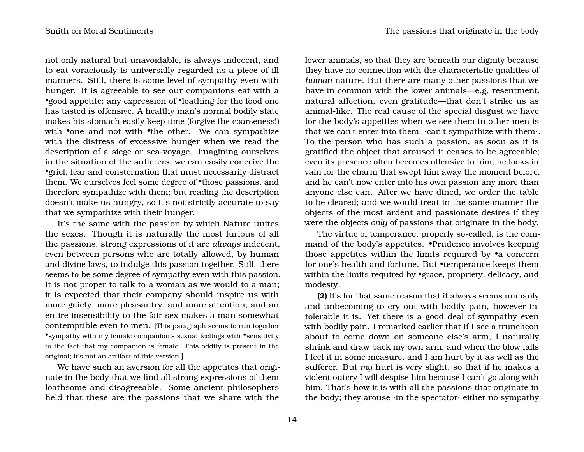not only natural but unavoidable, is always indecent, and to eat voraciously is universally regarded as a piece of ill manners. Still, there is some level of sympathy even with hunger. It is agreeable to see our companions eat with a •good appetite; any expression of •loathing for the food one has tasted is offensive. A healthy man's normal bodily state makes his stomach easily keep time (forgive the coarseness!) with **•**one and not with •the other. We can sympathize with the distress of excessive hunger when we read the description of a siege or sea-voyage. Imagining ourselves in the situation of the sufferers, we can easily conceive the •grief, fear and consternation that must necessarily distract them. We ourselves feel some degree of •those passions, and therefore sympathize with them; but reading the description doesn't make us hungry, so it's not strictly accurate to say that we sympathize with their hunger.

It's the same with the passion by which Nature unites the sexes. Though it is naturally the most furious of all the passions, strong expressions of it are *always* indecent, even between persons who are totally allowed, by human and divine laws, to indulge this passion together. Still, there seems to be some degree of sympathy even with this passion. It is not proper to talk to a woman as we would to a man; it is expected that their company should inspire us with more gaiety, more pleasantry, and more attention; and an entire insensibility to the fair sex makes a man somewhat contemptible even to men. [This paragraph seems to run together •sympathy with my female companion's sexual feelings with •sensitivity to the fact that my companion is female. This oddity is present in the original; it's not an artifact of this version.]

We have such an aversion for all the appetites that originate in the body that we find all strong expressions of them loathsome and disagreeable. Some ancient philosophers held that these are the passions that we share with the

lower animals, so that they are beneath our dignity because they have no connection with the characteristic qualities of *human* nature. But there are many other passions that we have in common with the lower animals—e.g. resentment, natural affection, even gratitude—that don't strike us as animal-like. The real cause of the special disgust we have for the body's appetites when we see them in other men is that we can't enter into them, ·can't sympathize with them·. To the person who has such a passion, as soon as it is gratified the object that aroused it ceases to be agreeable; even its presence often becomes offensive to him; he looks in vain for the charm that swept him away the moment before, and he can't now enter into his own passion any more than anyone else can. After we have dined, we order the table to be cleared; and we would treat in the same manner the objects of the most ardent and passionate desires if they were the objects *only* of passions that originate in the body.

The virtue of temperance, properly so-called, is the command of the body's appetites. •Prudence involves keeping those appetites within the limits required by •a concern for one's health and fortune. But •temperance keeps them within the limits required by •grace, propriety, delicacy, and modesty.

**(2)** It's for that same reason that it always seems unmanly and unbecoming to cry out with bodily pain, however intolerable it is. Yet there is a good deal of sympathy even with bodily pain. I remarked earlier that if I see a truncheon about to come down on someone else's arm, I naturally shrink and draw back my own arm; and when the blow falls I feel it in some measure, and I am hurt by it as well as the sufferer. But *my* hurt is very slight, so that if he makes a violent outcry I will despise him because I can't go along with him. That's how it is with all the passions that originate in the body; they arouse ·in the spectator· either no sympathy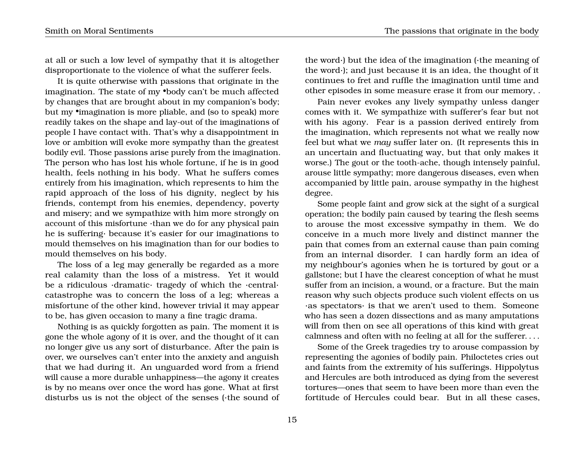at all or such a low level of sympathy that it is altogether disproportionate to the violence of what the sufferer feels.

It is quite otherwise with passions that originate in the imagination. The state of my •body can't be much affected by changes that are brought about in my companion's body; but my •imagination is more pliable, and (so to speak) more readily takes on the shape and lay-out of the imaginations of people I have contact with. That's why a disappointment in love or ambition will evoke more sympathy than the greatest bodily evil. Those passions arise purely from the imagination. The person who has lost his whole fortune, if he is in good health, feels nothing in his body. What he suffers comes entirely from his imagination, which represents to him the rapid approach of the loss of his dignity, neglect by his friends, contempt from his enemies, dependency, poverty and misery; and we sympathize with him more strongly on account of this misfortune ·than we do for any physical pain he is suffering· because it's easier for our imaginations to mould themselves on his imagination than for our bodies to mould themselves on his body.

The loss of a leg may generally be regarded as a more real calamity than the loss of a mistress. Yet it would be a ridiculous ·dramatic· tragedy of which the ·central· catastrophe was to concern the loss of a leg; whereas a misfortune of the other kind, however trivial it may appear to be, has given occasion to many a fine tragic drama.

Nothing is as quickly forgotten as pain. The moment it is gone the whole agony of it is over, and the thought of it can no longer give us any sort of disturbance. After the pain is over, we ourselves can't enter into the anxiety and anguish that we had during it. An unguarded word from a friend will cause a more durable unhappiness—the agony it creates is by no means over once the word has gone. What at first disturbs us is not the object of the senses (·the sound of the word·) but the idea of the imagination (·the meaning of the word·); and just because it is an idea, the thought of it continues to fret and ruffle the imagination until time and other episodes in some measure erase it from our memory, .

Pain never evokes any lively sympathy unless danger comes with it. We sympathize with sufferer's fear but not with his agony. Fear is a passion derived entirely from the imagination, which represents not what we really now feel but what we *may* suffer later on. (It represents this in an uncertain and fluctuating way, but that only makes it worse.) The gout or the tooth-ache, though intensely painful, arouse little sympathy; more dangerous diseases, even when accompanied by little pain, arouse sympathy in the highest degree.

Some people faint and grow sick at the sight of a surgical operation; the bodily pain caused by tearing the flesh seems to arouse the most excessive sympathy in them. We do conceive in a much more lively and distinct manner the pain that comes from an external cause than pain coming from an internal disorder. I can hardly form an idea of my neighbour's agonies when he is tortured by gout or a gallstone; but I have the clearest conception of what he must suffer from an incision, a wound, or a fracture. But the main reason why such objects produce such violent effects on us ·as spectators· is that we aren't used to them. Someone who has seen a dozen dissections and as many amputations will from then on see all operations of this kind with great calmness and often with no feeling at all for the sufferer. . . .

Some of the Greek tragedies try to arouse compassion by representing the agonies of bodily pain. Philoctetes cries out and faints from the extremity of his sufferings. Hippolytus and Hercules are both introduced as dying from the severest tortures—ones that seem to have been more than even the fortitude of Hercules could bear. But in all these cases,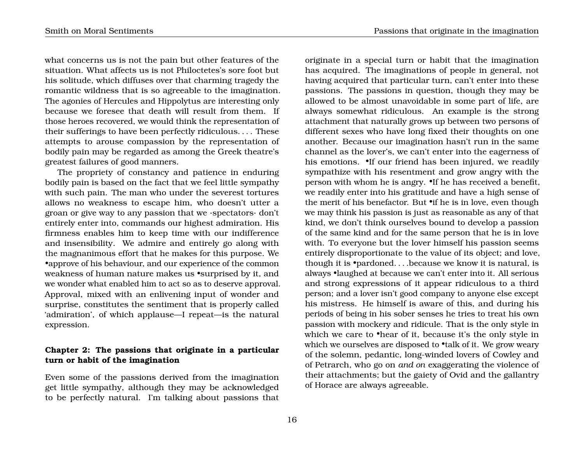Smith on Moral Sentiments Passions that originate in the imagination

what concerns us is not the pain but other features of the situation. What affects us is not Philoctetes's sore foot but his solitude, which diffuses over that charming tragedy the romantic wildness that is so agreeable to the imagination. The agonies of Hercules and Hippolytus are interesting only because we foresee that death will result from them. If those heroes recovered, we would think the representation of their sufferings to have been perfectly ridiculous. . . . These attempts to arouse compassion by the representation of bodily pain may be regarded as among the Greek theatre's greatest failures of good manners.

The propriety of constancy and patience in enduring bodily pain is based on the fact that we feel little sympathy with such pain. The man who under the severest tortures allows no weakness to escape him, who doesn't utter a groan or give way to any passion that we ·spectators· don't entirely enter into, commands our highest admiration. His firmness enables him to keep time with our indifference and insensibility. We admire and entirely go along with the magnanimous effort that he makes for this purpose. We •approve of his behaviour, and our experience of the common weakness of human nature makes us •surprised by it, and we wonder what enabled him to act so as to deserve approval. Approval, mixed with an enlivening input of wonder and surprise, constitutes the sentiment that is properly called 'admiration', of which applause—I repeat—is the natural expression.

# <span id="page-19-0"></span>**Chapter 2: The passions that originate in a particular turn or habit of the imagination**

Even some of the passions derived from the imagination get little sympathy, although they may be acknowledged to be perfectly natural. I'm talking about passions that originate in a special turn or habit that the imagination has acquired. The imaginations of people in general, not having acquired that particular turn, can't enter into these passions. The passions in question, though they may be allowed to be almost unavoidable in some part of life, are always somewhat ridiculous. An example is the strong attachment that naturally grows up between two persons of different sexes who have long fixed their thoughts on one another. Because our imagination hasn't run in the same channel as the lover's, we can't enter into the eagerness of his emotions. •If our friend has been injured, we readily sympathize with his resentment and grow angry with the person with whom he is angry. •If he has received a benefit, we readily enter into his gratitude and have a high sense of the merit of his benefactor. But •if he is in love, even though we may think his passion is just as reasonable as any of that kind, we don't think ourselves bound to develop a passion of the same kind and for the same person that he is in love with. To everyone but the lover himself his passion seems entirely disproportionate to the value of its object; and love, though it is •pardoned. . . .because we know it is natural, is always •laughed at because we can't enter into it. All serious and strong expressions of it appear ridiculous to a third person; and a lover isn't good company to anyone else except his mistress. He himself is aware of this, and during his periods of being in his sober senses he tries to treat his own passion with mockery and ridicule. That is the only style in which we care to •hear of it, because it's the only style in which we ourselves are disposed to •talk of it. We grow weary of the solemn, pedantic, long-winded lovers of Cowley and of Petrarch, who go on *and on* exaggerating the violence of their attachments; but the gaiety of Ovid and the gallantry of Horace are always agreeable.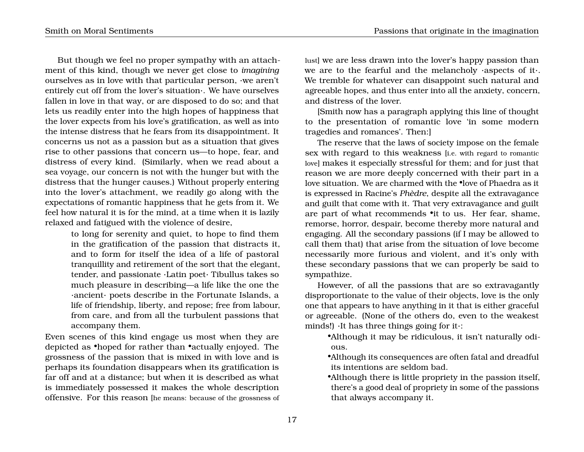But though we feel no proper sympathy with an attachment of this kind, though we never get close to *imagining* ourselves as in love with that particular person, ·we aren't entirely cut off from the lover's situation·. We have ourselves fallen in love in that way, or are disposed to do so; and that lets us readily enter into the high hopes of happiness that the lover expects from his love's gratification, as well as into the intense distress that he fears from its disappointment. It concerns us not as a passion but as a situation that gives rise to other passions that concern us—to hope, fear, and distress of every kind. (Similarly, when we read about a sea voyage, our concern is not with the hunger but with the distress that the hunger causes.) Without properly entering into the lover's attachment, we readily go along with the expectations of romantic happiness that he gets from it. We feel how natural it is for the mind, at a time when it is lazily relaxed and fatigued with the violence of desire,

> to long for serenity and quiet, to hope to find them in the gratification of the passion that distracts it, and to form for itself the idea of a life of pastoral tranquillity and retirement of the sort that the elegant, tender, and passionate ·Latin poet· Tibullus takes so much pleasure in describing—a life like the one the ·ancient· poets describe in the Fortunate Islands, a life of friendship, liberty, and repose; free from labour, from care, and from all the turbulent passions that accompany them.

Even scenes of this kind engage us most when they are depicted as •hoped for rather than •actually enjoyed. The grossness of the passion that is mixed in with love and is perhaps its foundation disappears when its gratification is far off and at a distance; but when it is described as what is immediately possessed it makes the whole description offensive. For this reason [he means: because of the grossness of lust] we are less drawn into the lover's happy passion than we are to the fearful and the melancholy ·aspects of it·. We tremble for whatever can disappoint such natural and agreeable hopes, and thus enter into all the anxiety, concern, and distress of the lover.

[Smith now has a paragraph applying this line of thought to the presentation of romantic love 'in some modern tragedies and romances'. Then:]

The reserve that the laws of society impose on the female sex with regard to this weakness [i.e. with regard to romantic love] makes it especially stressful for them; and for just that reason we are more deeply concerned with their part in a love situation. We are charmed with the •love of Phaedra as it is expressed in Racine's *Phèdre*, despite all the extravagance and guilt that come with it. That very extravagance and guilt are part of what recommends •it to us. Her fear, shame, remorse, horror, despair, become thereby more natural and engaging. All the secondary passions (if I may be allowed to call them that) that arise from the situation of love become necessarily more furious and violent, and it's only with these secondary passions that we can properly be said to sympathize.

However, of all the passions that are so extravagantly disproportionate to the value of their objects, love is the only one that appears to have anything in it that is either graceful or agreeable. (None of the others do, even to the weakest minds!) ·It has three things going for it·:

•Although it may be ridiculous, it isn't naturally odious.

•Although its consequences are often fatal and dreadful its intentions are seldom bad.

•Although there is little propriety in the passion itself, there's a good deal of propriety in some of the passions that always accompany it.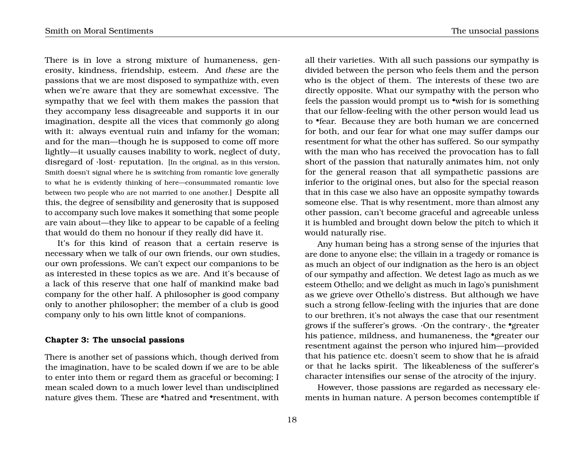There is in love a strong mixture of humaneness, generosity, kindness, friendship, esteem. And *these* are the passions that we are most disposed to sympathize with, even when we're aware that they are somewhat excessive. The sympathy that we feel with them makes the passion that they accompany less disagreeable and supports it in our imagination, despite all the vices that commonly go along with it: always eventual ruin and infamy for the woman; and for the man—though he is supposed to come off more lightly—it usually causes inability to work, neglect of duty, disregard of ·lost· reputation. [In the original, as in this version, Smith doesn't signal where he is switching from romantic love generally to what he is evidently thinking of here—consummated romantic love between two people who are not married to one another.] Despite all this, the degree of sensibility and generosity that is supposed to accompany such love makes it something that some people are vain about—they like to appear to be capable of a feeling that would do them no honour if they really did have it.

It's for this kind of reason that a certain reserve is necessary when we talk of our own friends, our own studies, our own professions. We can't expect our companions to be as interested in these topics as we are. And it's because of a lack of this reserve that one half of mankind make bad company for the other half. A philosopher is good company only to another philosopher; the member of a club is good company only to his own little knot of companions.

#### <span id="page-21-0"></span>**Chapter 3: The unsocial passions**

There is another set of passions which, though derived from the imagination, have to be scaled down if we are to be able to enter into them or regard them as graceful or becoming; I mean scaled down to a much lower level than undisciplined nature gives them. These are •hatred and •resentment, with

all their varieties. With all such passions our sympathy is divided between the person who feels them and the person who is the object of them. The interests of these two are directly opposite. What our sympathy with the person who feels the passion would prompt us to •wish for is something that our fellow-feeling with the other person would lead us to •fear. Because they are both human we are concerned for both, and our fear for what one may suffer damps our resentment for what the other has suffered. So our sympathy with the man who has received the provocation has to fall short of the passion that naturally animates him, not only for the general reason that all sympathetic passions are inferior to the original ones, but also for the special reason that in this case we also have an opposite sympathy towards someone else. That is why resentment, more than almost any other passion, can't become graceful and agreeable unless it is humbled and brought down below the pitch to which it would naturally rise.

Any human being has a strong sense of the injuries that are done to anyone else; the villain in a tragedy or romance is as much an object of our indignation as the hero is an object of our sympathy and affection. We detest Iago as much as we esteem Othello; and we delight as much in Iago's punishment as we grieve over Othello's distress. But although we have such a strong fellow-feeling with the injuries that are done to our brethren, it's not always the case that our resentment grows if the sufferer's grows. ·On the contrary·, the •greater his patience, mildness, and humaneness, the •greater our resentment against the person who injured him—provided that his patience etc. doesn't seem to show that he is afraid or that he lacks spirit. The likeableness of the sufferer's character intensifies our sense of the atrocity of the injury.

However, those passions are regarded as necessary elements in human nature. A person becomes contemptible if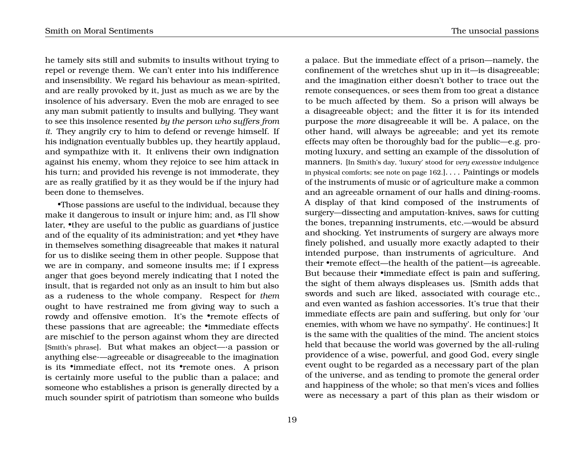he tamely sits still and submits to insults without trying to repel or revenge them. We can't enter into his indifference and insensibility. We regard his behaviour as mean-spirited, and are really provoked by it, just as much as we are by the insolence of his adversary. Even the mob are enraged to see any man submit patiently to insults and bullying. They want to see this insolence resented *by the person who suffers from it*. They angrily cry to him to defend or revenge himself. If his indignation eventually bubbles up, they heartily applaud, and sympathize with it. It enlivens their own indignation against his enemy, whom they rejoice to see him attack in his turn; and provided his revenge is not immoderate, they are as really gratified by it as they would be if the injury had been done to themselves.

•Those passions are useful to the individual, because they make it dangerous to insult or injure him; and, as I'll show later, •they are useful to the public as guardians of justice and of the equality of its administration; and yet •they have in themselves something disagreeable that makes it natural for us to dislike seeing them in other people. Suppose that we are in company, and someone insults me; if I express anger that goes beyond merely indicating that I noted the insult, that is regarded not only as an insult to him but also as a rudeness to the whole company. Respect for *them* ought to have restrained me from giving way to such a rowdy and offensive emotion. It's the •remote effects of these passions that are agreeable; the •immediate effects are mischief to the person against whom they are directed [Smith's phrase]. But what makes an object—·a passion or anything else·—agreeable or disagreeable to the imagination is its •immediate effect, not its •remote ones. A prison is certainly more useful to the public than a palace; and someone who establishes a prison is generally directed by a much sounder spirit of patriotism than someone who builds

confinement of the wretches shut up in it—is disagreeable; and the imagination either doesn't bother to trace out the remote consequences, or sees them from too great a distance to be much affected by them. So a prison will always be a disagreeable object; and the fitter it is for its intended purpose the *more* disagreeable it will be. A palace, on the other hand, will always be agreeable; and yet its remote effects may often be thoroughly bad for the public—e.g. promoting luxury, and setting an example of the dissolution of manners. [In Smith's day, 'luxury' stood for *very excessive* indulgence in physical comforts; see note on page [162.](#page-162-0)]. . . . Paintings or models of the instruments of music or of agriculture make a common and an agreeable ornament of our halls and dining-rooms. A display of that kind composed of the instruments of surgery—dissecting and amputation-knives, saws for cutting the bones, trepanning instruments, etc.—would be absurd and shocking. Yet instruments of surgery are always more finely polished, and usually more exactly adapted to their intended purpose, than instruments of agriculture. And their •remote effect—the health of the patient—is agreeable. But because their •immediate effect is pain and suffering, the sight of them always displeases us. [Smith adds that swords and such are liked, associated with courage etc., and even wanted as fashion accessories. It's true that their immediate effects are pain and suffering, but only for 'our enemies, with whom we have no sympathy'. He continues:] It is the same with the qualities of the mind. The ancient stoics held that because the world was governed by the all-ruling providence of a wise, powerful, and good God, every single event ought to be regarded as a necessary part of the plan of the universe, and as tending to promote the general order and happiness of the whole; so that men's vices and follies were as necessary a part of this plan as their wisdom or

a palace. But the immediate effect of a prison—namely, the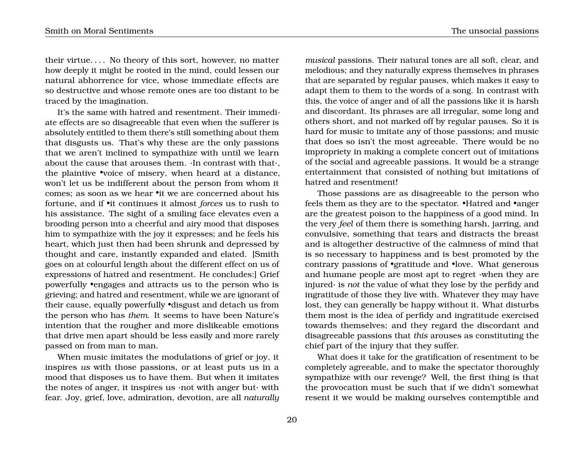their virtue. . . . No theory of this sort, however, no matter how deeply it might be rooted in the mind, could lessen our natural abhorrence for vice, whose immediate effects are so destructive and whose remote ones are too distant to be traced by the imagination.

It's the same with hatred and resentment. Their immediate effects are so disagreeable that even when the sufferer is absolutely entitled to them there's still something about them that disgusts us. That's why these are the only passions that we aren't inclined to sympathize with until we learn about the cause that arouses them. ·In contrast with that·, the plaintive •voice of misery, when heard at a distance, won't let us be indifferent about the person from whom it comes; as soon as we hear •it we are concerned about his fortune, and if •it continues it almost *forces* us to rush to his assistance. The sight of a smiling face elevates even a brooding person into a cheerful and airy mood that disposes him to sympathize with the joy it expresses; and he feels his heart, which just then had been shrunk and depressed by thought and care, instantly expanded and elated. [Smith goes on at colourful length about the different effect on us of expressions of hatred and resentment. He concludes:] Grief powerfully •engages and attracts us to the person who is grieving; and hatred and resentment, while we are ignorant of their cause, equally powerfully •disgust and detach us from the person who has *them*. It seems to have been Nature's intention that the rougher and more dislikeable emotions that drive men apart should be less easily and more rarely passed on from man to man.

When music imitates the modulations of grief or joy, it inspires *us* with those passions, or at least puts us in a mood that disposes us to have them. But when it imitates the notes of anger, it inspires us ·not with anger but· with fear. Joy, grief, love, admiration, devotion, are all *naturally*

*musical* passions. Their natural tones are all soft, clear, and melodious; and they naturally express themselves in phrases that are separated by regular pauses, which makes it easy to adapt them to them to the words of a song. In contrast with this, the voice of anger and of all the passions like it is harsh and discordant. Its phrases are all irregular, some long and others short, and not marked off by regular pauses. So it is hard for music to imitate any of those passions; and music that does so isn't the most agreeable. There would be no impropriety in making a complete concert out of imitations of the social and agreeable passions. It would be a strange entertainment that consisted of nothing but imitations of hatred and resentment!

Those passions are as disagreeable to the person who feels them as they are to the spectator. •Hatred and •anger are the greatest poison to the happiness of a good mind. In the very *feel* of them there is something harsh, jarring, and convulsive, something that tears and distracts the breast and is altogether destructive of the calmness of mind that is so necessary to happiness and is best promoted by the contrary passions of •gratitude and •love. What generous and humane people are most apt to regret ·when they are injured· is *not* the value of what they lose by the perfidy and ingratitude of those they live with. Whatever they may have lost, they can generally be happy without it. What disturbs them most is the idea of perfidy and ingratitude exercised towards themselves; and they regard the discordant and disagreeable passions that *this* arouses as constituting the chief part of the injury that they suffer.

What does it take for the gratification of resentment to be completely agreeable, and to make the spectator thoroughly sympathize with our revenge? Well, the first thing is that the provocation must be such that if we didn't somewhat resent it we would be making ourselves contemptible and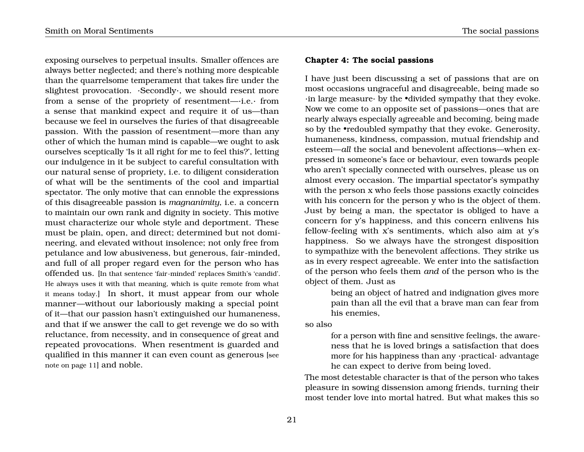exposing ourselves to perpetual insults. Smaller offences are always better neglected; and there's nothing more despicable than the quarrelsome temperament that takes fire under the slightest provocation. ·Secondly·, we should resent more from a sense of the propriety of resentment—·i.e.· from a sense that mankind expect and require it of us—than because we feel in ourselves the furies of that disagreeable passion. With the passion of resentment—more than any other of which the human mind is capable—we ought to ask ourselves sceptically 'Is it all right for me to feel this?', letting our indulgence in it be subject to careful consultation with our natural sense of propriety, i.e. to diligent consideration of what will be the sentiments of the cool and impartial spectator. The only motive that can ennoble the expressions of this disagreeable passion is *magnanimity*, i.e. a concern to maintain our own rank and dignity in society. This motive must characterize our whole style and deportment. These must be plain, open, and direct; determined but not domineering, and elevated without insolence; not only free from petulance and low abusiveness, but generous, fair-minded, and full of all proper regard even for the person who has offended us. [In that sentence 'fair-minded' replaces Smith's 'candid'. He always uses it with that meaning, which is quite remote from what it means today.] In short, it must appear from our whole manner—without our laboriously making a special point of it—that our passion hasn't extinguished our humaneness, and that if we answer the call to get revenge we do so with reluctance, from necessity, and in consequence of great and repeated provocations. When resentment is guarded and qualified in this manner it can even count as generous [see note on page [11](#page-14-0)] and noble.

#### <span id="page-24-0"></span>**Chapter 4: The social passions**

I have just been discussing a set of passions that are on most occasions ungraceful and disagreeable, being made so ·in large measure· by the •divided sympathy that they evoke. Now we come to an opposite set of passions—ones that are nearly always especially agreeable and becoming, being made so by the •redoubled sympathy that they evoke. Generosity, humaneness, kindness, compassion, mutual friendship and esteem—*all* the social and benevolent affections—when expressed in someone's face or behaviour, even towards people who aren't specially connected with ourselves, please us on almost every occasion. The impartial spectator's sympathy with the person x who feels those passions exactly coincides with his concern for the person y who is the object of them. Just by being a man, the spectator is obliged to have a concern for y's happiness, and this concern enlivens his fellow-feeling with x's sentiments, which also aim at y's happiness. So we always have the strongest disposition to sympathize with the benevolent affections. They strike us as in every respect agreeable. We enter into the satisfaction of the person who feels them *and* of the person who is the object of them. Just as

> being an object of hatred and indignation gives more pain than all the evil that a brave man can fear from his enemies,

so also

for a person with fine and sensitive feelings, the awareness that he is loved brings a satisfaction that does more for his happiness than any ·practical· advantage he can expect to derive from being loved.

The most detestable character is that of the person who takes pleasure in sowing dissension among friends, turning their most tender love into mortal hatred. But what makes this so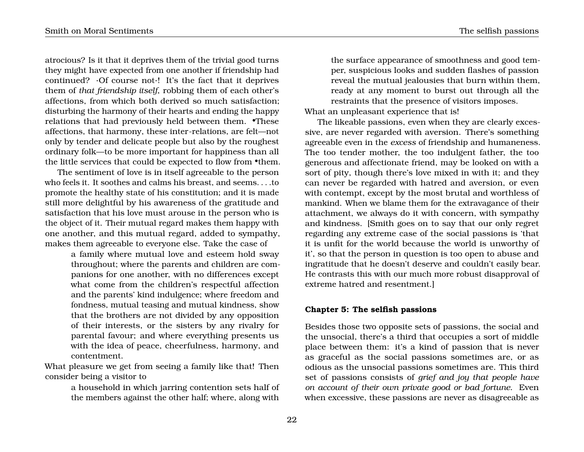atrocious? Is it that it deprives them of the trivial good turns they might have expected from one another if friendship had continued? ·Of course not·! It's the fact that it deprives them of *that friendship itself*, robbing them of each other's affections, from which both derived so much satisfaction; disturbing the harmony of their hearts and ending the happy relations that had previously held between them. •These affections, that harmony, these inter-relations, are felt—not only by tender and delicate people but also by the roughest ordinary folk—to be more important for happiness than all the little services that could be expected to flow from  $\cdot$ them.

The sentiment of love is in itself agreeable to the person who feels it. It soothes and calms his breast, and seems. . . .to promote the healthy state of his constitution; and it is made still more delightful by his awareness of the gratitude and satisfaction that his love must arouse in the person who is the object of it. Their mutual regard makes them happy with one another, and this mutual regard, added to sympathy, makes them agreeable to everyone else. Take the case of

> a family where mutual love and esteem hold sway throughout; where the parents and children are companions for one another, with no differences except what come from the children's respectful affection and the parents' kind indulgence; where freedom and fondness, mutual teasing and mutual kindness, show that the brothers are not divided by any opposition of their interests, or the sisters by any rivalry for parental favour; and where everything presents us with the idea of peace, cheerfulness, harmony, and contentment.

What pleasure we get from seeing a family like that! Then consider being a visitor to

> a household in which jarring contention sets half of the members against the other half; where, along with

the surface appearance of smoothness and good temper, suspicious looks and sudden flashes of passion reveal the mutual jealousies that burn within them, ready at any moment to burst out through all the restraints that the presence of visitors imposes.

What an unpleasant experience that is!

The likeable passions, even when they are clearly excessive, are never regarded with aversion. There's something agreeable even in the *excess* of friendship and humaneness. The too tender mother, the too indulgent father, the too generous and affectionate friend, may be looked on with a sort of pity, though there's love mixed in with it; and they can never be regarded with hatred and aversion, or even with contempt, except by the most brutal and worthless of mankind. When we blame them for the extravagance of their attachment, we always do it with concern, with sympathy and kindness. [Smith goes on to say that our only regret regarding any extreme case of the social passions is 'that it is unfit for the world because the world is unworthy of it', so that the person in question is too open to abuse and ingratitude that he doesn't deserve and couldn't easily bear. He contrasts this with our much more robust disapproval of extreme hatred and resentment.]

#### <span id="page-25-0"></span>**Chapter 5: The selfish passions**

Besides those two opposite sets of passions, the social and the unsocial, there's a third that occupies a sort of middle place between them: it's a kind of passion that is never as graceful as the social passions sometimes are, or as odious as the unsocial passions sometimes are. This third set of passions consists of *grief and joy that people have on account of their own private good or bad fortune*. Even when excessive, these passions are never as disagreeable as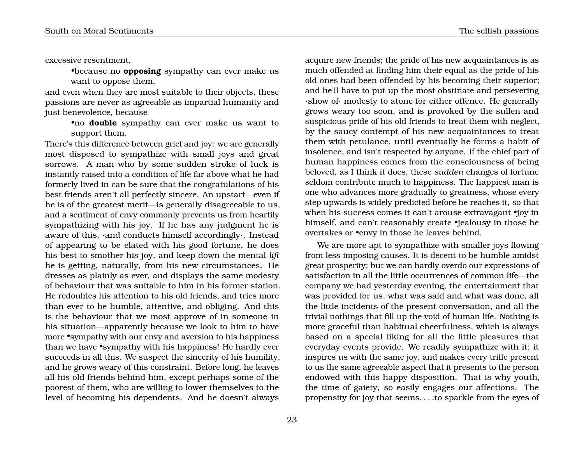excessive resentment,

•because no **opposing** sympathy can ever make us want to oppose them,

and even when they are most suitable to their objects, these passions are never as agreeable as impartial humanity and just benevolence, because

> •no **double** sympathy can ever make us want to support them.

There's this difference between grief and joy: we are generally most disposed to sympathize with small joys and great sorrows. A man who by some sudden stroke of luck is instantly raised into a condition of life far above what he had formerly lived in can be sure that the congratulations of his best friends aren't all perfectly sincere. An upstart—even if he is of the greatest merit—is generally disagreeable to us, and a sentiment of envy commonly prevents us from heartily sympathizing with his joy. If he has any judgment he is aware of this, ·and conducts himself accordingly·. Instead of appearing to be elated with his good fortune, he does his best to smother his joy, and keep down the mental *lift* he is getting, naturally, from his new circumstances. He dresses as plainly as ever, and displays the same modesty of behaviour that was suitable to him in his former station. He redoubles his attention to his old friends, and tries more than ever to be humble, attentive, and obliging. And this is the behaviour that we most approve of in someone in his situation—apparently because we look to him to have more •sympathy with our envy and aversion to his happiness than we have •sympathy with his happiness! He hardly ever succeeds in all this. We suspect the sincerity of his humility, and he grows weary of this constraint. Before long, he leaves all his old friends behind him, except perhaps some of the poorest of them, who are willing to lower themselves to the level of becoming his dependents. And he doesn't always

23

acquire new friends; the pride of his new acquaintances is as much offended at finding him their equal as the pride of his old ones had been offended by his becoming their superior; and he'll have to put up the most obstinate and persevering ·show of· modesty to atone for either offence. He generally grows weary too soon, and is provoked by the sullen and suspicious pride of his old friends to treat them with neglect, by the saucy contempt of his new acquaintances to treat them with petulance, until eventually he forms a habit of insolence, and isn't respected by anyone. If the chief part of human happiness comes from the consciousness of being beloved, as I think it does, these *sudden* changes of fortune seldom contribute much to happiness. The happiest man is one who advances more gradually to greatness, whose every step upwards is widely predicted before he reaches it, so that when his success comes it can't arouse extravagant •joy in himself, and can't reasonably create •jealousy in those he overtakes or •envy in those he leaves behind.

We are more apt to sympathize with smaller joys flowing from less imposing causes. It is decent to be humble amidst great prosperity; but we can hardly overdo our expressions of satisfaction in all the little occurrences of common life—the company we had yesterday evening, the entertainment that was provided for us, what was said and what was done, all the little incidents of the present conversation, and all the trivial nothings that fill up the void of human life. Nothing is more graceful than habitual cheerfulness, which is always based on a special liking for all the little pleasures that everyday events provide. We readily sympathize with it; it inspires us with the same joy, and makes every trifle present to us the same agreeable aspect that it presents to the person endowed with this happy disposition. That is why youth, the time of gaiety, so easily engages our affections. The propensity for joy that seems. . . .to sparkle from the eyes of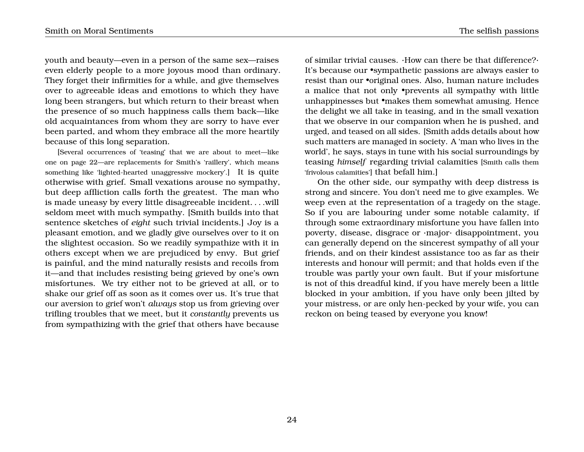youth and beauty—even in a person of the same sex—raises even elderly people to a more joyous mood than ordinary. They forget their infirmities for a while, and give themselves over to agreeable ideas and emotions to which they have long been strangers, but which return to their breast when the presence of so much happiness calls them back—like old acquaintances from whom they are sorry to have ever been parted, and whom they embrace all the more heartily because of this long separation.

[Several occurrences of 'teasing' that we are about to meet—like one on page [22—](#page-24-0)are replacements for Smith's 'raillery', which means something like 'lighted-hearted unaggressive mockery'.] It is quite otherwise with grief. Small vexations arouse no sympathy, but deep affliction calls forth the greatest. The man who is made uneasy by every little disagreeable incident. . . .will seldom meet with much sympathy. [Smith builds into that sentence sketches of *eight* such trivial incidents.] Joy is a pleasant emotion, and we gladly give ourselves over to it on the slightest occasion. So we readily sympathize with it in others except when we are prejudiced by envy. But grief is painful, and the mind naturally resists and recoils from it—and that includes resisting being grieved by one's own misfortunes. We try either not to be grieved at all, or to shake our grief off as soon as it comes over us. It's true that our aversion to grief won't *always* stop us from grieving over trifling troubles that we meet, but it *constantly* prevents us from sympathizing with the grief that others have because

of similar trivial causes. ·How can there be that difference?· It's because our •sympathetic passions are always easier to resist than our •original ones. Also, human nature includes a malice that not only •prevents all sympathy with little unhappinesses but •makes them somewhat amusing. Hence the delight we all take in teasing, and in the small vexation that we observe in our companion when he is pushed, and urged, and teased on all sides. [Smith adds details about how such matters are managed in society. A 'man who lives in the world', he says, stays in tune with his social surroundings by teasing *himself* regarding trivial calamities [Smith calls them 'frivolous calamities'] that befall him.]

On the other side, our sympathy with deep distress is strong and sincere. You don't need me to give examples. We weep even at the representation of a tragedy on the stage. So if you are labouring under some notable calamity, if through some extraordinary misfortune you have fallen into poverty, disease, disgrace or ·major· disappointment, you can generally depend on the sincerest sympathy of all your friends, and on their kindest assistance too as far as their interests and honour will permit; and that holds even if the trouble was partly your own fault. But if your misfortune is not of this dreadful kind, if you have merely been a little blocked in your ambition, if you have only been jilted by your mistress, or are only hen-pecked by your wife, you can reckon on being teased by everyone you know!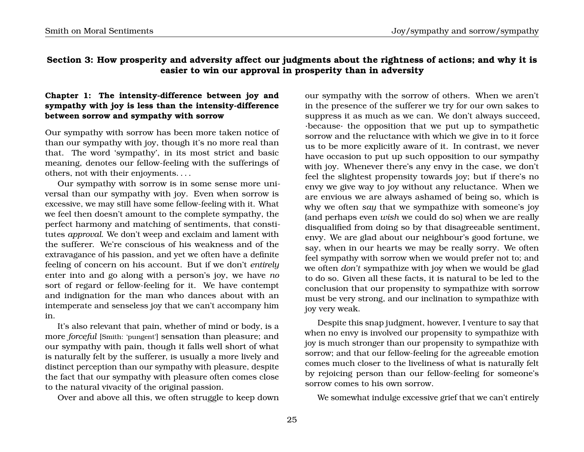# <span id="page-28-0"></span>**Section 3: How prosperity and adversity affect our judgments about the rightness of actions; and why it is easier to win our approval in prosperity than in adversity**

# <span id="page-28-1"></span>**Chapter 1: The intensity-difference between joy and sympathy with joy is less than the intensity-difference between sorrow and sympathy with sorrow**

Our sympathy with sorrow has been more taken notice of than our sympathy with joy, though it's no more real than that. The word 'sympathy', in its most strict and basic meaning, denotes our fellow-feeling with the sufferings of others, not with their enjoyments. . . .

Our sympathy with sorrow is in some sense more universal than our sympathy with joy. Even when sorrow is excessive, we may still have some fellow-feeling with it. What we feel then doesn't amount to the complete sympathy, the perfect harmony and matching of sentiments, that constitutes *approval*. We don't weep and exclaim and lament with the sufferer. We're conscious of his weakness and of the extravagance of his passion, and yet we often have a definite feeling of concern on his account. But if we don't *entirely* enter into and go along with a person's joy, we have *no* sort of regard or fellow-feeling for it. We have contempt and indignation for the man who dances about with an intemperate and senseless joy that we can't accompany him in.

It's also relevant that pain, whether of mind or body, is a more *forceful* [Smith: 'pungent'] sensation than pleasure; and our sympathy with pain, though it falls well short of what is naturally felt by the sufferer, is usually a more lively and distinct perception than our sympathy with pleasure, despite the fact that our sympathy with pleasure often comes close to the natural vivacity of the original passion.

Over and above all this, we often struggle to keep down

our sympathy with the sorrow of others. When we aren't in the presence of the sufferer we try for our own sakes to suppress it as much as we can. We don't always succeed, ·because· the opposition that we put up to sympathetic sorrow and the reluctance with which we give in to it force us to be more explicitly aware of it. In contrast, we never have occasion to put up such opposition to our sympathy with joy. Whenever there's any envy in the case, we don't feel the slightest propensity towards joy; but if there's no envy we give way to joy without any reluctance. When we are envious we are always ashamed of being so, which is why we often *say* that we sympathize with someone's joy (and perhaps even *wish* we could do so) when we are really disqualified from doing so by that disagreeable sentiment, envy. We are glad about our neighbour's good fortune, we say, when in our hearts we may be really sorry. We often feel sympathy with sorrow when we would prefer not to; and we often *don't* sympathize with joy when we would be glad to do so. Given all these facts, it is natural to be led to the conclusion that our propensity to sympathize with sorrow must be very strong, and our inclination to sympathize with joy very weak.

Despite this snap judgment, however, I venture to say that when no envy is involved our propensity to sympathize with joy is much stronger than our propensity to sympathize with sorrow; and that our fellow-feeling for the agreeable emotion comes much closer to the liveliness of what is naturally felt by rejoicing person than our fellow-feeling for someone's sorrow comes to his own sorrow.

We somewhat indulge excessive grief that we can't entirely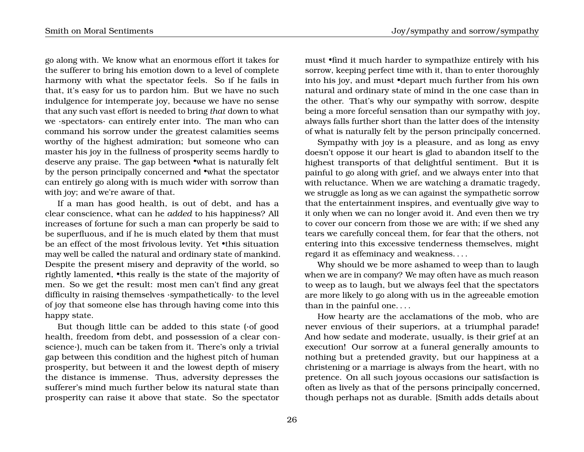go along with. We know what an enormous effort it takes for the sufferer to bring his emotion down to a level of complete harmony with what the spectator feels. So if he fails in that, it's easy for us to pardon him. But we have no such indulgence for intemperate joy, because we have no sense that any such vast effort is needed to bring *that* down to what we ·spectators· can entirely enter into. The man who can command his sorrow under the greatest calamities seems worthy of the highest admiration; but someone who can master his joy in the fullness of prosperity seems hardly to deserve any praise. The gap between •what is naturally felt by the person principally concerned and •what the spectator can entirely go along with is much wider with sorrow than with joy; and we're aware of that.

If a man has good health, is out of debt, and has a clear conscience, what can he *added* to his happiness? All increases of fortune for such a man can properly be said to be superfluous, and if he is much elated by them that must be an effect of the most frivolous levity. Yet •this situation may well be called the natural and ordinary state of mankind. Despite the present misery and depravity of the world, so rightly lamented, •this really is the state of the majority of men. So we get the result: most men can't find any great difficulty in raising themselves ·sympathetically· to the level of joy that someone else has through having come into this happy state.

But though little can be added to this state (·of good health, freedom from debt, and possession of a clear conscience·), much can be taken from it. There's only a trivial gap between this condition and the highest pitch of human prosperity, but between it and the lowest depth of misery the distance is immense. Thus, adversity depresses the sufferer's mind much further below its natural state than prosperity can raise it above that state. So the spectator must •find it much harder to sympathize entirely with his sorrow, keeping perfect time with it, than to enter thoroughly into his joy, and must •depart much further from his own natural and ordinary state of mind in the one case than in the other. That's why our sympathy with sorrow, despite being a more forceful sensation than our sympathy with joy, always falls further short than the latter does of the intensity of what is naturally felt by the person principally concerned.

Sympathy with joy is a pleasure, and as long as envy doesn't oppose it our heart is glad to abandon itself to the highest transports of that delightful sentiment. But it is painful to go along with grief, and we always enter into that with reluctance. When we are watching a dramatic tragedy, we struggle as long as we can against the sympathetic sorrow that the entertainment inspires, and eventually give way to it only when we can no longer avoid it. And even then we try to cover our concern from those we are with; if we shed any tears we carefully conceal them, for fear that the others, not entering into this excessive tenderness themselves, might regard it as effeminacy and weakness. . . .

Why should we be more ashamed to weep than to laugh when we are in company? We may often have as much reason to weep as to laugh, but we always feel that the spectators are more likely to go along with us in the agreeable emotion than in the painful one. . . .

How hearty are the acclamations of the mob, who are never envious of their superiors, at a triumphal parade! And how sedate and moderate, usually, is their grief at an execution! Our sorrow at a funeral generally amounts to nothing but a pretended gravity, but our happiness at a christening or a marriage is always from the heart, with no pretence. On all such joyous occasions our satisfaction is often as lively as that of the persons principally concerned, though perhaps not as durable. [Smith adds details about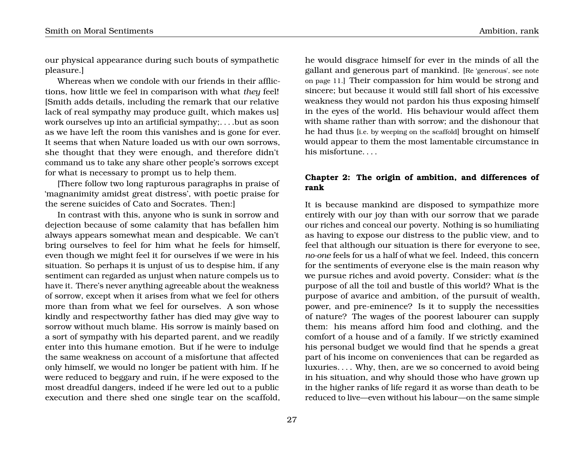our physical appearance during such bouts of sympathetic pleasure.]

Whereas when we condole with our friends in their afflictions, how little we feel in comparison with what *they* feel! [Smith adds details, including the remark that our relative lack of real sympathy may produce guilt, which makes us] work ourselves up into an artificial sympathy;. . . .but as soon as we have left the room this vanishes and is gone for ever. It seems that when Nature loaded us with our own sorrows, she thought that they were enough, and therefore didn't command us to take any share other people's sorrows except for what is necessary to prompt us to help them.

[There follow two long rapturous paragraphs in praise of 'magnanimity amidst great distress', with poetic praise for the serene suicides of Cato and Socrates. Then:]

In contrast with this, anyone who is sunk in sorrow and dejection because of some calamity that has befallen him always appears somewhat mean and despicable. We can't bring ourselves to feel for him what he feels for himself, even though we might feel it for ourselves if we were in his situation. So perhaps it is unjust of us to despise him, if any sentiment can regarded as unjust when nature compels us to have it. There's never anything agreeable about the weakness of sorrow, except when it arises from what we feel for others more than from what we feel for ourselves. A son whose kindly and respectworthy father has died may give way to sorrow without much blame. His sorrow is mainly based on a sort of sympathy with his departed parent, and we readily enter into this humane emotion. But if he were to indulge the same weakness on account of a misfortune that affected only himself, we would no longer be patient with him. If he were reduced to beggary and ruin, if he were exposed to the most dreadful dangers, indeed if he were led out to a public execution and there shed one single tear on the scaffold, he would disgrace himself for ever in the minds of all the gallant and generous part of mankind. [Re 'generous', see note on page [11.](#page-14-0)] Their compassion for him would be strong and sincere; but because it would still fall short of his excessive weakness they would not pardon his thus exposing himself in the eyes of the world. His behaviour would affect them with shame rather than with sorrow; and the dishonour that he had thus [i.e. by weeping on the scaffold] brought on himself would appear to them the most lamentable circumstance in his misfortune. . . .

# <span id="page-30-0"></span>**Chapter 2: The origin of ambition, and differences of rank**

It is because mankind are disposed to sympathize more entirely with our joy than with our sorrow that we parade our riches and conceal our poverty. Nothing is so humiliating as having to expose our distress to the public view, and to feel that although our situation is there for everyone to see, *no-one* feels for us a half of what we feel. Indeed, this concern for the sentiments of everyone else is the main reason why we pursue riches and avoid poverty. Consider: what *is* the purpose of all the toil and bustle of this world? What is the purpose of avarice and ambition, of the pursuit of wealth, power, and pre-eminence? Is it to supply the necessities of nature? The wages of the poorest labourer can supply them: his means afford him food and clothing, and the comfort of a house and of a family. If we strictly examined his personal budget we would find that he spends a great part of his income on conveniences that can be regarded as luxuries.... Why, then, are we so concerned to avoid being in his situation, and why should those who have grown up in the higher ranks of life regard it as worse than death to be reduced to live—even without his labour—on the same simple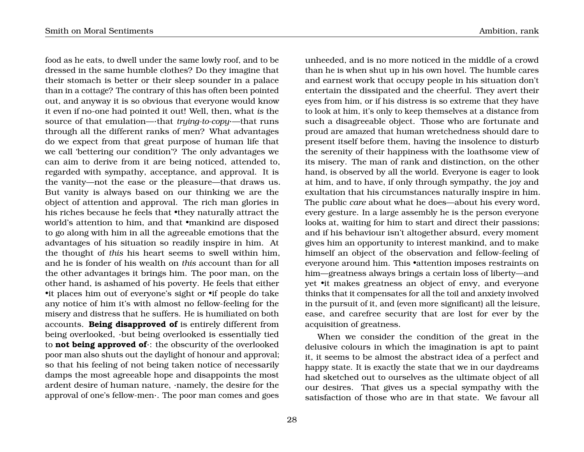food as he eats, to dwell under the same lowly roof, and to be dressed in the same humble clothes? Do they imagine that their stomach is better or their sleep sounder in a palace than in a cottage? The contrary of this has often been pointed out, and anyway it is so obvious that everyone would know it even if no-one had pointed it out! Well, then, what *is* the source of that emulation—·that *trying-to-copy*·—that runs through all the different ranks of men? What advantages do we expect from that great purpose of human life that we call 'bettering our condition'? The only advantages we can aim to derive from it are being noticed, attended to, regarded with sympathy, acceptance, and approval. It is the vanity—not the ease or the pleasure—that draws us. But vanity is always based on our thinking we are the object of attention and approval. The rich man glories in his riches because he feels that •they naturally attract the world's attention to him, and that •mankind are disposed to go along with him in all the agreeable emotions that the advantages of his situation so readily inspire in him. At the thought of *this* his heart seems to swell within him, and he is fonder of his wealth on *this* account than for all the other advantages it brings him. The poor man, on the other hand, is ashamed of his poverty. He feels that either •it places him out of everyone's sight or •if people do take any notice of him it's with almost no fellow-feeling for the misery and distress that he suffers. He is humiliated on both accounts. **Being disapproved of** is entirely different from being overlooked, ·but being overlooked is essentially tied to **not being approved of**·: the obscurity of the overlooked poor man also shuts out the daylight of honour and approval; so that his feeling of not being taken notice of necessarily damps the most agreeable hope and disappoints the most ardent desire of human nature, ·namely, the desire for the approval of one's fellow-men·. The poor man comes and goes

unheeded, and is no more noticed in the middle of a crowd than he is when shut up in his own hovel. The humble cares and earnest work that occupy people in his situation don't entertain the dissipated and the cheerful. They avert their eyes from him, or if his distress is so extreme that they have to look at him, it's only to keep themselves at a distance from such a disagreeable object. Those who are fortunate and proud are amazed that human wretchedness should dare to present itself before them, having the insolence to disturb the serenity of their happiness with the loathsome view of its misery. The man of rank and distinction, on the other hand, is observed by all the world. Everyone is eager to look at him, and to have, if only through sympathy, the joy and exultation that his circumstances naturally inspire in him. The public *care* about what he does—about his every word, every gesture. In a large assembly he is the person everyone looks at, waiting for him to start and direct their passions; and if his behaviour isn't altogether absurd, every moment gives him an opportunity to interest mankind, and to make himself an object of the observation and fellow-feeling of everyone around him. This •attention imposes restraints on him—greatness always brings a certain loss of liberty—and yet •it makes greatness an object of envy, and everyone thinks that it compensates for all the toil and anxiety involved in the pursuit of it, and (even more significant) all the leisure, ease, and carefree security that are lost for ever by the acquisition of greatness.

When we consider the condition of the great in the delusive colours in which the imagination is apt to paint it, it seems to be almost the abstract idea of a perfect and happy state. It is exactly the state that we in our daydreams had sketched out to ourselves as the ultimate object of all our desires. That gives us a special sympathy with the satisfaction of those who are in that state. We favour all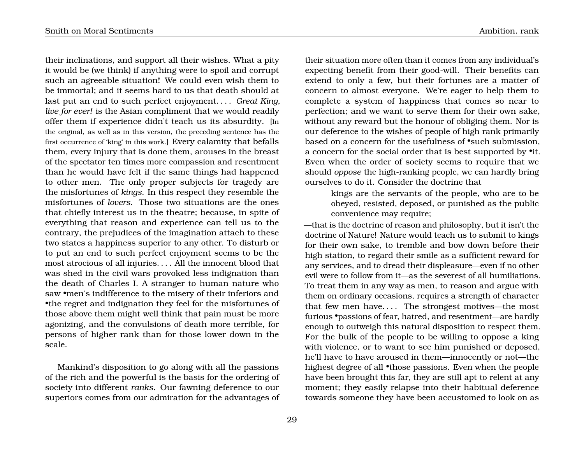their inclinations, and support all their wishes. What a pity it would be (we think) if anything were to spoil and corrupt such an agreeable situation! We could even wish them to be immortal; and it seems hard to us that death should at last put an end to such perfect enjoyment. . . . *Great King, live for ever!* is the Asian compliment that we would readily offer them if experience didn't teach us its absurdity. [In the original, as well as in this version, the preceding sentence has the first occurrence of 'king' in this work.] Every calamity that befalls them, every injury that is done them, arouses in the breast of the spectator ten times more compassion and resentment than he would have felt if the same things had happened to other men. The only proper subjects for tragedy are the misfortunes of *kings*. In this respect they resemble the misfortunes of *lovers*. Those two situations are the ones that chiefly interest us in the theatre; because, in spite of everything that reason and experience can tell us to the contrary, the prejudices of the imagination attach to these two states a happiness superior to any other. To disturb or to put an end to such perfect enjoyment seems to be the most atrocious of all injuries. . . . All the innocent blood that was shed in the civil wars provoked less indignation than the death of Charles I. A stranger to human nature who saw •men's indifference to the misery of their inferiors and •the regret and indignation they feel for the misfortunes of those above them might well think that pain must be more agonizing, and the convulsions of death more terrible, for persons of higher rank than for those lower down in the scale.

Mankind's disposition to go along with all the passions of the rich and the powerful is the basis for the ordering of society into different *ranks*. Our fawning deference to our superiors comes from our admiration for the advantages of their situation more often than it comes from any individual's expecting benefit from their good-will. Their benefits can extend to only a few, but their fortunes are a matter of concern to almost everyone. We're eager to help them to complete a system of happiness that comes so near to perfection; and we want to serve them for their own sake, without any reward but the honour of obliging them. Nor is our deference to the wishes of people of high rank primarily based on a concern for the usefulness of •such submission, a concern for the social order that is best supported by •it. Even when the order of society seems to require that we should *oppose* the high-ranking people, we can hardly bring ourselves to do it. Consider the doctrine that

> kings are the servants of the people, who are to be obeyed, resisted, deposed, or punished as the public convenience may require;

—that is the doctrine of reason and philosophy, but it isn't the doctrine of Nature! Nature would teach us to submit to kings for their own sake, to tremble and bow down before their high station, to regard their smile as a sufficient reward for any services, and to dread their displeasure—even if no other evil were to follow from it—as the severest of all humiliations. To treat them in any way as men, to reason and argue with them on ordinary occasions, requires a strength of character that few men have.... The strongest motives—the most furious •passions of fear, hatred, and resentment—are hardly enough to outweigh this natural disposition to respect them. For the bulk of the people to be willing to oppose a king with violence, or to want to see him punished or deposed, he'll have to have aroused in them—innocently or not—the highest degree of all •those passions. Even when the people have been brought this far, they are still apt to relent at any moment; they easily relapse into their habitual deference towards someone they have been accustomed to look on as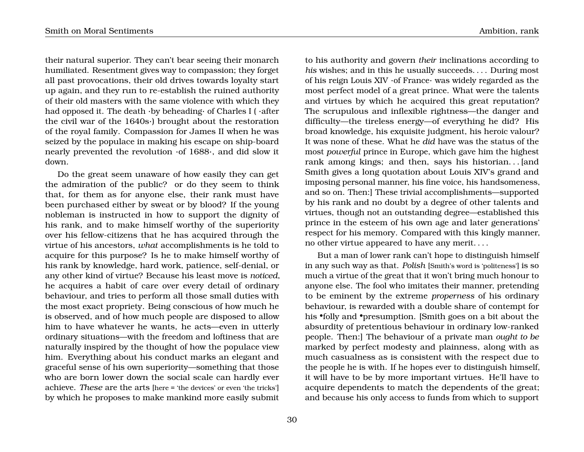their natural superior. They can't bear seeing their monarch humiliated. Resentment gives way to compassion; they forget all past provocations, their old drives towards loyalty start up again, and they run to re-establish the ruined authority of their old masters with the same violence with which they had opposed it. The death ·by beheading· of Charles I ( ·after the civil war of the 1640s·) brought about the restoration of the royal family. Compassion for James II when he was seized by the populace in making his escape on ship-board nearly prevented the revolution ·of 1688·, and did slow it down.

Do the great seem unaware of how easily they can get the admiration of the public? or do they seem to think that, for them as for anyone else, their rank must have been purchased either by sweat or by blood? If the young nobleman is instructed in how to support the dignity of his rank, and to make himself worthy of the superiority over his fellow-citizens that he has acquired through the virtue of his ancestors, *what* accomplishments is he told to acquire for this purpose? Is he to make himself worthy of his rank by knowledge, hard work, patience, self-denial, or any other kind of virtue? Because his least move is *noticed*, he acquires a habit of care over every detail of ordinary behaviour, and tries to perform all those small duties with the most exact propriety. Being conscious of how much he is observed, and of how much people are disposed to allow him to have whatever he wants, he acts—even in utterly ordinary situations—with the freedom and loftiness that are naturally inspired by the thought of how the populace view him. Everything about his conduct marks an elegant and graceful sense of his own superiority—something that those who are born lower down the social scale can hardly ever achieve. *These* are the arts [here = 'the devices' or even 'the tricks'] by which he proposes to make mankind more easily submit

to his authority and govern *their* inclinations according to *his* wishes; and in this he usually succeeds. . . . During most of his reign Louis XIV ·of France· was widely regarded as the most perfect model of a great prince. What were the talents and virtues by which he acquired this great reputation? The scrupulous and inflexible rightness—the danger and difficulty—the tireless energy—of everything he did? His broad knowledge, his exquisite judgment, his heroic valour? It was none of these. What he *did* have was the status of the most *powerful* prince in Europe, which gave him the highest rank among kings; and then, says his historian. . . [and Smith gives a long quotation about Louis XIV's grand and imposing personal manner, his fine voice, his handsomeness, and so on. Then:] These trivial accomplishments—supported by his rank and no doubt by a degree of other talents and virtues, though not an outstanding degree—established this prince in the esteem of his own age and later generations' respect for his memory. Compared with this kingly manner, no other virtue appeared to have any merit. . . .

But a man of lower rank can't hope to distinguish himself in any such way as that. *Polish* [Smith's word is 'politeness'] is so much a virtue of the great that it won't bring much honour to anyone else. The fool who imitates their manner, pretending to be eminent by the extreme *properness* of his ordinary behaviour, is rewarded with a double share of contempt for his •folly and •presumption. [Smith goes on a bit about the absurdity of pretentious behaviour in ordinary low-ranked people. Then:] The behaviour of a private man *ought to be* marked by perfect modesty and plainness, along with as much casualness as is consistent with the respect due to the people he is with. If he hopes ever to distinguish himself, it will have to be by more important virtues. He'll have to acquire dependents to match the dependents of the great; and because his only access to funds from which to support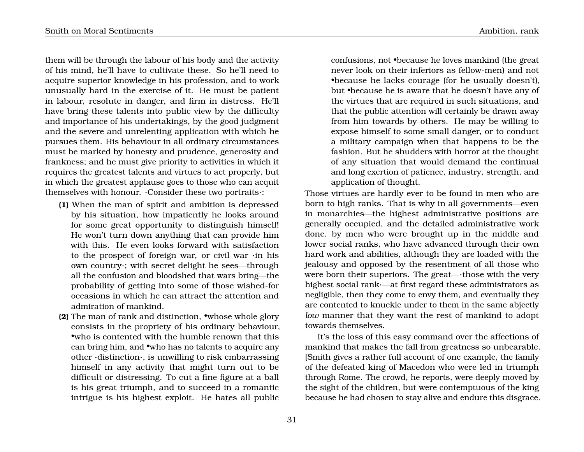them will be through the labour of his body and the activity of his mind, he'll have to cultivate these. So he'll need to acquire superior knowledge in his profession, and to work unusually hard in the exercise of it. He must be patient in labour, resolute in danger, and firm in distress. He'll have bring these talents into public view by the difficulty and importance of his undertakings, by the good judgment and the severe and unrelenting application with which he pursues them. His behaviour in all ordinary circumstances must be marked by honesty and prudence, generosity and frankness; and he must give priority to activities in which it requires the greatest talents and virtues to act properly, but in which the greatest applause goes to those who can acquit themselves with honour. ·Consider these two portraits·:

- **(1)** When the man of spirit and ambition is depressed by his situation, how impatiently he looks around for some great opportunity to distinguish himself! He won't turn down anything that can provide him with this. He even looks forward with satisfaction to the prospect of foreign war, or civil war ·in his own country·; with secret delight he sees—through all the confusion and bloodshed that wars bring—the probability of getting into some of those wished-for occasions in which he can attract the attention and admiration of mankind.
- **(2)** The man of rank and distinction, •whose whole glory consists in the propriety of his ordinary behaviour, •who is contented with the humble renown that this can bring him, and •who has no talents to acquire any other ·distinction·, is unwilling to risk embarrassing himself in any activity that might turn out to be difficult or distressing. To cut a fine figure at a ball is his great triumph, and to succeed in a romantic intrigue is his highest exploit. He hates all public

confusions, not •because he loves mankind (the great never look on their inferiors as fellow-men) and not •because he lacks courage (for he usually doesn't), but •because he is aware that he doesn't have any of the virtues that are required in such situations, and that the public attention will certainly be drawn away from him towards by others. He may be willing to expose himself to some small danger, or to conduct a military campaign when that happens to be the fashion. But he shudders with horror at the thought of any situation that would demand the continual and long exertion of patience, industry, strength, and application of thought.

Those virtues are hardly ever to be found in men who are born to high ranks. That is why in all governments—even in monarchies—the highest administrative positions are generally occupied, and the detailed administrative work done, by men who were brought up in the middle and lower social ranks, who have advanced through their own hard work and abilities, although they are loaded with the jealousy and opposed by the resentment of all those who were born their superiors. The great—·those with the very highest social rank·—at first regard these administrators as negligible, then they come to envy them, and eventually they are contented to knuckle under to them in the same abjectly *low* manner that they want the rest of mankind to adopt towards themselves.

It's the loss of this easy command over the affections of mankind that makes the fall from greatness so unbearable. [Smith gives a rather full account of one example, the family of the defeated king of Macedon who were led in triumph through Rome. The crowd, he reports, were deeply moved by the sight of the children, but were contemptuous of the king because he had chosen to stay alive and endure this disgrace.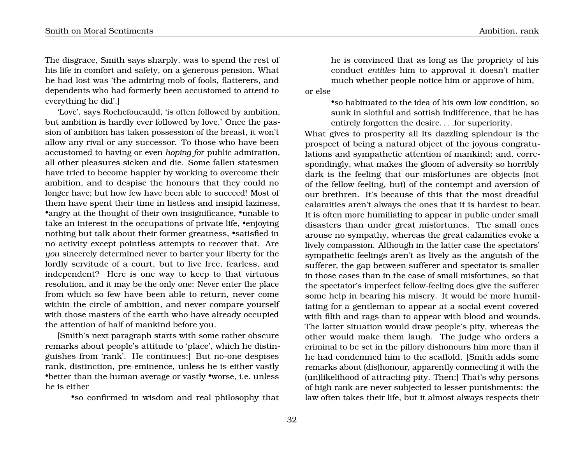The disgrace, Smith says sharply, was to spend the rest of his life in comfort and safety, on a generous pension. What he had lost was 'the admiring mob of fools, flatterers, and dependents who had formerly been accustomed to attend to everything he did'.]

'Love', says Rochefoucauld, 'is often followed by ambition, but ambition is hardly ever followed by love.' Once the passion of ambition has taken possession of the breast, it won't allow any rival or any successor. To those who have been accustomed to having or even *hoping for* public admiration, all other pleasures sicken and die. Some fallen statesmen have tried to become happier by working to overcome their ambition, and to despise the honours that they could no longer have; but how few have been able to succeed! Most of them have spent their time in listless and insipid laziness, •angry at the thought of their own insignificance, •unable to take an interest in the occupations of private life, •enjoying nothing but talk about their former greatness, •satisfied in no activity except pointless attempts to recover that. Are *you* sincerely determined never to barter your liberty for the lordly servitude of a court, but to live free, fearless, and independent? Here is one way to keep to that virtuous resolution, and it may be the only one: Never enter the place from which so few have been able to return, never come within the circle of ambition, and never compare yourself with those masters of the earth who have already occupied the attention of half of mankind before you.

[Smith's next paragraph starts with some rather obscure remarks about people's attitude to 'place', which he distinguishes from 'rank'. He continues:] But no-one despises rank, distinction, pre-eminence, unless he is either vastly •better than the human average or vastly •worse, i.e. unless he is either

•so confirmed in wisdom and real philosophy that

he is convinced that as long as the propriety of his conduct *entitles* him to approval it doesn't matter much whether people notice him or approve of him,

or else

•so habituated to the idea of his own low condition, so sunk in slothful and sottish indifference, that he has entirely forgotten the desire. . . .for superiority.

What gives to prosperity all its dazzling splendour is the prospect of being a natural object of the joyous congratulations and sympathetic attention of mankind; and, correspondingly, what makes the gloom of adversity so horribly dark is the feeling that our misfortunes are objects (not of the fellow-feeling, but) of the contempt and aversion of our brethren. It's because of this that the most dreadful calamities aren't always the ones that it is hardest to bear. It is often more humiliating to appear in public under small disasters than under great misfortunes. The small ones arouse no sympathy, whereas the great calamities evoke a lively compassion. Although in the latter case the spectators' sympathetic feelings aren't as lively as the anguish of the sufferer, the gap between sufferer and spectator is smaller in those cases than in the case of small misfortunes, so that the spectator's imperfect fellow-feeling does give the sufferer some help in bearing his misery. It would be more humiliating for a gentleman to appear at a social event covered with filth and rags than to appear with blood and wounds. The latter situation would draw people's pity, whereas the other would make them laugh. The judge who orders a criminal to be set in the pillory dishonours him more than if he had condemned him to the scaffold. [Smith adds some remarks about (dis)honour, apparently connecting it with the (un)likelihood of attracting pity. Then:] That's why persons of high rank are never subjected to lesser punishments: the law often takes their life, but it almost always respects their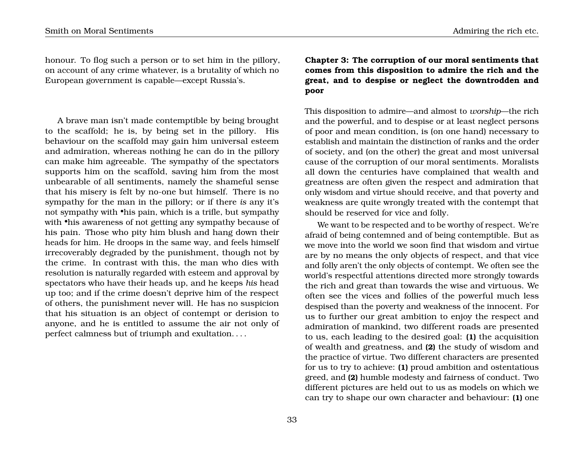honour. To flog such a person or to set him in the pillory, on account of any crime whatever, is a brutality of which no European government is capable—except Russia's.

A brave man isn't made contemptible by being brought to the scaffold; he is, by being set in the pillory. His behaviour on the scaffold may gain him universal esteem and admiration, whereas nothing he can do in the pillory can make him agreeable. The sympathy of the spectators supports him on the scaffold, saving him from the most unbearable of all sentiments, namely the shameful sense that his misery is felt by no-one but himself. There is no sympathy for the man in the pillory; or if there *is* any it's not sympathy with •his pain, which is a trifle, but sympathy with •his awareness of not getting any sympathy because of his pain. Those who pity him blush and hang down their heads for him. He droops in the same way, and feels himself irrecoverably degraded by the punishment, though not by the crime. In contrast with this, the man who dies with resolution is naturally regarded with esteem and approval by spectators who have their heads up, and he keeps *his* head up too; and if the crime doesn't deprive him of the respect of others, the punishment never will. He has no suspicion that his situation is an object of contempt or derision to anyone, and he is entitled to assume the air not only of perfect calmness but of triumph and exultation. . . .

## **Chapter 3: The corruption of our moral sentiments that comes from this disposition to admire the rich and the great, and to despise or neglect the downtrodden and poor**

This disposition to admire—and almost to *worship*—the rich and the powerful, and to despise or at least neglect persons of poor and mean condition, is (on one hand) necessary to establish and maintain the distinction of ranks and the order of society, and (on the other) the great and most universal cause of the corruption of our moral sentiments. Moralists all down the centuries have complained that wealth and greatness are often given the respect and admiration that only wisdom and virtue should receive, and that poverty and weakness are quite wrongly treated with the contempt that should be reserved for vice and folly.

We want to be respected and to be worthy of respect. We're afraid of being contemned and of being contemptible. But as we move into the world we soon find that wisdom and virtue are by no means the only objects of respect, and that vice and folly aren't the only objects of contempt. We often see the world's respectful attentions directed more strongly towards the rich and great than towards the wise and virtuous. We often see the vices and follies of the powerful much less despised than the poverty and weakness of the innocent. For us to further our great ambition to enjoy the respect and admiration of mankind, two different roads are presented to us, each leading to the desired goal: **(1)** the acquisition of wealth and greatness, and **(2)** the study of wisdom and the practice of virtue. Two different characters are presented for us to try to achieve: **(1)** proud ambition and ostentatious greed, and **(2)** humble modesty and fairness of conduct. Two different pictures are held out to us as models on which we can try to shape our own character and behaviour: **(1)** one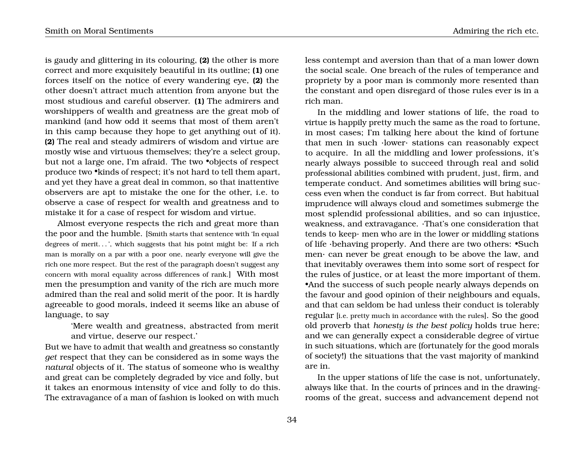is gaudy and glittering in its colouring, **(2)** the other is more correct and more exquisitely beautiful in its outline; **(1)** one forces itself on the notice of every wandering eye, **(2)** the other doesn't attract much attention from anyone but the most studious and careful observer. **(1)** The admirers and worshippers of wealth and greatness are the great mob of mankind (and how odd it seems that most of them aren't in this camp because they hope to get anything out of it). **(2)** The real and steady admirers of wisdom and virtue are mostly wise and virtuous themselves; they're a select group, but not a large one, I'm afraid. The two •objects of respect produce two •kinds of respect; it's not hard to tell them apart, and yet they have a great deal in common, so that inattentive observers are apt to mistake the one for the other, i.e. to observe a case of respect for wealth and greatness and to mistake it for a case of respect for wisdom and virtue.

Almost everyone respects the rich and great more than the poor and the humble. [Smith starts that sentence with 'In equal degrees of merit...', which suggests that his point might be: If a rich man is morally on a par with a poor one, nearly everyone will give the rich one more respect. But the rest of the paragraph doesn't suggest any concern with moral equality across differences of rank.] With most men the presumption and vanity of the rich are much more admired than the real and solid merit of the poor. It is hardly agreeable to good morals, indeed it seems like an abuse of language, to say

> 'Mere wealth and greatness, abstracted from merit and virtue, deserve our respect.'

But we have to admit that wealth and greatness so constantly *get* respect that they can be considered as in some ways the *natural* objects of it. The status of someone who is wealthy and great can be completely degraded by vice and folly, but it takes an enormous intensity of vice and folly to do this. The extravagance of a man of fashion is looked on with much less contempt and aversion than that of a man lower down the social scale. One breach of the rules of temperance and propriety by a poor man is commonly more resented than the constant and open disregard of those rules ever is in a rich man.

In the middling and lower stations of life, the road to virtue is happily pretty much the same as the road to fortune, in most cases; I'm talking here about the kind of fortune that men in such ·lower· stations can reasonably expect to acquire. In all the middling and lower professions, it's nearly always possible to succeed through real and solid professional abilities combined with prudent, just, firm, and temperate conduct. And sometimes abilities will bring success even when the conduct is far from correct. But habitual imprudence will always cloud and sometimes submerge the most splendid professional abilities, and so can injustice, weakness, and extravagance. ·That's one consideration that tends to keep· men who are in the lower or middling stations of life ·behaving properly. And there are two others: •Such men· can never be great enough to be above the law, and that inevitably overawes them into some sort of respect for the rules of justice, or at least the more important of them. •And the success of such people nearly always depends on the favour and good opinion of their neighbours and equals, and that can seldom be had unless their conduct is tolerably regular [i.e. pretty much in accordance with the rules]. So the good old proverb that *honesty is the best policy* holds true here; and we can generally expect a considerable degree of virtue in such situations, which are (fortunately for the good morals of society!) the situations that the vast majority of mankind are in.

In the upper stations of life the case is not, unfortunately, always like that. In the courts of princes and in the drawingrooms of the great, success and advancement depend not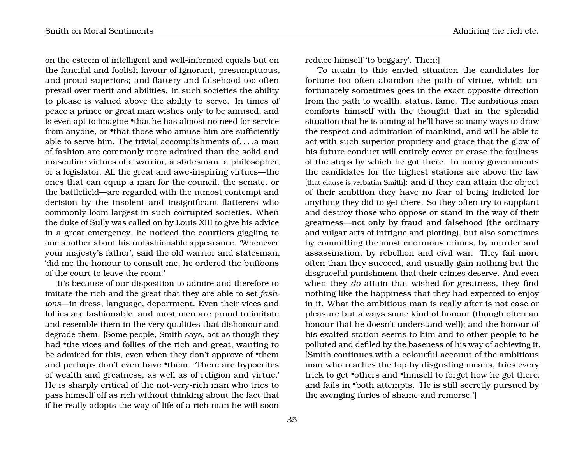on the esteem of intelligent and well-informed equals but on the fanciful and foolish favour of ignorant, presumptuous, and proud superiors; and flattery and falsehood too often prevail over merit and abilities. In such societies the ability to please is valued above the ability to serve. In times of peace a prince or great man wishes only to be amused, and is even apt to imagine •that he has almost no need for service from anyone, or •that those who amuse him are sufficiently able to serve him. The trivial accomplishments of. . . .a man of fashion are commonly more admired than the solid and masculine virtues of a warrior, a statesman, a philosopher, or a legislator. All the great and awe-inspiring virtues—the ones that can equip a man for the council, the senate, or the battlefield—are regarded with the utmost contempt and derision by the insolent and insignificant flatterers who commonly loom largest in such corrupted societies. When the duke of Sully was called on by Louis XIII to give his advice in a great emergency, he noticed the courtiers giggling to one another about his unfashionable appearance. 'Whenever your majesty's father', said the old warrior and statesman, 'did me the honour to consult me, he ordered the buffoons of the court to leave the room.'

It's because of our disposition to admire and therefore to imitate the rich and the great that they are able to set *fashions*—in dress, language, deportment. Even their vices and follies are fashionable, and most men are proud to imitate and resemble them in the very qualities that dishonour and degrade them. [Some people, Smith says, act as though they had •the vices and follies of the rich and great, wanting to be admired for this, even when they don't approve of •them and perhaps don't even have •them. 'There are hypocrites of wealth and greatness, as well as of religion and virtue.' He is sharply critical of the not-very-rich man who tries to pass himself off as rich without thinking about the fact that if he really adopts the way of life of a rich man he will soon

reduce himself 'to beggary'. Then:]

To attain to this envied situation the candidates for fortune too often abandon the path of virtue, which unfortunately sometimes goes in the exact opposite direction from the path to wealth, status, fame. The ambitious man comforts himself with the thought that in the splendid situation that he is aiming at he'll have so many ways to draw the respect and admiration of mankind, and will be able to act with such superior propriety and grace that the glow of his future conduct will entirely cover or erase the foulness of the steps by which he got there. In many governments the candidates for the highest stations are above the law [that clause is verbatim Smith]; and if they can attain the object of their ambition they have no fear of being indicted for anything they did to get there. So they often try to supplant and destroy those who oppose or stand in the way of their greatness—not only by fraud and falsehood (the ordinary and vulgar arts of intrigue and plotting), but also sometimes by committing the most enormous crimes, by murder and assassination, by rebellion and civil war. They fail more often than they succeed, and usually gain nothing but the disgraceful punishment that their crimes deserve. And even when they *do* attain that wished-for greatness, they find nothing like the happiness that they had expected to enjoy in it. What the ambitious man is really after is not ease or pleasure but always some kind of honour (though often an honour that he doesn't understand well); and the honour of his exalted station seems to him and to other people to be polluted and defiled by the baseness of his way of achieving it. [Smith continues with a colourful account of the ambitious man who reaches the top by disgusting means, tries every trick to get •others and •himself to forget how he got there, and fails in •both attempts. 'He is still secretly pursued by the avenging furies of shame and remorse.']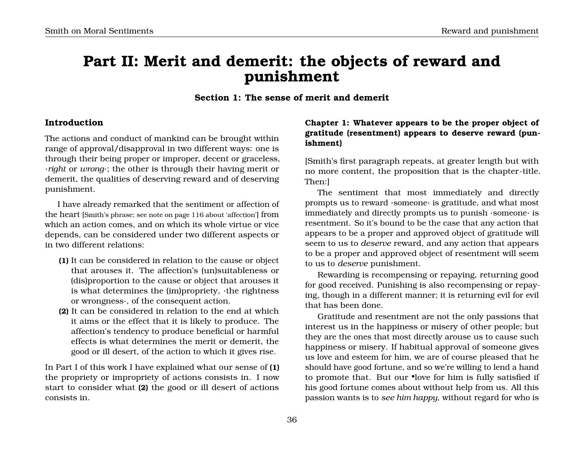## **Part II: Merit and demerit: the objects of reward and punishment**

**Section 1: The sense of merit and demerit**

## **Introduction**

The actions and conduct of mankind can be brought within range of approval/disapproval in two different ways: one is through their being proper or improper, decent or graceless, ·*right* or *wrong*·; the other is through their having merit or demerit, the qualities of deserving reward and of deserving punishment.

I have already remarked that the sentiment or affection of the heart [Smith's phrase; see note on page [116](#page-119-0) about 'affection'] from which an action comes, and on which its whole virtue or vice depends, can be considered under two different aspects or in two different relations:

- **(1)** It can be considered in relation to the cause or object that arouses it. The affection's (un)suitableness or (dis)proportion to the cause or object that arouses it is what determines the (im)propriety, ·the rightness or wrongness·, of the consequent action.
- **(2)** It can be considered in relation to the end at which it aims or the effect that it is likely to produce. The affection's tendency to produce beneficial or harmful effects is what determines the merit or demerit, the good or ill desert, of the action to which it gives rise.

In Part I of this work I have explained what our sense of **(1)** the propriety or impropriety of actions consists in. I now start to consider what **(2)** the good or ill desert of actions consists in.

## **Chapter 1: Whatever appears to be the proper object of gratitude (resentment) appears to deserve reward (punishment)**

[Smith's first paragraph repeats, at greater length but with no more content, the proposition that is the chapter-title. Then:]

The sentiment that most immediately and directly prompts us to reward ·someone· is gratitude, and what most immediately and directly prompts us to punish ·someone· is resentment. So it's bound to be the case that any action that appears to be a proper and approved object of gratitude will seem to us to *deserve* reward, and any action that appears to be a proper and approved object of resentment will seem to us to *deserve* punishment.

Rewarding is recompensing or repaying, returning good for good received. Punishing is also recompensing or repaying, though in a different manner; it is returning evil for evil that has been done.

Gratitude and resentment are not the only passions that interest us in the happiness or misery of other people; but they are the ones that most directly arouse us to cause such happiness or misery. If habitual approval of someone gives us love and esteem for him, we are of course pleased that he should have good fortune, and so we're willing to lend a hand to promote that. But our •love for him is fully satisfied if his good fortune comes about without help from us. All this passion wants is to *see him happy*, without regard for who is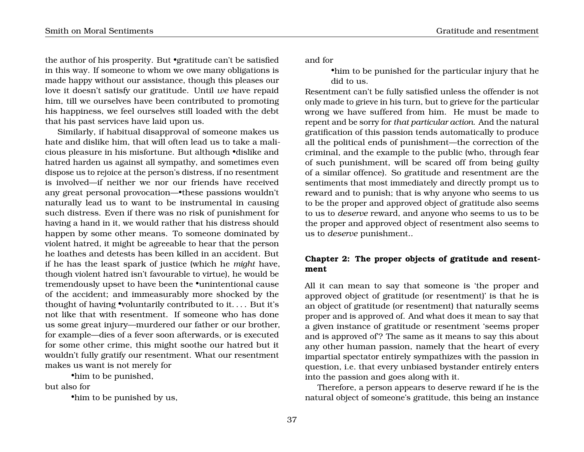the author of his prosperity. But •gratitude can't be satisfied in this way. If someone to whom we owe many obligations is made happy without our assistance, though this pleases our love it doesn't satisfy our gratitude. Until *we* have repaid him, till we ourselves have been contributed to promoting his happiness, we feel ourselves still loaded with the debt that his past services have laid upon us.

Similarly, if habitual disapproval of someone makes us hate and dislike him, that will often lead us to take a malicious pleasure in his misfortune. But although •dislike and hatred harden us against all sympathy, and sometimes even dispose us to rejoice at the person's distress, if no resentment is involved—if neither we nor our friends have received any great personal provocation—•these passions wouldn't naturally lead us to want to be instrumental in causing such distress. Even if there was no risk of punishment for having a hand in it, we would rather that his distress should happen by some other means. To someone dominated by violent hatred, it might be agreeable to hear that the person he loathes and detests has been killed in an accident. But if he has the least spark of justice (which he *might* have, though violent hatred isn't favourable to virtue), he would be tremendously upset to have been the •unintentional cause of the accident; and immeasurably more shocked by the thought of having •voluntarily contributed to it. . . . But it's not like that with resentment. If someone who has done us some great injury—murdered our father or our brother, for example—dies of a fever soon afterwards, or is executed for some other crime, this might soothe our hatred but it wouldn't fully gratify our resentment. What our resentment makes us want is not merely for

•him to be punished,

but also for

•him to be punished by us,

and for

•him to be punished for the particular injury that he did to us.

Resentment can't be fully satisfied unless the offender is not only made to grieve in his turn, but to grieve for the particular wrong we have suffered from him. He must be made to repent and be sorry for *that particular action*. And the natural gratification of this passion tends automatically to produce all the political ends of punishment—the correction of the criminal, and the example to the public (who, through fear of such punishment, will be scared off from being guilty of a similar offence). So gratitude and resentment are the sentiments that most immediately and directly prompt us to reward and to punish; that is why anyone who seems to us to be the proper and approved object of gratitude also seems to us to *deserve* reward, and anyone who seems to us to be the proper and approved object of resentment also seems to us to *deserve* punishment..

## **Chapter 2: The proper objects of gratitude and resentment**

All it can mean to say that someone is 'the proper and approved object of gratitude (or resentment)' is that he is an object of gratitude (or resentment) that naturally seems proper and is approved of. And what does it mean to say that a given instance of gratitude or resentment 'seems proper and is approved of'? The same as it means to say this about any other human passion, namely that the heart of every impartial spectator entirely sympathizes with the passion in question, i.e. that every unbiased bystander entirely enters into the passion and goes along with it.

Therefore, a person appears to deserve reward if he is the natural object of someone's gratitude, this being an instance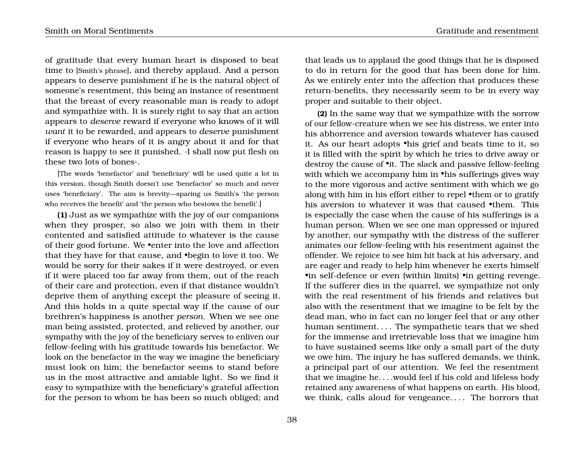of gratitude that every human heart is disposed to beat time to [Smith's phrase], and thereby applaud. And a person appears to deserve punishment if he is the natural object of someone's resentment, this being an instance of resentment that the breast of every reasonable man is ready to adopt and sympathize with. It is surely right to say that an action appears to *deserve* reward if everyone who knows of it will *want* it to be rewarded, and appears to *deserve* punishment if everyone who hears of it is angry about it and for that reason is happy to see it punished. ·I shall now put flesh on these two lots of bones·.

[The words 'benefactor' and 'beneficiary' will be used quite a lot in this version, though Smith doesn't use 'benefactor' so much and never uses 'beneficiary'. The aim is brevity—sparing us Smith's 'the person who receives the benefit' and 'the person who bestows the benefit'.]

**(1)** Just as we sympathize with the joy of our companions when they prosper, so also we join with them in their contented and satisfied attitude to whatever is the cause of their good fortune. We •enter into the love and affection that they have for that cause, and •begin to love it too. We would be sorry for their sakes if it were destroyed, or even if it were placed too far away from them, out of the reach of their care and protection, even if that distance wouldn't deprive them of anything except the pleasure of seeing it. And this holds in a quite special way if the cause of our brethren's happiness is another *person*. When we see one man being assisted, protected, and relieved by another, our sympathy with the joy of the beneficiary serves to enliven our fellow-feeling with his gratitude towards his benefactor. We look on the benefactor in the way we imagine the beneficiary must look on him; the benefactor seems to stand before us in the most attractive and amiable light. So we find it easy to sympathize with the beneficiary's grateful affection for the person to whom he has been so much obliged; and

that leads us to applaud the good things that he is disposed to do in return for the good that has been done for him. As we entirely enter into the affection that produces these return-benefits, they necessarily seem to be in every way proper and suitable to their object.

**(2)** In the same way that we sympathize with the sorrow of our fellow-creature when we see his distress, we enter into his abhorrence and aversion towards whatever has caused it. As our heart adopts •his grief and beats time to it, so it is filled with the spirit by which he tries to drive away or destroy the cause of •it. The slack and passive fellow-feeling with which we accompany him in •his sufferings gives way to the more vigorous and active sentiment with which we go along with him in his effort either to repel •them or to gratify his aversion to whatever it was that caused •them. This is especially the case when the cause of his sufferings is a human person. When we see one man oppressed or injured by another, our sympathy with the distress of the sufferer animates our fellow-feeling with his resentment against the offender. We rejoice to see him hit back at his adversary, and are eager and ready to help him whenever he exerts himself •in self-defence or even (within limits) •in getting revenge. If the sufferer dies in the quarrel, we sympathize not only with the real resentment of his friends and relatives but also with the resentment that we imagine to be felt by the dead man, who in fact can no longer feel that or any other human sentiment.... The sympathetic tears that we shed for the immense and irretrievable loss that we imagine him to have sustained seems like only a small part of the duty we owe him. The injury he has suffered demands, we think, a principal part of our attention. We feel the resentment that we imagine he. . . .would feel if his cold and lifeless body retained any awareness of what happens on earth. His blood, we think, calls aloud for vengeance.... The horrors that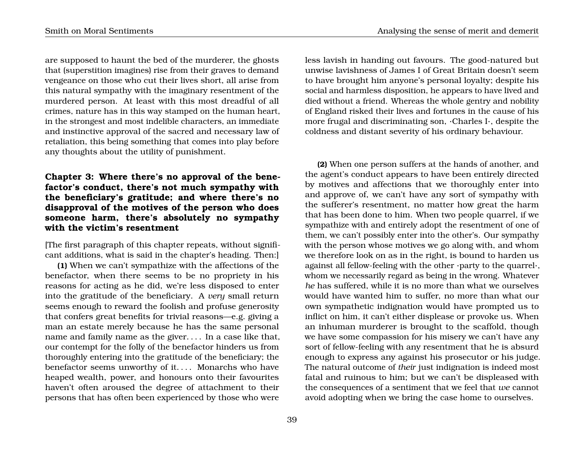are supposed to haunt the bed of the murderer, the ghosts that (superstition imagines) rise from their graves to demand vengeance on those who cut their lives short, all arise from this natural sympathy with the imaginary resentment of the murdered person. At least with this most dreadful of all crimes, nature has in this way stamped on the human heart, in the strongest and most indelible characters, an immediate and instinctive approval of the sacred and necessary law of retaliation, this being something that comes into play before any thoughts about the utility of punishment.

## **Chapter 3: Where there's no approval of the benefactor's conduct, there's not much sympathy with the beneficiary's gratitude; and where there's no disapproval of the motives of the person who does someone harm, there's absolutely no sympathy with the victim's resentment**

[The first paragraph of this chapter repeats, without significant additions, what is said in the chapter's heading. Then:]

**(1)** When we can't sympathize with the affections of the benefactor, when there seems to be no propriety in his reasons for acting as he did, we're less disposed to enter into the gratitude of the beneficiary. A *very* small return seems enough to reward the foolish and profuse generosity that confers great benefits for trivial reasons—e.g. giving a man an estate merely because he has the same personal name and family name as the giver. . . . In a case like that, our contempt for the folly of the benefactor hinders us from thoroughly entering into the gratitude of the beneficiary; the benefactor seems unworthy of it.... Monarchs who have heaped wealth, power, and honours onto their favourites haven't often aroused the degree of attachment to their persons that has often been experienced by those who were

less lavish in handing out favours. The good-natured but unwise lavishness of James I of Great Britain doesn't seem to have brought him anyone's personal loyalty; despite his social and harmless disposition, he appears to have lived and died without a friend. Whereas the whole gentry and nobility of England risked their lives and fortunes in the cause of his more frugal and discriminating son, ·Charles I·, despite the coldness and distant severity of his ordinary behaviour.

**(2)** When one person suffers at the hands of another, and the agent's conduct appears to have been entirely directed by motives and affections that we thoroughly enter into and approve of, we can't have any sort of sympathy with the sufferer's resentment, no matter how great the harm that has been done to him. When two people quarrel, if we sympathize with and entirely adopt the resentment of one of them, we can't possibly enter into the other's. Our sympathy with the person whose motives we go along with, and whom we therefore look on as in the right, is bound to harden us against all fellow-feeling with the other ·party to the quarrel·, whom we necessarily regard as being in the wrong. Whatever *he* has suffered, while it is no more than what we ourselves would have wanted him to suffer, no more than what our own sympathetic indignation would have prompted us to inflict on him, it can't either displease or provoke us. When an inhuman murderer is brought to the scaffold, though we have some compassion for his misery we can't have any sort of fellow-feeling with any resentment that he is absurd enough to express any against his prosecutor or his judge. The natural outcome of *their* just indignation is indeed most fatal and ruinous to him; but we can't be displeased with the consequences of a sentiment that we feel that *we* cannot avoid adopting when we bring the case home to ourselves.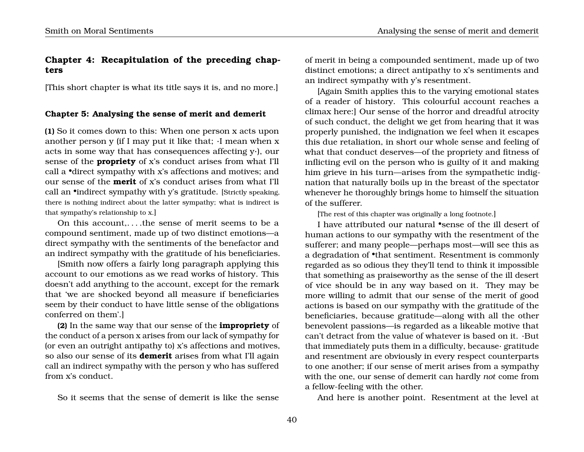## **Chapter 4: Recapitulation of the preceding chapters**

[This short chapter is what its title says it is, and no more.]

#### **Chapter 5: Analysing the sense of merit and demerit**

**(1)** So it comes down to this: When one person x acts upon another person y (if I may put it like that; ·I mean when x acts in some way that has consequences affecting y·), our sense of the **propriety** of x's conduct arises from what I'll call a •direct sympathy with x's affections and motives; and our sense of the **merit** of x's conduct arises from what I'll call an •indirect sympathy with y's gratitude. [Strictly speaking, there is nothing indirect about the latter sympathy; what is indirect is that sympathy's relationship to x.]

On this account,. . . .the sense of merit seems to be a compound sentiment, made up of two distinct emotions—a direct sympathy with the sentiments of the benefactor and an indirect sympathy with the gratitude of his beneficiaries.

[Smith now offers a fairly long paragraph applying this account to our emotions as we read works of history. This doesn't add anything to the account, except for the remark that 'we are shocked beyond all measure if beneficiaries seem by their conduct to have little sense of the obligations conferred on them'.]

**(2)** In the same way that our sense of the **impropriety** of the conduct of a person x arises from our lack of sympathy for (or even an outright antipathy to) x's affections and motives, so also our sense of its **demerit** arises from what I'll again call an indirect sympathy with the person y who has suffered from x's conduct.

So it seems that the sense of demerit is like the sense

of merit in being a compounded sentiment, made up of two distinct emotions; a direct antipathy to x's sentiments and an indirect sympathy with y's resentment.

[Again Smith applies this to the varying emotional states of a reader of history. This colourful account reaches a climax here:] Our sense of the horror and dreadful atrocity of such conduct, the delight we get from hearing that it was properly punished, the indignation we feel when it escapes this due retaliation, in short our whole sense and feeling of what that conduct deserves—of the propriety and fitness of inflicting evil on the person who is guilty of it and making him grieve in his turn—arises from the sympathetic indignation that naturally boils up in the breast of the spectator whenever he thoroughly brings home to himself the situation of the sufferer.

[The rest of this chapter was originally a long footnote.]

I have attributed our natural •sense of the ill desert of human actions to our sympathy with the resentment of the sufferer; and many people—perhaps most—will see this as a degradation of •that sentiment. Resentment is commonly regarded as so odious they they'll tend to think it impossible that something as praiseworthy as the sense of the ill desert of vice should be in any way based on it. They may be more willing to admit that our sense of the merit of good actions is based on our sympathy with the gratitude of the beneficiaries, because gratitude—along with all the other benevolent passions—is regarded as a likeable motive that can't detract from the value of whatever is based on it. ·But that immediately puts them in a difficulty, because· gratitude and resentment are obviously in every respect counterparts to one another; if our sense of merit arises from a sympathy with the one, our sense of demerit can hardly *not* come from a fellow-feeling with the other.

And here is another point. Resentment at the level at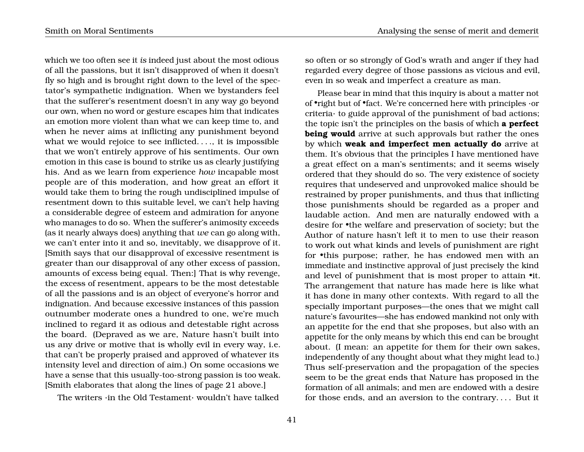which we too often see it *is* indeed just about the most odious of all the passions, but it isn't disapproved of when it doesn't fly so high and is brought right down to the level of the spectator's sympathetic indignation. When we bystanders feel that the sufferer's resentment doesn't in any way go beyond our own, when no word or gesture escapes him that indicates an emotion more violent than what we can keep time to, and when he never aims at inflicting any punishment beyond what we would rejoice to see inflicted...., it is impossible that we won't entirely approve of his sentiments. Our own emotion in this case is bound to strike us as clearly justifying his. And as we learn from experience *how* incapable most people are of this moderation, and how great an effort it would take them to bring the rough undisciplined impulse of resentment down to this suitable level, we can't help having a considerable degree of esteem and admiration for anyone who manages to do so. When the sufferer's animosity exceeds (as it nearly always does) anything that *we* can go along with, we can't enter into it and so, inevitably, we disapprove of it. [Smith says that our disapproval of excessive resentment is greater than our disapproval of any other excess of passion, amounts of excess being equal. Then:] That is why revenge, the excess of resentment, appears to be the most detestable of all the passions and is an object of everyone's horror and indignation. And because excessive instances of this passion outnumber moderate ones a hundred to one, we're much inclined to regard it as odious and detestable right across the board. (Depraved as we are, Nature hasn't built into us any drive or motive that is wholly evil in every way, i.e. that can't be properly praised and approved of whatever its intensity level and direction of aim.) On some occasions we have a sense that this usually-too-strong passion is too weak. [Smith elaborates that along the lines of page [21](#page-21-0) above.]

The writers ·in the Old Testament· wouldn't have talked

Smith on Moral Sentiments **Analysing the sense of merit and demerit** 

so often or so strongly of God's wrath and anger if they had regarded every degree of those passions as vicious and evil, even in so weak and imperfect a creature as man.

Please bear in mind that this inquiry is about a matter not of •right but of •fact. We're concerned here with principles ·or criteria· to guide approval of the punishment of bad actions; the topic isn't the principles on the basis of which **a perfect being would** arrive at such approvals but rather the ones by which **weak and imperfect men actually do** arrive at them. It's obvious that the principles I have mentioned have a great effect on a man's sentiments; and it seems wisely ordered that they should do so. The very existence of society requires that undeserved and unprovoked malice should be restrained by proper punishments, and thus that inflicting those punishments should be regarded as a proper and laudable action. And men are naturally endowed with a desire for •the welfare and preservation of society; but the Author of nature hasn't left it to men to use their reason to work out what kinds and levels of punishment are right for •this purpose; rather, he has endowed men with an immediate and instinctive approval of just precisely the kind and level of punishment that is most proper to attain •it. The arrangement that nature has made here is like what it has done in many other contexts. With regard to all the specially important purposes—the ones that we might call nature's favourites—she has endowed mankind not only with an appetite for the end that she proposes, but also with an appetite for the only means by which this end can be brought about. (I mean: an appetite for them for their own sakes, independently of any thought about what they might lead to.) Thus self-preservation and the propagation of the species seem to be the great ends that Nature has proposed in the formation of all animals; and men are endowed with a desire for those ends, and an aversion to the contrary. . . . But it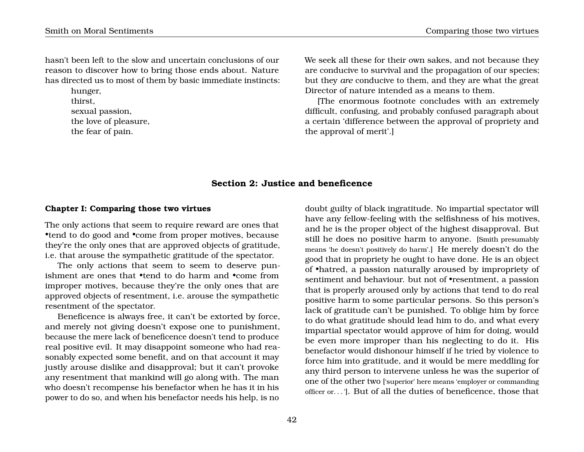hasn't been left to the slow and uncertain conclusions of our reason to discover how to bring those ends about. Nature has directed us to most of them by basic immediate instincts:

> hunger, thirst, sexual passion, the love of pleasure, the fear of pain.

We seek all these for their own sakes, and not because they are conducive to survival and the propagation of our species; but they *are* conducive to them, and they are what the great Director of nature intended as a means to them.

[The enormous footnote concludes with an extremely difficult, confusing, and probably confused paragraph about a certain 'difference between the approval of propriety and the approval of merit'.]

#### **Section 2: Justice and beneficence**

#### **Chapter I: Comparing those two virtues**

The only actions that seem to require reward are ones that •tend to do good and •come from proper motives, because they're the only ones that are approved objects of gratitude, i.e. that arouse the sympathetic gratitude of the spectator.

The only actions that seem to seem to deserve punishment are ones that •tend to do harm and •come from improper motives, because they're the only ones that are approved objects of resentment, i.e. arouse the sympathetic resentment of the spectator.

Beneficence is always free, it can't be extorted by force, and merely not giving doesn't expose one to punishment, because the mere lack of beneficence doesn't tend to produce real positive evil. It may disappoint someone who had reasonably expected some benefit, and on that account it may justly arouse dislike and disapproval; but it can't provoke any resentment that mankind will go along with. The man who doesn't recompense his benefactor when he has it in his power to do so, and when his benefactor needs his help, is no

doubt guilty of black ingratitude. No impartial spectator will have any fellow-feeling with the selfishness of his motives, and he is the proper object of the highest disapproval. But still he does no positive harm to anyone. [Smith presumably means 'he doesn't positively do harm'.] He merely doesn't do the good that in propriety he ought to have done. He is an object of •hatred, a passion naturally aroused by impropriety of sentiment and behaviour. but not of •resentment, a passion that is properly aroused only by actions that tend to do real positive harm to some particular persons. So this person's lack of gratitude can't be punished. To oblige him by force to do what gratitude should lead him to do, and what every impartial spectator would approve of him for doing, would be even more improper than his neglecting to do it. His benefactor would dishonour himself if he tried by violence to force him into gratitude, and it would be mere meddling for any third person to intervene unless he was the superior of one of the other two ['superior' here means 'employer or commanding officer or. . . ']. But of all the duties of beneficence, those that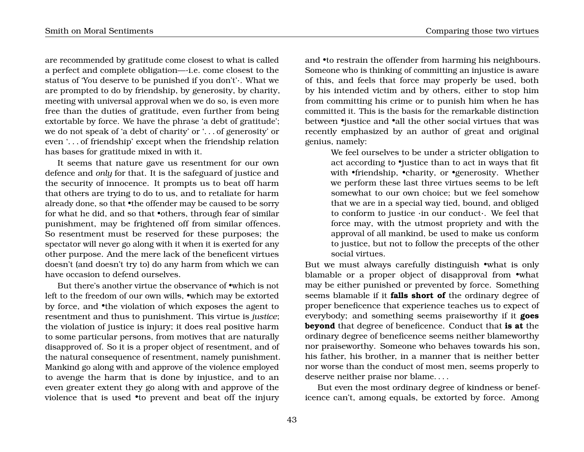are recommended by gratitude come closest to what is called a perfect and complete obligation—·i.e. come closest to the status of 'You deserve to be punished if you don't'·. What we are prompted to do by friendship, by generosity, by charity, meeting with universal approval when we do so, is even more free than the duties of gratitude, even further from being extortable by force. We have the phrase 'a debt of gratitude'; we do not speak of 'a debt of charity' or '. . . of generosity' or even '. . . of friendship' except when the friendship relation has bases for gratitude mixed in with it.

It seems that nature gave us resentment for our own defence and *only* for that. It is the safeguard of justice and the security of innocence. It prompts us to beat off harm that others are trying to do to us, and to retaliate for harm already done, so that •the offender may be caused to be sorry for what he did, and so that •others, through fear of similar punishment, may be frightened off from similar offences. So resentment must be reserved for these purposes; the spectator will never go along with it when it is exerted for any other purpose. And the mere lack of the beneficent virtues doesn't (and doesn't try to) do any harm from which we can have occasion to defend ourselves.

But there's another virtue the observance of •which is not left to the freedom of our own wills, •which may be extorted by force, and •the violation of which exposes the agent to resentment and thus to punishment. This virtue is *justice*; the violation of justice is injury; it does real positive harm to some particular persons, from motives that are naturally disapproved of. So it is a proper object of resentment, and of the natural consequence of resentment, namely punishment. Mankind go along with and approve of the violence employed to avenge the harm that is done by injustice, and to an even greater extent they go along with and approve of the violence that is used •to prevent and beat off the injury

and •to restrain the offender from harming his neighbours. Someone who is thinking of committing an injustice is aware of this, and feels that force may properly be used, both by his intended victim and by others, either to stop him from committing his crime or to punish him when he has committed it. This is the basis for the remarkable distinction between •justice and •all the other social virtues that was recently emphasized by an author of great and original genius, namely:

> We feel ourselves to be under a stricter obligation to act according to •justice than to act in ways that fit with •friendship, •charity, or •generosity. Whether we perform these last three virtues seems to be left somewhat to our own choice; but we feel somehow that we are in a special way tied, bound, and obliged to conform to justice ·in our conduct·. We feel that force may, with the utmost propriety and with the approval of all mankind, be used to make us conform to justice, but not to follow the precepts of the other social virtues.

But we must always carefully distinguish •what is only blamable or a proper object of disapproval from •what may be either punished or prevented by force. Something seems blamable if it **falls short of** the ordinary degree of proper beneficence that experience teaches us to expect of everybody; and something seems praiseworthy if it **goes beyond** that degree of beneficence. Conduct that **is at** the ordinary degree of beneficence seems neither blameworthy nor praiseworthy. Someone who behaves towards his son, his father, his brother, in a manner that is neither better nor worse than the conduct of most men, seems properly to deserve neither praise nor blame. . . .

But even the most ordinary degree of kindness or beneficence can't, among equals, be extorted by force. Among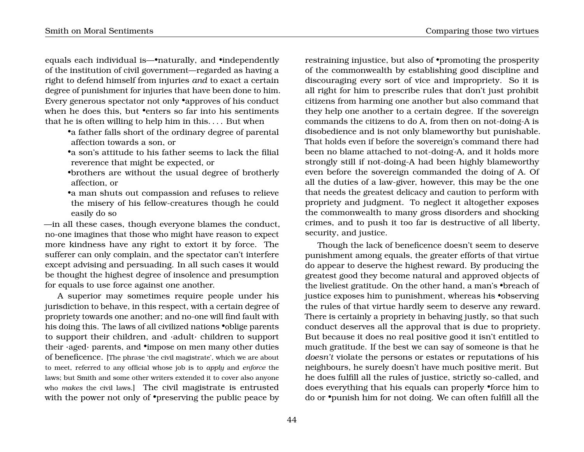equals each individual is—•naturally, and •independently of the institution of civil government—regarded as having a right to defend himself from injuries *and* to exact a certain degree of punishment for injuries that have been done to him. Every generous spectator not only •approves of his conduct when he does this, but •enters so far into his sentiments that he is often willing to help him in this. . . . But when

- •a father falls short of the ordinary degree of parental affection towards a son, or
- •a son's attitude to his father seems to lack the filial reverence that might be expected, or
- •brothers are without the usual degree of brotherly affection, or
- •a man shuts out compassion and refuses to relieve the misery of his fellow-creatures though he could easily do so

—in all these cases, though everyone blames the conduct, no-one imagines that those who might have reason to expect more kindness have any right to extort it by force. The sufferer can only complain, and the spectator can't interfere except advising and persuading. In all such cases it would be thought the highest degree of insolence and presumption for equals to use force against one another.

A superior may sometimes require people under his jurisdiction to behave, in this respect, with a certain degree of propriety towards one another; and no-one will find fault with his doing this. The laws of all civilized nations •oblige parents to support their children, and ·adult· children to support their ·aged· parents, and •impose on men many other duties of beneficence. [The phrase 'the civil magistrate', which we are about to meet, referred to any official whose job is to *apply* and *enforce* the laws; but Smith and some other writers extended it to cover also anyone who *makes* the civil laws.] The civil magistrate is entrusted with the power not only of •preserving the public peace by restraining injustice, but also of •promoting the prosperity of the commonwealth by establishing good discipline and discouraging every sort of vice and impropriety. So it is all right for him to prescribe rules that don't just prohibit citizens from harming one another but also command that they help one another to a certain degree. If the sovereign commands the citizens to do A, from then on not-doing-A is disobedience and is not only blameworthy but punishable. That holds even if before the sovereign's command there had been no blame attached to not-doing-A, and it holds more strongly still if not-doing-A had been highly blameworthy even before the sovereign commanded the doing of A. Of all the duties of a law-giver, however, this may be the one that needs the greatest delicacy and caution to perform with propriety and judgment. To neglect it altogether exposes the commonwealth to many gross disorders and shocking crimes, and to push it too far is destructive of all liberty, security, and justice.

Though the lack of beneficence doesn't seem to deserve punishment among equals, the greater efforts of that virtue do appear to deserve the highest reward. By producing the greatest good they become natural and approved objects of the liveliest gratitude. On the other hand, a man's •breach of justice exposes him to punishment, whereas his •observing the rules of that virtue hardly seem to deserve any reward. There is certainly a propriety in behaving justly, so that such conduct deserves all the approval that is due to propriety. But because it does no real positive good it isn't entitled to much gratitude. If the best we can say of someone is that he *doesn't* violate the persons or estates or reputations of his neighbours, he surely doesn't have much positive merit. But he does fulfill all the rules of justice, strictly so-called, and does everything that his equals can properly •force him to do or •punish him for not doing. We can often fulfill all the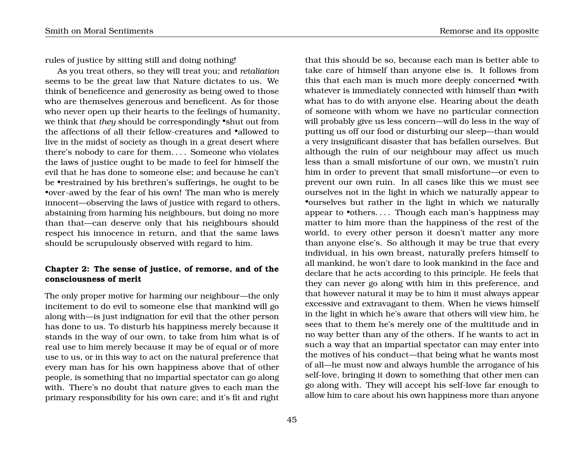rules of justice by sitting still and doing nothing!

As you treat others, so they will treat you; and *retaliation* seems to be the great law that Nature dictates to us. We think of beneficence and generosity as being owed to those who are themselves generous and beneficent. As for those who never open up their hearts to the feelings of humanity, we think that *they* should be correspondingly •shut out from the affections of all their fellow-creatures and •allowed to live in the midst of society as though in a great desert where there's nobody to care for them. . . . Someone who violates the laws of justice ought to be made to feel for himself the evil that he has done to someone else; and because he can't be •restrained by his brethren's sufferings, he ought to be •over-awed by the fear of his own! The man who is merely innocent—observing the laws of justice with regard to others, abstaining from harming his neighbours, but doing no more than that—can deserve only that his neighbours should respect his innocence in return, and that the same laws should be scrupulously observed with regard to him.

#### **Chapter 2: The sense of justice, of remorse, and of the consciousness of merit**

The only proper motive for harming our neighbour—the only incitement to do evil to someone else that mankind will go along with—is just indignation for evil that the other person has done to us. To disturb his happiness merely because it stands in the way of our own, to take from him what is of real use to him merely because it may be of equal or of more use to us, or in this way to act on the natural preference that every man has for his own happiness above that of other people, is something that no impartial spectator can go along with. There's no doubt that nature gives to each man the primary responsibility for his own care; and it's fit and right

that this should be so, because each man is better able to take care of himself than anyone else is. It follows from this that each man is much more deeply concerned •with whatever is immediately connected with himself than •with what has to do with anyone else. Hearing about the death of someone with whom we have no particular connection will probably give us less concern—will do less in the way of putting us off our food or disturbing our sleep—than would a very insignificant disaster that has befallen ourselves. But although the ruin of our neighbour may affect us much less than a small misfortune of our own, we mustn't ruin him in order to prevent that small misfortune—or even to prevent our own ruin. In all cases like this we must see ourselves not in the light in which we naturally appear to •ourselves but rather in the light in which we naturally appear to •others.... Though each man's happiness may matter to him more than the happiness of the rest of the world, to every other person it doesn't matter any more than anyone else's. So although it may be true that every individual, in his own breast, naturally prefers himself to all mankind, he won't dare to look mankind in the face and declare that he acts according to this principle. He feels that they can never go along with him in this preference, and that however natural it may be to him it must always appear excessive and extravagant to them. When he views himself in the light in which he's aware that others will view him, he sees that to them he's merely one of the multitude and in no way better than any of the others. If he wants to act in such a way that an impartial spectator can may enter into the motives of his conduct—that being what he wants most of all—he must now and always humble the arrogance of his self-love, bringing it down to something that other men can go along with. They will accept his self-love far enough to allow him to care about his own happiness more than anyone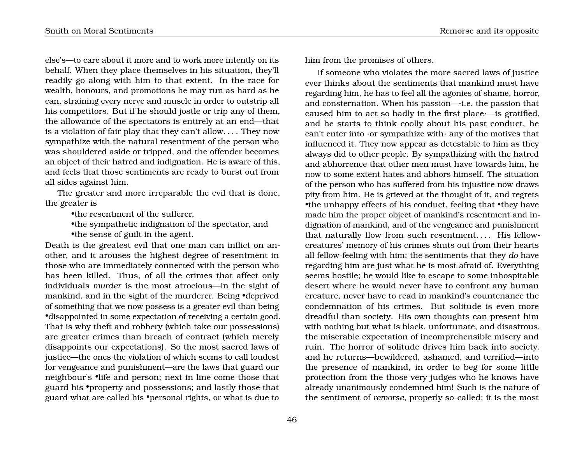else's—to care about it more and to work more intently on its behalf. When they place themselves in his situation, they'll readily go along with him to that extent. In the race for wealth, honours, and promotions he may run as hard as he can, straining every nerve and muscle in order to outstrip all his competitors. But if he should jostle or trip any of them, the allowance of the spectators is entirely at an end—that is a violation of fair play that they can't allow. . . . They now sympathize with the natural resentment of the person who was shouldered aside or tripped, and the offender becomes an object of their hatred and indignation. He is aware of this, and feels that those sentiments are ready to burst out from all sides against him.

The greater and more irreparable the evil that is done, the greater is

•the resentment of the sufferer,

•the sympathetic indignation of the spectator, and •the sense of guilt in the agent.

Death is the greatest evil that one man can inflict on another, and it arouses the highest degree of resentment in those who are immediately connected with the person who has been killed. Thus, of all the crimes that affect only individuals *murder* is the most atrocious—in the sight of mankind, and in the sight of the murderer. Being •deprived of something that we now possess is a greater evil than being •disappointed in some expectation of receiving a certain good. That is why theft and robbery (which take our possessions) are greater crimes than breach of contract (which merely disappoints our expectations). So the most sacred laws of justice—the ones the violation of which seems to call loudest for vengeance and punishment—are the laws that guard our neighbour's •life and person; next in line come those that guard his •property and possessions; and lastly those that guard what are called his •personal rights, or what is due to

him from the promises of others.

If someone who violates the more sacred laws of justice ever thinks about the sentiments that mankind must have regarding him, he has to feel all the agonies of shame, horror, and consternation. When his passion—·i.e. the passion that caused him to act so badly in the first place·—is gratified, and he starts to think coolly about his past conduct, he can't enter into  $\cdot$ or sympathize with $\cdot$  any of the motives that influenced it. They now appear as detestable to him as they always did to other people. By sympathizing with the hatred and abhorrence that other men must have towards him, he now to some extent hates and abhors himself. The situation of the person who has suffered from his injustice now draws pity from him. He is grieved at the thought of it, and regrets •the unhappy effects of his conduct, feeling that •they have made him the proper object of mankind's resentment and indignation of mankind, and of the vengeance and punishment that naturally flow from such resentment.... His fellowcreatures' memory of his crimes shuts out from their hearts all fellow-feeling with him; the sentiments that they *do* have regarding him are just what he is most afraid of. Everything seems hostile; he would like to escape to some inhospitable desert where he would never have to confront any human creature, never have to read in mankind's countenance the condemnation of his crimes. But solitude is even more dreadful than society. His own thoughts can present him with nothing but what is black, unfortunate, and disastrous, the miserable expectation of incomprehensible misery and ruin. The horror of solitude drives him back into society, and he returns—bewildered, ashamed, and terrified—into the presence of mankind, in order to beg for some little protection from the those very judges who he knows have already unanimously condemned him! Such is the nature of the sentiment of *remorse*, properly so-called; it is the most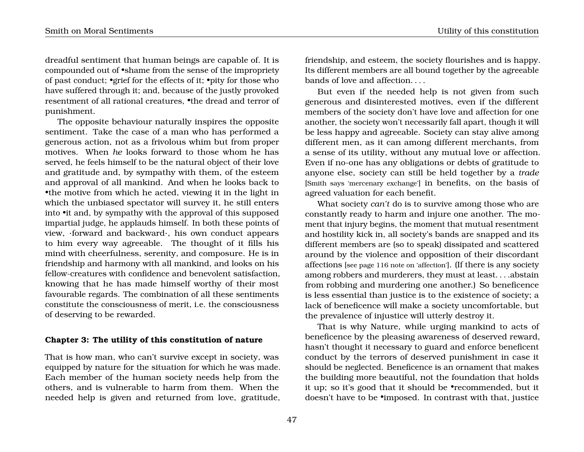dreadful sentiment that human beings are capable of. It is compounded out of •shame from the sense of the impropriety of past conduct; •grief for the effects of it; •pity for those who have suffered through it; and, because of the justly provoked resentment of all rational creatures, •the dread and terror of punishment.

The opposite behaviour naturally inspires the opposite sentiment. Take the case of a man who has performed a generous action, not as a frivolous whim but from proper motives. When *he* looks forward to those whom he has served, he feels himself to be the natural object of their love and gratitude and, by sympathy with them, of the esteem and approval of all mankind. And when he looks back to •the motive from which he acted, viewing it in the light in which the unbiased spectator will survey it, he still enters into •it and, by sympathy with the approval of this supposed impartial judge, he applauds himself. In both these points of view, ·forward and backward·, his own conduct appears to him every way agreeable. The thought of it fills his mind with cheerfulness, serenity, and composure. He is in friendship and harmony with all mankind, and looks on his fellow-creatures with confidence and benevolent satisfaction, knowing that he has made himself worthy of their most favourable regards. The combination of all these sentiments constitute the consciousness of merit, i.e. the consciousness of deserving to be rewarded.

#### **Chapter 3: The utility of this constitution of nature**

That is how man, who can't survive except in society, was equipped by nature for the situation for which he was made. Each member of the human society needs help from the others, and is vulnerable to harm from them. When the needed help is given and returned from love, gratitude,

friendship, and esteem, the society flourishes and is happy. Its different members are all bound together by the agreeable bands of love and affection. . . .

But even if the needed help is not given from such generous and disinterested motives, even if the different members of the society don't have love and affection for one another, the society won't necessarily fall apart, though it will be less happy and agreeable. Society can stay alive among different men, as it can among different merchants, from a sense of its utility, without any mutual love or affection. Even if no-one has any obligations or debts of gratitude to anyone else, society can still be held together by a *trade* [Smith says 'mercenary exchange'] in benefits, on the basis of agreed valuation for each benefit.

What society *can't* do is to survive among those who are constantly ready to harm and injure one another. The moment that injury begins, the moment that mutual resentment and hostility kick in, all society's bands are snapped and its different members are (so to speak) dissipated and scattered around by the violence and opposition of their discordant affections [see page [116](#page-119-0) note on 'affection']. (If there is any society among robbers and murderers, they must at least. . . .abstain from robbing and murdering one another.) So beneficence is less essential than justice is to the existence of society; a lack of beneficence will make a society uncomfortable, but the prevalence of injustice will utterly destroy it.

That is why Nature, while urging mankind to acts of beneficence by the pleasing awareness of deserved reward, hasn't thought it necessary to guard and enforce beneficent conduct by the terrors of deserved punishment in case it should be neglected. Beneficence is an ornament that makes the building more beautiful, not the foundation that holds it up; so it's good that it should be •recommended, but it doesn't have to be •imposed. In contrast with that, justice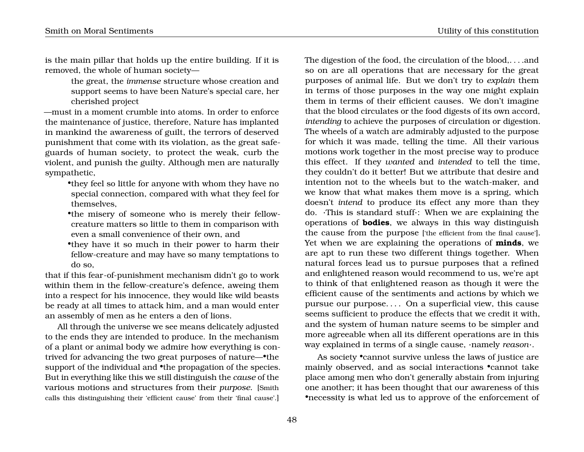is the main pillar that holds up the entire building. If it is removed, the whole of human society—

> the great, the *immense* structure whose creation and support seems to have been Nature's special care, her cherished project

—must in a moment crumble into atoms. In order to enforce the maintenance of justice, therefore, Nature has implanted in mankind the awareness of guilt, the terrors of deserved punishment that come with its violation, as the great safeguards of human society, to protect the weak, curb the violent, and punish the guilty. Although men are naturally sympathetic,

- •they feel so little for anyone with whom they have no special connection, compared with what they feel for themselves,
- •the misery of someone who is merely their fellowcreature matters so little to them in comparison with even a small convenience of their own, and
- •they have it so much in their power to harm their fellow-creature and may have so many temptations to do so,

that if this fear-of-punishment mechanism didn't go to work within them in the fellow-creature's defence, aweing them into a respect for his innocence, they would like wild beasts be ready at all times to attack him, and a man would enter an assembly of men as he enters a den of lions.

All through the universe we see means delicately adjusted to the ends they are intended to produce. In the mechanism of a plant or animal body we admire how everything is contrived for advancing the two great purposes of nature—•the support of the individual and •the propagation of the species. But in everything like this we still distinguish the *cause* of the various motions and structures from their *purpose*. [Smith calls this distinguishing their 'efficient cause' from their 'final cause'.]

The digestion of the food, the circulation of the blood,. . . .and so on are all operations that are necessary for the great purposes of animal life. But we don't try to *explain* them in terms of those purposes in the way one might explain them in terms of their efficient causes. We don't imagine that the blood circulates or the food digests of its own accord, *intending* to achieve the purposes of circulation or digestion. The wheels of a watch are admirably adjusted to the purpose for which it was made, telling the time. All their various motions work together in the most precise way to produce this effect. If they *wanted* and *intended* to tell the time, they couldn't do it better! But we attribute that desire and intention not to the wheels but to the watch-maker, and we know that what makes them move is a spring, which doesn't *intend* to produce its effect any more than they do. ·This is standard stuff·: When we are explaining the operations of **bodies**, we always in this way distinguish the cause from the purpose ['the efficient from the final cause']. Yet when we are explaining the operations of **minds**, we are apt to run these two different things together. When natural forces lead us to pursue purposes that a refined and enlightened reason would recommend to us, we're apt to think of that enlightened reason as though it were the efficient cause of the sentiments and actions by which we pursue our purpose. . . . On a superficial view, this cause seems sufficient to produce the effects that we credit it with, and the system of human nature seems to be simpler and more agreeable when all its different operations are in this way explained in terms of a single cause, ·namely *reason*·.

As society •cannot survive unless the laws of justice are mainly observed, and as social interactions •cannot take place among men who don't generally abstain from injuring one another; it has been thought that our awareness of this •necessity is what led us to approve of the enforcement of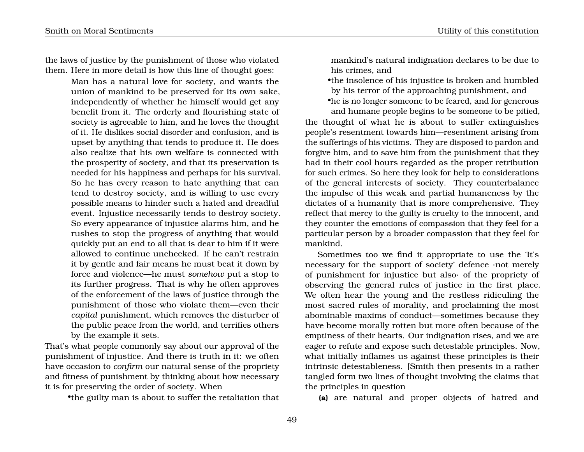the laws of justice by the punishment of those who violated them. Here in more detail is how this line of thought goes:

> Man has a natural love for society, and wants the union of mankind to be preserved for its own sake, independently of whether he himself would get any benefit from it. The orderly and flourishing state of society is agreeable to him, and he loves the thought of it. He dislikes social disorder and confusion, and is upset by anything that tends to produce it. He does also realize that his own welfare is connected with the prosperity of society, and that its preservation is needed for his happiness and perhaps for his survival. So he has every reason to hate anything that can tend to destroy society, and is willing to use every possible means to hinder such a hated and dreadful event. Injustice necessarily tends to destroy society. So every appearance of injustice alarms him, and he rushes to stop the progress of anything that would quickly put an end to all that is dear to him if it were allowed to continue unchecked. If he can't restrain it by gentle and fair means he must beat it down by force and violence—he must *somehow* put a stop to its further progress. That is why he often approves of the enforcement of the laws of justice through the punishment of those who violate them—even their *capital* punishment, which removes the disturber of the public peace from the world, and terrifies others by the example it sets.

That's what people commonly say about our approval of the punishment of injustice. And there is truth in it: we often have occasion to *confirm* our natural sense of the propriety and fitness of punishment by thinking about how necessary it is for preserving the order of society. When

•the guilty man is about to suffer the retaliation that

mankind's natural indignation declares to be due to his crimes, and

•the insolence of his injustice is broken and humbled by his terror of the approaching punishment, and

•he is no longer someone to be feared, and for generous

and humane people begins to be someone to be pitied, the thought of what he is about to suffer extinguishes people's resentment towards him—resentment arising from the sufferings of his victims. They are disposed to pardon and forgive him, and to save him from the punishment that they had in their cool hours regarded as the proper retribution for such crimes. So here they look for help to considerations of the general interests of society. They counterbalance the impulse of this weak and partial humaneness by the dictates of a humanity that is more comprehensive. They reflect that mercy to the guilty is cruelty to the innocent, and they counter the emotions of compassion that they feel for a particular person by a broader compassion that they feel for mankind.

Sometimes too we find it appropriate to use the 'It's necessary for the support of society' defence ·not merely of punishment for injustice but also· of the propriety of observing the general rules of justice in the first place. We often hear the young and the restless ridiculing the most sacred rules of morality, and proclaiming the most abominable maxims of conduct—sometimes because they have become morally rotten but more often because of the emptiness of their hearts. Our indignation rises, and we are eager to refute and expose such detestable principles. Now, what initially inflames us against these principles is their intrinsic detestableness. [Smith then presents in a rather tangled form two lines of thought involving the claims that the principles in question

**(a)** are natural and proper objects of hatred and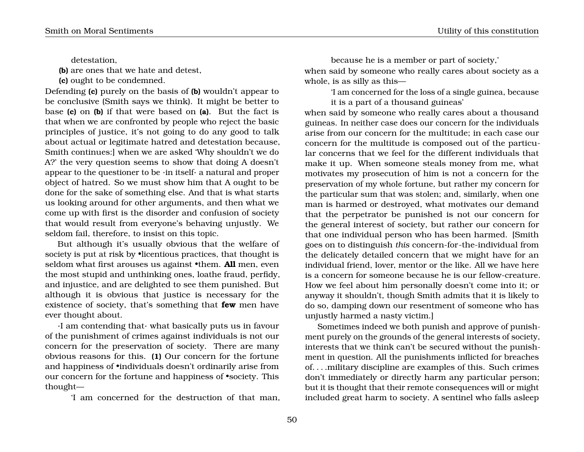detestation,

**(b)** are ones that we hate and detest,

**(c)** ought to be condemned.

Defending **(c)** purely on the basis of **(b)** wouldn't appear to be conclusive (Smith says we think). It might be better to base **(c)** on **(b)** if that were based on **(a)**. But the fact is that when we are confronted by people who reject the basic principles of justice, it's not going to do any good to talk about actual or legitimate hatred and detestation because, Smith continues:] when we are asked 'Why shouldn't we do A?' the very question seems to show that doing A doesn't appear to the questioner to be ·in itself· a natural and proper object of hatred. So we must show him that A ought to be done for the sake of something else. And that is what starts us looking around for other arguments, and then what we come up with first is the disorder and confusion of society that would result from everyone's behaving unjustly. We seldom fail, therefore, to insist on this topic.

But although it's usually obvious that the welfare of society is put at risk by  $\bullet$ licentious practices, that thought is seldom what first arouses us against •them. **All** men, even the most stupid and unthinking ones, loathe fraud, perfidy, and injustice, and are delighted to see them punished. But although it is obvious that justice is necessary for the existence of society, that's something that **few** men have ever thought about.

·I am contending that· what basically puts us in favour of the punishment of crimes against individuals is not our concern for the preservation of society. There are many obvious reasons for this. **(1)** Our concern for the fortune and happiness of •individuals doesn't ordinarily arise from our concern for the fortune and happiness of •society. This thought—

'I am concerned for the destruction of that man,

because he is a member or part of society,' when said by someone who really cares about society as a whole, is as silly as this—

> 'I am concerned for the loss of a single guinea, because it is a part of a thousand guineas'

when said by someone who really cares about a thousand guineas. In neither case does our concern for the individuals arise from our concern for the multitude; in each case our concern for the multitude is composed out of the particular concerns that we feel for the different individuals that make it up. When someone steals money from me, what motivates my prosecution of him is not a concern for the preservation of my whole fortune, but rather my concern for the particular sum that was stolen; and, similarly, when one man is harmed or destroyed, what motivates our demand that the perpetrator be punished is not our concern for the general interest of society, but rather our concern for that one individual person who has been harmed. [Smith goes on to distinguish *this* concern-for-the-individual from the delicately detailed concern that we might have for an individual friend, lover, mentor or the like. All we have here is a concern for someone because he is our fellow-creature. How we feel about him personally doesn't come into it; or anyway it shouldn't, though Smith admits that it is likely to do so, damping down our resentment of someone who has unjustly harmed a nasty victim.]

Sometimes indeed we both punish and approve of punishment purely on the grounds of the general interests of society, interests that we think can't be secured without the punishment in question. All the punishments inflicted for breaches of. . . .military discipline are examples of this. Such crimes don't immediately or directly harm any particular person; but it is thought that their remote consequences will or might included great harm to society. A sentinel who falls asleep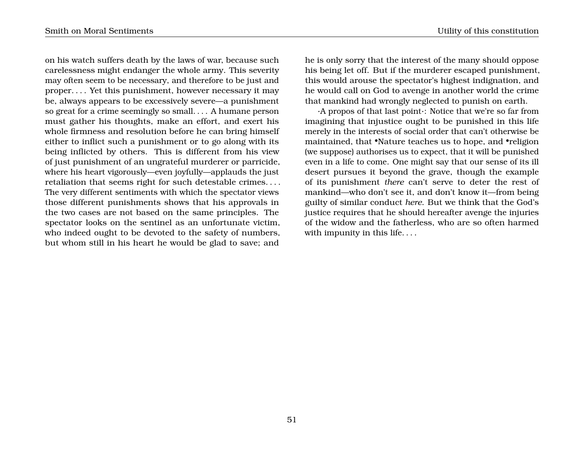on his watch suffers death by the laws of war, because such carelessness might endanger the whole army. This severity may often seem to be necessary, and therefore to be just and proper. . . . Yet this punishment, however necessary it may be, always appears to be excessively severe—a punishment so great for a crime seemingly so small. . . . A humane person must gather his thoughts, make an effort, and exert his whole firmness and resolution before he can bring himself either to inflict such a punishment or to go along with its being inflicted by others. This is different from his view of just punishment of an ungrateful murderer or parricide, where his heart vigorously—even joyfully—applauds the just retaliation that seems right for such detestable crimes. . . . The very different sentiments with which the spectator views those different punishments shows that his approvals in the two cases are not based on the same principles. The spectator looks on the sentinel as an unfortunate victim, who indeed ought to be devoted to the safety of numbers, but whom still in his heart he would be glad to save; and

he is only sorry that the interest of the many should oppose his being let off. But if the murderer escaped punishment, this would arouse the spectator's highest indignation, and he would call on God to avenge in another world the crime that mankind had wrongly neglected to punish on earth.

·A propos of that last point·: Notice that we're so far from imagining that injustice ought to be punished in this life merely in the interests of social order that can't otherwise be maintained, that •Nature teaches us to hope, and •religion (we suppose) authorises us to expect, that it will be punished even in a life to come. One might say that our sense of its ill desert pursues it beyond the grave, though the example of its punishment *there* can't serve to deter the rest of mankind—who don't see it, and don't know it—from being guilty of similar conduct *here*. But we think that the God's justice requires that he should hereafter avenge the injuries of the widow and the fatherless, who are so often harmed with impunity in this life. . . .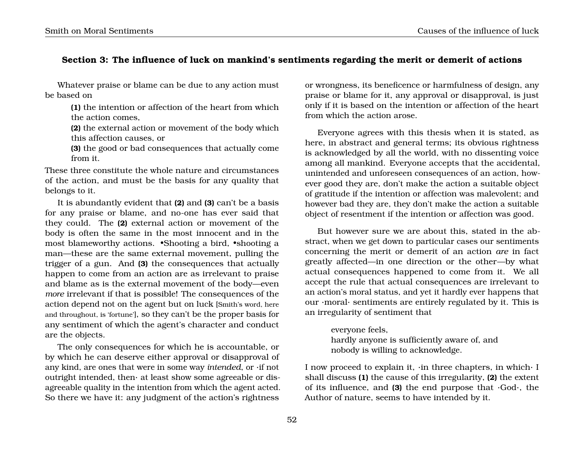#### **Section 3: The influence of luck on mankind's sentiments regarding the merit or demerit of actions**

Whatever praise or blame can be due to any action must be based on

> **(1)** the intention or affection of the heart from which the action comes,

> **(2)** the external action or movement of the body which this affection causes, or

> **(3)** the good or bad consequences that actually come from it.

These three constitute the whole nature and circumstances of the action, and must be the basis for any quality that belongs to it.

It is abundantly evident that **(2)** and **(3)** can't be a basis for any praise or blame, and no-one has ever said that they could. The **(2)** external action or movement of the body is often the same in the most innocent and in the most blameworthy actions. •Shooting a bird, •shooting a man—these are the same external movement, pulling the trigger of a gun. And **(3)** the consequences that actually happen to come from an action are as irrelevant to praise and blame as is the external movement of the body—even *more* irrelevant if that is possible! The consequences of the action depend not on the agent but on luck [Smith's word, here and throughout, is 'fortune'], so they can't be the proper basis for any sentiment of which the agent's character and conduct are the objects.

The only consequences for which he is accountable, or by which he can deserve either approval or disapproval of any kind, are ones that were in some way *intended*, or ·if not outright intended, then· at least show some agreeable or disagreeable quality in the intention from which the agent acted. So there we have it: any judgment of the action's rightness

or wrongness, its beneficence or harmfulness of design, any praise or blame for it, any approval or disapproval, is just only if it is based on the intention or affection of the heart from which the action arose.

Everyone agrees with this thesis when it is stated, as here, in abstract and general terms; its obvious rightness is acknowledged by all the world, with no dissenting voice among all mankind. Everyone accepts that the accidental, unintended and unforeseen consequences of an action, however good they are, don't make the action a suitable object of gratitude if the intention or affection was malevolent; and however bad they are, they don't make the action a suitable object of resentment if the intention or affection was good.

But however sure we are about this, stated in the abstract, when we get down to particular cases our sentiments concerning the merit or demerit of an action *are* in fact greatly affected—in one direction or the other—by what actual consequences happened to come from it. We all accept the rule that actual consequences are irrelevant to an action's moral status, and yet it hardly ever happens that our ·moral· sentiments are entirely regulated by it. This is an irregularity of sentiment that

everyone feels,

hardly anyone is sufficiently aware of, and nobody is willing to acknowledge.

I now proceed to explain it, ·in three chapters, in which· I shall discuss **(1)** the cause of this irregularity, **(2)** the extent of its influence, and **(3)** the end purpose that ·God·, the Author of nature, seems to have intended by it.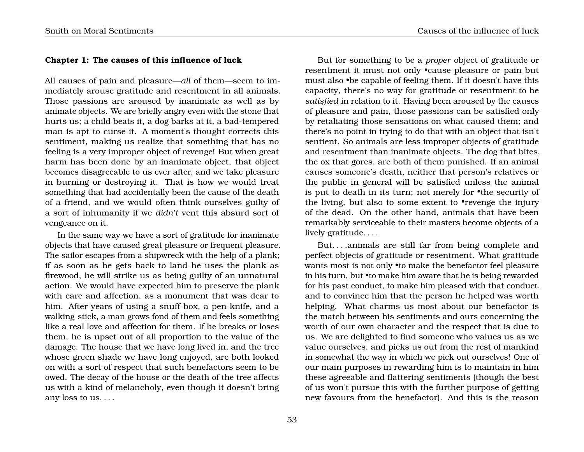#### **Chapter 1: The causes of this influence of luck**

All causes of pain and pleasure—*all* of them—seem to immediately arouse gratitude and resentment in all animals. Those passions are aroused by inanimate as well as by animate objects. We are briefly angry even with the stone that hurts us; a child beats it, a dog barks at it, a bad-tempered man is apt to curse it. A moment's thought corrects this sentiment, making us realize that something that has no feeling is a very improper object of revenge! But when great harm has been done by an inanimate object, that object becomes disagreeable to us ever after, and we take pleasure in burning or destroying it. That is how we would treat something that had accidentally been the cause of the death of a friend, and we would often think ourselves guilty of a sort of inhumanity if we *didn't* vent this absurd sort of vengeance on it.

In the same way we have a sort of gratitude for inanimate objects that have caused great pleasure or frequent pleasure. The sailor escapes from a shipwreck with the help of a plank; if as soon as he gets back to land he uses the plank as firewood, he will strike us as being guilty of an unnatural action. We would have expected him to preserve the plank with care and affection, as a monument that was dear to him. After years of using a snuff-box, a pen-knife, and a walking-stick, a man grows fond of them and feels something like a real love and affection for them. If he breaks or loses them, he is upset out of all proportion to the value of the damage. The house that we have long lived in, and the tree whose green shade we have long enjoyed, are both looked on with a sort of respect that such benefactors seem to be owed. The decay of the house or the death of the tree affects us with a kind of melancholy, even though it doesn't bring any loss to us. . . .

But for something to be a *proper* object of gratitude or resentment it must not only •cause pleasure or pain but must also •be capable of feeling them. If it doesn't have this capacity, there's no way for gratitude or resentment to be *satisfied* in relation to it. Having been aroused by the causes of pleasure and pain, those passions can be satisfied only by retaliating those sensations on what caused them; and there's no point in trying to do that with an object that isn't sentient. So animals are less improper objects of gratitude and resentment than inanimate objects. The dog that bites, the ox that gores, are both of them punished. If an animal causes someone's death, neither that person's relatives or the public in general will be satisfied unless the animal is put to death in its turn; not merely for •the security of the living, but also to some extent to •revenge the injury of the dead. On the other hand, animals that have been remarkably serviceable to their masters become objects of a lively gratitude. . . .

But. . . .animals are still far from being complete and perfect objects of gratitude or resentment. What gratitude wants most is not only •to make the benefactor feel pleasure in his turn, but •to make him aware that he is being rewarded for his past conduct, to make him pleased with that conduct, and to convince him that the person he helped was worth helping. What charms us most about our benefactor is the match between his sentiments and ours concerning the worth of our own character and the respect that is due to us. We are delighted to find someone who values us as we value ourselves, and picks us out from the rest of mankind in somewhat the way in which we pick out ourselves! One of our main purposes in rewarding him is to maintain in him these agreeable and flattering sentiments (though the best of us won't pursue this with the further purpose of getting new favours from the benefactor). And this is the reason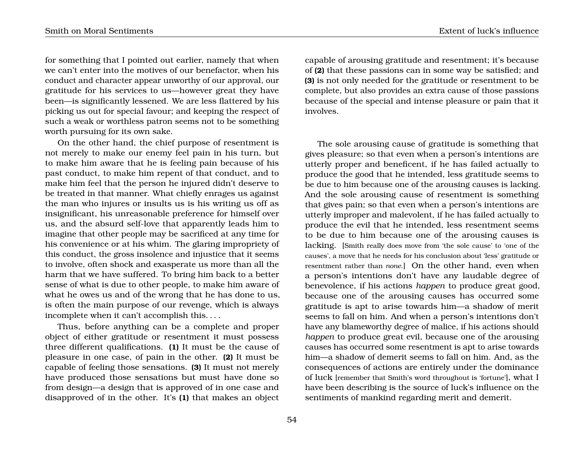for something that I pointed out earlier, namely that when we can't enter into the motives of our benefactor, when his conduct and character appear unworthy of our approval, our gratitude for his services to us—however great they have been—is significantly lessened. We are less flattered by his picking us out for special favour; and keeping the respect of such a weak or worthless patron seems not to be something worth pursuing for its own sake.

On the other hand, the chief purpose of resentment is not merely to make our enemy feel pain in his turn, but to make him aware that he is feeling pain because of his past conduct, to make him repent of that conduct, and to make him feel that the person he injured didn't deserve to be treated in that manner. What chiefly enrages us against the man who injures or insults us is his writing us off as insignificant, his unreasonable preference for himself over us, and the absurd self-love that apparently leads him to imagine that other people may be sacrificed at any time for his convenience or at his whim. The glaring impropriety of this conduct, the gross insolence and injustice that it seems to involve, often shock and exasperate us more than all the harm that we have suffered. To bring him back to a better sense of what is due to other people, to make him aware of what he owes us and of the wrong that he has done to us, is often the main purpose of our revenge, which is always incomplete when it can't accomplish this. . . .

Thus, before anything can be a complete and proper object of either gratitude or resentment it must possess three different qualifications. **(1)** It must be the cause of pleasure in one case, of pain in the other. **(2)** It must be capable of feeling those sensations. **(3)** It must not merely have produced those sensations but must have done so from design—a design that is approved of in one case and disapproved of in the other. It's **(1)** that makes an object

capable of arousing gratitude and resentment; it's because of **(2)** that these passions can in some way be satisfied; and **(3)** is not only needed for the gratitude or resentment to be complete, but also provides an extra cause of those passions because of the special and intense pleasure or pain that it involves.

The sole arousing cause of gratitude is something that gives pleasure; so that even when a person's intentions are utterly proper and beneficent, if he has failed actually to produce the good that he intended, less gratitude seems to be due to him because one of the arousing causes is lacking. And the sole arousing cause of resentment is something that gives pain; so that even when a person's intentions are utterly improper and malevolent, if he has failed actually to produce the evil that he intended, less resentment seems to be due to him because one of the arousing causes is lacking. [Smith really does move from 'the sole cause' to 'one of the causes', a move that he needs for his conclusion about 'less' gratitude or resentment rather than *none*.] On the other hand, even when a person's intentions don't have any laudable degree of benevolence, if his actions *happen* to produce great good, because one of the arousing causes has occurred some gratitude is apt to arise towards him—a shadow of merit seems to fall on him. And when a person's intentions don't have any blameworthy degree of malice, if his actions should *happen* to produce great evil, because one of the arousing causes has occurred some resentment is apt to arise towards him—a shadow of demerit seems to fall on him. And, as the consequences of actions are entirely under the dominance of luck [remember that Smith's word throughout is 'fortune'], what I have been describing is the source of luck's influence on the sentiments of mankind regarding merit and demerit.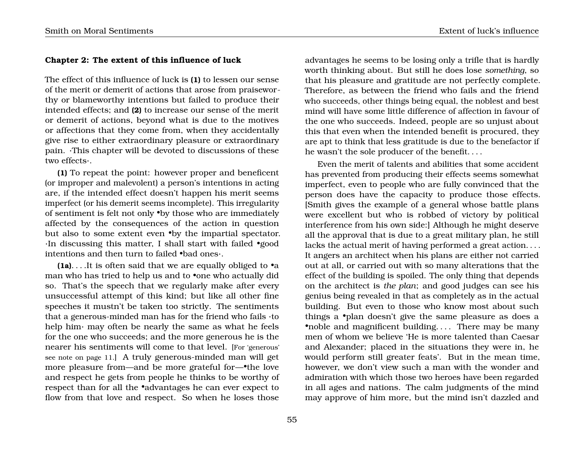#### **Chapter 2: The extent of this influence of luck**

The effect of this influence of luck is **(1)** to lessen our sense of the merit or demerit of actions that arose from praiseworthy or blameworthy intentions but failed to produce their intended effects; and **(2)** to increase our sense of the merit or demerit of actions, beyond what is due to the motives or affections that they come from, when they accidentally give rise to either extraordinary pleasure or extraordinary pain. ·This chapter will be devoted to discussions of these two effects·.

**(1)** To repeat the point: however proper and beneficent (or improper and malevolent) a person's intentions in acting are, if the intended effect doesn't happen his merit seems imperfect (or his demerit seems incomplete). This irregularity of sentiment is felt not only •by those who are immediately affected by the consequences of the action in question but also to some extent even •by the impartial spectator. ·In discussing this matter, I shall start with failed •good intentions and then turn to failed •bad ones·.

**(1a)**. . . .It is often said that we are equally obliged to •a man who has tried to help us and to **•**one who actually did so. That's the speech that we regularly make after every unsuccessful attempt of this kind; but like all other fine speeches it mustn't be taken too strictly. The sentiments that a generous-minded man has for the friend who fails ·to help him· may often be nearly the same as what he feels for the one who succeeds; and the more generous he is the nearer his sentiments will come to that level. [For 'generous' see note on page [11.](#page-14-0)] A truly generous-minded man will get more pleasure from—and be more grateful for—•the love and respect he gets from people he thinks to be worthy of respect than for all the •advantages he can ever expect to flow from that love and respect. So when he loses those

advantages he seems to be losing only a trifle that is hardly worth thinking about. But still he does lose *something*, so that his pleasure and gratitude are not perfectly complete. Therefore, as between the friend who fails and the friend who succeeds, other things being equal, the noblest and best mind will have some little difference of affection in favour of the one who succeeds. Indeed, people are so unjust about this that even when the intended benefit is procured, they are apt to think that less gratitude is due to the benefactor if he wasn't the sole producer of the benefit. . . .

Even the merit of talents and abilities that some accident has prevented from producing their effects seems somewhat imperfect, even to people who are fully convinced that the person does have the capacity to produce those effects. [Smith gives the example of a general whose battle plans were excellent but who is robbed of victory by political interference from his own side:] Although he might deserve all the approval that is due to a great military plan, he still lacks the actual merit of having performed a great action. . . . It angers an architect when his plans are either not carried out at all, or carried out with so many alterations that the effect of the building is spoiled. The only thing that depends on the architect is *the plan*; and good judges can see his genius being revealed in that as completely as in the actual building. But even to those who know most about such things a •plan doesn't give the same pleasure as does a •noble and magnificent building. . . . There may be many men of whom we believe 'He is more talented than Caesar and Alexander; placed in the situations they were in, he would perform still greater feats'. But in the mean time, however, we don't view such a man with the wonder and admiration with which those two heroes have been regarded in all ages and nations. The calm judgments of the mind may approve of him more, but the mind isn't dazzled and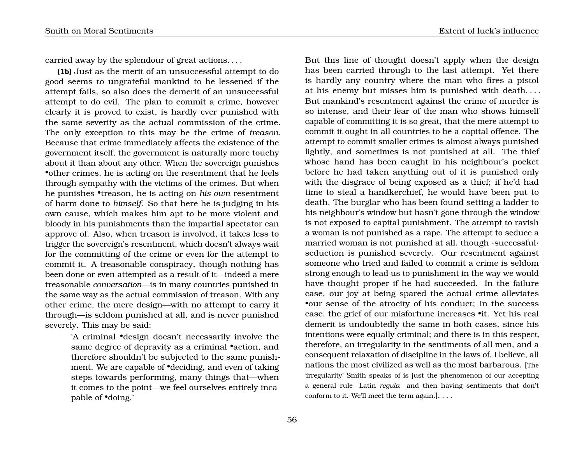carried away by the splendour of great actions. . . .

**(1b)** Just as the merit of an unsuccessful attempt to do good seems to ungrateful mankind to be lessened if the attempt fails, so also does the demerit of an unsuccessful attempt to do evil. The plan to commit a crime, however clearly it is proved to exist, is hardly ever punished with the same severity as the actual commission of the crime. The only exception to this may be the crime of *treason*. Because that crime immediately affects the existence of the government itself, the government is naturally more touchy about it than about any other. When the sovereign punishes •other crimes, he is acting on the resentment that he feels through sympathy with the victims of the crimes. But when he punishes •treason, he is acting on *his own* resentment of harm done to *himself*. So that here he is judging in his own cause, which makes him apt to be more violent and bloody in his punishments than the impartial spectator can approve of. Also, when treason is involved, it takes less to trigger the sovereign's resentment, which doesn't always wait for the committing of the crime or even for the attempt to commit it. A treasonable conspiracy, though nothing has been done or even attempted as a result of it—indeed a mere treasonable *conversation*—is in many countries punished in the same way as the actual commission of treason. With any other crime, the mere design—with no attempt to carry it through—is seldom punished at all, and is never punished severely. This may be said:

> 'A criminal •design doesn't necessarily involve the same degree of depravity as a criminal •action, and therefore shouldn't be subjected to the same punishment. We are capable of •deciding, and even of taking steps towards performing, many things that—when it comes to the point—we feel ourselves entirely incapable of •doing.'

> > 56

But this line of thought doesn't apply when the design has been carried through to the last attempt. Yet there is hardly any country where the man who fires a pistol at his enemy but misses him is punished with death. . . . But mankind's resentment against the crime of murder is so intense, and their fear of the man who shows himself capable of committing it is so great, that the mere attempt to commit it ought in all countries to be a capital offence. The attempt to commit smaller crimes is almost always punished lightly, and sometimes is not punished at all. The thief whose hand has been caught in his neighbour's pocket before he had taken anything out of it is punished only with the disgrace of being exposed as a thief; if he'd had time to steal a handkerchief, he would have been put to death. The burglar who has been found setting a ladder to his neighbour's window but hasn't gone through the window is not exposed to capital punishment. The attempt to ravish a woman is not punished as a rape. The attempt to seduce a married woman is not punished at all, though ·successful· seduction is punished severely. Our resentment against someone who tried and failed to commit a crime is seldom strong enough to lead us to punishment in the way we would have thought proper if he had succeeded. In the failure case, our joy at being spared the actual crime alleviates •our sense of the atrocity of his conduct; in the success case, the grief of our misfortune increases •it. Yet his real demerit is undoubtedly the same in both cases, since his intentions were equally criminal; and there is in this respect, therefore, an irregularity in the sentiments of all men, and a consequent relaxation of discipline in the laws of, I believe, all nations the most civilized as well as the most barbarous. [The 'irregularity' Smith speaks of is just the phenomenon of our accepting a general rule—Latin *regula*—and then having sentiments that don't conform to it. We'll meet the term again.]. . . .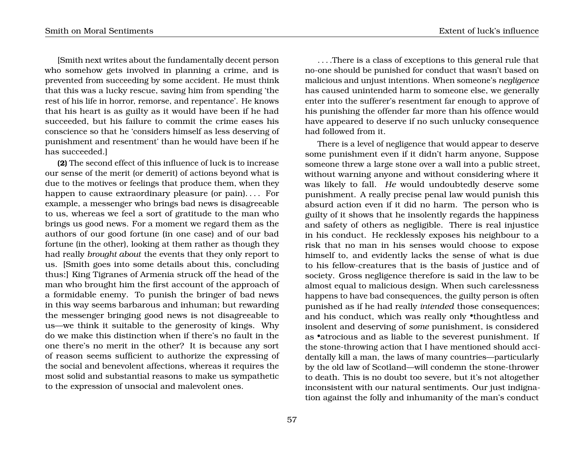[Smith next writes about the fundamentally decent person who somehow gets involved in planning a crime, and is prevented from succeeding by some accident. He must think that this was a lucky rescue, saving him from spending 'the rest of his life in horror, remorse, and repentance'. He knows that his heart is as guilty as it would have been if he had succeeded, but his failure to commit the crime eases his conscience so that he 'considers himself as less deserving of punishment and resentment' than he would have been if he has succeeded.]

**(2)** The second effect of this influence of luck is to increase our sense of the merit (or demerit) of actions beyond what is due to the motives or feelings that produce them, when they happen to cause extraordinary pleasure (or pain).... For example, a messenger who brings bad news is disagreeable to us, whereas we feel a sort of gratitude to the man who brings us good news. For a moment we regard them as the authors of our good fortune (in one case) and of our bad fortune (in the other), looking at them rather as though they had really *brought about* the events that they only report to us. [Smith goes into some details about this, concluding thus:] King Tigranes of Armenia struck off the head of the man who brought him the first account of the approach of a formidable enemy. To punish the bringer of bad news in this way seems barbarous and inhuman; but rewarding the messenger bringing good news is not disagreeable to us—we think it suitable to the generosity of kings. Why do we make this distinction when if there's no fault in the one there's no merit in the other? It is because any sort of reason seems sufficient to authorize the expressing of the social and benevolent affections, whereas it requires the most solid and substantial reasons to make us sympathetic to the expression of unsocial and malevolent ones.

. . . .There is a class of exceptions to this general rule that no-one should be punished for conduct that wasn't based on malicious and unjust intentions. When someone's *negligence* has caused unintended harm to someone else, we generally enter into the sufferer's resentment far enough to approve of his punishing the offender far more than his offence would have appeared to deserve if no such unlucky consequence had followed from it.

There is a level of negligence that would appear to deserve some punishment even if it didn't harm anyone, Suppose someone threw a large stone over a wall into a public street, without warning anyone and without considering where it was likely to fall. *He* would undoubtedly deserve some punishment. A really precise penal law would punish this absurd action even if it did no harm. The person who is guilty of it shows that he insolently regards the happiness and safety of others as negligible. There is real injustice in his conduct. He recklessly exposes his neighbour to a risk that no man in his senses would choose to expose himself to, and evidently lacks the sense of what is due to his fellow-creatures that is the basis of justice and of society. Gross negligence therefore is said in the law to be almost equal to malicious design. When such carelessness happens to have bad consequences, the guilty person is often punished as if he had really *intended* those consequences; and his conduct, which was really only •thoughtless and insolent and deserving of *some* punishment, is considered as •atrocious and as liable to the severest punishment. If the stone-throwing action that I have mentioned should accidentally kill a man, the laws of many countries—particularly by the old law of Scotland—will condemn the stone-thrower to death. This is no doubt too severe, but it's not altogether inconsistent with our natural sentiments. Our just indignation against the folly and inhumanity of the man's conduct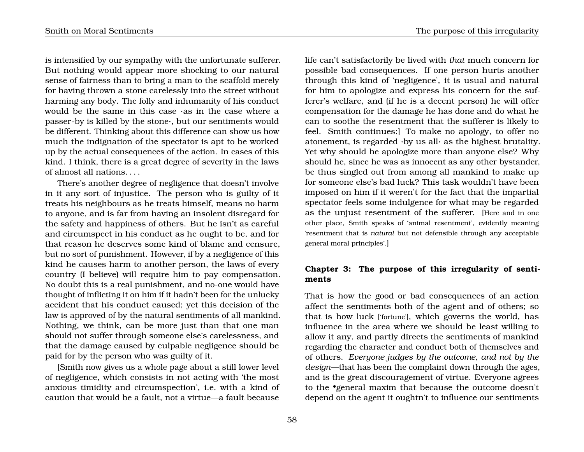is intensified by our sympathy with the unfortunate sufferer. But nothing would appear more shocking to our natural sense of fairness than to bring a man to the scaffold merely for having thrown a stone carelessly into the street without harming any body. The folly and inhumanity of his conduct would be the same in this case ·as in the case where a passer-by is killed by the stone·, but our sentiments would be different. Thinking about this difference can show us how much the indignation of the spectator is apt to be worked up by the actual consequences of the action. In cases of this kind. I think, there is a great degree of severity in the laws of almost all nations. . . .

There's another degree of negligence that doesn't involve in it any sort of injustice. The person who is guilty of it treats his neighbours as he treats himself, means no harm to anyone, and is far from having an insolent disregard for the safety and happiness of others. But he isn't as careful and circumspect in his conduct as he ought to be, and for that reason he deserves some kind of blame and censure, but no sort of punishment. However, if by a negligence of this kind he causes harm to another person, the laws of every country (I believe) will require him to pay compensation. No doubt this is a real punishment, and no-one would have thought of inflicting it on him if it hadn't been for the unlucky accident that his conduct caused; yet this decision of the law is approved of by the natural sentiments of all mankind. Nothing, we think, can be more just than that one man should not suffer through someone else's carelessness, and that the damage caused by culpable negligence should be paid for by the person who was guilty of it.

[Smith now gives us a whole page about a still lower level of negligence, which consists in not acting with 'the most anxious timidity and circumspection', i.e. with a kind of caution that would be a fault, not a virtue—a fault because

life can't satisfactorily be lived with *that* much concern for possible bad consequences. If one person hurts another through this kind of 'negligence', it is usual and natural for him to apologize and express his concern for the sufferer's welfare, and (if he is a decent person) he will offer compensation for the damage he has done and do what he can to soothe the resentment that the sufferer is likely to feel. Smith continues:] To make no apology, to offer no atonement, is regarded ·by us all· as the highest brutality. Yet why should he apologize more than anyone else? Why should he, since he was as innocent as any other bystander, be thus singled out from among all mankind to make up for someone else's bad luck? This task wouldn't have been imposed on him if it weren't for the fact that the impartial spectator feels some indulgence for what may be regarded as the unjust resentment of the sufferer. [Here and in one other place, Smith speaks of 'animal resentment', evidently meaning 'resentment that is *natural* but not defensible through any acceptable general moral principles'.]

## **Chapter 3: The purpose of this irregularity of sentiments**

That is how the good or bad consequences of an action affect the sentiments both of the agent and of others; so that is how luck ['fortune'], which governs the world, has influence in the area where we should be least willing to allow it any, and partly directs the sentiments of mankind regarding the character and conduct both of themselves and of others. *Everyone judges by the outcome, and not by the design*—that has been the complaint down through the ages, and is the great discouragement of virtue. Everyone agrees to the •general maxim that because the outcome doesn't depend on the agent it oughtn't to influence our sentiments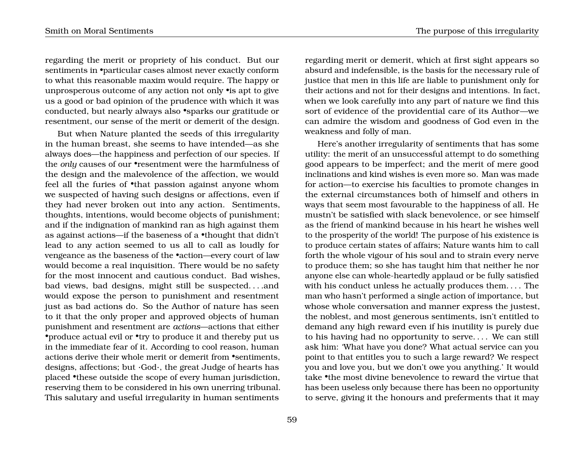regarding the merit or propriety of his conduct. But our sentiments in •particular cases almost never exactly conform to what this reasonable maxim would require. The happy or unprosperous outcome of any action not only •is apt to give us a good or bad opinion of the prudence with which it was conducted, but nearly always also •sparks our gratitude or resentment, our sense of the merit or demerit of the design.

But when Nature planted the seeds of this irregularity in the human breast, she seems to have intended—as she always does—the happiness and perfection of our species. If the *only* causes of our •resentment were the harmfulness of the design and the malevolence of the affection, we would feel all the furies of •that passion against anyone whom we suspected of having such designs or affections, even if they had never broken out into any action. Sentiments, thoughts, intentions, would become objects of punishment; and if the indignation of mankind ran as high against them as against actions—if the baseness of a •thought that didn't lead to any action seemed to us all to call as loudly for vengeance as the baseness of the •action—every court of law would become a real inquisition. There would be no safety for the most innocent and cautious conduct. Bad wishes, bad views, bad designs, might still be suspected. . . .and would expose the person to punishment and resentment just as bad actions do. So the Author of nature has seen to it that the only proper and approved objects of human punishment and resentment are *actions*—actions that either •produce actual evil or •try to produce it and thereby put us in the immediate fear of it. According to cool reason, human actions derive their whole merit or demerit from •sentiments, designs, affections; but ·God·, the great Judge of hearts has placed •these outside the scope of every human jurisdiction, reserving them to be considered in his own unerring tribunal. This salutary and useful irregularity in human sentiments

59

regarding merit or demerit, which at first sight appears so absurd and indefensible, is the basis for the necessary rule of justice that men in this life are liable to punishment only for their actions and not for their designs and intentions. In fact, when we look carefully into any part of nature we find this sort of evidence of the providential care of its Author—we can admire the wisdom and goodness of God even in the weakness and folly of man.

Here's another irregularity of sentiments that has some utility: the merit of an unsuccessful attempt to do something good appears to be imperfect; and the merit of mere good inclinations and kind wishes is even more so. Man was made for action—to exercise his faculties to promote changes in the external circumstances both of himself and others in ways that seem most favourable to the happiness of all. He mustn't be satisfied with slack benevolence, or see himself as the friend of mankind because in his heart he wishes well to the prosperity of the world! The purpose of his existence is to produce certain states of affairs; Nature wants him to call forth the whole vigour of his soul and to strain every nerve to produce them; so she has taught him that neither he nor anyone else can whole-heartedly applaud or be fully satisfied with his conduct unless he actually produces them. . . . The man who hasn't performed a single action of importance, but whose whole conversation and manner express the justest, the noblest, and most generous sentiments, isn't entitled to demand any high reward even if his inutility is purely due to his having had no opportunity to serve. . . . We can still ask him: 'What have you done? What actual service can you point to that entitles you to such a large reward? We respect you and love you, but we don't owe you anything.' It would take •the most divine benevolence to reward the virtue that has been useless only because there has been no opportunity to serve, giving it the honours and preferments that it may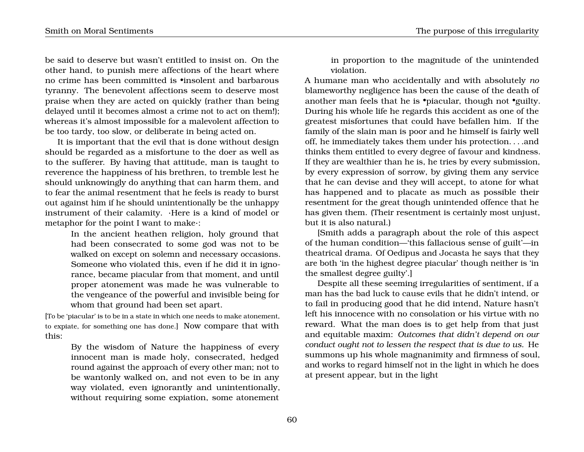be said to deserve but wasn't entitled to insist on. On the other hand, to punish mere affections of the heart where no crime has been committed is •insolent and barbarous tyranny. The benevolent affections seem to deserve most praise when they are acted on quickly (rather than being delayed until it becomes almost a crime not to act on them!); whereas it's almost impossible for a malevolent affection to be too tardy, too slow, or deliberate in being acted on.

It is important that the evil that is done without design should be regarded as a misfortune to the doer as well as to the sufferer. By having that attitude, man is taught to reverence the happiness of his brethren, to tremble lest he should unknowingly do anything that can harm them, and to fear the animal resentment that he feels is ready to burst out against him if he should unintentionally be the unhappy instrument of their calamity. ·Here is a kind of model or metaphor for the point I want to make·:

> In the ancient heathen religion, holy ground that had been consecrated to some god was not to be walked on except on solemn and necessary occasions. Someone who violated this, even if he did it in ignorance, became piacular from that moment, and until proper atonement was made he was vulnerable to the vengeance of the powerful and invisible being for whom that ground had been set apart.

[To be 'piacular' is to be in a state in which one needs to make atonement, to expiate, for something one has done.] Now compare that with this:

> By the wisdom of Nature the happiness of every innocent man is made holy, consecrated, hedged round against the approach of every other man; not to be wantonly walked on, and not even to be in any way violated, even ignorantly and unintentionally, without requiring some expiation, some atonement

in proportion to the magnitude of the unintended violation.

A humane man who accidentally and with absolutely *no* blameworthy negligence has been the cause of the death of another man feels that he is •piacular, though not •guilty. During his whole life he regards this accident as one of the greatest misfortunes that could have befallen him. If the family of the slain man is poor and he himself is fairly well off, he immediately takes them under his protection. . . .and thinks them entitled to every degree of favour and kindness. If they are wealthier than he is, he tries by every submission, by every expression of sorrow, by giving them any service that he can devise and they will accept, to atone for what has happened and to placate as much as possible their resentment for the great though unintended offence that he has given them. (Their resentment is certainly most unjust, but it is also natural.)

[Smith adds a paragraph about the role of this aspect of the human condition—'this fallacious sense of guilt'—in theatrical drama. Of Oedipus and Jocasta he says that they are both 'in the highest degree piacular' though neither is 'in the smallest degree guilty'.]

Despite all these seeming irregularities of sentiment, if a man has the bad luck to cause evils that he didn't intend, or to fail in producing good that he did intend, Nature hasn't left his innocence with no consolation or his virtue with no reward. What the man does is to get help from that just and equitable maxim: *Outcomes that didn't depend on our conduct ought not to lessen the respect that is due to us*. He summons up his whole magnanimity and firmness of soul, and works to regard himself not in the light in which he does at present appear, but in the light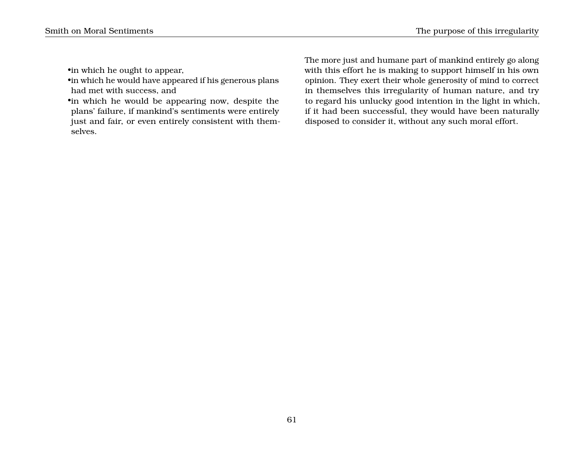•in which he ought to appear,

•in which he would have appeared if his generous plans had met with success, and

•in which he would be appearing now, despite the plans' failure, if mankind's sentiments were entirely just and fair, or even entirely consistent with themselves.

The more just and humane part of mankind entirely go along with this effort he is making to support himself in his own opinion. They exert their whole generosity of mind to correct in themselves this irregularity of human nature, and try to regard his unlucky good intention in the light in which, if it had been successful, they would have been naturally disposed to consider it, without any such moral effort.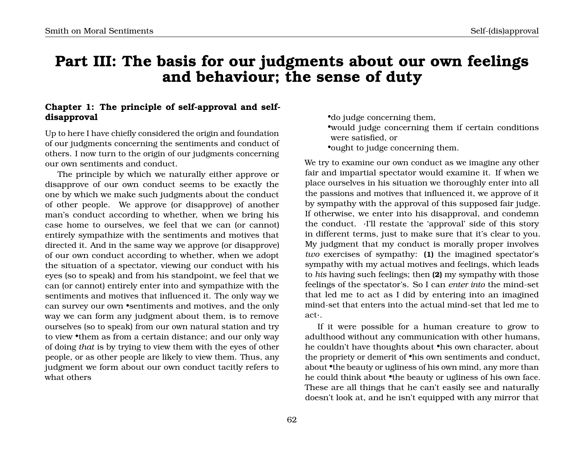Up to here I have chiefly considered the origin and foundation

**Chapter 1: The principle of self-approval and self-**

our own sentiments and conduct. The principle by which we naturally either approve or disapprove of our own conduct seems to be exactly the one by which we make such judgments about the conduct of other people. We approve (or disapprove) of another man's conduct according to whether, when we bring his case home to ourselves, we feel that we can (or cannot) entirely sympathize with the sentiments and motives that directed it. And in the same way we approve (or disapprove) of our own conduct according to whether, when we adopt the situation of a spectator, viewing our conduct with his eyes (so to speak) and from his standpoint, we feel that we can (or cannot) entirely enter into and sympathize with the sentiments and motives that influenced it. The only way we can survey our own •sentiments and motives, and the only way we can form any judgment about them, is to remove ourselves (so to speak) from our own natural station and try to view •them as from a certain distance; and our only way of doing *that* is by trying to view them with the eyes of other people, or as other people are likely to view them. Thus, any judgment we form about our own conduct tacitly refers to what others

•do judge concerning them,

•would judge concerning them if certain conditions were satisfied, or

•ought to judge concerning them.

We try to examine our own conduct as we imagine any other fair and impartial spectator would examine it. If when we place ourselves in his situation we thoroughly enter into all the passions and motives that influenced it, we approve of it by sympathy with the approval of this supposed fair judge. If otherwise, we enter into his disapproval, and condemn the conduct. ·I'll restate the 'approval' side of this story in different terms, just to make sure that it's clear to you. My judgment that my conduct is morally proper involves *two* exercises of sympathy: **(1)** the imagined spectator's sympathy with my actual motives and feelings, which leads to *his* having such feelings; then **(2)** my sympathy with those feelings of the spectator's. So I can *enter into* the mind-set that led me to act as I did by entering into an imagined mind-set that enters into the actual mind-set that led me to act·.

If it were possible for a human creature to grow to adulthood without any communication with other humans, he couldn't have thoughts about •his own character, about the propriety or demerit of •his own sentiments and conduct, about •the beauty or ugliness of his own mind, any more than he could think about •the beauty or ugliness of his own face. These are all things that he can't easily see and naturally doesn't look at, and he isn't equipped with any mirror that

# **Part III: The basis for our judgments about our own feelings and behaviour; the sense of duty**

**disapproval**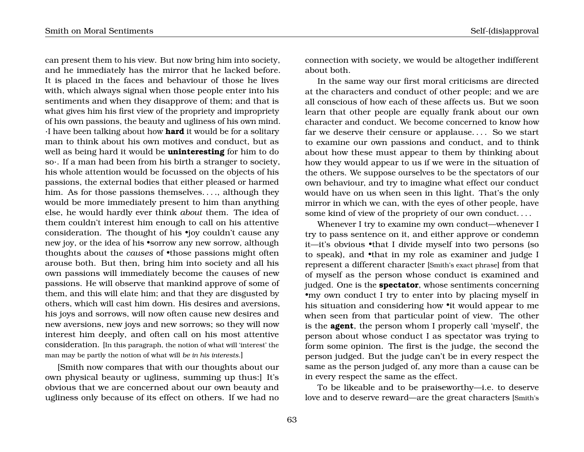can present them to his view. But now bring him into society, and he immediately has the mirror that he lacked before. It is placed in the faces and behaviour of those he lives with, which always signal when those people enter into his sentiments and when they disapprove of them; and that is what gives him his first view of the propriety and impropriety of his own passions, the beauty and ugliness of his own mind. ·I have been talking about how **hard** it would be for a solitary man to think about his own motives and conduct, but as well as being hard it would be **uninteresting** for him to do so·. If a man had been from his birth a stranger to society, his whole attention would be focussed on the objects of his passions, the external bodies that either pleased or harmed him. As for those passions themselves. . . ., although they would be more immediately present to him than anything else, he would hardly ever think *about* them. The idea of them couldn't interest him enough to call on his attentive consideration. The thought of his •joy couldn't cause any new joy, or the idea of his •sorrow any new sorrow, although thoughts about the *causes* of •those passions might often arouse both. But then, bring him into society and all his own passions will immediately become the causes of new passions. He will observe that mankind approve of some of them, and this will elate him; and that they are disgusted by others, which will cast him down. His desires and aversions, his joys and sorrows, will now often cause new desires and new aversions, new joys and new sorrows; so they will now interest him deeply, and often call on his most attentive consideration. [In this paragraph, the notion of what will 'interest' the man may be partly the notion of what will *be in his interests*.]

[Smith now compares that with our thoughts about our own physical beauty or ugliness, summing up thus:] It's obvious that we are concerned about our own beauty and ugliness only because of its effect on others. If we had no

connection with society, we would be altogether indifferent about both.

In the same way our first moral criticisms are directed at the characters and conduct of other people; and we are all conscious of how each of these affects us. But we soon learn that other people are equally frank about our own character and conduct. We become concerned to know how far we deserve their censure or applause. . . . So we start to examine our own passions and conduct, and to think about how these must appear to them by thinking about how they would appear to us if we were in the situation of the others. We suppose ourselves to be the spectators of our own behaviour, and try to imagine what effect our conduct would have on us when seen in this light. That's the only mirror in which we can, with the eyes of other people, have some kind of view of the propriety of our own conduct. . . .

Whenever I try to examine my own conduct—whenever I try to pass sentence on it, and either approve or condemn it—it's obvious •that I divide myself into two persons (so to speak), and •that in my role as examiner and judge I represent a different character [Smith's exact phrase] from that of myself as the person whose conduct is examined and judged. One is the **spectator**, whose sentiments concerning •my own conduct I try to enter into by placing myself in his situation and considering how •it would appear to me when seen from that particular point of view. The other is the **agent**, the person whom I properly call 'myself', the person about whose conduct I as spectator was trying to form some opinion. The first is the judge, the second the person judged. But the judge can't be in every respect the same as the person judged of, any more than a cause can be in every respect the same as the effect.

To be likeable and to be praiseworthy—i.e. to deserve love and to deserve reward—are the great characters [Smith's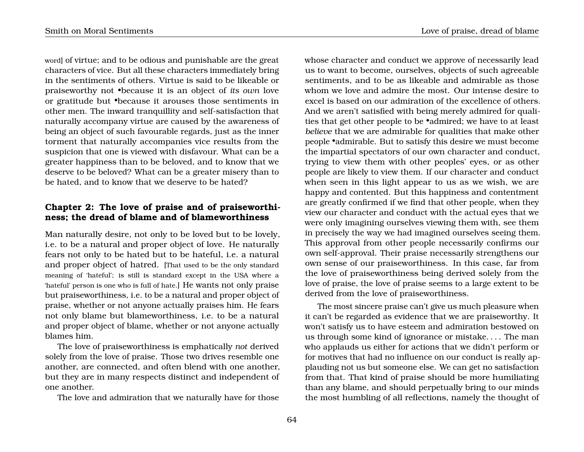word] of virtue; and to be odious and punishable are the great characters of vice. But all these characters immediately bring in the sentiments of others. Virtue is said to be likeable or praiseworthy not •because it is an object of *its own* love or gratitude but •because it arouses those sentiments in other men. The inward tranquillity and self-satisfaction that naturally accompany virtue are caused by the awareness of being an object of such favourable regards, just as the inner torment that naturally accompanies vice results from the suspicion that one is viewed with disfavour. What can be a greater happiness than to be beloved, and to know that we deserve to be beloved? What can be a greater misery than to be hated, and to know that we deserve to be hated?

## **Chapter 2: The love of praise and of praiseworthiness; the dread of blame and of blameworthiness**

Man naturally desire, not only to be loved but to be lovely, i.e. to be a natural and proper object of love. He naturally fears not only to be hated but to be hateful, i.e. a natural and proper object of hatred. [That used to be the only standard meaning of 'hateful'; is still is standard except in the USA where a 'hateful' person is one who is full of hate.] He wants not only praise but praiseworthiness, i.e. to be a natural and proper object of praise, whether or not anyone actually praises him. He fears not only blame but blameworthiness, i.e. to be a natural and proper object of blame, whether or not anyone actually blames him.

The love of praiseworthiness is emphatically *not* derived solely from the love of praise. Those two drives resemble one another, are connected, and often blend with one another, but they are in many respects distinct and independent of one another.

The love and admiration that we naturally have for those

whose character and conduct we approve of necessarily lead us to want to become, ourselves, objects of such agreeable sentiments, and to be as likeable and admirable as those whom we love and admire the most. Our intense desire to excel is based on our admiration of the excellence of others. And we aren't satisfied with being merely admired for qualities that get other people to be •admired; we have to at least *believe* that we are admirable for qualities that make other people •admirable. But to satisfy this desire we must become the impartial spectators of our own character and conduct, trying to view them with other peoples' eyes, or as other people are likely to view them. If our character and conduct when seen in this light appear to us as we wish, we are happy and contented. But this happiness and contentment are greatly confirmed if we find that other people, when they view our character and conduct with the actual eyes that we were only imagining ourselves viewing them with, see them in precisely the way we had imagined ourselves seeing them. This approval from other people necessarily confirms our own self-approval. Their praise necessarily strengthens our own sense of our praiseworthiness. In this case, far from the love of praiseworthiness being derived solely from the love of praise, the love of praise seems to a large extent to be derived from the love of praiseworthiness.

The most sincere praise can't give us much pleasure when it can't be regarded as evidence that we are praiseworthy. It won't satisfy us to have esteem and admiration bestowed on us through some kind of ignorance or mistake. . . . The man who applauds us either for actions that we didn't perform or for motives that had no influence on our conduct is really applauding not us but someone else. We can get no satisfaction from that. That kind of praise should be more humiliating than any blame, and should perpetually bring to our minds the most humbling of all reflections, namely the thought of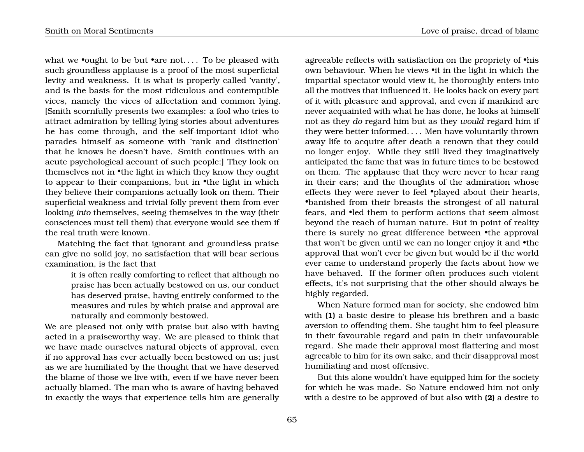what we •ought to be but •are not.... To be pleased with such groundless applause is a proof of the most superficial levity and weakness. It is what is properly called 'vanity', and is the basis for the most ridiculous and contemptible vices, namely the vices of affectation and common lying. [Smith scornfully presents two examples: a fool who tries to attract admiration by telling lying stories about adventures he has come through, and the self-important idiot who parades himself as someone with 'rank and distinction' that he knows he doesn't have. Smith continues with an acute psychological account of such people:] They look on themselves not in •the light in which they know they ought to appear to their companions, but in •the light in which they believe their companions actually look on them. Their superficial weakness and trivial folly prevent them from ever looking *into* themselves, seeing themselves in the way (their consciences must tell them) that everyone would see them if the real truth were known.

Matching the fact that ignorant and groundless praise can give no solid joy, no satisfaction that will bear serious examination, is the fact that

> it is often really comforting to reflect that although no praise has been actually bestowed on us, our conduct has deserved praise, having entirely conformed to the measures and rules by which praise and approval are naturally and commonly bestowed.

We are pleased not only with praise but also with having acted in a praiseworthy way. We are pleased to think that we have made ourselves natural objects of approval, even if no approval has ever actually been bestowed on us; just as we are humiliated by the thought that we have deserved the blame of those we live with, even if we have never been actually blamed. The man who is aware of having behaved in exactly the ways that experience tells him are generally

agreeable reflects with satisfaction on the propriety of •his own behaviour. When he views •it in the light in which the impartial spectator would view it, he thoroughly enters into all the motives that influenced it. He looks back on every part of it with pleasure and approval, and even if mankind are never acquainted with what he has done, he looks at himself not as they *do* regard him but as they *would* regard him if they were better informed. . . . Men have voluntarily thrown away life to acquire after death a renown that they could no longer enjoy. While they still lived they imaginatively anticipated the fame that was in future times to be bestowed on them. The applause that they were never to hear rang in their ears; and the thoughts of the admiration whose effects they were never to feel •played about their hearts, •banished from their breasts the strongest of all natural fears, and •led them to perform actions that seem almost beyond the reach of human nature. But in point of reality there is surely no great difference between •the approval that won't be given until we can no longer enjoy it and •the approval that won't ever be given but would be if the world ever came to understand properly the facts about how we have behaved. If the former often produces such violent effects, it's not surprising that the other should always be highly regarded.

When Nature formed man for society, she endowed him with **(1)** a basic desire to please his brethren and a basic aversion to offending them. She taught him to feel pleasure in their favourable regard and pain in their unfavourable regard. She made their approval most flattering and most agreeable to him for its own sake, and their disapproval most humiliating and most offensive.

But this alone wouldn't have equipped him for the society for which he was made. So Nature endowed him not only with a desire to be approved of but also with **(2)** a desire to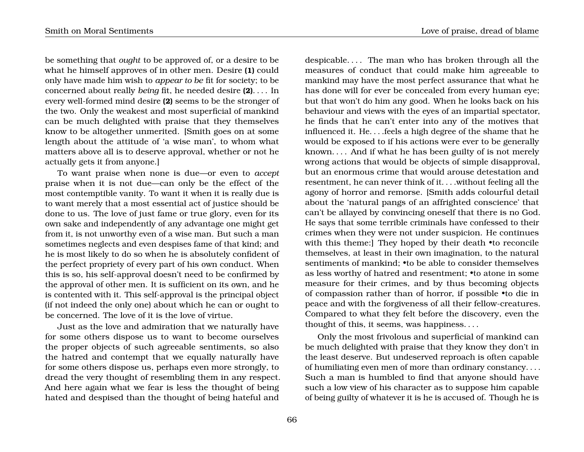be something that *ought* to be approved of, or a desire to be what he himself approves of in other men. Desire **(1)** could only have made him wish to *appear to be* fit for society; to be concerned about really *being* fit, he needed desire **(2)**. . . . In every well-formed mind desire **(2)** seems to be the stronger of the two. Only the weakest and most superficial of mankind can be much delighted with praise that they themselves know to be altogether unmerited. [Smith goes on at some length about the attitude of 'a wise man', to whom what matters above all is to deserve approval, whether or not he actually gets it from anyone.]

To want praise when none is due—or even to *accept* praise when it is not due—can only be the effect of the most contemptible vanity. To want it when it is really due is to want merely that a most essential act of justice should be done to us. The love of just fame or true glory, even for its own sake and independently of any advantage one might get from it, is not unworthy even of a wise man. But such a man sometimes neglects and even despises fame of that kind; and he is most likely to do so when he is absolutely confident of the perfect propriety of every part of his own conduct. When this is so, his self-approval doesn't need to be confirmed by the approval of other men. It is sufficient on its own, and he is contented with it. This self-approval is the principal object (if not indeed the only one) about which he can or ought to be concerned. The love of it is the love of virtue.

Just as the love and admiration that we naturally have for some others dispose us to want to become ourselves the proper objects of such agreeable sentiments, so also the hatred and contempt that we equally naturally have for some others dispose us, perhaps even more strongly, to dread the very thought of resembling them in any respect. And here again what we fear is less the thought of being hated and despised than the thought of being hateful and

despicable. . . . The man who has broken through all the measures of conduct that could make him agreeable to mankind may have the most perfect assurance that what he has done will for ever be concealed from every human eye; but that won't do him any good. When he looks back on his behaviour and views with the eyes of an impartial spectator, he finds that he can't enter into any of the motives that influenced it. He. . . .feels a high degree of the shame that he would be exposed to if his actions were ever to be generally known. . . . And if what he has been guilty of is not merely wrong actions that would be objects of simple disapproval, but an enormous crime that would arouse detestation and resentment, he can never think of it. . . .without feeling all the agony of horror and remorse. [Smith adds colourful detail about the 'natural pangs of an affrighted conscience' that can't be allayed by convincing oneself that there is no God. He says that some terrible criminals have confessed to their crimes when they were not under suspicion. He continues with this theme:] They hoped by their death •to reconcile themselves, at least in their own imagination, to the natural sentiments of mankind; •to be able to consider themselves as less worthy of hatred and resentment; •to atone in some measure for their crimes, and by thus becoming objects of compassion rather than of horror, if possible •to die in peace and with the forgiveness of all their fellow-creatures. Compared to what they felt before the discovery, even the thought of this, it seems, was happiness. . . .

Only the most frivolous and superficial of mankind can be much delighted with praise that they know they don't in the least deserve. But undeserved reproach is often capable of humiliating even men of more than ordinary constancy. . . . Such a man is humbled to find that anyone should have such a low view of his character as to suppose him capable of being guilty of whatever it is he is accused of. Though he is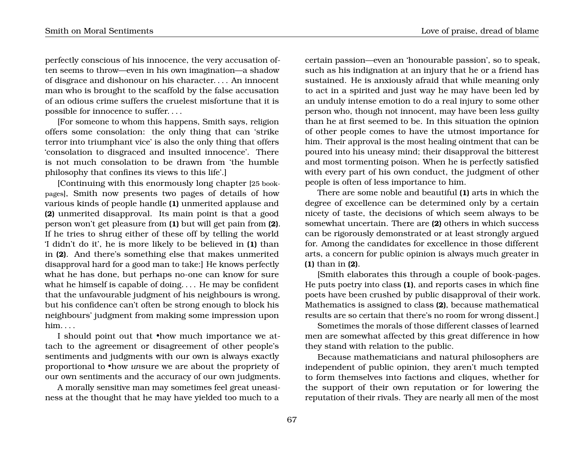perfectly conscious of his innocence, the very accusation often seems to throw—even in his own imagination—a shadow of disgrace and dishonour on his character. . . . An innocent man who is brought to the scaffold by the false accusation of an odious crime suffers the cruelest misfortune that it is possible for innocence to suffer. . . .

[For someone to whom this happens, Smith says, religion offers some consolation: the only thing that can 'strike terror into triumphant vice' is also the only thing that offers 'consolation to disgraced and insulted innocence'. There is not much consolation to be drawn from 'the humble philosophy that confines its views to this life'.]

[Continuing with this enormously long chapter [25 bookpages], Smith now presents two pages of details of how various kinds of people handle **(1)** unmerited applause and **(2)** unmerited disapproval. Its main point is that a good person won't get pleasure from **(1)** but will get pain from **(2)**. If he tries to shrug either of these off by telling the world 'I didn't do it', he is more likely to be believed in **(1)** than in **(2)**. And there's something else that makes unmerited disapproval hard for a good man to take:] He knows perfectly what he has done, but perhaps no-one can know for sure what he himself is capable of doing.... He may be confident that the unfavourable judgment of his neighbours is wrong, but his confidence can't often be strong enough to block his neighbours' judgment from making some impression upon him. . . .

I should point out that •how much importance we attach to the agreement or disagreement of other people's sentiments and judgments with our own is always exactly proportional to •how *un*sure we are about the propriety of our own sentiments and the accuracy of our own judgments.

A morally sensitive man may sometimes feel great uneasiness at the thought that he may have yielded too much to a

certain passion—even an 'honourable passion', so to speak, such as his indignation at an injury that he or a friend has sustained. He is anxiously afraid that while meaning only to act in a spirited and just way he may have been led by an unduly intense emotion to do a real injury to some other person who, though not innocent, may have been less guilty than he at first seemed to be. In this situation the opinion of other people comes to have the utmost importance for him. Their approval is the most healing ointment that can be poured into his uneasy mind; their disapproval the bitterest and most tormenting poison. When he is perfectly satisfied with every part of his own conduct, the judgment of other people is often of less importance to him.

There are some noble and beautiful **(1)** arts in which the degree of excellence can be determined only by a certain nicety of taste, the decisions of which seem always to be somewhat uncertain. There are **(2)** others in which success can be rigorously demonstrated or at least strongly argued for. Among the candidates for excellence in those different arts, a concern for public opinion is always much greater in **(1)** than in **(2)**.

[Smith elaborates this through a couple of book-pages. He puts poetry into class **(1)**, and reports cases in which fine poets have been crushed by public disapproval of their work. Mathematics is assigned to class **(2)**, because mathematical results are so certain that there's no room for wrong dissent.]

Sometimes the morals of those different classes of learned men are somewhat affected by this great difference in how they stand with relation to the public.

Because mathematicians and natural philosophers are independent of public opinion, they aren't much tempted to form themselves into factions and cliques, whether for the support of their own reputation or for lowering the reputation of their rivals. They are nearly all men of the most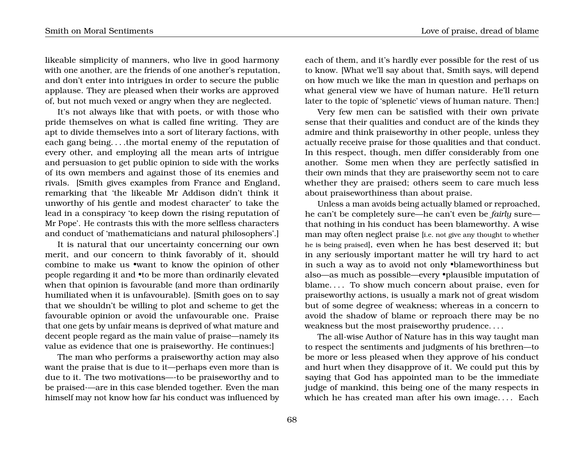likeable simplicity of manners, who live in good harmony with one another, are the friends of one another's reputation, and don't enter into intrigues in order to secure the public applause. They are pleased when their works are approved of, but not much vexed or angry when they are neglected.

It's not always like that with poets, or with those who pride themselves on what is called fine writing. They are apt to divide themselves into a sort of literary factions, with each gang being. . . .the mortal enemy of the reputation of every other, and employing all the mean arts of intrigue and persuasion to get public opinion to side with the works of its own members and against those of its enemies and rivals. [Smith gives examples from France and England, remarking that 'the likeable Mr Addison didn't think it unworthy of his gentle and modest character' to take the lead in a conspiracy 'to keep down the rising reputation of Mr Pope'. He contrasts this with the more selfless characters and conduct of 'mathematicians and natural philosophers'.]

It is natural that our uncertainty concerning our own merit, and our concern to think favorably of it, should combine to make us •want to know the opinion of other people regarding it and •to be more than ordinarily elevated when that opinion is favourable (and more than ordinarily humiliated when it is unfavourable). [Smith goes on to say that we shouldn't be willing to plot and scheme to get the favourable opinion or avoid the unfavourable one. Praise that one gets by unfair means is deprived of what mature and decent people regard as the main value of praise—namely its value as evidence that one is praiseworthy. He continues:]

The man who performs a praiseworthy action may also want the praise that is due to it—perhaps even more than is due to it. The two motivations—·to be praiseworthy and to be praised·—are in this case blended together. Even the man himself may not know how far his conduct was influenced by each of them, and it's hardly ever possible for the rest of us to know. [What we'll say about that, Smith says, will depend on how much we like the man in question and perhaps on what general view we have of human nature. He'll return later to the topic of 'splenetic' views of human nature. Then:]

Very few men can be satisfied with their own private sense that their qualities and conduct are of the kinds they admire and think praiseworthy in other people, unless they actually receive praise for those qualities and that conduct. In this respect, though, men differ considerably from one another. Some men when they are perfectly satisfied in their own minds that they are praiseworthy seem not to care whether they are praised; others seem to care much less about praiseworthiness than about praise.

Unless a man avoids being actually blamed or reproached, he can't be completely sure—he can't even be *fairly* sure that nothing in his conduct has been blameworthy. A wise man may often neglect praise [i.e. not give any thought to whether he is being praised], even when he has best deserved it; but in any seriously important matter he will try hard to act in such a way as to avoid not only •blameworthiness but also—as much as possible—every •plausible imputation of blame. . . . To show much concern about praise, even for praiseworthy actions, is usually a mark not of great wisdom but of some degree of weakness; whereas in a concern to avoid the shadow of blame or reproach there may be no weakness but the most praiseworthy prudence. . . .

The all-wise Author of Nature has in this way taught man to respect the sentiments and judgments of his brethren—to be more or less pleased when they approve of his conduct and hurt when they disapprove of it. We could put this by saying that God has appointed man to be the immediate judge of mankind, this being one of the many respects in which he has created man after his own image. . . . Each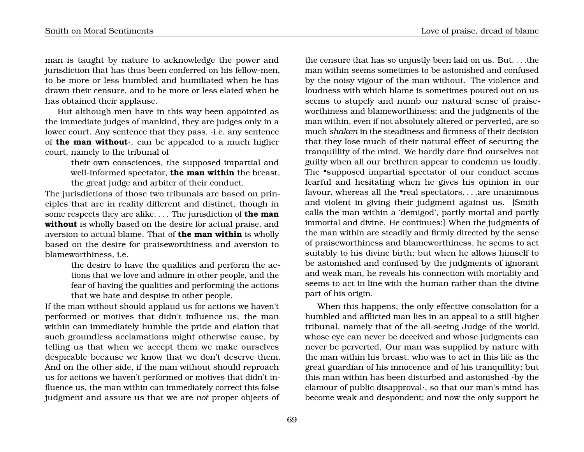man is taught by nature to acknowledge the power and jurisdiction that has thus been conferred on his fellow-men, to be more or less humbled and humiliated when he has drawn their censure, and to be more or less elated when he has obtained their applause.

But although men have in this way been appointed as the immediate judges of mankind, they are judges only in a lower court. Any sentence that they pass, ·i.e. any sentence of **the man without**·, can be appealed to a much higher court, namely to the tribunal of

> their own consciences, the supposed impartial and well-informed spectator, **the man within** the breast, the great judge and arbiter of their conduct.

The jurisdictions of those two tribunals are based on principles that are in reality different and distinct, though in some respects they are alike. . . . The jurisdiction of **the man without** is wholly based on the desire for actual praise, and aversion to actual blame. That of **the man within** is wholly based on the desire for praiseworthiness and aversion to blameworthiness, i.e.

> the desire to have the qualities and perform the actions that we love and admire in other people, and the fear of having the qualities and performing the actions that we hate and despise in other people.

If the man without should applaud us for actions we haven't performed or motives that didn't influence us, the man within can immediately humble the pride and elation that such groundless acclamations might otherwise cause, by telling us that when we accept them we make ourselves despicable because we know that we don't deserve them. And on the other side, if the man without should reproach us for actions we haven't performed or motives that didn't influence us, the man within can immediately correct this false judgment and assure us that we are *not* proper objects of

the censure that has so unjustly been laid on us. But. . . .the man within seems sometimes to be astonished and confused by the noisy vigour of the man without. The violence and loudness with which blame is sometimes poured out on us seems to stupefy and numb our natural sense of praiseworthiness and blameworthiness; and the judgments of the man within, even if not absolutely altered or perverted, are so much *shaken* in the steadiness and firmness of their decision that they lose much of their natural effect of securing the tranquillity of the mind. We hardly dare find ourselves not guilty when all our brethren appear to condemn us loudly. The •supposed impartial spectator of our conduct seems fearful and hesitating when he gives his opinion in our favour, whereas all the •real spectators. . . .are unanimous and violent in giving their judgment against us. [Smith calls the man within a 'demigod', partly mortal and partly immortal and divine. He continues:] When the judgments of the man within are steadily and firmly directed by the sense of praiseworthiness and blameworthiness, he seems to act suitably to his divine birth; but when he allows himself to be astonished and confused by the judgments of ignorant and weak man, he reveals his connection with mortality and seems to act in line with the human rather than the divine part of his origin.

When this happens, the only effective consolation for a humbled and afflicted man lies in an appeal to a still higher tribunal, namely that of the all-seeing Judge of the world, whose eye can never be deceived and whose judgments can never be perverted. Our man was supplied by nature with the man within his breast, who was to act in this life as the great guardian of his innocence and of his tranquillity; but this man within has been disturbed and astonished ·by the clamour of public disapproval·, so that our man's mind has become weak and despondent; and now the only support he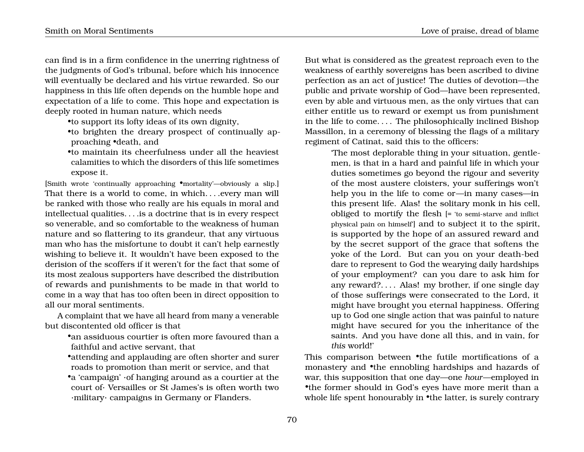can find is in a firm confidence in the unerring rightness of the judgments of God's tribunal, before which his innocence will eventually be declared and his virtue rewarded. So our happiness in this life often depends on the humble hope and expectation of a life to come. This hope and expectation is deeply rooted in human nature, which needs

•to support its lofty ideas of its own dignity,

•to brighten the dreary prospect of continually approaching •death, and

•to maintain its cheerfulness under all the heaviest calamities to which the disorders of this life sometimes expose it.

[Smith wrote 'continually approaching •mortality'—obviously a slip.] That there is a world to come, in which. . . .every man will be ranked with those who really are his equals in moral and intellectual qualities. . . .is a doctrine that is in every respect so venerable, and so comfortable to the weakness of human nature and so flattering to its grandeur, that any virtuous man who has the misfortune to doubt it can't help earnestly wishing to believe it. It wouldn't have been exposed to the derision of the scoffers if it weren't for the fact that some of its most zealous supporters have described the distribution of rewards and punishments to be made in that world to come in a way that has too often been in direct opposition to all our moral sentiments.

A complaint that we have all heard from many a venerable but discontented old officer is that

•an assiduous courtier is often more favoured than a faithful and active servant, that

•attending and applauding are often shorter and surer roads to promotion than merit or service, and that

•a 'campaign' ·of hanging around as a courtier at the court of· Versailles or St James's is often worth two ·military· campaigns in Germany or Flanders.

But what is considered as the greatest reproach even to the weakness of earthly sovereigns has been ascribed to divine perfection as an act of justice! The duties of devotion—the public and private worship of God—have been represented, even by able and virtuous men, as the only virtues that can either entitle us to reward or exempt us from punishment in the life to come. . . . The philosophically inclined Bishop Massillon, in a ceremony of blessing the flags of a military regiment of Catinat, said this to the officers:

> 'The most deplorable thing in your situation, gentlemen, is that in a hard and painful life in which your duties sometimes go beyond the rigour and severity of the most austere cloisters, your sufferings won't help you in the life to come or—in many cases—in this present life. Alas! the solitary monk in his cell, obliged to mortify the flesh [= 'to semi-starve and inflict physical pain on himself'] and to subject it to the spirit, is supported by the hope of an assured reward and by the secret support of the grace that softens the yoke of the Lord. But can you on your death-bed dare to represent to God the wearying daily hardships of your employment? can you dare to ask him for any reward?. . . . Alas! my brother, if one single day of those sufferings were consecrated to the Lord, it might have brought you eternal happiness. Offering up to God one single action that was painful to nature might have secured for you the inheritance of the saints. And you have done all this, and in vain, for *this* world!'

This comparison between •the futile mortifications of a monastery and •the ennobling hardships and hazards of war, this supposition that one day—one *hour*—employed in •the former should in God's eyes have more merit than a whole life spent honourably in •the latter, is surely contrary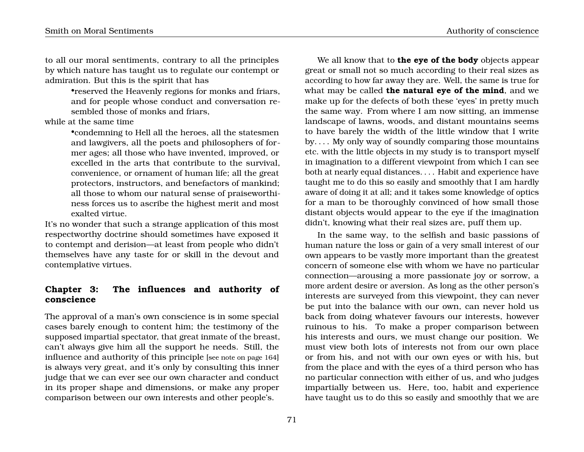to all our moral sentiments, contrary to all the principles by which nature has taught us to regulate our contempt or admiration. But this is the spirit that has

> •reserved the Heavenly regions for monks and friars, and for people whose conduct and conversation resembled those of monks and friars,

while at the same time

•condemning to Hell all the heroes, all the statesmen and lawgivers, all the poets and philosophers of former ages; all those who have invented, improved, or excelled in the arts that contribute to the survival, convenience, or ornament of human life; all the great protectors, instructors, and benefactors of mankind; all those to whom our natural sense of praiseworthiness forces us to ascribe the highest merit and most exalted virtue.

It's no wonder that such a strange application of this most respectworthy doctrine should sometimes have exposed it to contempt and derision—at least from people who didn't themselves have any taste for or skill in the devout and contemplative virtues.

# <span id="page-74-0"></span>**Chapter 3: The influences and authority of conscience**

The approval of a man's own conscience is in some special cases barely enough to content him; the testimony of the supposed impartial spectator, that great inmate of the breast, can't always give him all the support he needs. Still, the influence and authority of this principle [see note on page [164](#page-166-0)] is always very great, and it's only by consulting this inner judge that we can ever see our own character and conduct in its proper shape and dimensions, or make any proper comparison between our own interests and other people's.

We all know that to **the eye of the body** objects appear great or small not so much according to their real sizes as according to how far away they are. Well, the same is true for what may be called **the natural eye of the mind**, and we make up for the defects of both these 'eyes' in pretty much the same way. From where I am now sitting, an immense landscape of lawns, woods, and distant mountains seems to have barely the width of the little window that I write by. . . . My only way of soundly comparing those mountains etc. with the little objects in my study is to transport myself in imagination to a different viewpoint from which I can see both at nearly equal distances. . . . Habit and experience have taught me to do this so easily and smoothly that I am hardly aware of doing it at all; and it takes some knowledge of optics for a man to be thoroughly convinced of how small those distant objects would appear to the eye if the imagination didn't, knowing what their real sizes are, puff them up.

In the same way, to the selfish and basic passions of human nature the loss or gain of a very small interest of our own appears to be vastly more important than the greatest concern of someone else with whom we have no particular connection—arousing a more passionate joy or sorrow, a more ardent desire or aversion. As long as the other person's interests are surveyed from this viewpoint, they can never be put into the balance with our own, can never hold us back from doing whatever favours our interests, however ruinous to his. To make a proper comparison between his interests and ours, we must change our position. We must view both lots of interests not from our own place or from his, and not with our own eyes or with his, but from the place and with the eyes of a third person who has no particular connection with either of us, and who judges impartially between us. Here, too, habit and experience have taught us to do this so easily and smoothly that we are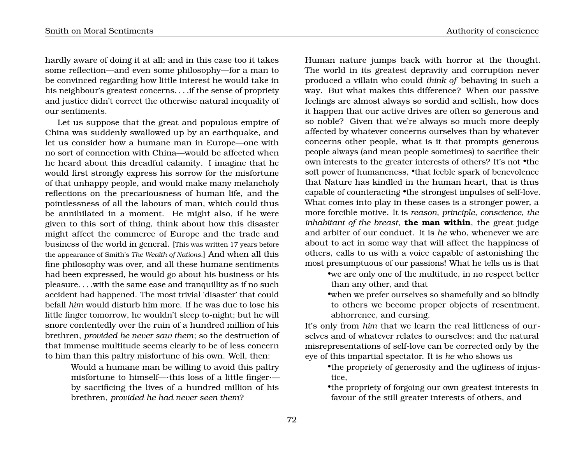hardly aware of doing it at all; and in this case too it takes some reflection—and even some philosophy—for a man to be convinced regarding how little interest he would take in his neighbour's greatest concerns. . . .if the sense of propriety and justice didn't correct the otherwise natural inequality of our sentiments.

Let us suppose that the great and populous empire of China was suddenly swallowed up by an earthquake, and let us consider how a humane man in Europe—one with no sort of connection with China—would be affected when he heard about this dreadful calamity. I imagine that he would first strongly express his sorrow for the misfortune of that unhappy people, and would make many melancholy reflections on the precariousness of human life, and the pointlessness of all the labours of man, which could thus be annihilated in a moment. He might also, if he were given to this sort of thing, think about how this disaster might affect the commerce of Europe and the trade and business of the world in general. [This was written 17 years before the appearance of Smith's *The Wealth of Nations*.] And when all this fine philosophy was over, and all these humane sentiments had been expressed, he would go about his business or his pleasure. . . .with the same ease and tranquillity as if no such accident had happened. The most trivial 'disaster' that could befall *him* would disturb him more. If he was due to lose his little finger tomorrow, he wouldn't sleep to-night; but he will snore contentedly over the ruin of a hundred million of his brethren, *provided he never saw them*; so the destruction of that immense multitude seems clearly to be of less concern to him than this paltry misfortune of his own. Well, then:

> Would a humane man be willing to avoid this paltry misfortune to himself—·this loss of a little finger· by sacrificing the lives of a hundred million of his brethren, *provided he had never seen them*?

Human nature jumps back with horror at the thought. The world in its greatest depravity and corruption never produced a villain who could *think of* behaving in such a way. But what makes this difference? When our passive feelings are almost always so sordid and selfish, how does it happen that our active drives are often so generous and so noble? Given that we're always so much more deeply affected by whatever concerns ourselves than by whatever concerns other people, what is it that prompts generous people always (and mean people sometimes) to sacrifice their own interests to the greater interests of others? It's not •the soft power of humaneness, •that feeble spark of benevolence that Nature has kindled in the human heart, that is thus capable of counteracting •the strongest impulses of self-love. What comes into play in these cases is a stronger power, a more forcible motive. It is *reason*, *principle*, *conscience*, *the inhabitant of the breast*, **the man within**, the great judge and arbiter of our conduct. It is *he* who, whenever we are about to act in some way that will affect the happiness of others, calls to us with a voice capable of astonishing the most presumptuous of our passions! What he tells us is that

•we are only one of the multitude, in no respect better than any other, and that

•when we prefer ourselves so shamefully and so blindly to others we become proper objects of resentment, abhorrence, and cursing.

It's only from *him* that we learn the real littleness of ourselves and of whatever relates to ourselves; and the natural misrepresentations of self-love can be corrected only by the eye of this impartial spectator. It is *he* who shows us

•the propriety of generosity and the ugliness of injustice,

•the propriety of forgoing our own greatest interests in favour of the still greater interests of others, and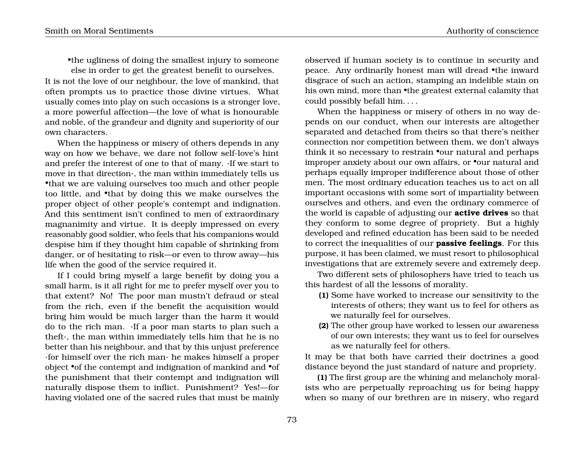•the ugliness of doing the smallest injury to someone else in order to get the greatest benefit to ourselves.

It is not the love of our neighbour, the love of mankind, that often prompts us to practice those divine virtues. What usually comes into play on such occasions is a stronger love, a more powerful affection—the love of what is honourable and noble, of the grandeur and dignity and superiority of our own characters.

When the happiness or misery of others depends in any way on how we behave, we dare not follow self-love's hint and prefer the interest of one to that of many. ·If we start to move in that direction·, the man within immediately tells us •that we are valuing ourselves too much and other people too little, and •that by doing this we make ourselves the proper object of other people's contempt and indignation. And this sentiment isn't confined to men of extraordinary magnanimity and virtue. It is deeply impressed on every reasonably good soldier, who feels that his companions would despise him if they thought him capable of shrinking from danger, or of hesitating to risk—or even to throw away—his life when the good of the service required it.

If I could bring myself a large benefit by doing you a small harm, is it all right for me to prefer myself over you to that extent? No! The poor man mustn't defraud or steal from the rich, even if the benefit the acquisition would bring him would be much larger than the harm it would do to the rich man. ·If a poor man starts to plan such a theft·, the man within immediately tells him that he is no better than his neighbour, and that by this unjust preference ·for himself over the rich man· he makes himself a proper object •of the contempt and indignation of mankind and •of the punishment that their contempt and indignation will naturally dispose them to inflict. Punishment? Yes!—for having violated one of the sacred rules that must be mainly

observed if human society is to continue in security and peace. Any ordinarily honest man will dread •the inward disgrace of such an action, stamping an indelible stain on his own mind, more than •the greatest external calamity that could possibly befall him. . . .

When the happiness or misery of others in no way depends on our conduct, when our interests are altogether separated and detached from theirs so that there's neither connection nor competition between them, we don't always think it so necessary to restrain **•**our natural and perhaps improper anxiety about our own affairs, or **•**our natural and perhaps equally improper indifference about those of other men. The most ordinary education teaches us to act on all important occasions with some sort of impartiality between ourselves and others, and even the ordinary commerce of the world is capable of adjusting our **active drives** so that they conform to some degree of propriety. But a highly developed and refined education has been said to be needed to correct the inequalities of our **passive feelings**. For this purpose, it has been claimed, we must resort to philosophical investigations that are extremely severe and extremely deep.

Two different sets of philosophers have tried to teach us this hardest of all the lessons of morality.

- **(1)** Some have worked to increase our sensitivity to the interests of others; they want us to feel for others as we naturally feel for ourselves.
- **(2)** The other group have worked to lessen our awareness of our own interests; they want us to feel for ourselves as we naturally feel for others.

It may be that both have carried their doctrines a good distance beyond the just standard of nature and propriety.

**(1)** The first group are the whining and melancholy moralists who are perpetually reproaching us for being happy when so many of our brethren are in misery, who regard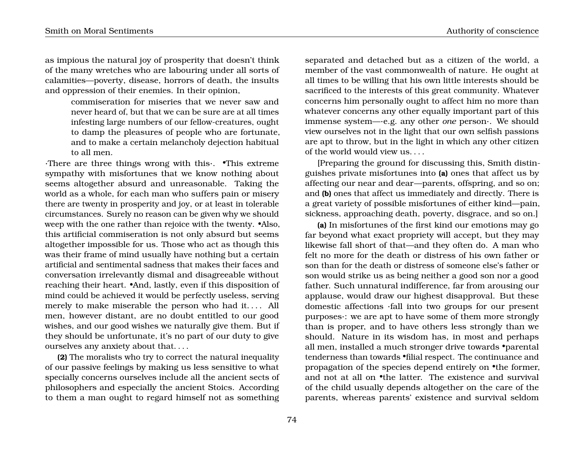as impious the natural joy of prosperity that doesn't think of the many wretches who are labouring under all sorts of calamities—poverty, disease, horrors of death, the insults and oppression of their enemies. In their opinion,

> commiseration for miseries that we never saw and never heard of, but that we can be sure are at all times infesting large numbers of our fellow-creatures, ought to damp the pleasures of people who are fortunate, and to make a certain melancholy dejection habitual to all men.

·There are three things wrong with this·. •This extreme sympathy with misfortunes that we know nothing about seems altogether absurd and unreasonable. Taking the world as a whole, for each man who suffers pain or misery there are twenty in prosperity and joy, or at least in tolerable circumstances. Surely no reason can be given why we should weep with the one rather than rejoice with the twenty. •Also, this artificial commiseration is not only absurd but seems altogether impossible for us. Those who act as though this was their frame of mind usually have nothing but a certain artificial and sentimental sadness that makes their faces and conversation irrelevantly dismal and disagreeable without reaching their heart. •And, lastly, even if this disposition of mind could be achieved it would be perfectly useless, serving merely to make miserable the person who had it.... All men, however distant, are no doubt entitled to our good wishes, and our good wishes we naturally give them. But if they should be unfortunate, it's no part of our duty to give ourselves any anxiety about that. . . .

**(2)** The moralists who try to correct the natural inequality of our passive feelings by making us less sensitive to what specially concerns ourselves include all the ancient sects of philosophers and especially the ancient Stoics. According to them a man ought to regard himself not as something

separated and detached but as a citizen of the world, a member of the vast commonwealth of nature. He ought at all times to be willing that his own little interests should be sacrificed to the interests of this great community. Whatever concerns him personally ought to affect him no more than whatever concerns any other equally important part of this immense system—·e.g. any other *one* person·. We should view ourselves not in the light that our own selfish passions are apt to throw, but in the light in which any other citizen of the world would view us. . . .

[Preparing the ground for discussing this, Smith distinguishes private misfortunes into **(a)** ones that affect us by affecting our near and dear—parents, offspring, and so on; and **(b)** ones that affect us immediately and directly. There is a great variety of possible misfortunes of either kind—pain, sickness, approaching death, poverty, disgrace, and so on.]

**(a)** In misfortunes of the first kind our emotions may go far beyond what exact propriety will accept, but they may likewise fall short of that—and they often do. A man who felt no more for the death or distress of his own father or son than for the death or distress of someone else's father or son would strike us as being neither a good son nor a good father. Such unnatural indifference, far from arousing our applause, would draw our highest disapproval. But these domestic affections ·fall into two groups for our present purposes·: we are apt to have some of them more strongly than is proper, and to have others less strongly than we should. Nature in its wisdom has, in most and perhaps all men, installed a much stronger drive towards •parental tenderness than towards •filial respect. The continuance and propagation of the species depend entirely on •the former, and not at all on •the latter. The existence and survival of the child usually depends altogether on the care of the parents, whereas parents' existence and survival seldom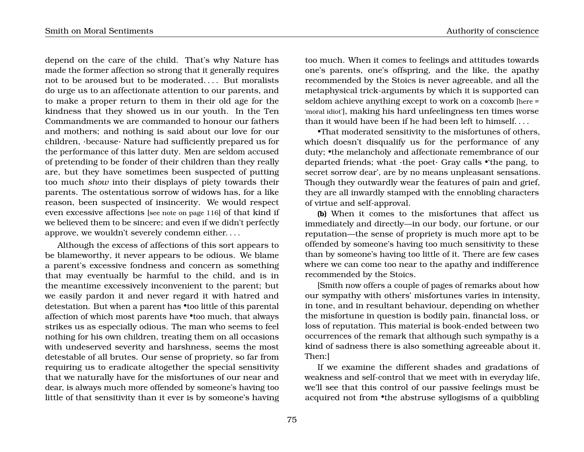depend on the care of the child. That's why Nature has made the former affection so strong that it generally requires not to be aroused but to be moderated. . . . But moralists do urge us to an affectionate attention to our parents, and to make a proper return to them in their old age for the kindness that they showed us in our youth. In the Ten Commandments we are commanded to honour our fathers and mothers; and nothing is said about our love for our children, ·because· Nature had sufficiently prepared us for the performance of this latter duty. Men are seldom accused of pretending to be fonder of their children than they really are, but they have sometimes been suspected of putting too much *show* into their displays of piety towards their parents. The ostentatious sorrow of widows has, for a like reason, been suspected of insincerity. We would respect even excessive affections [see note on page [116](#page-119-0)] of that kind if we believed them to be sincere; and even if we didn't perfectly approve, we wouldn't severely condemn either. . . .

Although the excess of affections of this sort appears to be blameworthy, it never appears to be odious. We blame a parent's excessive fondness and concern as something that may eventually be harmful to the child, and is in the meantime excessively inconvenient to the parent; but we easily pardon it and never regard it with hatred and detestation. But when a parent has •too little of this parental affection of which most parents have •too much, that always strikes us as especially odious. The man who seems to feel nothing for his own children, treating them on all occasions with undeserved severity and harshness, seems the most detestable of all brutes. Our sense of propriety, so far from requiring us to eradicate altogether the special sensitivity that we naturally have for the misfortunes of our near and dear, is always much more offended by someone's having too little of that sensitivity than it ever is by someone's having too much. When it comes to feelings and attitudes towards one's parents, one's offspring, and the like, the apathy recommended by the Stoics is never agreeable, and all the metaphysical trick-arguments by which it is supported can seldom achieve anything except to work on a coxcomb [here = 'moral idiot'], making his hard unfeelingness ten times worse than it would have been if he had been left to himself. . . .

•That moderated sensitivity to the misfortunes of others, which doesn't disqualify us for the performance of any duty; •the melancholy and affectionate remembrance of our departed friends; what ·the poet· Gray calls •'the pang, to secret sorrow dear', are by no means unpleasant sensations. Though they outwardly wear the features of pain and grief, they are all inwardly stamped with the ennobling characters of virtue and self-approval.

**(b)** When it comes to the misfortunes that affect us immediately and directly—in our body, our fortune, or our reputation—the sense of propriety is much more apt to be offended by someone's having too much sensitivity to these than by someone's having too little of it. There are few cases where we can come too near to the apathy and indifference recommended by the Stoics.

[Smith now offers a couple of pages of remarks about how our sympathy with others' misfortunes varies in intensity, in tone, and in resultant behaviour, depending on whether the misfortune in question is bodily pain, financial loss, or loss of reputation. This material is book-ended between two occurrences of the remark that although such sympathy is a kind of sadness there is also something agreeable about it. Then:]

If we examine the different shades and gradations of weakness and self-control that we meet with in everyday life, we'll see that this control of our passive feelings must be acquired not from •the abstruse syllogisms of a quibbling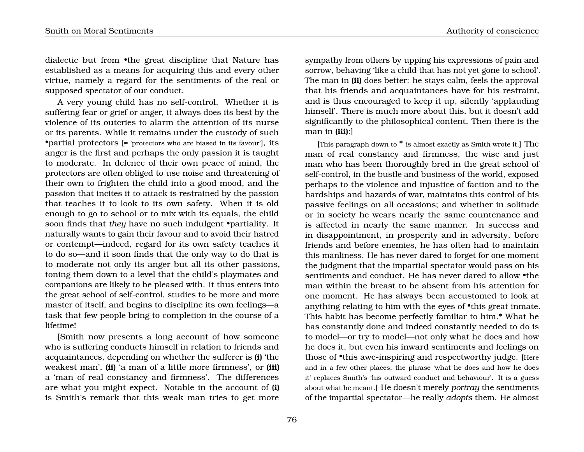dialectic but from •the great discipline that Nature has established as a means for acquiring this and every other virtue, namely a regard for the sentiments of the real or supposed spectator of our conduct.

A very young child has no self-control. Whether it is suffering fear or grief or anger, it always does its best by the violence of its outcries to alarm the attention of its nurse or its parents. While it remains under the custody of such •partial protectors [= 'protectors who are biased in its favour'], its anger is the first and perhaps the only passion it is taught to moderate. In defence of their own peace of mind, the protectors are often obliged to use noise and threatening of their own to frighten the child into a good mood, and the passion that incites it to attack is restrained by the passion that teaches it to look to its own safety. When it is old enough to go to school or to mix with its equals, the child soon finds that *they* have no such indulgent •partiality. It naturally wants to gain their favour and to avoid their hatred or contempt—indeed, regard for its own safety teaches it to do so—and it soon finds that the only way to do that is to moderate not only its anger but all its other passions, toning them down to a level that the child's playmates and companions are likely to be pleased with. It thus enters into the great school of self-control, studies to be more and more master of itself, and begins to discipline its own feelings—a task that few people bring to completion in the course of a lifetime!

[Smith now presents a long account of how someone who is suffering conducts himself in relation to friends and acquaintances, depending on whether the sufferer is **(i)** 'the weakest man', **(ii)** 'a man of a little more firmness', or **(iii)** a 'man of real constancy and firmness'. The differences are what you might expect. Notable in the account of **(i)** is Smith's remark that this weak man tries to get more

sympathy from others by upping his expressions of pain and sorrow, behaving 'like a child that has not yet gone to school'. The man in **(ii)** does better: he stays calm, feels the approval that his friends and acquaintances have for his restraint, and is thus encouraged to keep it up, silently 'applauding himself. There is much more about this, but it doesn't add significantly to the philosophical content. Then there is the man in **(iii)**:]

[This paragraph down to \* is almost exactly as Smith wrote it.] The man of real constancy and firmness, the wise and just man who has been thoroughly bred in the great school of self-control, in the bustle and business of the world, exposed perhaps to the violence and injustice of faction and to the hardships and hazards of war, maintains this control of his passive feelings on all occasions; and whether in solitude or in society he wears nearly the same countenance and is affected in nearly the same manner. In success and in disappointment, in prosperity and in adversity, before friends and before enemies, he has often had to maintain this manliness. He has never dared to forget for one moment the judgment that the impartial spectator would pass on his sentiments and conduct. He has never dared to allow •the man within the breast to be absent from his attention for one moment. He has always been accustomed to look at anything relating to him with the eyes of •this great inmate. This habit has become perfectly familiar to him.\* What he has constantly done and indeed constantly needed to do is to model—or try to model—not only what he does and how he does it, but even his inward sentiments and feelings on those of •this awe-inspiring and respectworthy judge. [Here and in a few other places, the phrase 'what he does and how he does it' replaces Smith's 'his outward conduct and behaviour'. It is a guess about what he meant.] He doesn't merely *portray* the sentiments of the impartial spectator—he really *adopts* them. He almost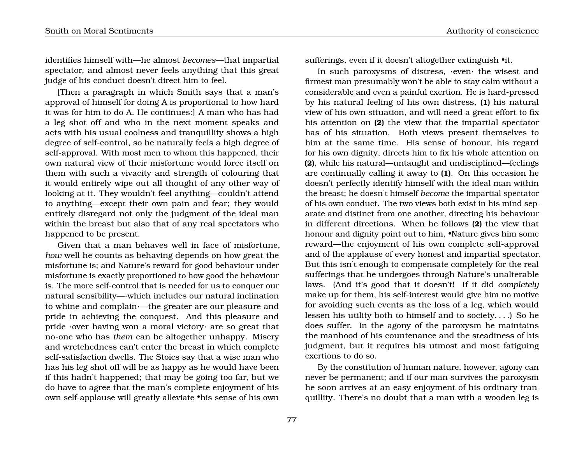identifies himself with—he almost *becomes*—that impartial spectator, and almost never feels anything that this great judge of his conduct doesn't direct him to feel.

[Then a paragraph in which Smith says that a man's approval of himself for doing A is proportional to how hard it was for him to do A. He continues:] A man who has had a leg shot off and who in the next moment speaks and acts with his usual coolness and tranquillity shows a high degree of self-control, so he naturally feels a high degree of self-approval. With most men to whom this happened, their own natural view of their misfortune would force itself on them with such a vivacity and strength of colouring that it would entirely wipe out all thought of any other way of looking at it. They wouldn't feel anything—couldn't attend to anything—except their own pain and fear; they would entirely disregard not only the judgment of the ideal man within the breast but also that of any real spectators who happened to be present.

Given that a man behaves well in face of misfortune, *how* well he counts as behaving depends on how great the misfortune is; and Nature's reward for good behaviour under misfortune is exactly proportioned to how good the behaviour is. The more self-control that is needed for us to conquer our natural sensibility—·which includes our natural inclination to whine and complain·—the greater are our pleasure and pride in achieving the conquest. And this pleasure and pride ·over having won a moral victory· are so great that no-one who has *them* can be altogether unhappy. Misery and wretchedness can't enter the breast in which complete self-satisfaction dwells. The Stoics say that a wise man who has his leg shot off will be as happy as he would have been if this hadn't happened; that may be going too far, but we do have to agree that the man's complete enjoyment of his own self-applause will greatly alleviate •his sense of his own

sufferings, even if it doesn't altogether extinguish •it.

In such paroxysms of distress, ·even· the wisest and firmest man presumably won't be able to stay calm without a considerable and even a painful exertion. He is hard-pressed by his natural feeling of his own distress, **(1)** his natural view of his own situation, and will need a great effort to fix his attention on **(2)** the view that the impartial spectator has of his situation. Both views present themselves to him at the same time. His sense of honour, his regard for his own dignity, directs him to fix his whole attention on **(2)**, while his natural—untaught and undisciplined—feelings are continually calling it away to **(1)**. On this occasion he doesn't perfectly identify himself with the ideal man within the breast; he doesn't himself *become* the impartial spectator of his own conduct. The two views both exist in his mind separate and distinct from one another, directing his behaviour in different directions. When he follows **(2)** the view that honour and dignity point out to him, •Nature gives him some reward—the enjoyment of his own complete self-approval and of the applause of every honest and impartial spectator. But this isn't enough to compensate completely for the real sufferings that he undergoes through Nature's unalterable laws. (And it's good that it doesn't! If it did *completely* make up for them, his self-interest would give him no motive for avoiding such events as the loss of a leg, which would lessen his utility both to himself and to society. . . .) So he does suffer. In the agony of the paroxysm he maintains the manhood of his countenance and the steadiness of his judgment, but it requires his utmost and most fatiguing exertions to do so.

By the constitution of human nature, however, agony can never be permanent; and if our man survives the paroxysm he soon arrives at an easy enjoyment of his ordinary tranquillity. There's no doubt that a man with a wooden leg is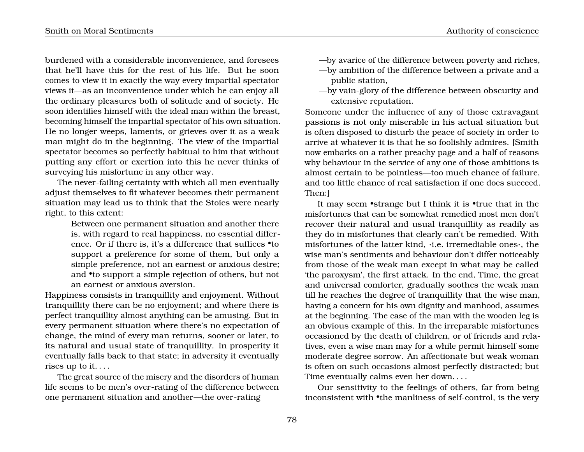burdened with a considerable inconvenience, and foresees that he'll have this for the rest of his life. But he soon comes to view it in exactly the way every impartial spectator views it—as an inconvenience under which he can enjoy all the ordinary pleasures both of solitude and of society. He soon identifies himself with the ideal man within the breast, becoming himself the impartial spectator of his own situation. He no longer weeps, laments, or grieves over it as a weak man might do in the beginning. The view of the impartial spectator becomes so perfectly habitual to him that without putting any effort or exertion into this he never thinks of surveying his misfortune in any other way.

The never-failing certainty with which all men eventually adjust themselves to fit whatever becomes their permanent situation may lead us to think that the Stoics were nearly right, to this extent:

> Between one permanent situation and another there is, with regard to real happiness, no essential difference. Or if there is, it's a difference that suffices •to support a preference for some of them, but only a simple preference, not an earnest or anxious desire; and •to support a simple rejection of others, but not an earnest or anxious aversion.

Happiness consists in tranquillity and enjoyment. Without tranquillity there can be no enjoyment; and where there is perfect tranquillity almost anything can be amusing. But in every permanent situation where there's no expectation of change, the mind of every man returns, sooner or later, to its natural and usual state of tranquillity. In prosperity it eventually falls back to that state; in adversity it eventually rises up to it. . . .

The great source of the misery and the disorders of human life seems to be men's over-rating of the difference between one permanent situation and another—the over-rating

- —by avarice of the difference between poverty and riches,
- —by ambition of the difference between a private and a public station,
- —by vain-glory of the difference between obscurity and extensive reputation.

Someone under the influence of any of those extravagant passions is not only miserable in his actual situation but is often disposed to disturb the peace of society in order to arrive at whatever it is that he so foolishly admires. [Smith now embarks on a rather preachy page and a half of reasons why behaviour in the service of any one of those ambitions is almost certain to be pointless—too much chance of failure, and too little chance of real satisfaction if one does succeed. Then:]

It may seem •strange but I think it is •true that in the misfortunes that can be somewhat remedied most men don't recover their natural and usual tranquillity as readily as they do in misfortunes that clearly can't be remedied. With misfortunes of the latter kind, ·i.e. irremediable ones·, the wise man's sentiments and behaviour don't differ noticeably from those of the weak man except in what may be called 'the paroxysm', the first attack. In the end, Time, the great and universal comforter, gradually soothes the weak man till he reaches the degree of tranquillity that the wise man, having a concern for his own dignity and manhood, assumes at the beginning. The case of the man with the wooden leg is an obvious example of this. In the irreparable misfortunes occasioned by the death of children, or of friends and relatives, even a wise man may for a while permit himself some moderate degree sorrow. An affectionate but weak woman is often on such occasions almost perfectly distracted; but Time eventually calms even her down. . . .

Our sensitivity to the feelings of others, far from being inconsistent with •the manliness of self-control, is the very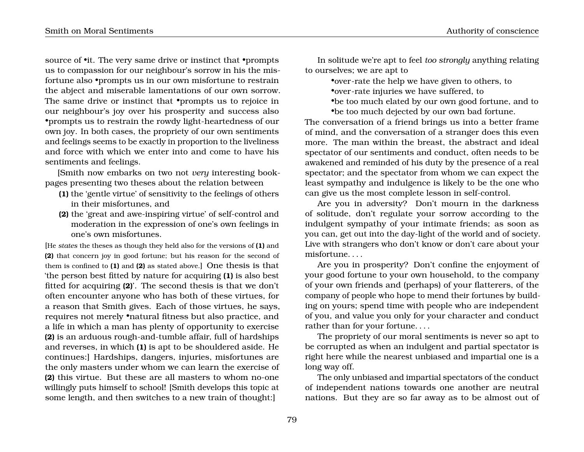source of •it. The very same drive or instinct that •prompts us to compassion for our neighbour's sorrow in his the misfortune also •prompts us in our own misfortune to restrain the abject and miserable lamentations of our own sorrow. The same drive or instinct that •prompts us to rejoice in our neighbour's joy over his prosperity and success also •prompts us to restrain the rowdy light-heartedness of our own joy. In both cases, the propriety of our own sentiments and feelings seems to be exactly in proportion to the liveliness and force with which we enter into and come to have his sentiments and feelings.

[Smith now embarks on two not *very* interesting bookpages presenting two theses about the relation between

- **(1)** the 'gentle virtue' of sensitivity to the feelings of others in their misfortunes, and
- **(2)** the 'great and awe-inspiring virtue' of self-control and moderation in the expression of one's own feelings in one's own misfortunes.

[He *states* the theses as though they held also for the versions of **(1)** and **(2)** that concern joy in good fortune; but his reason for the second of them is confined to **(1)** and **(2)** as stated above.] One thesis is that 'the person best fitted by nature for acquiring **(1)** is also best fitted for acquiring **(2)**'. The second thesis is that we don't often encounter anyone who has both of these virtues, for a reason that Smith gives. Each of those virtues, he says, requires not merely •natural fitness but also practice, and a life in which a man has plenty of opportunity to exercise **(2)** is an arduous rough-and-tumble affair, full of hardships and reverses, in which **(1)** is apt to be shouldered aside. He continues:] Hardships, dangers, injuries, misfortunes are the only masters under whom we can learn the exercise of **(2)** this virtue. But these are all masters to whom no-one willingly puts himself to school! [Smith develops this topic at some length, and then switches to a new train of thought:]

In solitude we're apt to feel *too strongly* anything relating to ourselves; we are apt to

•over-rate the help we have given to others, to

- •over-rate injuries we have suffered, to
- •be too much elated by our own good fortune, and to
- •be too much dejected by our own bad fortune.

The conversation of a friend brings us into a better frame of mind, and the conversation of a stranger does this even more. The man within the breast, the abstract and ideal spectator of our sentiments and conduct, often needs to be awakened and reminded of his duty by the presence of a real spectator; and the spectator from whom we can expect the least sympathy and indulgence is likely to be the one who can give us the most complete lesson in self-control.

Are you in adversity? Don't mourn in the darkness of solitude, don't regulate your sorrow according to the indulgent sympathy of your intimate friends; as soon as you can, get out into the day-light of the world and of society. Live with strangers who don't know or don't care about your misfortune. . . .

Are you in prosperity? Don't confine the enjoyment of your good fortune to your own household, to the company of your own friends and (perhaps) of your flatterers, of the company of people who hope to mend their fortunes by building on yours; spend time with people who are independent of you, and value you only for your character and conduct rather than for your fortune. . . .

The propriety of our moral sentiments is never so apt to be corrupted as when an indulgent and partial spectator is right here while the nearest unbiased and impartial one is a long way off.

The only unbiased and impartial spectators of the conduct of independent nations towards one another are neutral nations. But they are so far away as to be almost out of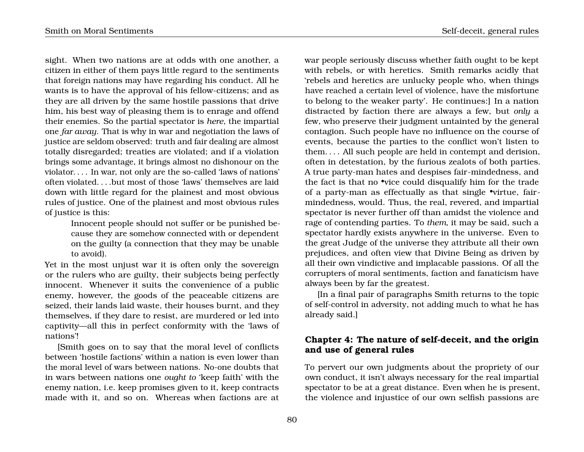sight. When two nations are at odds with one another, a citizen in either of them pays little regard to the sentiments that foreign nations may have regarding his conduct. All he wants is to have the approval of his fellow-citizens; and as they are all driven by the same hostile passions that drive him, his best way of pleasing them is to enrage and offend their enemies. So the partial spectator is *here*, the impartial one *far away*. That is why in war and negotiation the laws of justice are seldom observed: truth and fair dealing are almost totally disregarded; treaties are violated; and if a violation brings some advantage, it brings almost no dishonour on the violator. . . . In war, not only are the so-called 'laws of nations' often violated. . . .but most of those 'laws' themselves are laid down with little regard for the plainest and most obvious rules of justice. One of the plainest and most obvious rules of justice is this:

> Innocent people should not suffer or be punished because they are somehow connected with or dependent on the guilty (a connection that they may be unable to avoid).

Yet in the most unjust war it is often only the sovereign or the rulers who are guilty, their subjects being perfectly innocent. Whenever it suits the convenience of a public enemy, however, the goods of the peaceable citizens are seized, their lands laid waste, their houses burnt, and they themselves, if they dare to resist, are murdered or led into captivity—all this in perfect conformity with the 'laws of nations'!

[Smith goes on to say that the moral level of conflicts between 'hostile factions' within a nation is even lower than the moral level of wars between nations. No-one doubts that in wars between nations one *ought to* 'keep faith' with the enemy nation, i.e. keep promises given to it, keep contracts made with it, and so on. Whereas when factions are at war people seriously discuss whether faith ought to be kept with rebels, or with heretics. Smith remarks acidly that 'rebels and heretics are unlucky people who, when things have reached a certain level of violence, have the misfortune to belong to the weaker party'. He continues:] In a nation distracted by faction there are always a few, but *only* a few, who preserve their judgment untainted by the general contagion. Such people have no influence on the course of events, because the parties to the conflict won't listen to them. . . . All such people are held in contempt and derision, often in detestation, by the furious zealots of both parties. A true party-man hates and despises fair-mindedness, and the fact is that no •vice could disqualify him for the trade of a party-man as effectually as that single •virtue, fairmindedness, would. Thus, the real, revered, and impartial spectator is never further off than amidst the violence and rage of contending parties. To *them*, it may be said, such a spectator hardly exists anywhere in the universe. Even to the great Judge of the universe they attribute all their own prejudices, and often view that Divine Being as driven by all their own vindictive and implacable passions. Of all the corrupters of moral sentiments, faction and fanaticism have always been by far the greatest.

[In a final pair of paragraphs Smith returns to the topic of self-control in adversity, not adding much to what he has already said.]

# **Chapter 4: The nature of self-deceit, and the origin and use of general rules**

To pervert our own judgments about the propriety of our own conduct, it isn't always necessary for the real impartial spectator to be at a great distance. Even when he is present, the violence and injustice of our own selfish passions are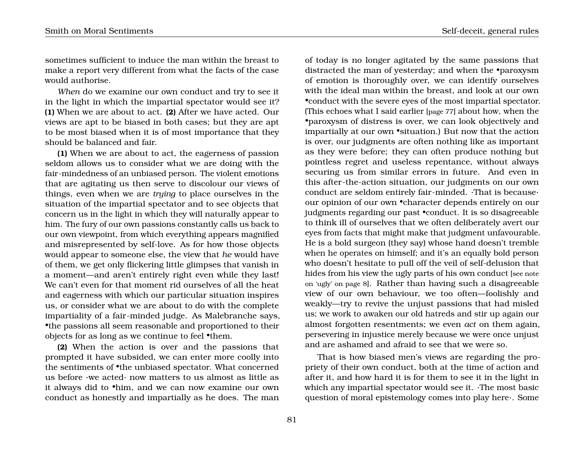sometimes sufficient to induce the man within the breast to make a report very different from what the facts of the case would authorise.

*When* do we examine our own conduct and try to see it in the light in which the impartial spectator would see it? **(1)** When we are about to act. **(2)** After we have acted. Our views are apt to be biased in both cases; but they are apt to be most biased when it is of most importance that they should be balanced and fair.

**(1)** When we are about to act, the eagerness of passion seldom allows us to consider what we are doing with the fair-mindedness of an unbiased person. The violent emotions that are agitating us then serve to discolour our views of things, even when we are *trying* to place ourselves in the situation of the impartial spectator and to see objects that concern us in the light in which they will naturally appear to him. The fury of our own passions constantly calls us back to our own viewpoint, from which everything appears magnified and misrepresented by self-love. As for how those objects would appear to someone else, the view that *he* would have of them, we get only flickering little glimpses that vanish in a moment—and aren't entirely right even while they last! We can't even for that moment rid ourselves of all the heat and eagerness with which our particular situation inspires us, or consider what we are about to do with the complete impartiality of a fair-minded judge. As Malebranche says, •the passions all seem reasonable and proportioned to their objects for as long as we continue to feel •them.

**(2)** When the action is over and the passions that prompted it have subsided, we can enter more coolly into the sentiments of •the unbiased spectator. What concerned us before ·we acted· now matters to us almost as little as it always did to •him, and we can now examine our own conduct as honestly and impartially as he does. The man

of today is no longer agitated by the same passions that distracted the man of yesterday; and when the •paroxysm of emotion is thoroughly over, we can identify ourselves with the ideal man within the breast, and look at our own •conduct with the severe eyes of the most impartial spectator. (This echoes what I said earlier [page [77](#page-74-0)] about how, when the •paroxysm of distress is over, we can look objectively and impartially at our own •situation.) But now that the action is over, our judgments are often nothing like as important as they were before; they can often produce nothing but pointless regret and useless repentance, without always securing us from similar errors in future. And even in this after-the-action situation, our judgments on our own conduct are seldom entirely fair-minded. ·That is because· our opinion of our own •character depends entirely on our judgments regarding our past •conduct. It is so disagreeable to think ill of ourselves that we often deliberately avert our eyes from facts that might make that judgment unfavourable. He is a bold surgeon (they say) whose hand doesn't tremble when he operates on himself; and it's an equally bold person who doesn't hesitate to pull off the veil of self-delusion that hides from his view the ugly parts of his own conduct [see note on 'ugly' on page [8](#page-11-0)]. Rather than having such a disagreeable view of our own behaviour, we too often—foolishly and weakly—try to revive the unjust passions that had misled us; we work to awaken our old hatreds and stir up again our almost forgotten resentments; we even *act* on them again, persevering in injustice merely because we were once unjust and are ashamed and afraid to see that we were so.

That is how biased men's views are regarding the propriety of their own conduct, both at the time of action and after it, and how hard it is for them to see it in the light in which any impartial spectator would see it. ·The most basic question of moral epistemology comes into play here·. Some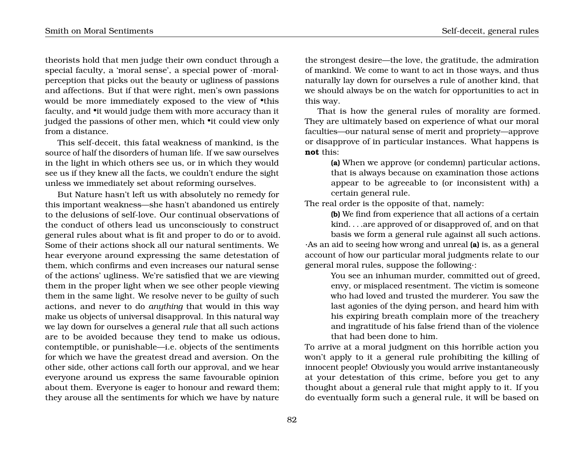theorists hold that men judge their own conduct through a special faculty, a 'moral sense', a special power of ·moral· perception that picks out the beauty or ugliness of passions and affections. But if that were right, men's own passions would be more immediately exposed to the view of *•this* faculty, and •it would judge them with more accuracy than it judged the passions of other men, which •it could view only from a distance.

This self-deceit, this fatal weakness of mankind, is the source of half the disorders of human life. If we saw ourselves in the light in which others see us, or in which they would see us if they knew all the facts, we couldn't endure the sight unless we immediately set about reforming ourselves.

But Nature hasn't left us with absolutely no remedy for this important weakness—she hasn't abandoned us entirely to the delusions of self-love. Our continual observations of the conduct of others lead us unconsciously to construct general rules about what is fit and proper to do or to avoid. Some of their actions shock all our natural sentiments. We hear everyone around expressing the same detestation of them, which confirms and even increases our natural sense of the actions' ugliness. We're satisfied that we are viewing them in the proper light when we see other people viewing them in the same light. We resolve never to be guilty of such actions, and never to do *anything* that would in this way make us objects of universal disapproval. In this natural way we lay down for ourselves a general *rule* that all such actions are to be avoided because they tend to make us odious, contemptible, or punishable—i.e. objects of the sentiments for which we have the greatest dread and aversion. On the other side, other actions call forth our approval, and we hear everyone around us express the same favourable opinion about them. Everyone is eager to honour and reward them; they arouse all the sentiments for which we have by nature

the strongest desire—the love, the gratitude, the admiration of mankind. We come to want to act in those ways, and thus naturally lay down for ourselves a rule of another kind, that we should always be on the watch for opportunities to act in this way.

That is how the general rules of morality are formed. They are ultimately based on experience of what our moral faculties—our natural sense of merit and propriety—approve or disapprove of in particular instances. What happens is **not** this:

**(a)** When we approve (or condemn) particular actions, that is always because on examination those actions appear to be agreeable to (or inconsistent with) a certain general rule.

The real order is the opposite of that, namely:

**(b)** We find from experience that all actions of a certain kind. . . .are approved of or disapproved of, and on that basis we form a general rule against all such actions. ·As an aid to seeing how wrong and unreal **(a)** is, as a general account of how our particular moral judgments relate to our general moral rules, suppose the following·:

You see an inhuman murder, committed out of greed, envy, or misplaced resentment. The victim is someone who had loved and trusted the murderer. You saw the last agonies of the dying person, and heard him with his expiring breath complain more of the treachery and ingratitude of his false friend than of the violence that had been done to him.

To arrive at a moral judgment on this horrible action you won't apply to it a general rule prohibiting the killing of innocent people! Obviously you would arrive instantaneously at your detestation of this crime, before you get to any thought about a general rule that might apply to it. If you do eventually form such a general rule, it will be based on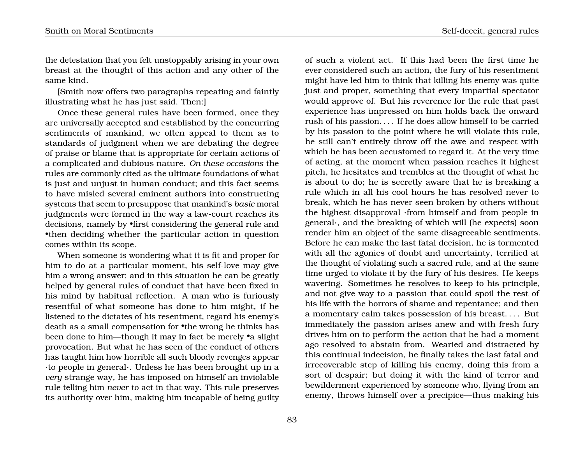the detestation that you felt unstoppably arising in your own breast at the thought of this action and any other of the same kind.

[Smith now offers two paragraphs repeating and faintly illustrating what he has just said. Then:]

Once these general rules have been formed, once they are universally accepted and established by the concurring sentiments of mankind, we often appeal to them as to standards of judgment when we are debating the degree of praise or blame that is appropriate for certain actions of a complicated and dubious nature. *On these occasions* the rules are commonly cited as the ultimate foundations of what is just and unjust in human conduct; and this fact seems to have misled several eminent authors into constructing systems that seem to presuppose that mankind's *basic* moral judgments were formed in the way a law-court reaches its decisions, namely by •first considering the general rule and •then deciding whether the particular action in question comes within its scope.

When someone is wondering what it is fit and proper for him to do at a particular moment, his self-love may give him a wrong answer; and in this situation he can be greatly helped by general rules of conduct that have been fixed in his mind by habitual reflection. A man who is furiously resentful of what someone has done to him might, if he listened to the dictates of his resentment, regard his enemy's death as a small compensation for •the wrong he thinks has been done to him—though it may in fact be merely •a slight provocation. But what he has seen of the conduct of others has taught him how horrible all such bloody revenges appear ·to people in general·. Unless he has been brought up in a *very* strange way, he has imposed on himself an inviolable rule telling him *never* to act in that way. This rule preserves its authority over him, making him incapable of being guilty

of such a violent act. If this had been the first time he ever considered such an action, the fury of his resentment might have led him to think that killing his enemy was quite just and proper, something that every impartial spectator would approve of. But his reverence for the rule that past experience has impressed on him holds back the onward rush of his passion. . . . If he does allow himself to be carried by his passion to the point where he will violate this rule, he still can't entirely throw off the awe and respect with which he has been accustomed to regard it. At the very time of acting, at the moment when passion reaches it highest pitch, he hesitates and trembles at the thought of what he is about to do; he is secretly aware that he is breaking a rule which in all his cool hours he has resolved never to break, which he has never seen broken by others without the highest disapproval ·from himself and from people in general·, and the breaking of which will (he expects) soon render him an object of the same disagreeable sentiments. Before he can make the last fatal decision, he is tormented with all the agonies of doubt and uncertainty, terrified at the thought of violating such a sacred rule, and at the same time urged to violate it by the fury of his desires. He keeps wavering. Sometimes he resolves to keep to his principle, and not give way to a passion that could spoil the rest of his life with the horrors of shame and repentance; and then a momentary calm takes possession of his breast. . . . But immediately the passion arises anew and with fresh fury drives him on to perform the action that he had a moment ago resolved to abstain from. Wearied and distracted by this continual indecision, he finally takes the last fatal and irrecoverable step of killing his enemy, doing this from a sort of despair; but doing it with the kind of terror and bewilderment experienced by someone who, flying from an enemy, throws himself over a precipice—thus making his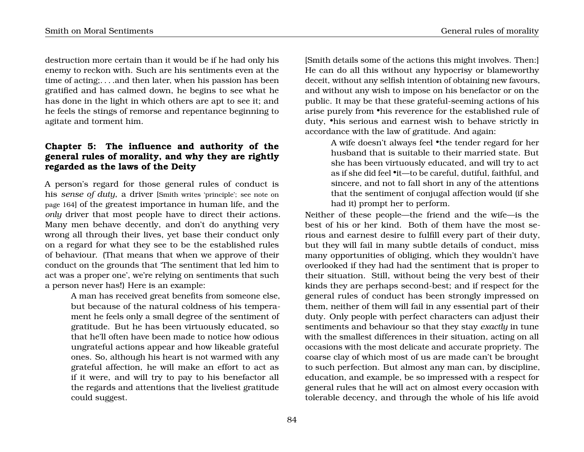destruction more certain than it would be if he had only his enemy to reckon with. Such are his sentiments even at the time of acting;. . . .and then later, when his passion has been gratified and has calmed down, he begins to see what he has done in the light in which others are apt to see it; and he feels the stings of remorse and repentance beginning to agitate and torment him.

# <span id="page-87-0"></span>**Chapter 5: The influence and authority of the general rules of morality, and why they are rightly regarded as the laws of the Deity**

A person's regard for those general rules of conduct is his *sense of duty*, a driver [Smith writes 'principle'; see note on page [164](#page-166-0)] of the greatest importance in human life, and the *only* driver that most people have to direct their actions. Many men behave decently, and don't do anything very wrong all through their lives, yet base their conduct only on a regard for what they see to be the established rules of behaviour. (That means that when we approve of their conduct on the grounds that 'The sentiment that led him to act was a proper one', we're relying on sentiments that such a person never has!) Here is an example:

> A man has received great benefits from someone else, but because of the natural coldness of his temperament he feels only a small degree of the sentiment of gratitude. But he has been virtuously educated, so that he'll often have been made to notice how odious ungrateful actions appear and how likeable grateful ones. So, although his heart is not warmed with any grateful affection, he will make an effort to act as if it were, and will try to pay to his benefactor all the regards and attentions that the liveliest gratitude could suggest.

[Smith details some of the actions this might involves. Then:] He can do all this without any hypocrisy or blameworthy deceit, without any selfish intention of obtaining new favours, and without any wish to impose on his benefactor or on the public. It may be that these grateful-seeming actions of his arise purely from •his reverence for the established rule of duty, •his serious and earnest wish to behave strictly in accordance with the law of gratitude. And again:

> A wife doesn't always feel •the tender regard for her husband that is suitable to their married state. But she has been virtuously educated, and will try to act as if she did feel •it—to be careful, dutiful, faithful, and sincere, and not to fall short in any of the attentions that the sentiment of conjugal affection would (if she had it) prompt her to perform.

Neither of these people—the friend and the wife—is the best of his or her kind. Both of them have the most serious and earnest desire to fulfill every part of their duty, but they will fail in many subtle details of conduct, miss many opportunities of obliging, which they wouldn't have overlooked if they had had the sentiment that is proper to their situation. Still, without being the very best of their kinds they are perhaps second-best; and if respect for the general rules of conduct has been strongly impressed on them, neither of them will fail in any essential part of their duty. Only people with perfect characters can adjust their sentiments and behaviour so that they stay *exactly* in tune with the smallest differences in their situation, acting on all occasions with the most delicate and accurate propriety. The coarse clay of which most of us are made can't be brought to such perfection. But almost any man can, by discipline, education, and example, be so impressed with a respect for general rules that he will act on almost every occasion with tolerable decency, and through the whole of his life avoid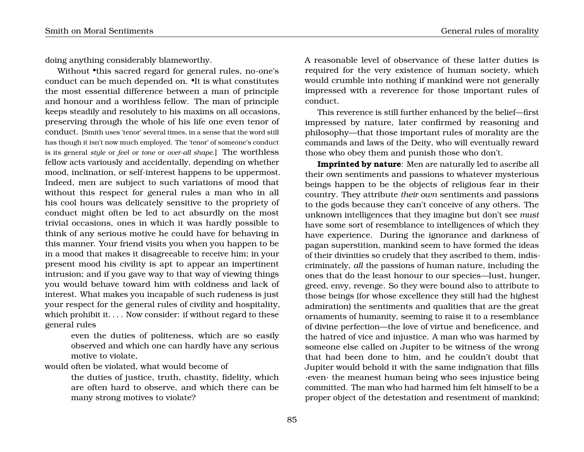doing anything considerably blameworthy.

Without •this sacred regard for general rules, no-one's conduct can be much depended on. •It is what constitutes the most essential difference between a man of principle and honour and a worthless fellow. The man of principle keeps steadily and resolutely to his maxims on all occasions, preserving through the whole of his life one even tenor of conduct. [Smith uses 'tenor' several times, in a sense that the word still has though it isn't now much employed. The 'tenor' of someone's conduct is its general *style* or *feel* or *tone* or *over-all shape*.] The worthless fellow acts variously and accidentally, depending on whether mood, inclination, or self-interest happens to be uppermost. Indeed, men are subject to such variations of mood that without this respect for general rules a man who in all his cool hours was delicately sensitive to the propriety of conduct might often be led to act absurdly on the most trivial occasions, ones in which it was hardly possible to think of any serious motive he could have for behaving in this manner. Your friend visits you when you happen to be in a mood that makes it disagreeable to receive him; in your present mood his civility is apt to appear an impertinent intrusion; and if you gave way to that way of viewing things you would behave toward him with coldness and lack of interest. What makes you incapable of such rudeness is just your respect for the general rules of civility and hospitality, which prohibit it.... Now consider: if without regard to these general rules

> even the duties of politeness, which are so easily observed and which one can hardly have any serious motive to violate,

would often be violated, what would become of

the duties of justice, truth, chastity, fidelity, which are often hard to observe, and which there can be many strong motives to violate?

A reasonable level of observance of these latter duties is required for the very existence of human society, which would crumble into nothing if mankind were not generally impressed with a reverence for those important rules of conduct.

This reverence is still further enhanced by the belief—first impressed by nature, later confirmed by reasoning and philosophy—that those important rules of morality are the commands and laws of the Deity, who will eventually reward those who obey them and punish those who don't.

**Imprinted by nature**: Men are naturally led to ascribe all their own sentiments and passions to whatever mysterious beings happen to be the objects of religious fear in their country. They attribute *their own* sentiments and passions to the gods because they can't conceive of any others. The unknown intelligences that they imagine but don't see *must* have some sort of resemblance to intelligences of which they have experience. During the ignorance and darkness of pagan superstition, mankind seem to have formed the ideas of their divinities so crudely that they ascribed to them, indiscriminately, *all* the passions of human nature, including the ones that do the least honour to our species—lust, hunger, greed, envy, revenge. So they were bound also to attribute to those beings (for whose excellence they still had the highest admiration) the sentiments and qualities that are the great ornaments of humanity, seeming to raise it to a resemblance of divine perfection—the love of virtue and beneficence, and the hatred of vice and injustice. A man who was harmed by someone else called on Jupiter to be witness of the wrong that had been done to him, and he couldn't doubt that Jupiter would behold it with the same indignation that fills ·even· the meanest human being who sees injustice being committed. The man who had harmed him felt himself to be a proper object of the detestation and resentment of mankind;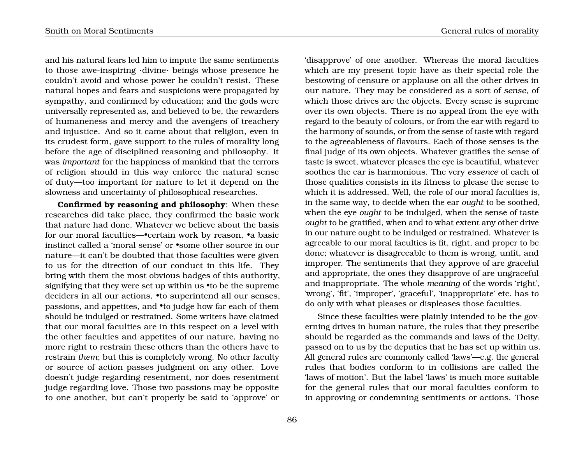and his natural fears led him to impute the same sentiments to those awe-inspiring ·divine· beings whose presence he couldn't avoid and whose power he couldn't resist. These natural hopes and fears and suspicions were propagated by sympathy, and confirmed by education; and the gods were universally represented as, and believed to be, the rewarders of humaneness and mercy and the avengers of treachery and injustice. And so it came about that religion, even in its crudest form, gave support to the rules of morality long before the age of disciplined reasoning and philosophy. It was *important* for the happiness of mankind that the terrors of religion should in this way enforce the natural sense of duty—too important for nature to let it depend on the slowness and uncertainty of philosophical researches.

**Confirmed by reasoning and philosophy**: When these researches did take place, they confirmed the basic work that nature had done. Whatever we believe about the basis for our moral faculties—•certain work by reason, •a basic instinct called a 'moral sense' or •some other source in our nature—it can't be doubted that those faculties were given to us for the direction of our conduct in this life. They bring with them the most obvious badges of this authority, signifying that they were set up within us •to be the supreme deciders in all our actions, •to superintend all our senses, passions, and appetites, and •to judge how far each of them should be indulged or restrained. Some writers have claimed that our moral faculties are in this respect on a level with the other faculties and appetites of our nature, having no more right to restrain these others than the others have to restrain *them*; but this is completely wrong. No other faculty or source of action passes judgment on any other. Love doesn't judge regarding resentment, nor does resentment judge regarding love. Those two passions may be opposite to one another, but can't properly be said to 'approve' or which are my present topic have as their special role the bestowing of censure or applause on all the other drives in our nature. They may be considered as a sort of *sense*, of which those drives are the objects. Every sense is supreme over its own objects. There is no appeal from the eye with regard to the beauty of colours, or from the ear with regard to the harmony of sounds, or from the sense of taste with regard to the agreeableness of flavours. Each of those senses is the final judge of its own objects. Whatever gratifies the sense of taste is sweet, whatever pleases the eye is beautiful, whatever soothes the ear is harmonious. The very *essence* of each of those qualities consists in its fitness to please the sense to which it is addressed. Well, the role of our moral faculties is, in the same way, to decide when the ear *ought* to be soothed, when the eye *ought* to be indulged, when the sense of taste *ought* to be gratified, when and to what extent any other drive in our nature ought to be indulged or restrained. Whatever is agreeable to our moral faculties is fit, right, and proper to be done; whatever is disagreeable to them is wrong, unfit, and improper. The sentiments that they approve of are graceful and appropriate, the ones they disapprove of are ungraceful and inappropriate. The whole *meaning* of the words 'right', 'wrong', 'fit', 'improper', 'graceful', 'inappropriate' etc. has to do only with what pleases or displeases those faculties.

'disapprove' of one another. Whereas the moral faculties

Since these faculties were plainly intended to be the governing drives in human nature, the rules that they prescribe should be regarded as the commands and laws of the Deity, passed on to us by the deputies that he has set up within us. All general rules are commonly called 'laws'—e.g. the general rules that bodies conform to in collisions are called the 'laws of motion'. But the label 'laws' is much more suitable for the general rules that our moral faculties conform to in approving or condemning sentiments or actions. Those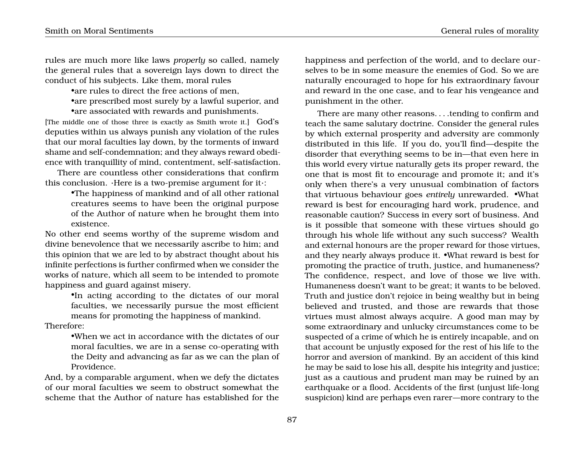rules are much more like laws *properly* so called, namely the general rules that a sovereign lays down to direct the conduct of his subjects. Like them, moral rules

•are rules to direct the free actions of men,

•are prescribed most surely by a lawful superior, and •are associated with rewards and punishments.

[The middle one of those three is exactly as Smith wrote it.] God's deputies within us always punish any violation of the rules that our moral faculties lay down, by the torments of inward shame and self-condemnation; and they always reward obedience with tranquillity of mind, contentment, self-satisfaction.

There are countless other considerations that confirm this conclusion. ·Here is a two-premise argument for it·:

> •The happiness of mankind and of all other rational creatures seems to have been the original purpose of the Author of nature when he brought them into existence.

No other end seems worthy of the supreme wisdom and divine benevolence that we necessarily ascribe to him; and this opinion that we are led to by abstract thought about his infinite perfections is further confirmed when we consider the works of nature, which all seem to be intended to promote happiness and guard against misery.

> •In acting according to the dictates of our moral faculties, we necessarily pursue the most efficient means for promoting the happiness of mankind.

#### Therefore:

•When we act in accordance with the dictates of our moral faculties, we are in a sense co-operating with the Deity and advancing as far as we can the plan of Providence.

And, by a comparable argument, when we defy the dictates of our moral faculties we seem to obstruct somewhat the scheme that the Author of nature has established for the happiness and perfection of the world, and to declare ourselves to be in some measure the enemies of God. So we are naturally encouraged to hope for his extraordinary favour and reward in the one case, and to fear his vengeance and punishment in the other.

There are many other reasons. . . .tending to confirm and teach the same salutary doctrine. Consider the general rules by which external prosperity and adversity are commonly distributed in this life. If you do, you'll find—despite the disorder that everything seems to be in—that even here in this world every virtue naturally gets its proper reward, the one that is most fit to encourage and promote it; and it's only when there's a very unusual combination of factors that virtuous behaviour goes *entirely* unrewarded. •What reward is best for encouraging hard work, prudence, and reasonable caution? Success in every sort of business. And is it possible that someone with these virtues should go through his whole life without any such success? Wealth and external honours are the proper reward for those virtues, and they nearly always produce it. •What reward is best for promoting the practice of truth, justice, and humaneness? The confidence, respect, and love of those we live with. Humaneness doesn't want to be great; it wants to be beloved. Truth and justice don't rejoice in being wealthy but in being believed and trusted, and those are rewards that those virtues must almost always acquire. A good man may by some extraordinary and unlucky circumstances come to be suspected of a crime of which he is entirely incapable, and on that account be unjustly exposed for the rest of his life to the horror and aversion of mankind. By an accident of this kind he may be said to lose his all, despite his integrity and justice; just as a cautious and prudent man may be ruined by an earthquake or a flood. Accidents of the first (unjust life-long suspicion) kind are perhaps even rarer—more contrary to the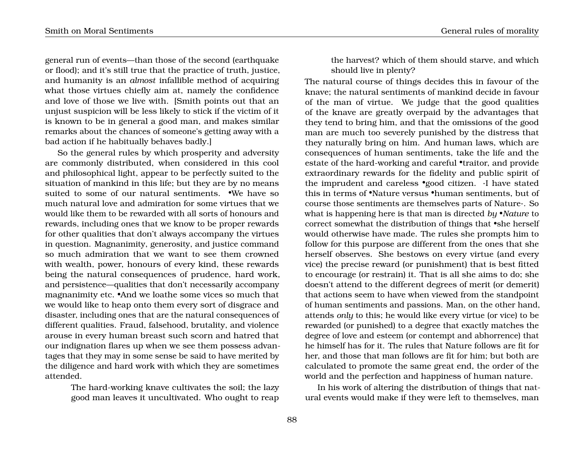general run of events—than those of the second (earthquake or flood); and it's still true that the practice of truth, justice, and humanity is an *almost* infallible method of acquiring what those virtues chiefly aim at, namely the confidence and love of those we live with. [Smith points out that an unjust suspicion will be less likely to stick if the victim of it is known to be in general a good man, and makes similar remarks about the chances of someone's getting away with a bad action if he habitually behaves badly.]

So the general rules by which prosperity and adversity are commonly distributed, when considered in this cool and philosophical light, appear to be perfectly suited to the situation of mankind in this life; but they are by no means suited to some of our natural sentiments. •We have so much natural love and admiration for some virtues that we would like them to be rewarded with all sorts of honours and rewards, including ones that we know to be proper rewards for other qualities that don't always accompany the virtues in question. Magnanimity, generosity, and justice command so much admiration that we want to see them crowned with wealth, power, honours of every kind, these rewards being the natural consequences of prudence, hard work, and persistence—qualities that don't necessarily accompany magnanimity etc. •And we loathe some vices so much that we would like to heap onto them every sort of disgrace and disaster, including ones that are the natural consequences of different qualities. Fraud, falsehood, brutality, and violence arouse in every human breast such scorn and hatred that our indignation flares up when we see them possess advantages that they may in some sense be said to have merited by the diligence and hard work with which they are sometimes attended.

> The hard-working knave cultivates the soil; the lazy good man leaves it uncultivated. Who ought to reap

the harvest? which of them should starve, and which should live in plenty?

The natural course of things decides this in favour of the knave; the natural sentiments of mankind decide in favour of the man of virtue. We judge that the good qualities of the knave are greatly overpaid by the advantages that they tend to bring him, and that the omissions of the good man are much too severely punished by the distress that they naturally bring on him. And human laws, which are consequences of human sentiments, take the life and the estate of the hard-working and careful •traitor, and provide extraordinary rewards for the fidelity and public spirit of the imprudent and careless •good citizen. ·I have stated this in terms of •Nature versus •human sentiments, but of course those sentiments are themselves parts of Nature·. So what is happening here is that man is directed *by* •*Nature* to correct somewhat the distribution of things that •she herself would otherwise have made. The rules she prompts him to follow for this purpose are different from the ones that she herself observes. She bestows on every virtue (and every vice) the precise reward (or punishment) that is best fitted to encourage (or restrain) it. That is all she aims to do; she doesn't attend to the different degrees of merit (or demerit) that actions seem to have when viewed from the standpoint of human sentiments and passions. Man, on the other hand, attends *only* to this; he would like every virtue (or vice) to be rewarded (or punished) to a degree that exactly matches the degree of love and esteem (or contempt and abhorrence) that he himself has for it. The rules that Nature follows are fit for her, and those that man follows are fit for him; but both are calculated to promote the same great end, the order of the world and the perfection and happiness of human nature.

In his work of altering the distribution of things that natural events would make if they were left to themselves, man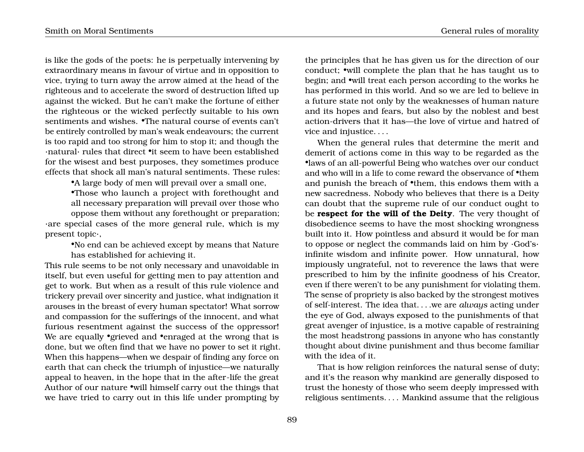is like the gods of the poets: he is perpetually intervening by extraordinary means in favour of virtue and in opposition to vice, trying to turn away the arrow aimed at the head of the righteous and to accelerate the sword of destruction lifted up against the wicked. But he can't make the fortune of either the righteous or the wicked perfectly suitable to his own sentiments and wishes. •The natural course of events can't be entirely controlled by man's weak endeavours; the current is too rapid and too strong for him to stop it; and though the ·natural· rules that direct •it seem to have been established for the wisest and best purposes, they sometimes produce effects that shock all man's natural sentiments. These rules:

•A large body of men will prevail over a small one,

•Those who launch a project with forethought and all necessary preparation will prevail over those who oppose them without any forethought or preparation; ·are special cases of the more general rule, which is my present topic·,

> •No end can be achieved except by means that Nature has established for achieving it.

This rule seems to be not only necessary and unavoidable in itself, but even useful for getting men to pay attention and get to work. But when as a result of this rule violence and trickery prevail over sincerity and justice, what indignation it arouses in the breast of every human spectator! What sorrow and compassion for the sufferings of the innocent, and what furious resentment against the success of the oppressor! We are equally **•**grieved and •enraged at the wrong that is done, but we often find that we have no power to set it right. When this happens—when we despair of finding any force on earth that can check the triumph of injustice—we naturally appeal to heaven, in the hope that in the after-life the great Author of our nature •will himself carry out the things that we have tried to carry out in this life under prompting by

the principles that he has given us for the direction of our conduct; •will complete the plan that he has taught us to begin; and •will treat each person according to the works he has performed in this world. And so we are led to believe in a future state not only by the weaknesses of human nature and its hopes and fears, but also by the noblest and best action-drivers that it has—the love of virtue and hatred of vice and injustice. . . .

When the general rules that determine the merit and demerit of actions come in this way to be regarded as the •laws of an all-powerful Being who watches over our conduct and who will in a life to come reward the observance of •them and punish the breach of •them, this endows them with a new sacredness. Nobody who believes that there is a Deity can doubt that the supreme rule of our conduct ought to be **respect for the will of the Deity**. The very thought of disobedience seems to have the most shocking wrongness built into it. How pointless and absurd it would be for man to oppose or neglect the commands laid on him by ·God's· infinite wisdom and infinite power. How unnatural, how impiously ungrateful, not to reverence the laws that were prescribed to him by the infinite goodness of his Creator, even if there weren't to be any punishment for violating them. The sense of propriety is also backed by the strongest motives of self-interest. The idea that. . . .we are *always* acting under the eye of God, always exposed to the punishments of that great avenger of injustice, is a motive capable of restraining the most headstrong passions in anyone who has constantly thought about divine punishment and thus become familiar with the idea of it.

That is how religion reinforces the natural sense of duty; and it's the reason why mankind are generally disposed to trust the honesty of those who seem deeply impressed with religious sentiments. . . . Mankind assume that the religious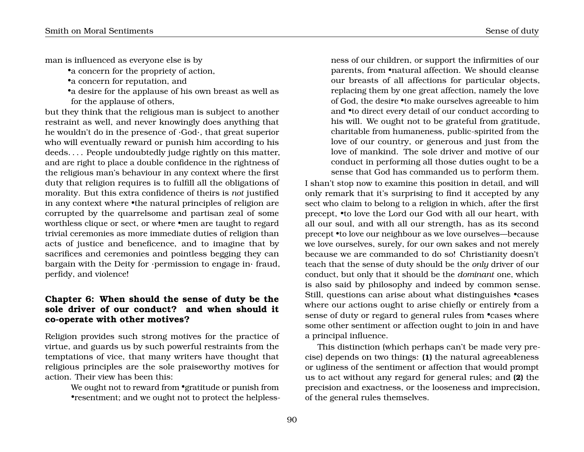man is influenced as everyone else is by

•a concern for the propriety of action,

•a concern for reputation, and

•a desire for the applause of his own breast as well as for the applause of others,

but they think that the religious man is subject to another restraint as well, and never knowingly does anything that he wouldn't do in the presence of ·God·, that great superior who will eventually reward or punish him according to his deeds. . . . People undoubtedly judge rightly on this matter, and are right to place a double confidence in the rightness of the religious man's behaviour in any context where the first duty that religion requires is to fulfill all the obligations of morality. But this extra confidence of theirs is *not* justified in any context where •the natural principles of religion are corrupted by the quarrelsome and partisan zeal of some worthless clique or sect, or where •men are taught to regard trivial ceremonies as more immediate duties of religion than acts of justice and beneficence, and to imagine that by sacrifices and ceremonies and pointless begging they can bargain with the Deity for ·permission to engage in· fraud, perfidy, and violence!

### **Chapter 6: When should the sense of duty be the sole driver of our conduct? and when should it co-operate with other motives?**

Religion provides such strong motives for the practice of virtue, and guards us by such powerful restraints from the temptations of vice, that many writers have thought that religious principles are the sole praiseworthy motives for action. Their view has been this:

> We ought not to reward from •gratitude or punish from •resentment; and we ought not to protect the helpless

ness of our children, or support the infirmities of our parents, from •natural affection. We should cleanse our breasts of all affections for particular objects, replacing them by one great affection, namely the love of God, the desire •to make ourselves agreeable to him and •to direct every detail of our conduct according to his will. We ought not to be grateful from gratitude, charitable from humaneness, public-spirited from the love of our country, or generous and just from the love of mankind. The sole driver and motive of our conduct in performing all those duties ought to be a sense that God has commanded us to perform them.

I shan't stop now to examine this position in detail, and will only remark that it's surprising to find it accepted by any sect who claim to belong to a religion in which, after the first precept, •to love the Lord our God with all our heart, with all our soul, and with all our strength, has as its second precept •to love our neighbour as we love ourselves—because we love ourselves, surely, for our own sakes and not merely because we are commanded to do so! Christianity doesn't teach that the sense of duty should be the *only* driver of our conduct, but only that it should be the *dominant* one, which is also said by philosophy and indeed by common sense. Still, questions can arise about what distinguishes •cases where our actions ought to arise chiefly or entirely from a sense of duty or regard to general rules from **•**cases where some other sentiment or affection ought to join in and have a principal influence.

This distinction (which perhaps can't be made very precise) depends on two things: **(1)** the natural agreeableness or ugliness of the sentiment or affection that would prompt us to act without any regard for general rules; and **(2)** the precision and exactness, or the looseness and imprecision, of the general rules themselves.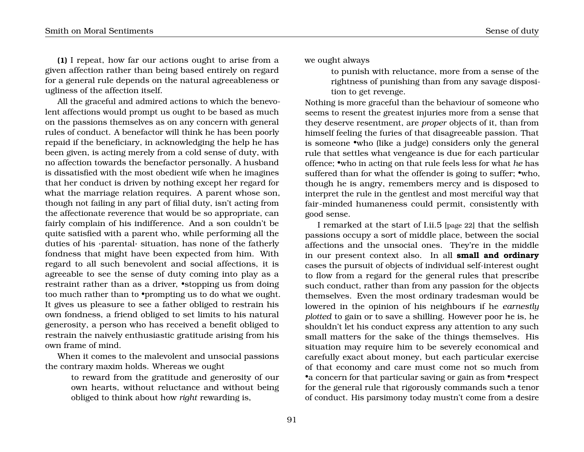**(1)** I repeat, how far our actions ought to arise from a given affection rather than being based entirely on regard for a general rule depends on the natural agreeableness or ugliness of the affection itself.

All the graceful and admired actions to which the benevolent affections would prompt us ought to be based as much on the passions themselves as on any concern with general rules of conduct. A benefactor will think he has been poorly repaid if the beneficiary, in acknowledging the help he has been given, is acting merely from a cold sense of duty, with no affection towards the benefactor personally. A husband is dissatisfied with the most obedient wife when he imagines that her conduct is driven by nothing except her regard for what the marriage relation requires. A parent whose son, though not failing in any part of filial duty, isn't acting from the affectionate reverence that would be so appropriate, can fairly complain of his indifference. And a son couldn't be quite satisfied with a parent who, while performing all the duties of his ·parental· situation, has none of the fatherly fondness that might have been expected from him. With regard to all such benevolent and social affections, it is agreeable to see the sense of duty coming into play as a restraint rather than as a driver, •stopping us from doing too much rather than to •prompting us to do what we ought. It gives us pleasure to see a father obliged to restrain his own fondness, a friend obliged to set limits to his natural generosity, a person who has received a benefit obliged to restrain the naively enthusiastic gratitude arising from his own frame of mind.

When it comes to the malevolent and unsocial passions the contrary maxim holds. Whereas we ought

> to reward from the gratitude and generosity of our own hearts, without reluctance and without being obliged to think about how *right* rewarding is,

we ought always

to punish with reluctance, more from a sense of the rightness of punishing than from any savage disposition to get revenge.

Nothing is more graceful than the behaviour of someone who seems to resent the greatest injuries more from a sense that they deserve resentment, are *proper* objects of it, than from himself feeling the furies of that disagreeable passion. That is someone •who (like a judge) considers only the general rule that settles what vengeance is due for each particular offence; •who in acting on that rule feels less for what *he* has suffered than for what the offender is going to suffer; •who, though he is angry, remembers mercy and is disposed to interpret the rule in the gentlest and most merciful way that fair-minded humaneness could permit, consistently with good sense.

I remarked at the start of I.ii.5 [page [22](#page-25-0)] that the selfish passions occupy a sort of middle place, between the social affections and the unsocial ones. They're in the middle in our present context also. In all **small and ordinary** cases the pursuit of objects of individual self-interest ought to flow from a regard for the general rules that prescribe such conduct, rather than from any passion for the objects themselves. Even the most ordinary tradesman would be lowered in the opinion of his neighbours if he *earnestly plotted* to gain or to save a shilling. However poor he is, he shouldn't let his conduct express any attention to any such small matters for the sake of the things themselves. His situation may require him to be severely economical and carefully exact about money, but each particular exercise of that economy and care must come not so much from •a concern for that particular saving or gain as from •respect for the general rule that rigorously commands such a tenor of conduct. His parsimony today mustn't come from a desire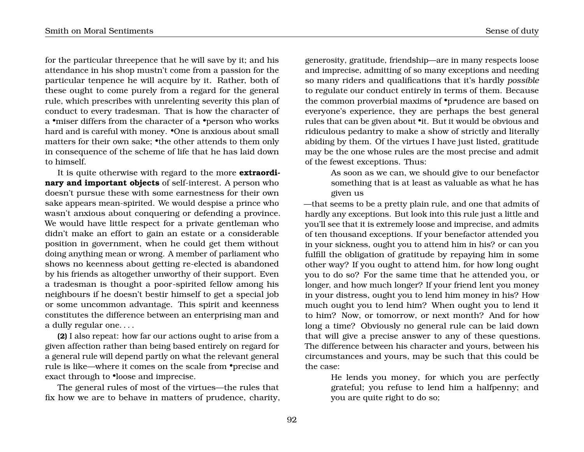for the particular threepence that he will save by it; and his attendance in his shop mustn't come from a passion for the particular tenpence he will acquire by it. Rather, both of these ought to come purely from a regard for the general rule, which prescribes with unrelenting severity this plan of conduct to every tradesman. That is how the character of a •miser differs from the character of a •person who works hard and is careful with money.  $\bullet$ One is anxious about small matters for their own sake; •the other attends to them only in consequence of the scheme of life that he has laid down to himself.

It is quite otherwise with regard to the more **extraordinary and important objects** of self-interest. A person who doesn't pursue these with some earnestness for their own sake appears mean-spirited. We would despise a prince who wasn't anxious about conquering or defending a province. We would have little respect for a private gentleman who didn't make an effort to gain an estate or a considerable position in government, when he could get them without doing anything mean or wrong. A member of parliament who shows no keenness about getting re-elected is abandoned by his friends as altogether unworthy of their support. Even a tradesman is thought a poor-spirited fellow among his neighbours if he doesn't bestir himself to get a special job or some uncommon advantage. This spirit and keenness constitutes the difference between an enterprising man and a dully regular one. . . .

**(2)** I also repeat: how far our actions ought to arise from a given affection rather than being based entirely on regard for a general rule will depend partly on what the relevant general rule is like—where it comes on the scale from •precise and exact through to •loose and imprecise.

The general rules of most of the virtues—the rules that fix how we are to behave in matters of prudence, charity,

generosity, gratitude, friendship—are in many respects loose and imprecise, admitting of so many exceptions and needing so many riders and qualifications that it's hardly *possible* to regulate our conduct entirely in terms of them. Because the common proverbial maxims of •prudence are based on everyone's experience, they are perhaps the best general rules that can be given about •it. But it would be obvious and ridiculous pedantry to make a show of strictly and literally abiding by them. Of the virtues I have just listed, gratitude may be the one whose rules are the most precise and admit of the fewest exceptions. Thus:

> As soon as we can, we should give to our benefactor something that is at least as valuable as what he has given us

—that seems to be a pretty plain rule, and one that admits of hardly any exceptions. But look into this rule just a little and you'll see that it is extremely loose and imprecise, and admits of ten thousand exceptions. If your benefactor attended you in your sickness, ought you to attend him in his? or can you fulfill the obligation of gratitude by repaying him in some other way? If you ought to attend him, for how long ought you to do so? For the same time that he attended you, or longer, and how much longer? If your friend lent you money in your distress, ought you to lend him money in his? How much ought you to lend him? When ought you to lend it to him? Now, or tomorrow, or next month? And for how long a time? Obviously no general rule can be laid down that will give a precise answer to any of these questions. The difference between his character and yours, between his circumstances and yours, may be such that this could be the case:

> He lends you money, for which you are perfectly grateful; you refuse to lend him a halfpenny; and you are quite right to do so;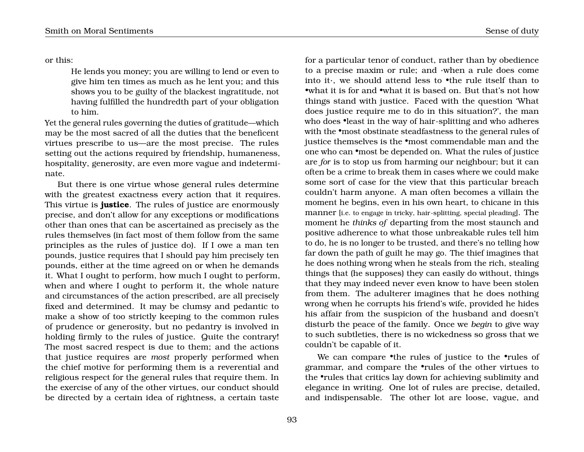or this:

He lends you money; you are willing to lend or even to give him ten times as much as he lent you; and this shows you to be guilty of the blackest ingratitude, not having fulfilled the hundredth part of your obligation to him.

Yet the general rules governing the duties of gratitude—which may be the most sacred of all the duties that the beneficent virtues prescribe to us—are the most precise. The rules setting out the actions required by friendship, humaneness, hospitality, generosity, are even more vague and indeterminate.

But there is one virtue whose general rules determine with the greatest exactness every action that it requires. This virtue is **justice**. The rules of justice are enormously precise, and don't allow for any exceptions or modifications other than ones that can be ascertained as precisely as the rules themselves (in fact most of them follow from the same principles as the rules of justice do). If I owe a man ten pounds, justice requires that I should pay him precisely ten pounds, either at the time agreed on or when he demands it. What I ought to perform, how much I ought to perform, when and where I ought to perform it, the whole nature and circumstances of the action prescribed, are all precisely fixed and determined. It may be clumsy and pedantic to make a show of too strictly keeping to the common rules of prudence or generosity, but no pedantry is involved in holding firmly to the rules of justice. Quite the contrary! The most sacred respect is due to them; and the actions that justice requires are *most* properly performed when the chief motive for performing them is a reverential and religious respect for the general rules that require them. In the exercise of any of the other virtues, our conduct should be directed by a certain idea of rightness, a certain taste

for a particular tenor of conduct, rather than by obedience to a precise maxim or rule; and ·when a rule does come into it·, we should attend less to •the rule itself than to •what it is for and •what it is based on. But that's not how things stand with justice. Faced with the question 'What does justice require me to do in this situation?', the man who does •least in the way of hair-splitting and who adheres with the •most obstinate steadfastness to the general rules of justice themselves is the •most commendable man and the one who can •most be depended on. What the rules of justice are *for* is to stop us from harming our neighbour; but it can often be a crime to break them in cases where we could make some sort of case for the view that this particular breach couldn't harm anyone. A man often becomes a villain the moment he begins, even in his own heart, to chicane in this manner [i.e. to engage in tricky, hair-splitting, special pleading]. The moment he *thinks of* departing from the most staunch and positive adherence to what those unbreakable rules tell him to do, he is no longer to be trusted, and there's no telling how far down the path of guilt he may go. The thief imagines that he does nothing wrong when he steals from the rich, stealing things that (he supposes) they can easily do without, things that they may indeed never even know to have been stolen from them. The adulterer imagines that he does nothing wrong when he corrupts his friend's wife, provided he hides his affair from the suspicion of the husband and doesn't disturb the peace of the family. Once we *begin* to give way to such subtleties, there is no wickedness so gross that we couldn't be capable of it.

We can compare •the rules of justice to the •rules of grammar, and compare the •rules of the other virtues to the •rules that critics lay down for achieving sublimity and elegance in writing. One lot of rules are precise, detailed, and indispensable. The other lot are loose, vague, and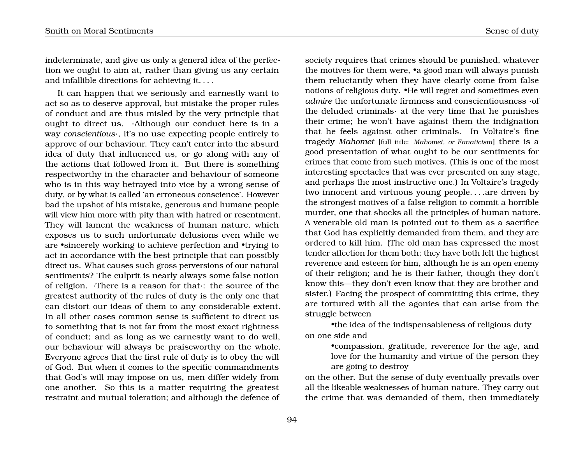indeterminate, and give us only a general idea of the perfection we ought to aim at, rather than giving us any certain and infallible directions for achieving it. . . .

It can happen that we seriously and earnestly want to act so as to deserve approval, but mistake the proper rules of conduct and are thus misled by the very principle that ought to direct us. ·Although our conduct here is in a way *conscientious*·, it's no use expecting people entirely to approve of our behaviour. They can't enter into the absurd idea of duty that influenced us, or go along with any of the actions that followed from it. But there is something respectworthy in the character and behaviour of someone who is in this way betrayed into vice by a wrong sense of duty, or by what is called 'an erroneous conscience'. However bad the upshot of his mistake, generous and humane people will view him more with pity than with hatred or resentment. They will lament the weakness of human nature, which exposes us to such unfortunate delusions even while we are •sincerely working to achieve perfection and •trying to act in accordance with the best principle that can possibly direct us. What causes such gross perversions of our natural sentiments? The culprit is nearly always some false notion of religion. ·There is a reason for that·: the source of the greatest authority of the rules of duty is the only one that can distort our ideas of them to any considerable extent. In all other cases common sense is sufficient to direct us to something that is not far from the most exact rightness of conduct; and as long as we earnestly want to do well, our behaviour will always be praiseworthy on the whole. Everyone agrees that the first rule of duty is to obey the will of God. But when it comes to the specific commandments that God's will may impose on us, men differ widely from one another. So this is a matter requiring the greatest restraint and mutual toleration; and although the defence of

society requires that crimes should be punished, whatever the motives for them were, •a good man will always punish them reluctantly when they have clearly come from false notions of religious duty. •He will regret and sometimes even *admire* the unfortunate firmness and conscientiousness ·of the deluded criminals· at the very time that he punishes their crime; he won't have against them the indignation that he feels against other criminals. In Voltaire's fine tragedy *Mahomet* [full title: *Mahomet, or Fanaticism*] there is a good presentation of what ought to be our sentiments for crimes that come from such motives. (This is one of the most interesting spectacles that was ever presented on any stage, and perhaps the most instructive one.) In Voltaire's tragedy two innocent and virtuous young people. . . .are driven by the strongest motives of a false religion to commit a horrible murder, one that shocks all the principles of human nature. A venerable old man is pointed out to them as a sacrifice that God has explicitly demanded from them, and they are ordered to kill him. (The old man has expressed the most tender affection for them both; they have both felt the highest reverence and esteem for him, although he is an open enemy of their religion; and he is their father, though they don't know this—they don't even know that they are brother and sister.) Facing the prospect of committing this crime, they are tortured with all the agonies that can arise from the struggle between

•the idea of the indispensableness of religious duty on one side and

> •compassion, gratitude, reverence for the age, and love for the humanity and virtue of the person they are going to destroy

on the other. But the sense of duty eventually prevails over all the likeable weaknesses of human nature. They carry out the crime that was demanded of them, then immediately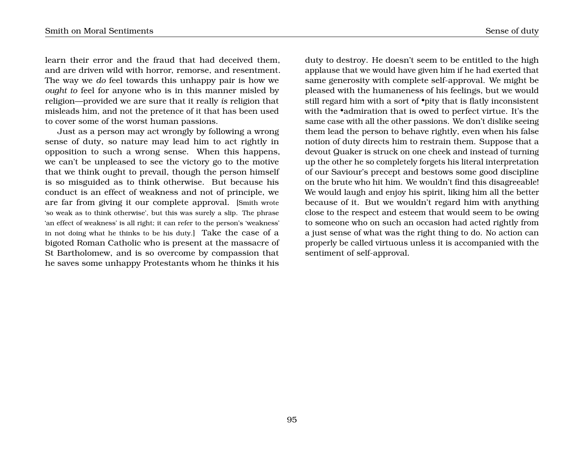learn their error and the fraud that had deceived them, and are driven wild with horror, remorse, and resentment. The way we *do* feel towards this unhappy pair is how we *ought to* feel for anyone who is in this manner misled by religion—provided we are sure that it really *is* religion that misleads him, and not the pretence of it that has been used to cover some of the worst human passions.

Just as a person may act wrongly by following a wrong sense of duty, so nature may lead him to act rightly in opposition to such a wrong sense. When this happens, we can't be unpleased to see the victory go to the motive that we think ought to prevail, though the person himself is so misguided as to think otherwise. But because his conduct is an effect of weakness and not of principle, we are far from giving it our complete approval. [Smith wrote 'so weak as to think otherwise', but this was surely a slip. The phrase 'an effect of weakness' is all right; it can refer to the person's 'weakness' in not doing what he thinks to be his duty.] Take the case of a bigoted Roman Catholic who is present at the massacre of St Bartholomew, and is so overcome by compassion that he saves some unhappy Protestants whom he thinks it his

duty to destroy. He doesn't seem to be entitled to the high applause that we would have given him if he had exerted that same generosity with complete self-approval. We might be pleased with the humaneness of his feelings, but we would still regard him with a sort of •pity that is flatly inconsistent with the •admiration that is owed to perfect virtue. It's the same case with all the other passions. We don't dislike seeing them lead the person to behave rightly, even when his false notion of duty directs him to restrain them. Suppose that a devout Quaker is struck on one cheek and instead of turning up the other he so completely forgets his literal interpretation of our Saviour's precept and bestows some good discipline on the brute who hit him. We wouldn't find this disagreeable! We would laugh and enjoy his spirit, liking him all the better because of it. But we wouldn't regard him with anything close to the respect and esteem that would seem to be owing to someone who on such an occasion had acted rightly from a just sense of what was the right thing to do. No action can properly be called virtuous unless it is accompanied with the

sentiment of self-approval.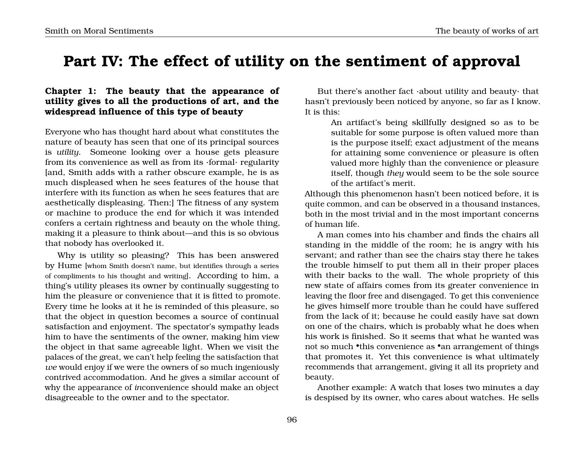# **Part IV: The effect of utility on the sentiment of approval**

# **Chapter 1: The beauty that the appearance of utility gives to all the productions of art, and the widespread influence of this type of beauty**

Everyone who has thought hard about what constitutes the nature of beauty has seen that one of its principal sources is *utility*. Someone looking over a house gets pleasure from its convenience as well as from its ·formal· regularity [and, Smith adds with a rather obscure example, he is as much displeased when he sees features of the house that interfere with its function as when he sees features that are aesthetically displeasing. Then:] The fitness of any system or machine to produce the end for which it was intended confers a certain rightness and beauty on the whole thing, making it a pleasure to think about—and this is so obvious that nobody has overlooked it.

Why is utility so pleasing? This has been answered by Hume [whom Smith doesn't name, but identifies through a series of compliments to his thought and writing]. According to him, a thing's utility pleases its owner by continually suggesting to him the pleasure or convenience that it is fitted to promote. Every time he looks at it he is reminded of this pleasure, so that the object in question becomes a source of continual satisfaction and enjoyment. The spectator's sympathy leads him to have the sentiments of the owner, making him view the object in that same agreeable light. When we visit the palaces of the great, we can't help feeling the satisfaction that *we* would enjoy if we were the owners of so much ingeniously contrived accommodation. And he gives a similar account of why the appearance of *in*convenience should make an object disagreeable to the owner and to the spectator.

But there's another fact ·about utility and beauty· that hasn't previously been noticed by anyone, so far as I know. It is this:

> An artifact's being skillfully designed so as to be suitable for some purpose is often valued more than is the purpose itself; exact adjustment of the means for attaining some convenience or pleasure is often valued more highly than the convenience or pleasure itself, though *they* would seem to be the sole source of the artifact's merit.

Although this phenomenon hasn't been noticed before, it is quite common, and can be observed in a thousand instances, both in the most trivial and in the most important concerns of human life.

A man comes into his chamber and finds the chairs all standing in the middle of the room; he is angry with his servant; and rather than see the chairs stay there he takes the trouble himself to put them all in their proper places with their backs to the wall. The whole propriety of this new state of affairs comes from its greater convenience in leaving the floor free and disengaged. To get this convenience he gives himself more trouble than he could have suffered from the lack of it; because he could easily have sat down on one of the chairs, which is probably what he does when his work is finished. So it seems that what he wanted was not so much •this convenience as •an arrangement of things that promotes it. Yet this convenience is what ultimately recommends that arrangement, giving it all its propriety and beauty.

Another example: A watch that loses two minutes a day is despised by its owner, who cares about watches. He sells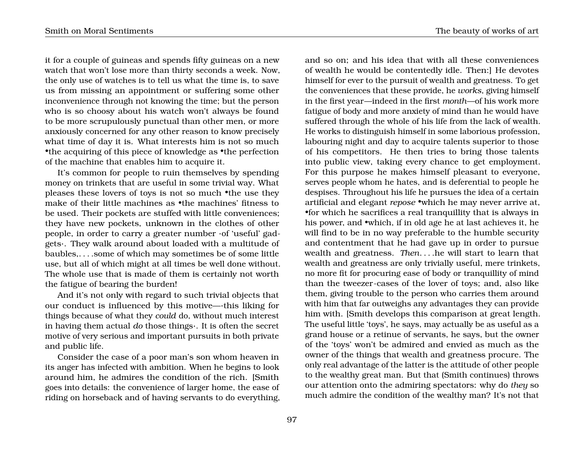it for a couple of guineas and spends fifty guineas on a new watch that won't lose more than thirty seconds a week. Now, the only use of watches is to tell us what the time is, to save us from missing an appointment or suffering some other inconvenience through not knowing the time; but the person who is so choosy about his watch won't always be found to be more scrupulously punctual than other men, or more anxiously concerned for any other reason to know precisely what time of day it is. What interests him is not so much •the acquiring of this piece of knowledge as •the perfection of the machine that enables him to acquire it.

It's common for people to ruin themselves by spending money on trinkets that are useful in some trivial way. What pleases these lovers of toys is not so much •the use they make of their little machines as •the machines' fitness to be used. Their pockets are stuffed with little conveniences; they have new pockets, unknown in the clothes of other people, in order to carry a greater number ·of 'useful' gadgets·. They walk around about loaded with a multitude of baubles,. . . .some of which may sometimes be of some little use, but all of which might at all times be well done without. The whole use that is made of them is certainly not worth the fatigue of bearing the burden!

And it's not only with regard to such trivial objects that our conduct is influenced by this motive—·this liking for things because of what they *could* do, without much interest in having them actual *do* those things·. It is often the secret motive of very serious and important pursuits in both private and public life.

Consider the case of a poor man's son whom heaven in its anger has infected with ambition. When he begins to look around him, he admires the condition of the rich. [Smith goes into details: the convenience of larger home, the ease of riding on horseback and of having servants to do everything,

and so on; and his idea that with all these conveniences of wealth he would be contentedly idle. Then:] He devotes himself for ever to the pursuit of wealth and greatness. To get the conveniences that these provide, he *works*, giving himself in the first year—indeed in the first *month*—of his work more fatigue of body and more anxiety of mind than he would have suffered through the whole of his life from the lack of wealth. He works to distinguish himself in some laborious profession, labouring night and day to acquire talents superior to those of his competitors. He then tries to bring those talents into public view, taking every chance to get employment. For this purpose he makes himself pleasant to everyone, serves people whom he hates, and is deferential to people he despises. Throughout his life he pursues the idea of a certain artificial and elegant *repose* •which he may never arrive at, •for which he sacrifices a real tranquillity that is always in his power, and •which, if in old age he at last achieves it, he will find to be in no way preferable to the humble security and contentment that he had gave up in order to pursue wealth and greatness. *Then*. . . .he will start to learn that wealth and greatness are only trivially useful, mere trinkets, no more fit for procuring ease of body or tranquillity of mind than the tweezer-cases of the lover of toys; and, also like them, giving trouble to the person who carries them around with him that far outweighs any advantages they can provide him with. [Smith develops this comparison at great length. The useful little 'toys', he says, may actually be as useful as a grand house or a retinue of servants, he says, but the owner of the 'toys' won't be admired and envied as much as the owner of the things that wealth and greatness procure. The only real advantage of the latter is the attitude of other people to the wealthy great man. But that (Smith continues) throws our attention onto the admiring spectators: why do *they* so much admire the condition of the wealthy man? It's not that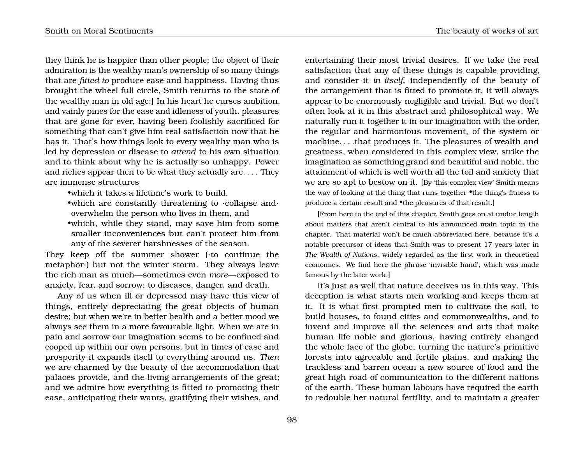they think he is happier than other people; the object of their admiration is the wealthy man's ownership of so many things that are *fitted to* produce ease and happiness. Having thus brought the wheel full circle, Smith returns to the state of the wealthy man in old age:] In his heart he curses ambition, and vainly pines for the ease and idleness of youth, pleasures that are gone for ever, having been foolishly sacrificed for something that can't give him real satisfaction now that he has it. That's how things look to every wealthy man who is led by depression or disease to *attend* to his own situation and to think about why he is actually so unhappy. Power and riches appear then to be what they actually are. . . . They are immense structures

•which it takes a lifetime's work to build,

•which are constantly threatening to ·collapse and· overwhelm the person who lives in them, and •which, while they stand, may save him from some smaller inconveniences but can't protect him from any of the severer harshnesses of the season.

They keep off the summer shower (·to continue the metaphor·) but not the winter storm. They always leave the rich man as much—sometimes even *more*—exposed to anxiety, fear, and sorrow; to diseases, danger, and death.

Any of us when ill or depressed may have this view of things, entirely depreciating the great objects of human desire; but when we're in better health and a better mood we always see them in a more favourable light. When we are in pain and sorrow our imagination seems to be confined and cooped up within our own persons, but in times of ease and prosperity it expands itself to everything around us. *Then* we are charmed by the beauty of the accommodation that palaces provide, and the living arrangements of the great; and we admire how everything is fitted to promoting their ease, anticipating their wants, gratifying their wishes, and

entertaining their most trivial desires. If we take the real satisfaction that any of these things is capable providing, and consider it *in itself*, independently of the beauty of the arrangement that is fitted to promote it, it will always appear to be enormously negligible and trivial. But we don't often look at it in this abstract and philosophical way. We naturally run it together it in our imagination with the order, the regular and harmonious movement, of the system or machine. . . .that produces it. The pleasures of wealth and greatness, when considered in this complex view, strike the imagination as something grand and beautiful and noble, the attainment of which is well worth all the toil and anxiety that we are so apt to bestow on it. [By 'this complex view' Smith means the way of looking at the thing that runs together •the thing's fitness to produce a certain result and •the pleasures of that result.]

[From here to the end of this chapter, Smith goes on at undue length about matters that aren't central to his announced main topic in the chapter. That material won't be much abbreviated here, because it's a notable precursor of ideas that Smith was to present 17 years later in *The Wealth of Nations*, widely regarded as the first work in theoretical economics. We find here the phrase 'invisible hand', which was made famous by the later work.]

It's just as well that nature deceives us in this way. This deception is what starts men working and keeps them at it. It is what first prompted men to cultivate the soil, to build houses, to found cities and commonwealths, and to invent and improve all the sciences and arts that make human life noble and glorious, having entirely changed the whole face of the globe, turning the nature's primitive forests into agreeable and fertile plains, and making the trackless and barren ocean a new source of food and the great high road of communication to the different nations of the earth. These human labours have required the earth to redouble her natural fertility, and to maintain a greater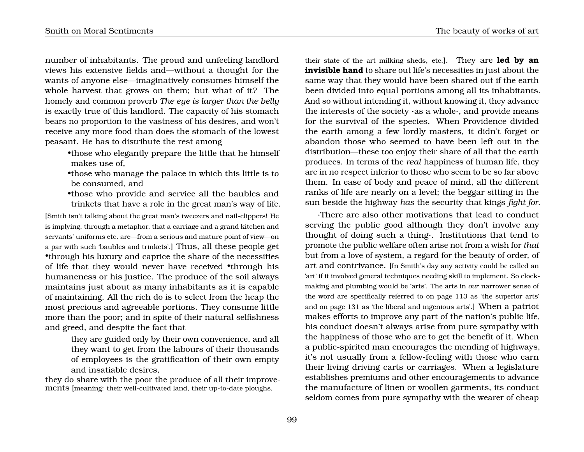number of inhabitants. The proud and unfeeling landlord views his extensive fields and—without a thought for the wants of anyone else—imaginatively consumes himself the whole harvest that grows on them; but what of it? The homely and common proverb *The eye is larger than the belly* is exactly true of this landlord. The capacity of his stomach bears no proportion to the vastness of his desires, and won't receive any more food than does the stomach of the lowest peasant. He has to distribute the rest among

•those who elegantly prepare the little that he himself makes use of,

•those who manage the palace in which this little is to be consumed, and

•those who provide and service all the baubles and trinkets that have a role in the great man's way of life.

[Smith isn't talking about the great man's tweezers and nail-clippers! He is implying, through a metaphor, that a carriage and a grand kitchen and servants' uniforms etc. are—from a serious and mature point of view—on a par with such 'baubles and trinkets'.] Thus, all these people get •through his luxury and caprice the share of the necessities of life that they would never have received •through his humaneness or his justice. The produce of the soil always maintains just about as many inhabitants as it is capable of maintaining. All the rich do is to select from the heap the most precious and agreeable portions. They consume little more than the poor; and in spite of their natural selfishness and greed, and despite the fact that

> they are guided only by their own convenience, and all they want to get from the labours of their thousands of employees is the gratification of their own empty and insatiable desires,

they do share with the poor the produce of all their improvements [meaning: their well-cultivated land, their up-to-date ploughs,

their state of the art milking sheds, etc.]. They are **led by an invisible hand** to share out life's necessities in just about the same way that they would have been shared out if the earth been divided into equal portions among all its inhabitants. And so without intending it, without knowing it, they advance the interests of the society ·as a whole·, and provide means for the survival of the species. When Providence divided the earth among a few lordly masters, it didn't forget or abandon those who seemed to have been left out in the distribution—these too enjoy their share of all that the earth produces. In terms of the *real* happiness of human life, they are in no respect inferior to those who seem to be so far above them. In ease of body and peace of mind, all the different ranks of life are nearly on a level; the beggar sitting in the sun beside the highway *has* the security that kings *fight for*.

·There are also other motivations that lead to conduct serving the public good although they don't involve any thought of doing such a thing·. Institutions that tend to promote the public welfare often arise not from a wish for *that* but from a love of system, a regard for the beauty of order, of art and contrivance. [In Smith's day any activity could be called an 'art' if it involved general techniques needing skill to implement. So clockmaking and plumbing would be 'arts'. The arts in *our* narrower sense of the word are specifically referred to on page [113](#page-115-0) as 'the superior arts' and on page [131](#page-129-0) as 'the liberal and ingenious arts'.] When a patriot makes efforts to improve any part of the nation's public life, his conduct doesn't always arise from pure sympathy with the happiness of those who are to get the benefit of it. When a public-spirited man encourages the mending of highways, it's not usually from a fellow-feeling with those who earn their living driving carts or carriages. When a legislature establishes premiums and other encouragements to advance the manufacture of linen or woollen garments, its conduct seldom comes from pure sympathy with the wearer of cheap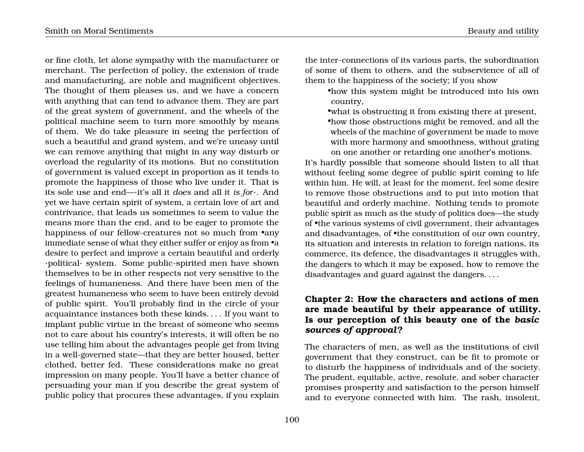or fine cloth, let alone sympathy with the manufacturer or merchant. The perfection of policy, the extension of trade and manufacturing, are noble and magnificent objectives. The thought of them pleases us, and we have a concern with anything that can tend to advance them. They are part of the great system of government, and the wheels of the political machine seem to turn more smoothly by means of them. We do take pleasure in seeing the perfection of such a beautiful and grand system, and we're uneasy until we can remove anything that might in any way disturb or overload the regularity of its motions. But no constitution of government is valued except in proportion as it tends to promote the happiness of those who live under it. That is its sole use and end—·it's all it *does* and all it *is for*·. And yet we have certain spirit of system, a certain love of art and contrivance, that leads us sometimes to seem to value the means more than the end, and to be eager to promote the happiness of our fellow-creatures not so much from  $\cdot$ any immediate sense of what they either suffer or enjoy as from •a desire to perfect and improve a certain beautiful and orderly ·political· system. Some public-spirited men have shown themselves to be in other respects not very sensitive to the feelings of humaneness. And there have been men of the greatest humaneness who seem to have been entirely devoid of public spirit. You'll probably find in the circle of your acquaintance instances both these kinds. . . . If you want to implant public virtue in the breast of someone who seems not to care about his country's interests, it will often be no use telling him about the advantages people get from living in a well-governed state—that they are better housed, better clothed, better fed. These considerations make no great impression on many people. You'll have a better chance of persuading your man if you describe the great system of public policy that procures these advantages, if you explain

the inter-connections of its various parts, the subordination of some of them to others, and the subservience of all of them to the happiness of the society; if you show

•how this system might be introduced into his own country,

•what is obstructing it from existing there at present, •how those obstructions might be removed, and all the wheels of the machine of government be made to move with more harmony and smoothness, without grating on one another or retarding one another's motions.

It's hardly possible that someone should listen to all that without feeling some degree of public spirit coming to life within him. He will, at least for the moment, feel some desire to remove those obstructions and to put into motion that beautiful and orderly machine. Nothing tends to promote public spirit as much as the study of politics does—the study of •the various systems of civil government, their advantages and disadvantages, of •the constitution of our own country, its situation and interests in relation to foreign nations, its commerce, its defence, the disadvantages it struggles with, the dangers to which it may be exposed, how to remove the disadvantages and guard against the dangers. . . .

# **Chapter 2: How the characters and actions of men are made beautiful by their appearance of utility. Is our perception of this beauty one of the** *basic sources of approval?*

The characters of men, as well as the institutions of civil government that they construct, can be fit to promote or to disturb the happiness of individuals and of the society. The prudent, equitable, active, resolute, and sober character promises prosperity and satisfaction to the person himself and to everyone connected with him. The rash, insolent,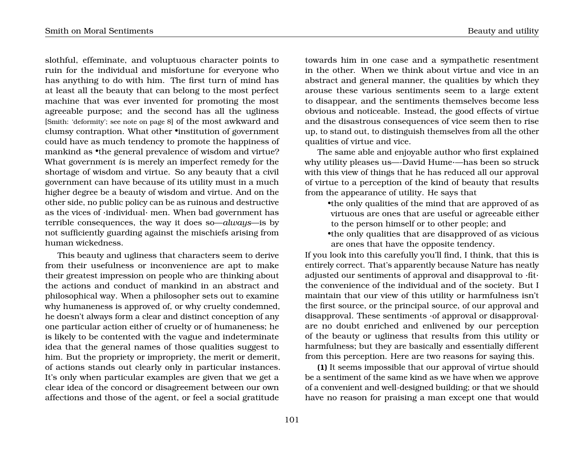slothful, effeminate, and voluptuous character points to ruin for the individual and misfortune for everyone who has anything to do with him. The first turn of mind has at least all the beauty that can belong to the most perfect machine that was ever invented for promoting the most agreeable purpose; and the second has all the ugliness [Smith: 'deformity'; see note on page 8] of the most awkward and clumsy contraption. What other •institution of government could have as much tendency to promote the happiness of mankind as •the general prevalence of wisdom and virtue? What government *is* is merely an imperfect remedy for the shortage of wisdom and virtue. So any beauty that a civil government can have because of its utility must in a much higher degree be a beauty of wisdom and virtue. And on the other side, no public policy can be as ruinous and destructive as the vices of ·individual· men. When bad government has terrible consequences, the way it does so—*always*—is by not sufficiently guarding against the mischiefs arising from human wickedness.

This beauty and ugliness that characters seem to derive from their usefulness or inconvenience are apt to make their greatest impression on people who are thinking about the actions and conduct of mankind in an abstract and philosophical way. When a philosopher sets out to examine why humaneness is approved of, or why cruelty condemned, he doesn't always form a clear and distinct conception of any one particular action either of cruelty or of humaneness; he is likely to be contented with the vague and indeterminate idea that the general names of those qualities suggest to him. But the propriety or impropriety, the merit or demerit, of actions stands out clearly only in particular instances. It's only when particular examples are given that we get a clear idea of the concord or disagreement between our own affections and those of the agent, or feel a social gratitude towards him in one case and a sympathetic resentment in the other. When we think about virtue and vice in an abstract and general manner, the qualities by which they arouse these various sentiments seem to a large extent to disappear, and the sentiments themselves become less obvious and noticeable. Instead, the good effects of virtue and the disastrous consequences of vice seem then to rise up, to stand out, to distinguish themselves from all the other qualities of virtue and vice.

The same able and enjoyable author who first explained why utility pleases us—·David Hume·—has been so struck with this view of things that he has reduced all our approval of virtue to a perception of the kind of beauty that results from the appearance of utility. He says that

•the only qualities of the mind that are approved of as virtuous are ones that are useful or agreeable either to the person himself or to other people; and •the only qualities that are disapproved of as vicious

are ones that have the opposite tendency.

If you look into this carefully you'll find, I think, that this is entirely correct. That's apparently because Nature has neatly adjusted our sentiments of approval and disapproval to ·fit· the convenience of the individual and of the society. But I maintain that our view of this utility or harmfulness isn't the first source, or the principal source, of our approval and disapproval. These sentiments ·of approval or disapproval· are no doubt enriched and enlivened by our perception of the beauty or ugliness that results from this utility or harmfulness; but they are basically and essentially different from this perception. Here are two reasons for saying this.

**(1)** It seems impossible that our approval of virtue should be a sentiment of the same kind as we have when we approve of a convenient and well-designed building; or that we should have no reason for praising a man except one that would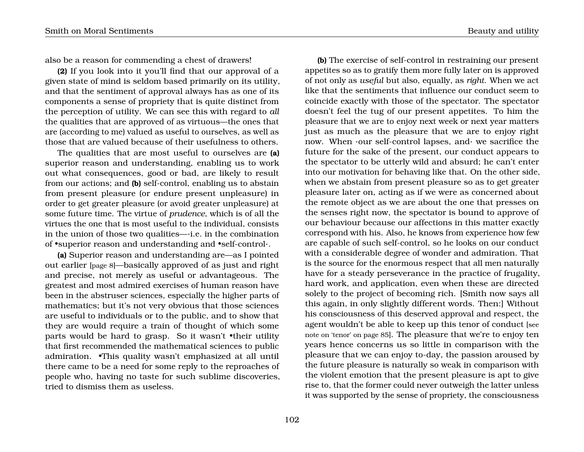also be a reason for commending a chest of drawers!

**(2)** If you look into it you'll find that our approval of a given state of mind is seldom based primarily on its utility, and that the sentiment of approval always has as one of its components a sense of propriety that is quite distinct from the perception of utility. We can see this with regard to *all* the qualities that are approved of as virtuous—the ones that are (according to me) valued as useful to ourselves, as well as those that are valued because of their usefulness to others.

The qualities that are most useful to ourselves are **(a)** superior reason and understanding, enabling us to work out what consequences, good or bad, are likely to result from our actions; and **(b)** self-control, enabling us to abstain from present pleasure (or endure present unpleasure) in order to get greater pleasure (or avoid greater unpleasure) at some future time. The virtue of *prudence*, which is of all the virtues the one that is most useful to the individual, consists in the union of those two qualities—·i.e. in the combination of •superior reason and understanding and •self-control·.

**(a)** Superior reason and understanding are—as I pointed out earlier [page [8](#page-11-0)]—basically approved of as just and right and precise, not merely as useful or advantageous. The greatest and most admired exercises of human reason have been in the abstruser sciences, especially the higher parts of mathematics; but it's not very obvious that those sciences are useful to individuals or to the public, and to show that they are would require a train of thought of which some parts would be hard to grasp. So it wasn't •their utility that first recommended the mathematical sciences to public admiration. •This quality wasn't emphasized at all until there came to be a need for some reply to the reproaches of people who, having no taste for such sublime discoveries, tried to dismiss them as useless.

**(b)** The exercise of self-control in restraining our present appetites so as to gratify them more fully later on is approved of not only as *useful* but also, equally, as *right*. When we act like that the sentiments that influence our conduct seem to coincide exactly with those of the spectator. The spectator doesn't feel the tug of our present appetites. To him the pleasure that we are to enjoy next week or next year matters just as much as the pleasure that we are to enjoy right now. When ·our self-control lapses, and· we sacrifice the future for the sake of the present, our conduct appears to the spectator to be utterly wild and absurd; he can't enter into our motivation for behaving like that. On the other side, when we abstain from present pleasure so as to get greater pleasure later on, acting as if we were as concerned about the remote object as we are about the one that presses on the senses right now, the spectator is bound to approve of our behaviour because our affections in this matter exactly correspond with his. Also, he knows from experience how few are capable of such self-control, so he looks on our conduct with a considerable degree of wonder and admiration. That is the source for the enormous respect that all men naturally have for a steady perseverance in the practice of frugality, hard work, and application, even when these are directed solely to the project of becoming rich. [Smith now says all this again, in only slightly different words. Then:] Without his consciousness of this deserved approval and respect, the agent wouldn't be able to keep up this tenor of conduct [see note on 'tenor' on page [85](#page-87-0)]. The pleasure that we're to enjoy ten years hence concerns us so little in comparison with the pleasure that we can enjoy to-day, the passion aroused by the future pleasure is naturally so weak in comparison with the violent emotion that the present pleasure is apt to give rise to, that the former could never outweigh the latter unless it was supported by the sense of propriety, the consciousness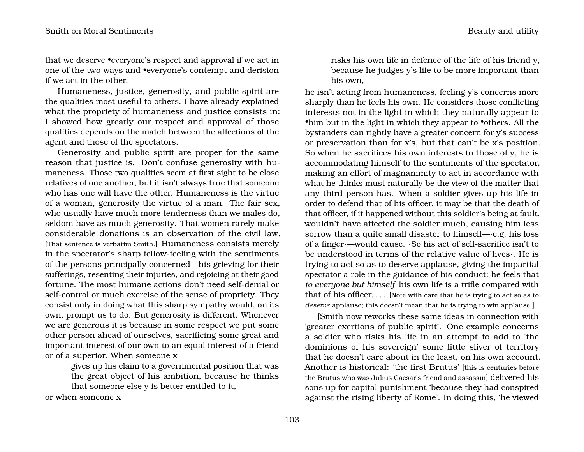that we deserve •everyone's respect and approval if we act in one of the two ways and •everyone's contempt and derision if we act in the other.

Humaneness, justice, generosity, and public spirit are the qualities most useful to others. I have already explained what the propriety of humaneness and justice consists in: I showed how greatly our respect and approval of those qualities depends on the match between the affections of the agent and those of the spectators.

Generosity and public spirit are proper for the same reason that justice is. Don't confuse generosity with humaneness. Those two qualities seem at first sight to be close relatives of one another, but it isn't always true that someone who has one will have the other. Humaneness is the virtue of a woman, generosity the virtue of a man. The fair sex, who usually have much more tenderness than we males do, seldom have as much generosity. That women rarely make considerable donations is an observation of the civil law. [That sentence is verbatim Smith.] Humaneness consists merely in the spectator's sharp fellow-feeling with the sentiments of the persons principally concerned—his grieving for their sufferings, resenting their injuries, and rejoicing at their good fortune. The most humane actions don't need self-denial or self-control or much exercise of the sense of propriety. They consist only in doing what this sharp sympathy would, on its own, prompt us to do. But generosity is different. Whenever we are generous it is because in some respect we put some other person ahead of ourselves, sacrificing some great and important interest of our own to an equal interest of a friend or of a superior. When someone x

> gives up his claim to a governmental position that was the great object of his ambition, because he thinks that someone else y is better entitled to it,

or when someone x

risks his own life in defence of the life of his friend y, because he judges y's life to be more important than his own,

he isn't acting from humaneness, feeling y's concerns more sharply than he feels his own. He considers those conflicting interests not in the light in which they naturally appear to •him but in the light in which they appear to •others. All the bystanders can rightly have a greater concern for y's success or preservation than for x's, but that can't be x's position. So when he sacrifices his own interests to those of y, he is accommodating himself to the sentiments of the spectator, making an effort of magnanimity to act in accordance with what he thinks must naturally be the view of the matter that any third person has. When a soldier gives up his life in order to defend that of his officer, it may be that the death of that officer, if it happened without this soldier's being at fault, wouldn't have affected the soldier much, causing him less sorrow than a quite small disaster to himself—·e.g. his loss of a finger·—would cause. ·So his act of self-sacrifice isn't to be understood in terms of the relative value of lives·. He is trying to act so as to deserve applause, giving the impartial spectator a role in the guidance of his conduct; he feels that *to everyone but himself* his own life is a trifle compared with that of his officer.... [Note with care that he is trying to act so as to *deserve* applause; this doesn't mean that he is trying to win applause.]

[Smith now reworks these same ideas in connection with 'greater exertions of public spirit'. One example concerns a soldier who risks his life in an attempt to add to 'the dominions of his sovereign' some little sliver of territory that he doesn't care about in the least, on his own account. Another is historical: 'the first Brutus' [this is centuries before the Brutus who was Julius Caesar's friend and assassin] delivered his sons up for capital punishment 'because they had conspired against the rising liberty of Rome'. In doing this, 'he viewed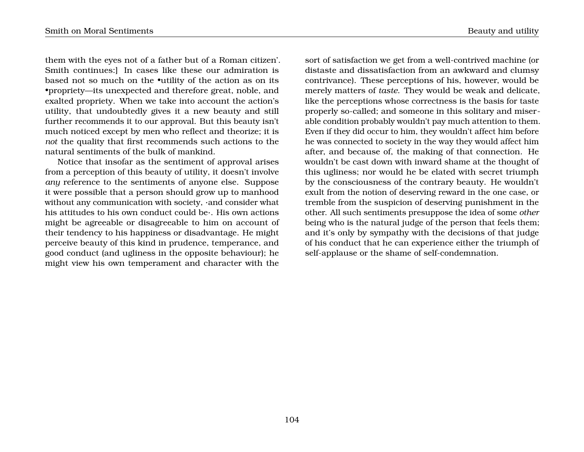them with the eyes not of a father but of a Roman citizen'. Smith continues:] In cases like these our admiration is based not so much on the •utility of the action as on its •propriety—its unexpected and therefore great, noble, and exalted propriety. When we take into account the action's utility, that undoubtedly gives it a new beauty and still further recommends it to our approval. But this beauty isn't much noticed except by men who reflect and theorize; it is *not* the quality that first recommends such actions to the natural sentiments of the bulk of mankind.

Notice that insofar as the sentiment of approval arises from a perception of this beauty of utility, it doesn't involve *any* reference to the sentiments of anyone else. Suppose it were possible that a person should grow up to manhood without any communication with society, ·and consider what his attitudes to his own conduct could be·. His own actions might be agreeable or disagreeable to him on account of their tendency to his happiness or disadvantage. He might perceive beauty of this kind in prudence, temperance, and good conduct (and ugliness in the opposite behaviour); he might view his own temperament and character with the

sort of satisfaction we get from a well-contrived machine (or distaste and dissatisfaction from an awkward and clumsy contrivance). These perceptions of his, however, would be merely matters of *taste*. They would be weak and delicate, like the perceptions whose correctness is the basis for taste properly so-called; and someone in this solitary and miserable condition probably wouldn't pay much attention to them. Even if they did occur to him, they wouldn't affect him before he was connected to society in the way they would affect him after, and because of, the making of that connection. He wouldn't be cast down with inward shame at the thought of this ugliness; nor would he be elated with secret triumph by the consciousness of the contrary beauty. He wouldn't exult from the notion of deserving reward in the one case, or tremble from the suspicion of deserving punishment in the other. All such sentiments presuppose the idea of some *other* being who is the natural judge of the person that feels them; and it's only by sympathy with the decisions of that judge of his conduct that he can experience either the triumph of self-applause or the shame of self-condemnation.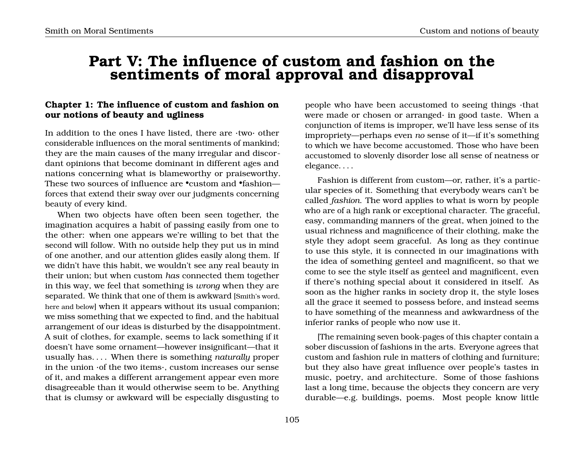## **Part V: The influence of custom and fashion on the sentiments of moral approval and disapproval**

## **Chapter 1: The influence of custom and fashion on our notions of beauty and ugliness**

In addition to the ones I have listed, there are ·two· other considerable influences on the moral sentiments of mankind; they are the main causes of the many irregular and discordant opinions that become dominant in different ages and nations concerning what is blameworthy or praiseworthy. These two sources of influence are •custom and •fashion forces that extend their sway over our judgments concerning beauty of every kind.

When two objects have often been seen together, the imagination acquires a habit of passing easily from one to the other: when one appears we're willing to bet that the second will follow. With no outside help they put us in mind of one another, and our attention glides easily along them. If we didn't have this habit, we wouldn't see any real beauty in their union; but when custom *has* connected them together in this way, we feel that something is *wrong* when they are separated. We think that one of them is awkward [Smith's word, here and below] when it appears without its usual companion; we miss something that we expected to find, and the habitual arrangement of our ideas is disturbed by the disappointment. A suit of clothes, for example, seems to lack something if it doesn't have some ornament—however insignificant—that it usually has. . . . When there is something *naturally* proper in the union ·of the two items·, custom increases our sense of it, and makes a different arrangement appear even more disagreeable than it would otherwise seem to be. Anything that is clumsy or awkward will be especially disgusting to

people who have been accustomed to seeing things ·that were made or chosen or arranged· in good taste. When a conjunction of items is improper, we'll have less sense of its impropriety—perhaps even *no* sense of it—if it's something to which we have become accustomed. Those who have been accustomed to slovenly disorder lose all sense of neatness or elegance. . . .

Fashion is different from custom—or, rather, it's a particular species of it. Something that everybody wears can't be called *fashion*. The word applies to what is worn by people who are of a high rank or exceptional character. The graceful, easy, commanding manners of the great, when joined to the usual richness and magnificence of their clothing, make the style they adopt seem graceful. As long as they continue to use this style, it is connected in our imaginations with the idea of something genteel and magnificent, so that we come to see the style itself as genteel and magnificent, even if there's nothing special about it considered in itself. As soon as the higher ranks in society drop it, the style loses all the grace it seemed to possess before, and instead seems to have something of the meanness and awkwardness of the inferior ranks of people who now use it.

[The remaining seven book-pages of this chapter contain a sober discussion of fashions in the arts. Everyone agrees that custom and fashion rule in matters of clothing and furniture; but they also have great influence over people's tastes in music, poetry, and architecture. Some of those fashions last a long time, because the objects they concern are very durable—e.g. buildings, poems. Most people know little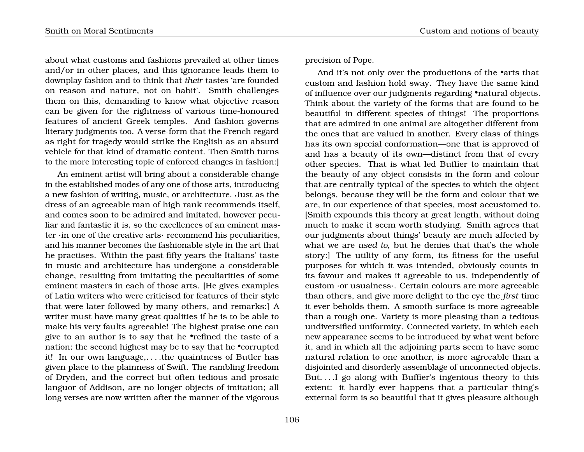about what customs and fashions prevailed at other times and/or in other places, and this ignorance leads them to downplay fashion and to think that *their* tastes 'are founded on reason and nature, not on habit'. Smith challenges them on this, demanding to know what objective reason can be given for the rightness of various time-honoured features of ancient Greek temples. And fashion governs literary judgments too. A verse-form that the French regard as right for tragedy would strike the English as an absurd vehicle for that kind of dramatic content. Then Smith turns to the more interesting topic of enforced changes in fashion:]

An eminent artist will bring about a considerable change in the established modes of any one of those arts, introducing a new fashion of writing, music, or architecture. Just as the dress of an agreeable man of high rank recommends itself, and comes soon to be admired and imitated, however peculiar and fantastic it is, so the excellences of an eminent master ·in one of the creative arts· recommend his peculiarities, and his manner becomes the fashionable style in the art that he practises. Within the past fifty years the Italians' taste in music and architecture has undergone a considerable change, resulting from imitating the peculiarities of some eminent masters in each of those arts. [He gives examples of Latin writers who were criticised for features of their style that were later followed by many others, and remarks:] A writer must have many great qualities if he is to be able to make his very faults agreeable! The highest praise one can give to an author is to say that he •refined the taste of a nation; the second highest may be to say that he •corrupted it! In our own language,. . . .the quaintness of Butler has given place to the plainness of Swift. The rambling freedom of Dryden, and the correct but often tedious and prosaic languor of Addison, are no longer objects of imitation; all long verses are now written after the manner of the vigorous

precision of Pope.

And it's not only over the productions of the •arts that custom and fashion hold sway. They have the same kind of influence over our judgments regarding •natural objects. Think about the variety of the forms that are found to be beautiful in different species of things! The proportions that are admired in one animal are altogether different from the ones that are valued in another. Every class of things has its own special conformation—one that is approved of and has a beauty of its own—distinct from that of every other species. That is what led Buffier to maintain that the beauty of any object consists in the form and colour that are centrally typical of the species to which the object belongs, because they will be the form and colour that we are, in our experience of that species, most accustomed to. [Smith expounds this theory at great length, without doing much to make it seem worth studying. Smith agrees that our judgments about things' beauty are much affected by what we are *used to*, but he denies that that's the whole story:] The utility of any form, its fitness for the useful purposes for which it was intended, obviously counts in its favour and makes it agreeable to us, independently of custom ·or usualness·. Certain colours are more agreeable than others, and give more delight to the eye the *first* time it ever beholds them. A smooth surface is more agreeable than a rough one. Variety is more pleasing than a tedious undiversified uniformity. Connected variety, in which each new appearance seems to be introduced by what went before it, and in which all the adjoining parts seem to have some natural relation to one another, is more agreeable than a disjointed and disorderly assemblage of unconnected objects. But. . . .I go along with Buffier's ingenious theory to this extent: it hardly ever happens that a particular thing's external form is so beautiful that it gives pleasure although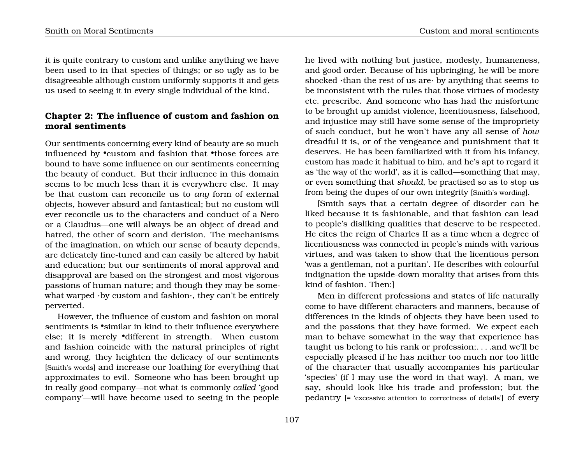it is quite contrary to custom and unlike anything we have been used to in that species of things; or so ugly as to be disagreeable although custom uniformly supports it and gets us used to seeing it in every single individual of the kind.

## **Chapter 2: The influence of custom and fashion on moral sentiments**

Our sentiments concerning every kind of beauty are so much influenced by •custom and fashion that •those forces are bound to have some influence on our sentiments concerning the beauty of conduct. But their influence in this domain seems to be much less than it is everywhere else. It may be that custom can reconcile us to *any* form of external objects, however absurd and fantastical; but no custom will ever reconcile us to the characters and conduct of a Nero or a Claudius—one will always be an object of dread and hatred, the other of scorn and derision. The mechanisms of the imagination, on which our sense of beauty depends, are delicately fine-tuned and can easily be altered by habit and education; but our sentiments of moral approval and disapproval are based on the strongest and most vigorous passions of human nature; and though they may be somewhat warped ·by custom and fashion·, they can't be entirely perverted.

However, the influence of custom and fashion on moral sentiments is •similar in kind to their influence everywhere else; it is merely •different in strength. When custom and fashion coincide with the natural principles of right and wrong, they heighten the delicacy of our sentiments [Smith's words] and increase our loathing for everything that approximates to evil. Someone who has been brought up in really good company—not what is commonly *called* 'good company'—will have become used to seeing in the people

he lived with nothing but justice, modesty, humaneness, and good order. Because of his upbringing, he will be more shocked ·than the rest of us are· by anything that seems to be inconsistent with the rules that those virtues of modesty etc. prescribe. And someone who has had the misfortune to be brought up amidst violence, licentiousness, falsehood, and injustice may still have some sense of the impropriety of such conduct, but he won't have any all sense of *how* dreadful it is, or of the vengeance and punishment that it deserves. He has been familiarized with it from his infancy, custom has made it habitual to him, and he's apt to regard it as 'the way of the world', as it is called—something that may, or even something that *should*, be practised so as to stop us from being the dupes of our own integrity [Smith's wording].

[Smith says that a certain degree of disorder can he liked because it is fashionable, and that fashion can lead to people's disliking qualities that deserve to be respected. He cites the reign of Charles II as a time when a degree of licentiousness was connected in people's minds with various virtues, and was taken to show that the licentious person 'was a gentleman, not a puritan'. He describes with colourful indignation the upside-down morality that arises from this kind of fashion. Then:]

Men in different professions and states of life naturally come to have different characters and manners, because of differences in the kinds of objects they have been used to and the passions that they have formed. We expect each man to behave somewhat in the way that experience has taught us belong to his rank or profession;. . . .and we'll be especially pleased if he has neither too much nor too little of the character that usually accompanies his particular 'species' (if I may use the word in that way). A man, we say, should look like his trade and profession; but the pedantry [= 'excessive attention to correctness of details'] of every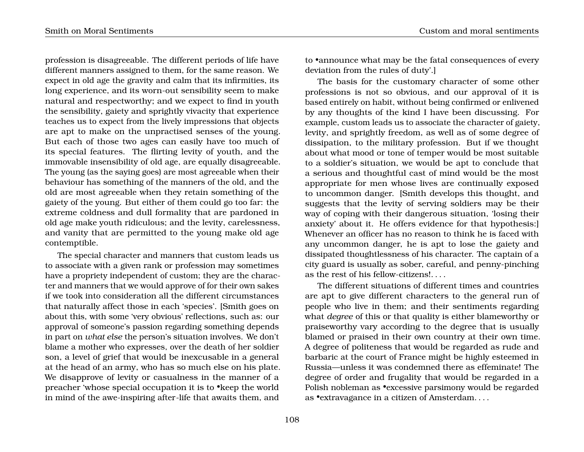profession is disagreeable. The different periods of life have different manners assigned to them, for the same reason. We expect in old age the gravity and calm that its infirmities, its long experience, and its worn-out sensibility seem to make natural and respectworthy; and we expect to find in youth the sensibility, gaiety and sprightly vivacity that experience teaches us to expect from the lively impressions that objects are apt to make on the unpractised senses of the young. But each of those two ages can easily have too much of its special features. The flirting levity of youth, and the immovable insensibility of old age, are equally disagreeable. The young (as the saying goes) are most agreeable when their behaviour has something of the manners of the old, and the old are most agreeable when they retain something of the gaiety of the young. But either of them could go too far: the extreme coldness and dull formality that are pardoned in old age make youth ridiculous; and the levity, carelessness, and vanity that are permitted to the young make old age contemptible.

The special character and manners that custom leads us to associate with a given rank or profession may sometimes have a propriety independent of custom; they are the character and manners that we would approve of for their own sakes if we took into consideration all the different circumstances that naturally affect those in each 'species'. [Smith goes on about this, with some 'very obvious' reflections, such as: our approval of someone's passion regarding something depends in part on *what else* the person's situation involves. We don't blame a mother who expresses, over the death of her soldier son, a level of grief that would be inexcusable in a general at the head of an army, who has so much else on his plate. We disapprove of levity or casualness in the manner of a preacher 'whose special occupation it is to •keep the world in mind of the awe-inspiring after-life that awaits them, and

108

The basis for the customary character of some other professions is not so obvious, and our approval of it is based entirely on habit, without being confirmed or enlivened by any thoughts of the kind I have been discussing. For example, custom leads us to associate the character of gaiety, levity, and sprightly freedom, as well as of some degree of dissipation, to the military profession. But if we thought about what mood or tone of temper would be most suitable to a soldier's situation, we would be apt to conclude that a serious and thoughtful cast of mind would be the most appropriate for men whose lives are continually exposed to uncommon danger. [Smith develops this thought, and suggests that the levity of serving soldiers may be their way of coping with their dangerous situation, 'losing their anxiety' about it. He offers evidence for that hypothesis:] Whenever an officer has no reason to think he is faced with any uncommon danger, he is apt to lose the gaiety and dissipated thoughtlessness of his character. The captain of a city guard is usually as sober, careful, and penny-pinching as the rest of his fellow-citizens!. . . .

The different situations of different times and countries are apt to give different characters to the general run of people who live in them; and their sentiments regarding what *degree* of this or that quality is either blameworthy or praiseworthy vary according to the degree that is usually blamed or praised in their own country at their own time. A degree of politeness that would be regarded as rude and barbaric at the court of France might be highly esteemed in Russia—unless it was condemned there as effeminate! The degree of order and frugality that would be regarded in a Polish nobleman as •excessive parsimony would be regarded as •extravagance in a citizen of Amsterdam. . . .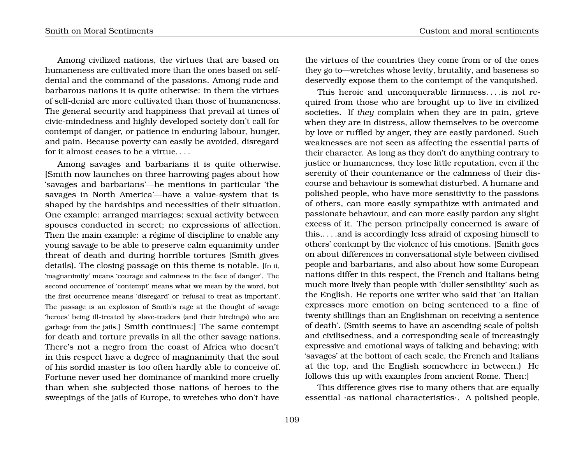Smith on Moral Sentiments Custom and moral sentiments

Among civilized nations, the virtues that are based on humaneness are cultivated more than the ones based on selfdenial and the command of the passions. Among rude and barbarous nations it is quite otherwise: in them the virtues of self-denial are more cultivated than those of humaneness. The general security and happiness that prevail at times of civic-mindedness and highly developed society don't call for contempt of danger, or patience in enduring labour, hunger, and pain. Because poverty can easily be avoided, disregard for it almost ceases to be a virtue. . . .

Among savages and barbarians it is quite otherwise. [Smith now launches on three harrowing pages about how 'savages and barbarians'—he mentions in particular 'the savages in North America'—have a value-system that is shaped by the hardships and necessities of their situation. One example: arranged marriages; sexual activity between spouses conducted in secret; no expressions of affection. Then the main example: a régime of discipline to enable any young savage to be able to preserve calm equanimity under threat of death and during horrible tortures (Smith gives details). The closing passage on this theme is notable. [In it, 'magnanimity' means 'courage and calmness in the face of danger'. The second occurrence of 'contempt' means what we mean by the word, but the first occurrence means 'disregard' or 'refusal to treat as important'. The passage is an explosion of Smith's rage at the thought of savage 'heroes' being ill-treated by slave-traders (and their hirelings) who are garbage from the jails.] Smith continues:] The same contempt for death and torture prevails in all the other savage nations. There's not a negro from the coast of Africa who doesn't in this respect have a degree of magnanimity that the soul of his sordid master is too often hardly able to conceive of. Fortune never used her dominance of mankind more cruelly than when she subjected those nations of heroes to the sweepings of the jails of Europe, to wretches who don't have

the virtues of the countries they come from or of the ones they go to—wretches whose levity, brutality, and baseness so deservedly expose them to the contempt of the vanquished.

This heroic and unconquerable firmness. . . .is not required from those who are brought up to live in civilized societies. If *they* complain when they are in pain, grieve when they are in distress, allow themselves to be overcome by love or ruffled by anger, they are easily pardoned. Such weaknesses are not seen as affecting the essential parts of their character. As long as they don't do anything contrary to justice or humaneness, they lose little reputation, even if the serenity of their countenance or the calmness of their discourse and behaviour is somewhat disturbed. A humane and polished people, who have more sensitivity to the passions of others, can more easily sympathize with animated and passionate behaviour, and can more easily pardon any slight excess of it. The person principally concerned is aware of this,. . . .and is accordingly less afraid of exposing himself to others' contempt by the violence of his emotions. [Smith goes on about differences in conversational style between civilised people and barbarians, and also about how some European nations differ in this respect, the French and Italians being much more lively than people with 'duller sensibility' such as the English. He reports one writer who said that 'an Italian expresses more emotion on being sentenced to a fine of twenty shillings than an Englishman on receiving a sentence of death'. (Smith seems to have an ascending scale of polish and civilisedness, and a corresponding scale of increasingly expressive and emotional ways of talking and behaving; with 'savages' at the bottom of each scale, the French and Italians at the top, and the English somewhere in between.) He follows this up with examples from ancient Rome. Then:]

This difference gives rise to many others that are equally essential ·as national characteristics·. A polished people,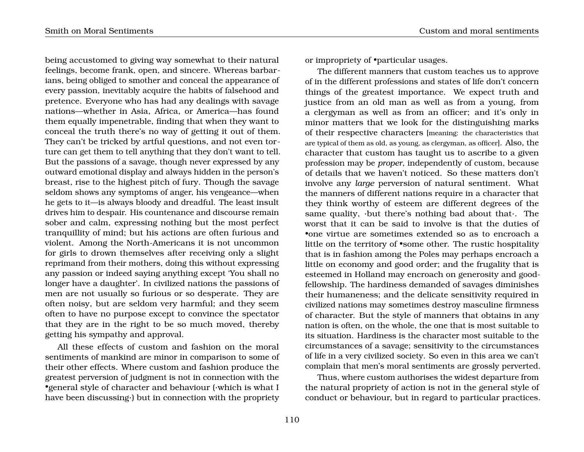being accustomed to giving way somewhat to their natural feelings, become frank, open, and sincere. Whereas barbarians, being obliged to smother and conceal the appearance of every passion, inevitably acquire the habits of falsehood and pretence. Everyone who has had any dealings with savage nations—whether in Asia, Africa, or America—has found them equally impenetrable, finding that when they want to conceal the truth there's no way of getting it out of them. They can't be tricked by artful questions, and not even torture can get them to tell anything that they don't want to tell. But the passions of a savage, though never expressed by any outward emotional display and always hidden in the person's breast, rise to the highest pitch of fury. Though the savage seldom shows any symptoms of anger, his vengeance—when he gets to it—is always bloody and dreadful. The least insult drives him to despair. His countenance and discourse remain sober and calm, expressing nothing but the most perfect tranquillity of mind; but his actions are often furious and violent. Among the North-Americans it is not uncommon for girls to drown themselves after receiving only a slight reprimand from their mothers, doing this without expressing any passion or indeed saying anything except 'You shall no longer have a daughter'. In civilized nations the passions of men are not usually so furious or so desperate. They are often noisy, but are seldom very harmful; and they seem often to have no purpose except to convince the spectator that they are in the right to be so much moved, thereby getting his sympathy and approval.

All these effects of custom and fashion on the moral sentiments of mankind are minor in comparison to some of their other effects. Where custom and fashion produce the greatest perversion of judgment is not in connection with the •general style of character and behaviour (·which is what I have been discussing·) but in connection with the propriety or impropriety of •particular usages.

The different manners that custom teaches us to approve of in the different professions and states of life don't concern things of the greatest importance. We expect truth and justice from an old man as well as from a young, from a clergyman as well as from an officer; and it's only in minor matters that we look for the distinguishing marks of their respective characters [meaning: the characteristics that are typical of them as old, as young, as clergyman, as officer]. Also, the character that custom has taught us to ascribe to a given profession may be *proper*, independently of custom, because of details that we haven't noticed. So these matters don't involve any *large* perversion of natural sentiment. What the manners of different nations require in a character that they think worthy of esteem are different degrees of the same quality, ·but there's nothing bad about that·. The worst that it can be said to involve is that the duties of •one virtue are sometimes extended so as to encroach a little on the territory of •some other. The rustic hospitality that is in fashion among the Poles may perhaps encroach a little on economy and good order; and the frugality that is esteemed in Holland may encroach on generosity and goodfellowship. The hardiness demanded of savages diminishes their humaneness; and the delicate sensitivity required in civilized nations may sometimes destroy masculine firmness of character. But the style of manners that obtains in any nation is often, on the whole, the one that is most suitable to its situation. Hardiness is the character most suitable to the circumstances of a savage; sensitivity to the circumstances of life in a very civilized society. So even in this area we can't complain that men's moral sentiments are grossly perverted.

Thus, where custom authorises the widest departure from the natural propriety of action is not in the general style of conduct or behaviour, but in regard to particular practices.

110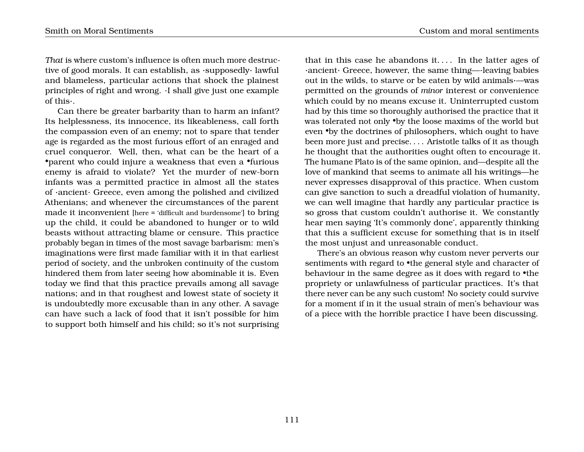*That* is where custom's influence is often much more destructive of good morals. It can establish, as ·supposedly· lawful and blameless, particular actions that shock the plainest principles of right and wrong. ·I shall give just one example of this·.

Can there be greater barbarity than to harm an infant? Its helplessness, its innocence, its likeableness, call forth the compassion even of an enemy; not to spare that tender age is regarded as the most furious effort of an enraged and cruel conqueror. Well, then, what can be the heart of a •parent who could injure a weakness that even a •furious enemy is afraid to violate? Yet the murder of new-born infants was a permitted practice in almost all the states of ·ancient· Greece, even among the polished and civilized Athenians; and whenever the circumstances of the parent made it inconvenient [here = 'difficult and burdensome'] to bring up the child, it could be abandoned to hunger or to wild beasts without attracting blame or censure. This practice probably began in times of the most savage barbarism: men's imaginations were first made familiar with it in that earliest period of society, and the unbroken continuity of the custom hindered them from later seeing how abominable it is. Even today we find that this practice prevails among all savage nations; and in that roughest and lowest state of society it is undoubtedly more excusable than in any other. A savage can have such a lack of food that it isn't possible for him to support both himself and his child; so it's not surprising that in this case he abandons it.... In the latter ages of ·ancient· Greece, however, the same thing—·leaving babies out in the wilds, to starve or be eaten by wild animals·—was permitted on the grounds of *minor* interest or convenience which could by no means excuse it. Uninterrupted custom had by this time so thoroughly authorised the practice that it was tolerated not only •by the loose maxims of the world but even •by the doctrines of philosophers, which ought to have been more just and precise. . . . Aristotle talks of it as though he thought that the authorities ought often to encourage it. The humane Plato is of the same opinion, and—despite all the love of mankind that seems to animate all his writings—he never expresses disapproval of this practice. When custom can give sanction to such a dreadful violation of humanity, we can well imagine that hardly any particular practice is so gross that custom couldn't authorise it. We constantly hear men saying 'It's commonly done', apparently thinking that this a sufficient excuse for something that is in itself the most unjust and unreasonable conduct.

There's an obvious reason why custom never perverts our sentiments with regard to •the general style and character of behaviour in the same degree as it does with regard to •the propriety or unlawfulness of particular practices. It's that there never can be any such custom! No society could survive for a moment if in it the usual strain of men's behaviour was of a piece with the horrible practice I have been discussing.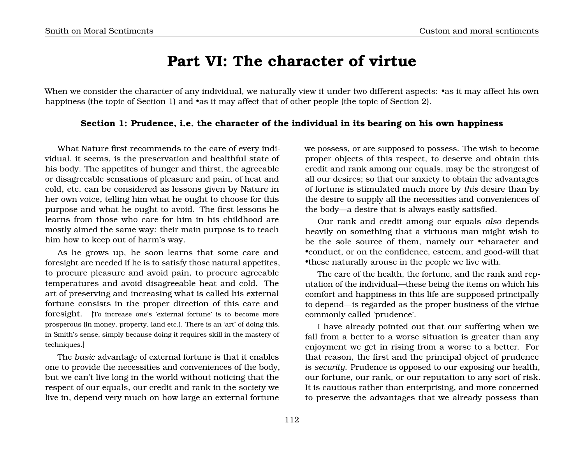# **Part VI: The character of virtue**

When we consider the character of any individual, we naturally view it under two different aspects: •as it may affect his own happiness (the topic of Section 1) and •as it may affect that of other people (the topic of Section 2).

#### **Section 1: Prudence, i.e. the character of the individual in its bearing on his own happiness**

What Nature first recommends to the care of every individual, it seems, is the preservation and healthful state of his body. The appetites of hunger and thirst, the agreeable or disagreeable sensations of pleasure and pain, of heat and cold, etc. can be considered as lessons given by Nature in her own voice, telling him what he ought to choose for this purpose and what he ought to avoid. The first lessons he learns from those who care for him in his childhood are mostly aimed the same way: their main purpose is to teach him how to keep out of harm's way.

As he grows up, he soon learns that some care and foresight are needed if he is to satisfy those natural appetites, to procure pleasure and avoid pain, to procure agreeable temperatures and avoid disagreeable heat and cold. The art of preserving and increasing what is called his external fortune consists in the proper direction of this care and foresight. [To increase one's 'external fortune' is to become more prosperous (in money, property, land etc.). There is an 'art' of doing this, in Smith's sense, simply because doing it requires skill in the mastery of techniques.]

The *basic* advantage of external fortune is that it enables one to provide the necessities and conveniences of the body, but we can't live long in the world without noticing that the respect of our equals, our credit and rank in the society we live in, depend very much on how large an external fortune

we possess, or are supposed to possess. The wish to become proper objects of this respect, to deserve and obtain this credit and rank among our equals, may be the strongest of all our desires; so that our anxiety to obtain the advantages of fortune is stimulated much more by *this* desire than by the desire to supply all the necessities and conveniences of the body—a desire that is always easily satisfied.

Our rank and credit among our equals *also* depends heavily on something that a virtuous man might wish to be the sole source of them, namely our •character and •conduct, or on the confidence, esteem, and good-will that •these naturally arouse in the people we live with.

The care of the health, the fortune, and the rank and reputation of the individual—these being the items on which his comfort and happiness in this life are supposed principally to depend—is regarded as the proper business of the virtue commonly called 'prudence'.

I have already pointed out that our suffering when we fall from a better to a worse situation is greater than any enjoyment we get in rising from a worse to a better. For that reason, the first and the principal object of prudence is *security*. Prudence is opposed to our exposing our health, our fortune, our rank, or our reputation to any sort of risk. It is cautious rather than enterprising, and more concerned to preserve the advantages that we already possess than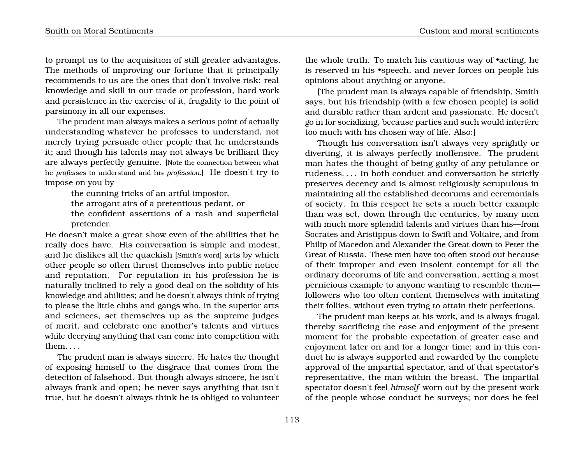to prompt us to the acquisition of still greater advantages. The methods of improving our fortune that it principally recommends to us are the ones that don't involve risk: real knowledge and skill in our trade or profession, hard work and persistence in the exercise of it, frugality to the point of parsimony in all our expenses.

The prudent man always makes a serious point of actually understanding whatever he professes to understand, not merely trying persuade other people that he understands it; and though his talents may not always be brilliant they are always perfectly genuine. [Note the connection between what he *professes* to understand and his *profession*.] He doesn't try to impose on you by

the cunning tricks of an artful impostor,

the arrogant airs of a pretentious pedant, or

the confident assertions of a rash and superficial pretender.

He doesn't make a great show even of the abilities that he really does have. His conversation is simple and modest, and he dislikes all the quackish [Smith's word] arts by which other people so often thrust themselves into public notice and reputation. For reputation in his profession he is naturally inclined to rely a good deal on the solidity of his knowledge and abilities; and he doesn't always think of trying to please the little clubs and gangs who, in the superior arts and sciences, set themselves up as the supreme judges of merit, and celebrate one another's talents and virtues while decrying anything that can come into competition with them. . . .

The prudent man is always sincere. He hates the thought of exposing himself to the disgrace that comes from the detection of falsehood. But though always sincere, he isn't always frank and open; he never says anything that isn't true, but he doesn't always think he is obliged to volunteer the whole truth. To match his cautious way of •acting, he is reserved in his •speech, and never forces on people his opinions about anything or anyone.

[The prudent man is always capable of friendship, Smith says, but his friendship (with a few chosen people) is solid and durable rather than ardent and passionate. He doesn't go in for socializing, because parties and such would interfere too much with his chosen way of life. Also:]

Though his conversation isn't always very sprightly or diverting, it is always perfectly inoffensive. The prudent man hates the thought of being guilty of any petulance or rudeness. . . . In both conduct and conversation he strictly preserves decency and is almost religiously scrupulous in maintaining all the established decorums and ceremonials of society. In this respect he sets a much better example than was set, down through the centuries, by many men with much more splendid talents and virtues than his—from Socrates and Aristippus down to Swift and Voltaire, and from Philip of Macedon and Alexander the Great down to Peter the Great of Russia. These men have too often stood out because of their improper and even insolent contempt for all the ordinary decorums of life and conversation, setting a most pernicious example to anyone wanting to resemble them followers who too often content themselves with imitating their follies, without even trying to attain their perfections.

The prudent man keeps at his work, and is always frugal, thereby sacrificing the ease and enjoyment of the present moment for the probable expectation of greater ease and enjoyment later on and for a longer time; and in this conduct he is always supported and rewarded by the complete approval of the impartial spectator, and of that spectator's representative, the man within the breast. The impartial spectator doesn't feel *himself* worn out by the present work of the people whose conduct he surveys; nor does he feel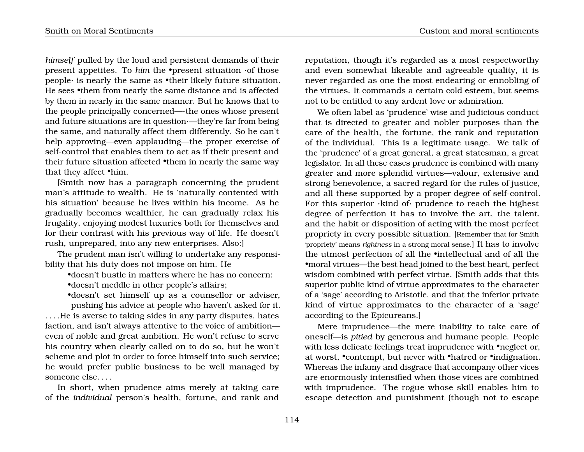*himself* pulled by the loud and persistent demands of their present appetites. To *him* the •present situation ·of those people· is nearly the same as •their likely future situation. He sees •them from nearly the same distance and is affected by them in nearly in the same manner. But he knows that to the people principally concerned—·the ones whose present and future situations are in question·—they're far from being the same, and naturally affect them differently. So he can't help approving—even applauding—the proper exercise of self-control that enables them to act as if their present and their future situation affected •them in nearly the same way that they affect •him.

[Smith now has a paragraph concerning the prudent man's attitude to wealth. He is 'naturally contented with his situation' because he lives within his income. As he gradually becomes wealthier, he can gradually relax his frugality, enjoying modest luxuries both for themselves and for their contrast with his previous way of life. He doesn't rush, unprepared, into any new enterprises. Also:]

The prudent man isn't willing to undertake any responsibility that his duty does not impose on him. He

•doesn't bustle in matters where he has no concern;

•doesn't meddle in other people's affairs;

•doesn't set himself up as a counsellor or adviser, pushing his advice at people who haven't asked for it. . . . .He is averse to taking sides in any party disputes, hates faction, and isn't always attentive to the voice of ambition even of noble and great ambition. He won't refuse to serve his country when clearly called on to do so, but he won't scheme and plot in order to force himself into such service; he would prefer public business to be well managed by someone else. . . .

In short, when prudence aims merely at taking care of the *individual* person's health, fortune, and rank and reputation, though it's regarded as a most respectworthy and even somewhat likeable and agreeable quality, it is never regarded as one the most endearing or ennobling of the virtues. It commands a certain cold esteem, but seems not to be entitled to any ardent love or admiration.

We often label as 'prudence' wise and judicious conduct that is directed to greater and nobler purposes than the care of the health, the fortune, the rank and reputation of the individual. This is a legitimate usage. We talk of the 'prudence' of a great general, a great statesman, a great legislator. In all these cases prudence is combined with many greater and more splendid virtues—valour, extensive and strong benevolence, a sacred regard for the rules of justice, and all these supported by a proper degree of self-control. For this superior ·kind of· prudence to reach the highest degree of perfection it has to involve the art, the talent, and the habit or disposition of acting with the most perfect propriety in every possible situation. [Remember that for Smith 'propriety' means *rightness* in a strong moral sense.] It has to involve the utmost perfection of all the •intellectual and of all the •moral virtues—the best head joined to the best heart, perfect wisdom combined with perfect virtue. [Smith adds that this superior public kind of virtue approximates to the character of a 'sage' according to Aristotle, and that the inferior private kind of virtue approximates to the character of a 'sage' according to the Epicureans.]

Mere imprudence—the mere inability to take care of oneself—is *pitied* by generous and humane people. People with less delicate feelings treat imprudence with •neglect or, at worst, •contempt, but never with •hatred or •indignation. Whereas the infamy and disgrace that accompany other vices are enormously intensified when those vices are combined with imprudence. The rogue whose skill enables him to escape detection and punishment (though not to escape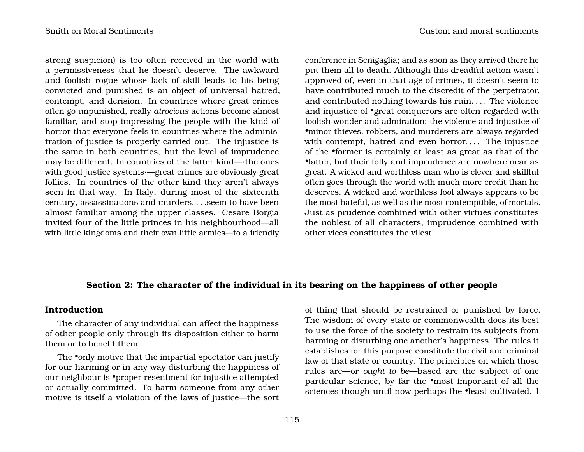strong suspicion) is too often received in the world with a permissiveness that he doesn't deserve. The awkward and foolish rogue whose lack of skill leads to his being convicted and punished is an object of universal hatred, contempt, and derision. In countries where great crimes often go unpunished, really *atrocious* actions become almost familiar, and stop impressing the people with the kind of horror that everyone feels in countries where the administration of justice is properly carried out. The injustice is the same in both countries, but the level of imprudence may be different. In countries of the latter kind—·the ones with good justice systems·—great crimes are obviously great follies. In countries of the other kind they aren't always seen in that way. In Italy, during most of the sixteenth century, assassinations and murders. . . .seem to have been almost familiar among the upper classes. Cesare Borgia invited four of the little princes in his neighbourhood—all with little kingdoms and their own little armies—to a friendly

conference in Senigaglia; and as soon as they arrived there he put them all to death. Although this dreadful action wasn't approved of, even in that age of crimes, it doesn't seem to have contributed much to the discredit of the perpetrator, and contributed nothing towards his ruin. . . . The violence and injustice of •great conquerors are often regarded with foolish wonder and admiration; the violence and injustice of •minor thieves, robbers, and murderers are always regarded with contempt, hatred and even horror.... The injustice of the •former is certainly at least as great as that of the •latter, but their folly and imprudence are nowhere near as great. A wicked and worthless man who is clever and skillful often goes through the world with much more credit than he deserves. A wicked and worthless fool always appears to be the most hateful, as well as the most contemptible, of mortals. Just as prudence combined with other virtues constitutes the noblest of all characters, imprudence combined with other vices constitutes the vilest.

### **Section 2: The character of the individual in its bearing on the happiness of other people**

#### **Introduction**

The character of any individual can affect the happiness of other people only through its disposition either to harm them or to benefit them.

The •only motive that the impartial spectator can justify for our harming or in any way disturbing the happiness of our neighbour is •proper resentment for injustice attempted or actually committed. To harm someone from any other motive is itself a violation of the laws of justice—the sort

of thing that should be restrained or punished by force. The wisdom of every state or commonwealth does its best to use the force of the society to restrain its subjects from harming or disturbing one another's happiness. The rules it establishes for this purpose constitute the civil and criminal law of that state or country. The principles on which those rules are—or *ought to be*—based are the subject of one particular science, by far the •most important of all the sciences though until now perhaps the •least cultivated. I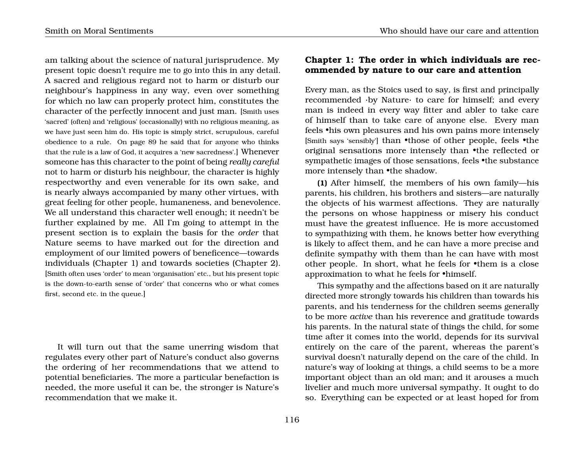Smith on Moral Sentiments Who should have our care and attention

am talking about the science of natural jurisprudence. My present topic doesn't require me to go into this in any detail. A sacred and religious regard not to harm or disturb our neighbour's happiness in any way, even over something for which no law can properly protect him, constitutes the character of the perfectly innocent and just man. [Smith uses 'sacred' (often) and 'religious' (occasionally) with no religious meaning, as we have just seen him do. His topic is simply strict, scrupulous, careful obedience to a rule. On page [89](#page-87-0) he said that for anyone who thinks that the rule is a law of God, it acquires a 'new sacredness'.] Whenever someone has this character to the point of being *really careful* not to harm or disturb his neighbour, the character is highly respectworthy and even venerable for its own sake, and is nearly always accompanied by many other virtues, with great feeling for other people, humaneness, and benevolence. We all understand this character well enough; it needn't be further explained by me. All I'm going to attempt in the present section is to explain the basis for the *order* that Nature seems to have marked out for the direction and employment of our limited powers of beneficence—towards individuals (Chapter 1) and towards societies (Chapter 2). [Smith often uses 'order' to mean 'organisation' etc., but his present topic is the down-to-earth sense of 'order' that concerns who or what comes first, second etc. in the queue.]

It will turn out that the same unerring wisdom that regulates every other part of Nature's conduct also governs the ordering of her recommendations that we attend to potential beneficiaries. The more a particular benefaction is needed, the more useful it can be, the stronger is Nature's recommendation that we make it.

#### **Chapter 1: The order in which individuals are recommended by nature to our care and attention**

Every man, as the Stoics used to say, is first and principally recommended ·by Nature· to care for himself; and every man is indeed in every way fitter and abler to take care of himself than to take care of anyone else. Every man feels •his own pleasures and his own pains more intensely [Smith says 'sensibly'] than •those of other people, feels •the original sensations more intensely than •the reflected or sympathetic images of those sensations, feels •the substance more intensely than •the shadow.

**(1)** After himself, the members of his own family—his parents, his children, his brothers and sisters—are naturally the objects of his warmest affections. They are naturally the persons on whose happiness or misery his conduct must have the greatest influence. He is more accustomed to sympathizing with them, he knows better how everything is likely to affect them, and he can have a more precise and definite sympathy with them than he can have with most other people. In short, what he feels for •them is a close approximation to what he feels for •himself.

This sympathy and the affections based on it are naturally directed more strongly towards his children than towards his parents, and his tenderness for the children seems generally to be more *active* than his reverence and gratitude towards his parents. In the natural state of things the child, for some time after it comes into the world, depends for its survival entirely on the care of the parent, whereas the parent's survival doesn't naturally depend on the care of the child. In nature's way of looking at things, a child seems to be a more important object than an old man; and it arouses a much livelier and much more universal sympathy. It ought to do so. Everything can be expected or at least hoped for from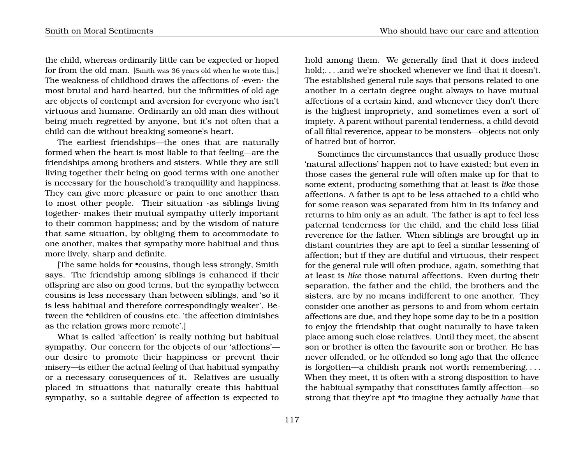Smith on Moral Sentiments Who should have our care and attention

the child, whereas ordinarily little can be expected or hoped for from the old man. [Smith was 36 years old when he wrote this.] The weakness of childhood draws the affections of ·even· the most brutal and hard-hearted, but the infirmities of old age are objects of contempt and aversion for everyone who isn't virtuous and humane. Ordinarily an old man dies without being much regretted by anyone, but it's not often that a child can die without breaking someone's heart.

The earliest friendships—the ones that are naturally formed when the heart is most liable to that feeling—are the friendships among brothers and sisters. While they are still living together their being on good terms with one another is necessary for the household's tranquillity and happiness. They can give more pleasure or pain to one another than to most other people. Their situation ·as siblings living together· makes their mutual sympathy utterly important to their common happiness; and by the wisdom of nature that same situation, by obliging them to accommodate to one another, makes that sympathy more habitual and thus more lively, sharp and definite.

[The same holds for •cousins, though less strongly, Smith says. The friendship among siblings is enhanced if their offspring are also on good terms, but the sympathy between cousins is less necessary than between siblings, and 'so it is less habitual and therefore correspondingly weaker'. Between the •children of cousins etc. 'the affection diminishes as the relation grows more remote'.]

What is called 'affection' is really nothing but habitual sympathy. Our concern for the objects of our 'affections' our desire to promote their happiness or prevent their misery—is either the actual feeling of that habitual sympathy or a necessary consequences of it. Relatives are usually placed in situations that naturally create this habitual sympathy, so a suitable degree of affection is expected to

hold among them. We generally find that it does indeed hold:...and we're shocked whenever we find that it doesn't. The established general rule says that persons related to one another in a certain degree ought always to have mutual affections of a certain kind, and whenever they don't there is the highest impropriety, and sometimes even a sort of impiety. A parent without parental tenderness, a child devoid of all filial reverence, appear to be monsters—objects not only of hatred but of horror.

Sometimes the circumstances that usually produce those 'natural affections' happen not to have existed; but even in those cases the general rule will often make up for that to some extent, producing something that at least is *like* those affections. A father is apt to be less attached to a child who for some reason was separated from him in its infancy and returns to him only as an adult. The father is apt to feel less paternal tenderness for the child, and the child less filial reverence for the father. When siblings are brought up in distant countries they are apt to feel a similar lessening of affection; but if they are dutiful and virtuous, their respect for the general rule will often produce, again, something that at least is *like* those natural affections. Even during their separation, the father and the child, the brothers and the sisters, are by no means indifferent to one another. They consider one another as persons to and from whom certain affections are due, and they hope some day to be in a position to enjoy the friendship that ought naturally to have taken place among such close relatives. Until they meet, the absent son or brother is often the favourite son or brother. He has never offended, or he offended so long ago that the offence is forgotten—a childish prank not worth remembering. . . . When they meet, it is often with a strong disposition to have the habitual sympathy that constitutes family affection—so strong that they're apt •to imagine they actually *have* that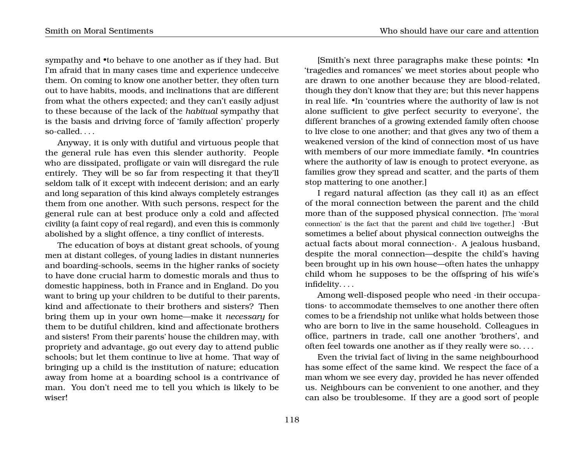so-called. . . .

sympathy and •to behave to one another as if they had. But I'm afraid that in many cases time and experience undeceive them. On coming to know one another better, they often turn out to have habits, moods, and inclinations that are different from what the others expected; and they can't easily adjust to these because of the lack of the *habitual* sympathy that is the basis and driving force of 'family affection' properly

Anyway, it is only with dutiful and virtuous people that the general rule has even this slender authority. People who are dissipated, profligate or vain will disregard the rule entirely. They will be so far from respecting it that they'll seldom talk of it except with indecent derision; and an early and long separation of this kind always completely estranges them from one another. With such persons, respect for the general rule can at best produce only a cold and affected civility (a faint copy of real regard), and even this is commonly abolished by a slight offence, a tiny conflict of interests.

The education of boys at distant great schools, of young men at distant colleges, of young ladies in distant nunneries and boarding-schools, seems in the higher ranks of society to have done crucial harm to domestic morals and thus to domestic happiness, both in France and in England. Do you want to bring up your children to be dutiful to their parents, kind and affectionate to their brothers and sisters? Then bring them up in your own home—make it *necessary* for them to be dutiful children, kind and affectionate brothers and sisters! From their parents' house the children may, with propriety and advantage, go out every day to attend public schools; but let them continue to live at home. That way of bringing up a child is the institution of nature; education away from home at a boarding school is a contrivance of man. You don't need me to tell you which is likely to be wiser!

[Smith's next three paragraphs make these points: •In 'tragedies and romances' we meet stories about people who are drawn to one another because they are blood-related, though they don't know that they are; but this never happens in real life. •In 'countries where the authority of law is not alone sufficient to give perfect security to everyone', the different branches of a growing extended family often choose to live close to one another; and that gives any two of them a weakened version of the kind of connection most of us have with members of our more immediate family.  $\bullet$ In countries where the authority of law is enough to protect everyone, as families grow they spread and scatter, and the parts of them stop mattering to one another.]

I regard natural affection (as they call it) as an effect of the moral connection between the parent and the child more than of the supposed physical connection. [The 'moral connection' is the fact that the parent and child live together.] ·But sometimes a belief about physical connection outweighs the actual facts about moral connection·. A jealous husband, despite the moral connection—despite the child's having been brought up in his own house—often hates the unhappy child whom he supposes to be the offspring of his wife's infidelity. . . .

Among well-disposed people who need ·in their occupations· to accommodate themselves to one another there often comes to be a friendship not unlike what holds between those who are born to live in the same household. Colleagues in office, partners in trade, call one another 'brothers', and often feel towards one another as if they really were so. . . .

Even the trivial fact of living in the same neighbourhood has some effect of the same kind. We respect the face of a man whom we see every day, provided he has never offended us. Neighbours can be convenient to one another, and they can also be troublesome. If they are a good sort of people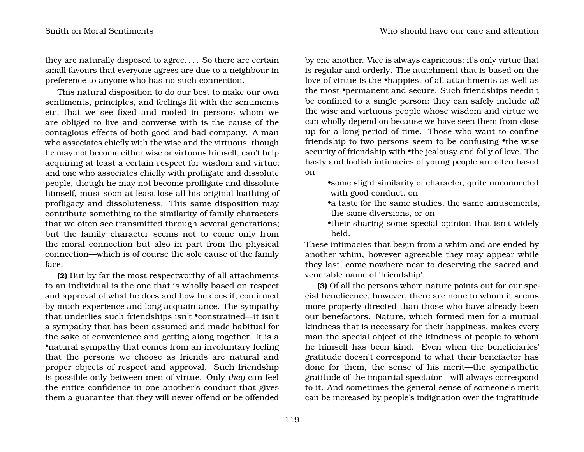they are naturally disposed to agree. . . . So there are certain small favours that everyone agrees are due to a neighbour in preference to anyone who has no such connection.

This natural disposition to do our best to make our own sentiments, principles, and feelings fit with the sentiments etc. that we see fixed and rooted in persons whom we are obliged to live and converse with is the cause of the contagious effects of both good and bad company. A man who associates chiefly with the wise and the virtuous, though he may not become either wise or virtuous himself, can't help acquiring at least a certain respect for wisdom and virtue; and one who associates chiefly with profligate and dissolute people, though he may not become profligate and dissolute himself, must soon at least lose all his original loathing of profligacy and dissoluteness. This same disposition may contribute something to the similarity of family characters that we often see transmitted through several generations; but the family character seems not to come only from the moral connection but also in part from the physical connection—which is of course the sole cause of the family face.

**(2)** But by far the most respectworthy of all attachments to an individual is the one that is wholly based on respect and approval of what he does and how he does it, confirmed by much experience and long acquaintance. The sympathy that underlies such friendships isn't •constrained—it isn't a sympathy that has been assumed and made habitual for the sake of convenience and getting along together. It is a •natural sympathy that comes from an involuntary feeling that the persons we choose as friends are natural and proper objects of respect and approval. Such friendship is possible only between men of virtue. Only *they* can feel the entire confidence in one another's conduct that gives them a guarantee that they will never offend or be offended

by one another. Vice is always capricious; it's only virtue that is regular and orderly. The attachment that is based on the love of virtue is the •happiest of all attachments as well as the most •permanent and secure. Such friendships needn't be confined to a single person; they can safely include *all* the wise and virtuous people whose wisdom and virtue we can wholly depend on because we have seen them from close up for a long period of time. Those who want to confine friendship to two persons seem to be confusing •the wise security of friendship with •the jealousy and folly of love. The hasty and foolish intimacies of young people are often based on

•some slight similarity of character, quite unconnected with good conduct, on

- •a taste for the same studies, the same amusements, the same diversions, or on
- •their sharing some special opinion that isn't widely held.

These intimacies that begin from a whim and are ended by another whim, however agreeable they may appear while they last, come nowhere near to deserving the sacred and venerable name of 'friendship'.

**(3)** Of all the persons whom nature points out for our special beneficence, however, there are none to whom it seems more properly directed than those who have already been our benefactors. Nature, which formed men for a mutual kindness that is necessary for their happiness, makes every man the special object of the kindness of people to whom he himself has been kind. Even when the beneficiaries' gratitude doesn't correspond to what their benefactor has done for them, the sense of his merit—the sympathetic gratitude of the impartial spectator—will always correspond to it. And sometimes the general sense of someone's merit can be increased by people's indignation over the ingratitude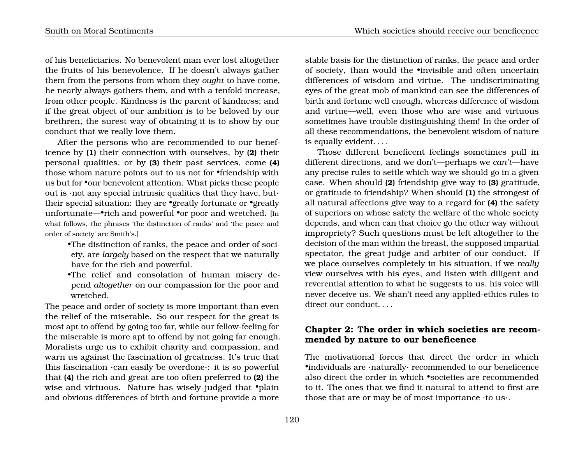of his beneficiaries. No benevolent man ever lost altogether the fruits of his benevolence. If he doesn't always gather them from the persons from whom they *ought* to have come, he nearly always gathers them, and with a tenfold increase, from other people. Kindness is the parent of kindness; and if the great object of our ambition is to be beloved by our brethren, the surest way of obtaining it is to show by our conduct that we really love them.

After the persons who are recommended to our beneficence by **(1)** their connection with ourselves, by **(2)** their personal qualities, or by **(3)** their past services, come **(4)** those whom nature points out to us not for •friendship with us but for •our benevolent attention. What picks these people out is ·not any special intrinsic qualities that they have, but· their special situation: they are •greatly fortunate or •greatly unfortunate—•rich and powerful •or poor and wretched. [In what follows, the phrases 'the distinction of ranks' and 'the peace and order of society' are Smith's.]

- •The distinction of ranks, the peace and order of society, are *largely* based on the respect that we naturally have for the rich and powerful.
- •The relief and consolation of human misery depend *altogether* on our compassion for the poor and wretched.

The peace and order of society is more important than even the relief of the miserable. So our respect for the great is most apt to offend by going too far, while our fellow-feeling for the miserable is more apt to offend by not going far enough. Moralists urge us to exhibit charity and compassion, and warn us against the fascination of greatness. It's true that this fascination ·can easily be overdone·: it is so powerful that **(4)** the rich and great are too often preferred to **(2)** the wise and virtuous. Nature has wisely judged that •plain and obvious differences of birth and fortune provide a more

stable basis for the distinction of ranks, the peace and order of society, than would the •invisible and often uncertain differences of wisdom and virtue. The undiscriminating eyes of the great mob of mankind can see the differences of birth and fortune well enough, whereas difference of wisdom and virtue—well, even those who are wise and virtuous sometimes have trouble distinguishing them! In the order of all these recommendations, the benevolent wisdom of nature is equally evident. . . .

Those different beneficent feelings sometimes pull in different directions, and we don't—perhaps we *can't*—have any precise rules to settle which way we should go in a given case. When should **(2)** friendship give way to **(3)** gratitude, or gratitude to friendship? When should **(1)** the strongest of all natural affections give way to a regard for **(4)** the safety of superiors on whose safety the welfare of the whole society depends, and when can that choice go the other way without impropriety? Such questions must be left altogether to the decision of the man within the breast, the supposed impartial spectator, the great judge and arbiter of our conduct. If we place ourselves completely in his situation, if we *really* view ourselves with his eyes, and listen with diligent and reverential attention to what he suggests to us, his voice will never deceive us. We shan't need any applied-ethics rules to direct our conduct....

## **Chapter 2: The order in which societies are recommended by nature to our beneficence**

The motivational forces that direct the order in which •individuals are ·naturally· recommended to our beneficence also direct the order in which •societies are recommended to it. The ones that we find it natural to attend to first are those that are or may be of most importance ·to us·.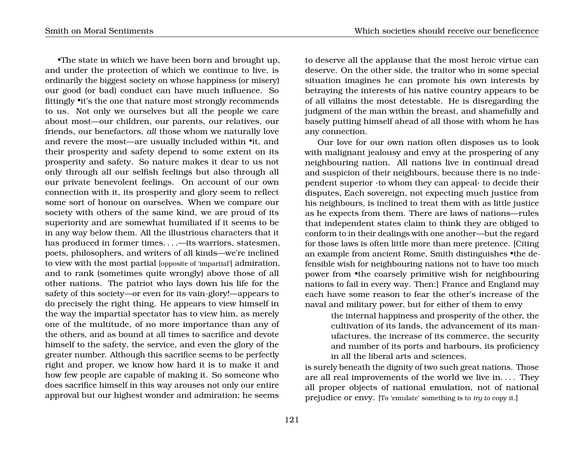•The state in which we have been born and brought up, and under the protection of which we continue to live, is ordinarily the biggest society on whose happiness (or misery) our good (or bad) conduct can have much influence. So fittingly •it's the one that nature most strongly recommends to us. Not only we ourselves but all the people we care about most—our children, our parents, our relatives, our friends, our benefactors, *all* those whom we naturally love and revere the most—are usually included within •it, and their prosperity and safety depend to some extent on its prosperity and safety. So nature makes it dear to us not only through all our selfish feelings but also through all our private benevolent feelings. On account of our own connection with it, its prosperity and glory seem to reflect some sort of honour on ourselves. When we compare our society with others of the same kind, we are proud of its superiority and are somewhat humiliated if it seems to be in any way below them. All the illustrious characters that it has produced in former times....—its warriors, statesmen, poets, philosophers, and writers of all kinds—we're inclined to view with the most partial [opposite of 'impartial'] admiration, and to rank (sometimes quite wrongly) above those of all other nations. The patriot who lays down his life for the safety of this society—or even for its vain-glory!—appears to do precisely the right thing. He appears to view himself in the way the impartial spectator has to view him, as merely one of the multitude, of no more importance than any of the others, and as bound at all times to sacrifice and devote himself to the safety, the service, and even the glory of the greater number. Although this sacrifice seems to be perfectly right and proper, we know how hard it is to make it and how few people are capable of making it. So someone who does sacrifice himself in this way arouses not only our entire approval but our highest wonder and admiration; he seems

to deserve all the applause that the most heroic virtue can deserve. On the other side, the traitor who in some special situation imagines he can promote his own interests by betraying the interests of his native country appears to be of all villains the most detestable. He is disregarding the judgment of the man within the breast, and shamefully and basely putting himself ahead of all those with whom he has any connection.

Our love for our own nation often disposes us to look with malignant jealousy and envy at the prospering of any neighbouring nation. All nations live in continual dread and suspicion of their neighbours, because there is no independent superior ·to whom they can appeal· to decide their disputes, Each sovereign, not expecting much justice from his neighbours, is inclined to treat them with as little justice as he expects from them. There are laws of nations—rules that independent states claim to think they are obliged to conform to in their dealings with one another—but the regard for those laws is often little more than mere pretence. [Citing an example from ancient Rome, Smith distinguishes •the defensible wish for neighbouring nations not to have too much power from •the coarsely primitive wish for neighbouring nations to fail in every way. Then:] France and England may each have some reason to fear the other's increase of the naval and military power, but for either of them to envy

> the internal happiness and prosperity of the other, the cultivation of its lands, the advancement of its manufactures, the increase of its commerce, the security and number of its ports and harbours, its proficiency in all the liberal arts and sciences,

is surely beneath the dignity of two such great nations. Those are all real improvements of the world we live in. . . . They all proper objects of national emulation, not of national prejudice or envy. [To 'emulate' something is to *try to* copy it.]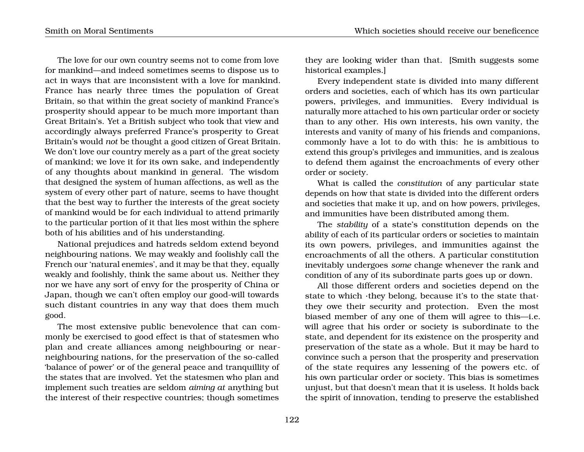The love for our own country seems not to come from love for mankind—and indeed sometimes seems to dispose us to act in ways that are inconsistent with a love for mankind. France has nearly three times the population of Great Britain, so that within the great society of mankind France's prosperity should appear to be much more important than Great Britain's. Yet a British subject who took that view and accordingly always preferred France's prosperity to Great Britain's would *not* be thought a good citizen of Great Britain. We don't love our country merely as a part of the great society of mankind; we love it for its own sake, and independently of any thoughts about mankind in general. The wisdom that designed the system of human affections, as well as the system of every other part of nature, seems to have thought that the best way to further the interests of the great society of mankind would be for each individual to attend primarily to the particular portion of it that lies most within the sphere both of his abilities and of his understanding.

National prejudices and hatreds seldom extend beyond neighbouring nations. We may weakly and foolishly call the French our 'natural enemies', and it may be that they, equally weakly and foolishly, think the same about us. Neither they nor we have any sort of envy for the prosperity of China or Japan, though we can't often employ our good-will towards such distant countries in any way that does them much good.

The most extensive public benevolence that can commonly be exercised to good effect is that of statesmen who plan and create alliances among neighbouring or nearneighbouring nations, for the preservation of the so-called 'balance of power' or of the general peace and tranquillity of the states that are involved. Yet the statesmen who plan and implement such treaties are seldom *aiming at* anything but the interest of their respective countries; though sometimes

they are looking wider than that. [Smith suggests some historical examples.]

Every independent state is divided into many different orders and societies, each of which has its own particular powers, privileges, and immunities. Every individual is naturally more attached to his own particular order or society than to any other. His own interests, his own vanity, the interests and vanity of many of his friends and companions, commonly have a lot to do with this: he is ambitious to extend this group's privileges and immunities, and is zealous to defend them against the encroachments of every other order or society.

What is called the *constitution* of any particular state depends on how that state is divided into the different orders and societies that make it up, and on how powers, privileges, and immunities have been distributed among them.

The *stability* of a state's constitution depends on the ability of each of its particular orders or societies to maintain its own powers, privileges, and immunities against the encroachments of all the others. A particular constitution inevitably undergoes *some* change whenever the rank and condition of any of its subordinate parts goes up or down.

All those different orders and societies depend on the state to which ·they belong, because it's to the state that· they owe their security and protection. Even the most biased member of any one of them will agree to this—i.e. will agree that his order or society is subordinate to the state, and dependent for its existence on the prosperity and preservation of the state as a whole. But it may be hard to convince such a person that the prosperity and preservation of the state requires any lessening of the powers etc. of his own particular order or society. This bias is sometimes unjust, but that doesn't mean that it is useless. It holds back the spirit of innovation, tending to preserve the established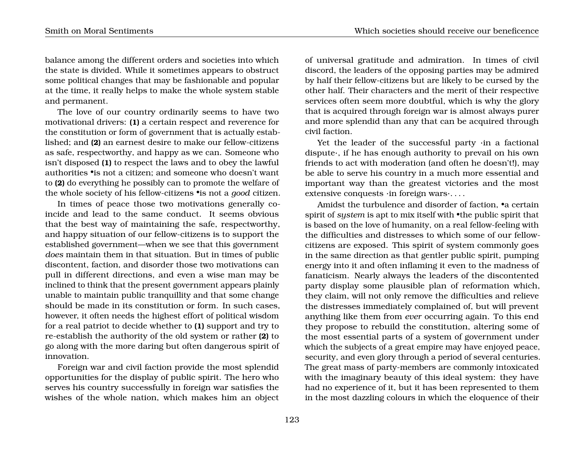balance among the different orders and societies into which the state is divided. While it sometimes appears to obstruct some political changes that may be fashionable and popular at the time, it really helps to make the whole system stable and permanent.

The love of our country ordinarily seems to have two motivational drivers: **(1)** a certain respect and reverence for the constitution or form of government that is actually established; and **(2)** an earnest desire to make our fellow-citizens as safe, respectworthy, and happy as we can. Someone who isn't disposed **(1)** to respect the laws and to obey the lawful authorities •is not a citizen; and someone who doesn't want to **(2)** do everything he possibly can to promote the welfare of the whole society of his fellow-citizens •is not a *good* citizen.

In times of peace those two motivations generally coincide and lead to the same conduct. It seems obvious that the best way of maintaining the safe, respectworthy, and happy situation of our fellow-citizens is to support the established government—when we see that this government *does* maintain them in that situation. But in times of public discontent, faction, and disorder those two motivations can pull in different directions, and even a wise man may be inclined to think that the present government appears plainly unable to maintain public tranquillity and that some change should be made in its constitution or form. In such cases, however, it often needs the highest effort of political wisdom for a real patriot to decide whether to **(1)** support and try to re-establish the authority of the old system or rather **(2)** to go along with the more daring but often dangerous spirit of innovation.

Foreign war and civil faction provide the most splendid opportunities for the display of public spirit. The hero who serves his country successfully in foreign war satisfies the wishes of the whole nation, which makes him an object

of universal gratitude and admiration. In times of civil discord, the leaders of the opposing parties may be admired by half their fellow-citizens but are likely to be cursed by the other half. Their characters and the merit of their respective services often seem more doubtful, which is why the glory that is acquired through foreign war is almost always purer and more splendid than any that can be acquired through civil faction.

Yet the leader of the successful party ·in a factional dispute·, if he has enough authority to prevail on his own friends to act with moderation (and often he doesn't!), may be able to serve his country in a much more essential and important way than the greatest victories and the most extensive conquests ·in foreign wars·. . . .

Amidst the turbulence and disorder of faction, •a certain spirit of *system* is apt to mix itself with •the public spirit that is based on the love of humanity, on a real fellow-feeling with the difficulties and distresses to which some of our fellowcitizens are exposed. This spirit of system commonly goes in the same direction as that gentler public spirit, pumping energy into it and often inflaming it even to the madness of fanaticism. Nearly always the leaders of the discontented party display some plausible plan of reformation which, they claim, will not only remove the difficulties and relieve the distresses immediately complained of, but will prevent anything like them from *ever* occurring again. To this end they propose to rebuild the constitution, altering some of the most essential parts of a system of government under which the subjects of a great empire may have enjoyed peace, security, and even glory through a period of several centuries. The great mass of party-members are commonly intoxicated with the imaginary beauty of this ideal system: they have had no experience of it, but it has been represented to them in the most dazzling colours in which the eloquence of their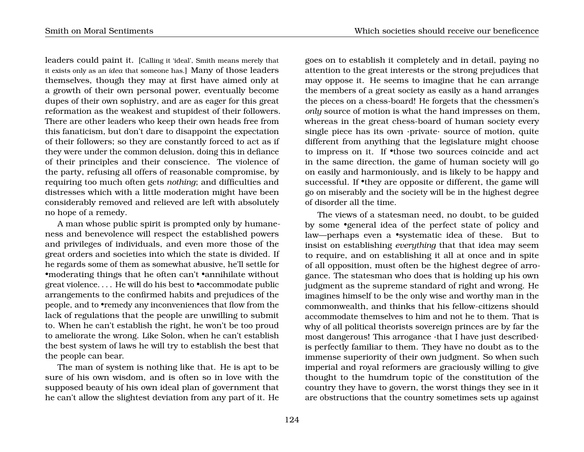leaders could paint it. [Calling it 'ideal', Smith means merely that it exists only as an *idea* that someone has.] Many of those leaders themselves, though they may at first have aimed only at a growth of their own personal power, eventually become dupes of their own sophistry, and are as eager for this great reformation as the weakest and stupidest of their followers. There are other leaders who keep their own heads free from this fanaticism, but don't dare to disappoint the expectation of their followers; so they are constantly forced to act as if they were under the common delusion, doing this in defiance of their principles and their conscience. The violence of the party, refusing all offers of reasonable compromise, by requiring too much often gets *nothing*; and difficulties and distresses which with a little moderation might have been considerably removed and relieved are left with absolutely no hope of a remedy.

A man whose public spirit is prompted only by humaneness and benevolence will respect the established powers and privileges of individuals, and even more those of the great orders and societies into which the state is divided. If he regards some of them as somewhat abusive, he'll settle for •moderating things that he often can't •annihilate without great violence. . . . He will do his best to •accommodate public arrangements to the confirmed habits and prejudices of the people, and to •remedy any inconveniences that flow from the lack of regulations that the people are unwilling to submit to. When he can't establish the right, he won't be too proud to ameliorate the wrong. Like Solon, when he can't establish the best system of laws he will try to establish the best that the people can bear.

The man of system is nothing like that. He is apt to be sure of his own wisdom, and is often so in love with the supposed beauty of his own ideal plan of government that he can't allow the slightest deviation from any part of it. He

goes on to establish it completely and in detail, paying no attention to the great interests or the strong prejudices that may oppose it. He seems to imagine that he can arrange the members of a great society as easily as a hand arranges the pieces on a chess-board! He forgets that the chessmen's *only* source of motion is what the hand impresses on them, whereas in the great chess-board of human society every single piece has its own ·private· source of motion, quite different from anything that the legislature might choose to impress on it. If •those two sources coincide and act in the same direction, the game of human society will go on easily and harmoniously, and is likely to be happy and successful. If •they are opposite or different, the game will go on miserably and the society will be in the highest degree of disorder all the time.

The views of a statesman need, no doubt, to be guided by some •general idea of the perfect state of policy and law—perhaps even a •systematic idea of these. But to insist on establishing *everything* that that idea may seem to require, and on establishing it all at once and in spite of all opposition, must often be the highest degree of arrogance. The statesman who does that is holding up his own judgment as the supreme standard of right and wrong. He imagines himself to be the only wise and worthy man in the commonwealth, and thinks that his fellow-citizens should accommodate themselves to him and not he to them. That is why of all political theorists sovereign princes are by far the most dangerous! This arrogance ·that I have just described· is perfectly familiar to them. They have no doubt as to the immense superiority of their own judgment. So when such imperial and royal reformers are graciously willing to give thought to the humdrum topic of the constitution of the country they have to govern, the worst things they see in it are obstructions that the country sometimes sets up against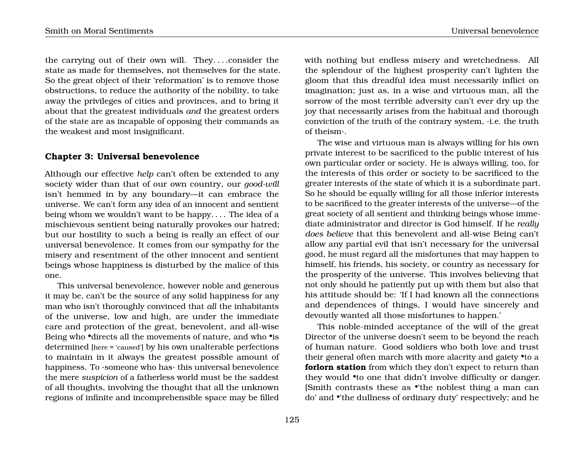the carrying out of their own will. They. . . .consider the state as made for themselves, not themselves for the state. So the great object of their 'reformation' is to remove those obstructions, to reduce the authority of the nobility, to take away the privileges of cities and provinces, and to bring it about that the greatest individuals *and* the greatest orders of the state are as incapable of opposing their commands as the weakest and most insignificant.

#### **Chapter 3: Universal benevolence**

Although our effective *help* can't often be extended to any society wider than that of our own country, our *good-will* isn't hemmed in by any boundary—it can embrace the universe. We can't form any idea of an innocent and sentient being whom we wouldn't want to be happy. . . . The idea of a mischievous sentient being naturally provokes our hatred; but our hostility to such a being is really an effect of our universal benevolence. It comes from our sympathy for the misery and resentment of the other innocent and sentient beings whose happiness is disturbed by the malice of this one.

This universal benevolence, however noble and generous it may be, can't be the source of any solid happiness for any man who isn't thoroughly convinced that *all* the inhabitants of the universe, low and high, are under the immediate care and protection of the great, benevolent, and all-wise Being who •directs all the movements of nature, and who •is determined [here = 'caused'] by his own unalterable perfections to maintain in it always the greatest possible amount of happiness. To ·someone who has· this universal benevolence the mere *suspicion* of a fatherless world must be the saddest of all thoughts, involving the thought that all the unknown regions of infinite and incomprehensible space may be filled

with nothing but endless misery and wretchedness. All the splendour of the highest prosperity can't lighten the gloom that this dreadful idea must necessarily inflict on imagination; just as, in a wise and virtuous man, all the sorrow of the most terrible adversity can't ever dry up the joy that necessarily arises from the habitual and thorough conviction of the truth of the contrary system, ·i.e. the truth of theism·.

The wise and virtuous man is always willing for his own private interest to be sacrificed to the public interest of his own particular order or society. He is always willing, too, for the interests of this order or society to be sacrificed to the greater interests of the state of which it is a subordinate part. So he should be equally willing for all those inferior interests to be sacrificed to the greater interests of the universe—of the great society of all sentient and thinking beings whose immediate administrator and director is God himself. If he *really does believe* that this benevolent and all-wise Being can't allow any partial evil that isn't necessary for the universal good, he must regard all the misfortunes that may happen to himself, his friends, his society, or country as necessary for the prosperity of the universe. This involves believing that not only should he patiently put up with them but also that his attitude should be: 'If I had known all the connections and dependences of things, I would have sincerely and devoutly wanted all those misfortunes to happen.'

This noble-minded acceptance of the will of the great Director of the universe doesn't seem to be beyond the reach of human nature. Good soldiers who both love and trust their general often march with more alacrity and gaiety •to a **forlorn station** from which they don't expect to return than they would •to one that didn't involve difficulty or danger. [Smith contrasts these as •'the noblest thing a man can do' and •'the dullness of ordinary duty' respectively; and he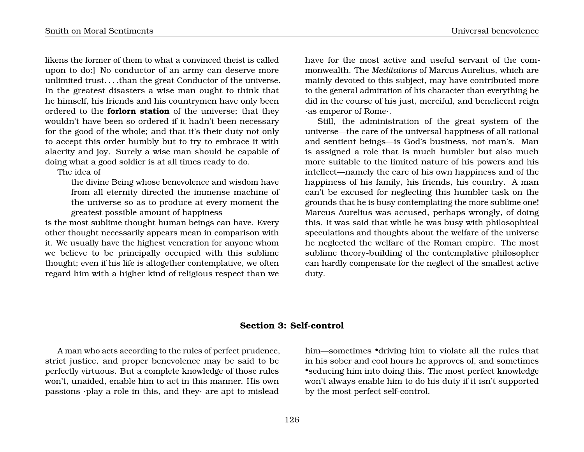likens the former of them to what a convinced theist is called upon to do:] No conductor of an army can deserve more unlimited trust. . . .than the great Conductor of the universe. In the greatest disasters a wise man ought to think that he himself, his friends and his countrymen have only been ordered to the **forlorn station** of the universe; that they wouldn't have been so ordered if it hadn't been necessary for the good of the whole; and that it's their duty not only to accept this order humbly but to try to embrace it with alacrity and joy. Surely a wise man should be capable of doing what a good soldier is at all times ready to do.

The idea of

the divine Being whose benevolence and wisdom have from all eternity directed the immense machine of the universe so as to produce at every moment the greatest possible amount of happiness

is the most sublime thought human beings can have. Every other thought necessarily appears mean in comparison with it. We usually have the highest veneration for anyone whom we believe to be principally occupied with this sublime thought; even if his life is altogether contemplative, we often regard him with a higher kind of religious respect than we

have for the most active and useful servant of the commonwealth. The *Meditations* of Marcus Aurelius, which are mainly devoted to this subject, may have contributed more to the general admiration of his character than everything he did in the course of his just, merciful, and beneficent reign ·as emperor of Rome·.

Still, the administration of the great system of the universe—the care of the universal happiness of all rational and sentient beings—is God's business, not man's. Man is assigned a role that is much humbler but also much more suitable to the limited nature of his powers and his intellect—namely the care of his own happiness and of the happiness of his family, his friends, his country. A man can't be excused for neglecting this humbler task on the grounds that he is busy contemplating the more sublime one! Marcus Aurelius was accused, perhaps wrongly, of doing this. It was said that while he was busy with philosophical speculations and thoughts about the welfare of the universe he neglected the welfare of the Roman empire. The most sublime theory-building of the contemplative philosopher can hardly compensate for the neglect of the smallest active duty.

#### <span id="page-129-0"></span>**Section 3: Self-control**

A man who acts according to the rules of perfect prudence, strict justice, and proper benevolence may be said to be perfectly virtuous. But a complete knowledge of those rules won't, unaided, enable him to act in this manner. His own passions ·play a role in this, and they· are apt to mislead

him—sometimes •driving him to violate all the rules that in his sober and cool hours he approves of, and sometimes •seducing him into doing this. The most perfect knowledge won't always enable him to do his duty if it isn't supported by the most perfect self-control.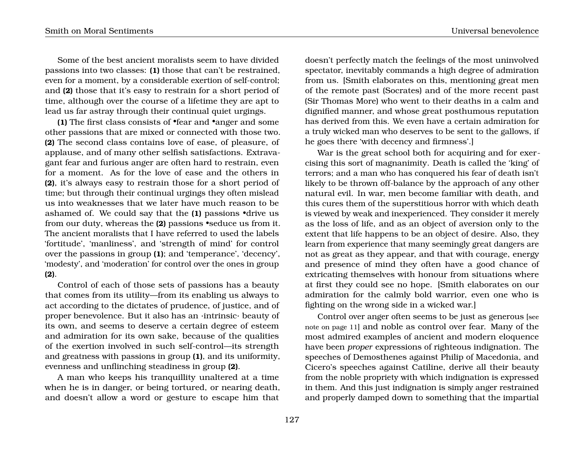Some of the best ancient moralists seem to have divided passions into two classes: **(1)** those that can't be restrained, even for a moment, by a considerable exertion of self-control;

and **(2)** those that it's easy to restrain for a short period of time, although over the course of a lifetime they are apt to lead us far astray through their continual quiet urgings.

**(1)** The first class consists of •fear and •anger and some other passions that are mixed or connected with those two. **(2)** The second class contains love of ease, of pleasure, of applause, and of many other selfish satisfactions. Extravagant fear and furious anger are often hard to restrain, even for a moment. As for the love of ease and the others in **(2)**, it's always easy to restrain those for a short period of time; but through their continual urgings they often mislead us into weaknesses that we later have much reason to be ashamed of. We could say that the **(1)** passions •drive us from our duty, whereas the **(2)** passions •seduce us from it. The ancient moralists that I have referred to used the labels 'fortitude', 'manliness', and 'strength of mind' for control over the passions in group **(1)**; and 'temperance', 'decency', 'modesty', and 'moderation' for control over the ones in group **(2)**.

Control of each of those sets of passions has a beauty that comes from its utility—from its enabling us always to act according to the dictates of prudence, of justice, and of proper benevolence. But it also has an ·intrinsic· beauty of its own, and seems to deserve a certain degree of esteem and admiration for its own sake, because of the qualities of the exertion involved in such self-control—its strength and greatness with passions in group **(1)**, and its uniformity, evenness and unflinching steadiness in group **(2)**.

A man who keeps his tranquillity unaltered at a time when he is in danger, or being tortured, or nearing death, and doesn't allow a word or gesture to escape him that

doesn't perfectly match the feelings of the most uninvolved spectator, inevitably commands a high degree of admiration from us. [Smith elaborates on this, mentioning great men of the remote past (Socrates) and of the more recent past (Sir Thomas More) who went to their deaths in a calm and dignified manner, and whose great posthumous reputation has derived from this. We even have a certain admiration for a truly wicked man who deserves to be sent to the gallows, if he goes there 'with decency and firmness'.]

War is the great school both for acquiring and for exercising this sort of magnanimity. Death is called the 'king' of terrors; and a man who has conquered his fear of death isn't likely to be thrown off-balance by the approach of any other natural evil. In war, men become familiar with death, and this cures them of the superstitious horror with which death is viewed by weak and inexperienced. They consider it merely as the loss of life, and as an object of aversion only to the extent that life happens to be an object of desire. Also, they learn from experience that many seemingly great dangers are not as great as they appear, and that with courage, energy and presence of mind they often have a good chance of extricating themselves with honour from situations where at first they could see no hope. [Smith elaborates on our admiration for the calmly bold warrior, even one who is fighting on the wrong side in a wicked war.]

Control over anger often seems to be just as generous [see note on page [11](#page-14-0)] and noble as control over fear. Many of the most admired examples of ancient and modern eloquence have been *proper* expressions of righteous indignation. The speeches of Demosthenes against Philip of Macedonia, and Cicero's speeches against Catiline, derive all their beauty from the noble propriety with which indignation is expressed in them. And this just indignation is simply anger restrained and properly damped down to something that the impartial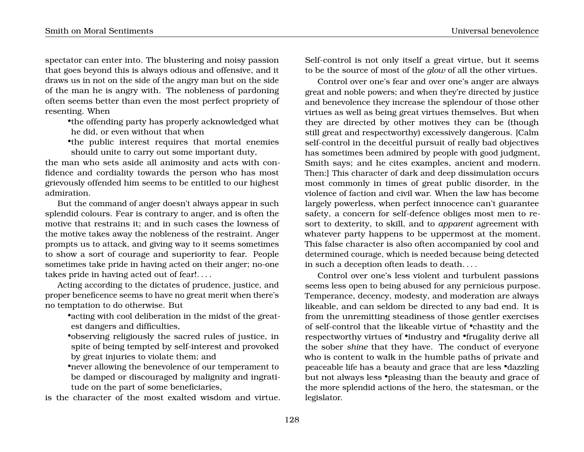spectator can enter into. The blustering and noisy passion that goes beyond this is always odious and offensive, and it draws us in not on the side of the angry man but on the side of the man he is angry with. The nobleness of pardoning often seems better than even the most perfect propriety of resenting. When

•the offending party has properly acknowledged what he did, or even without that when

•the public interest requires that mortal enemies should unite to carry out some important duty,

the man who sets aside all animosity and acts with confidence and cordiality towards the person who has most grievously offended him seems to be entitled to our highest admiration.

But the command of anger doesn't always appear in such splendid colours. Fear is contrary to anger, and is often the motive that restrains it; and in such cases the lowness of the motive takes away the nobleness of the restraint. Anger prompts us to attack, and giving way to it seems sometimes to show a sort of courage and superiority to fear. People sometimes take pride in having acted on their anger; no-one takes pride in having acted out of fear!. . . .

Acting according to the dictates of prudence, justice, and proper beneficence seems to have no great merit when there's no temptation to do otherwise. But

•acting with cool deliberation in the midst of the greatest dangers and difficulties,

•observing religiously the sacred rules of justice, in spite of being tempted by self-interest and provoked by great injuries to violate them; and

•never allowing the benevolence of our temperament to be damped or discouraged by malignity and ingratitude on the part of some beneficiaries,

is the character of the most exalted wisdom and virtue.

Self-control is not only itself a great virtue, but it seems to be the source of most of the *glow* of all the other virtues.

Control over one's fear and over one's anger are always great and noble powers; and when they're directed by justice and benevolence they increase the splendour of those other virtues as well as being great virtues themselves. But when they are directed by other motives they can be (though still great and respectworthy) excessively dangerous. [Calm self-control in the deceitful pursuit of really bad objectives has sometimes been admired by people with good judgment, Smith says; and he cites examples, ancient and modern. Then:] This character of dark and deep dissimulation occurs most commonly in times of great public disorder, in the violence of faction and civil war. When the law has become largely powerless, when perfect innocence can't guarantee safety, a concern for self-defence obliges most men to resort to dexterity, to skill, and to *apparent* agreement with whatever party happens to be uppermost at the moment. This false character is also often accompanied by cool and determined courage, which is needed because being detected in such a deception often leads to death. . . .

Control over one's less violent and turbulent passions seems less open to being abused for any pernicious purpose. Temperance, decency, modesty, and moderation are always likeable, and can seldom be directed to any bad end. It is from the unremitting steadiness of those gentler exercises of self-control that the likeable virtue of •chastity and the respectworthy virtues of •industry and •frugality derive all the sober *shine* that they have. The conduct of everyone who is content to walk in the humble paths of private and peaceable life has a beauty and grace that are less •dazzling but not always less •pleasing than the beauty and grace of the more splendid actions of the hero, the statesman, or the legislator.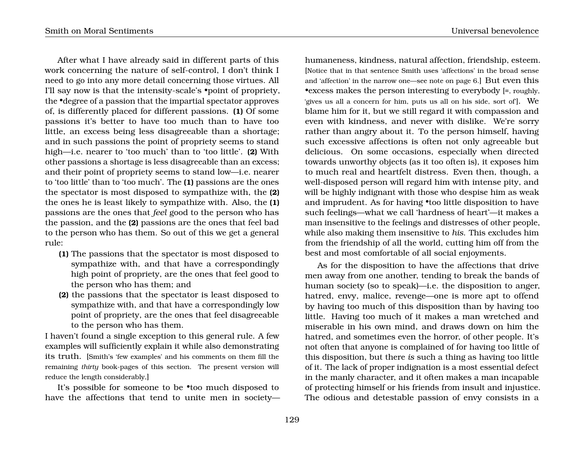After what I have already said in different parts of this work concerning the nature of self-control, I don't think I need to go into any more detail concerning those virtues. All I'll say now is that the intensity-scale's •point of propriety, the •degree of a passion that the impartial spectator approves of, is differently placed for different passions. **(1)** Of some passions it's better to have too much than to have too little, an excess being less disagreeable than a shortage; and in such passions the point of propriety seems to stand high—i.e. nearer to 'too much' than to 'too little'. **(2)** With other passions a shortage is less disagreeable than an excess; and their point of propriety seems to stand low—i.e. nearer to 'too little' than to 'too much'. The **(1)** passions are the ones the spectator is most disposed to sympathize with, the **(2)** the ones he is least likely to sympathize with. Also, the **(1)** passions are the ones that *feel* good to the person who has the passion, and the **(2)** passions are the ones that feel bad to the person who has them. So out of this we get a general rule:

- **(1)** The passions that the spectator is most disposed to sympathize with, and that have a correspondingly high point of propriety, are the ones that feel good to the person who has them; and
- **(2)** the passions that the spectator is least disposed to sympathize with, and that have a correspondingly low point of propriety, are the ones that feel disagreeable to the person who has them.

I haven't found a single exception to this general rule. A few examples will sufficiently explain it while also demonstrating its truth. [Smith's 'few examples' and his comments on them fill the remaining *thirty* book-pages of this section. The present version will reduce the length considerably,]

It's possible for someone to be •too much disposed to have the affections that tend to unite men in societyhumaneness, kindness, natural affection, friendship, esteem. [Notice that in that sentence Smith uses 'affections' in the broad sense and 'affection' in the narrow one—see note on page 6.] But even this •excess makes the person interesting to everybody [=, roughly, 'gives us all a concern for him, puts us all on his side, sort of']. We blame him for it, but we still regard it with compassion and even with kindness, and never with dislike. We're sorry rather than angry about it. To the person himself, having such excessive affections is often not only agreeable but delicious. On some occasions, especially when directed towards unworthy objects (as it too often is), it exposes him to much real and heartfelt distress. Even then, though, a well-disposed person will regard him with intense pity, and will be highly indignant with those who despise him as weak and imprudent. As for having •too little disposition to have such feelings—what we call 'hardness of heart'—it makes a man insensitive to the feelings and distresses of other people, while also making them insensitive to *his*. This excludes him from the friendship of all the world, cutting him off from the best and most comfortable of all social enjoyments.

As for the disposition to have the affections that drive men away from one another, tending to break the bands of human society (so to speak)—i.e. the disposition to anger, hatred, envy, malice, revenge—one is more apt to offend by having too much of this disposition than by having too little. Having too much of it makes a man wretched and miserable in his own mind, and draws down on him the hatred, and sometimes even the horror, of other people. It's not often that anyone is complained of for having too little of this disposition, but there *is* such a thing as having too little of it. The lack of proper indignation is a most essential defect in the manly character, and it often makes a man incapable of protecting himself or his friends from insult and injustice. The odious and detestable passion of envy consists in a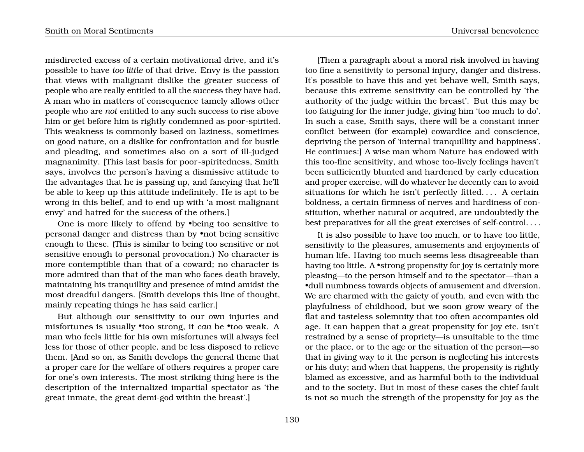[Then a paragraph about a moral risk involved in having too fine a sensitivity to personal injury, danger and distress.

possible to have *too little* of that drive. Envy is the passion that views with malignant dislike the greater success of people who are really entitled to all the success they have had. A man who in matters of consequence tamely allows other people who are *not* entitled to any such success to rise above him or get before him is rightly condemned as poor-spirited. This weakness is commonly based on laziness, sometimes on good nature, on a dislike for confrontation and for bustle and pleading, and sometimes also on a sort of ill-judged magnanimity. [This last basis for poor-spiritedness, Smith says, involves the person's having a dismissive attitude to the advantages that he is passing up, and fancying that he'll be able to keep up this attitude indefinitely. He is apt to be wrong in this belief, and to end up with 'a most malignant envy' and hatred for the success of the others.]

misdirected excess of a certain motivational drive, and it's

One is more likely to offend by •being too sensitive to personal danger and distress than by •not being sensitive enough to these. (This is similar to being too sensitive or not sensitive enough to personal provocation.) No character is more contemptible than that of a coward; no character is more admired than that of the man who faces death bravely, maintaining his tranquillity and presence of mind amidst the most dreadful dangers. [Smith develops this line of thought, mainly repeating things he has said earlier.]

But although our sensitivity to our own injuries and misfortunes is usually •too strong, it *can* be •too weak. A man who feels little for his own misfortunes will always feel less for those of other people, and be less disposed to relieve them. [And so on, as Smith develops the general theme that a proper care for the welfare of others requires a proper care for one's own interests. The most striking thing here is the description of the internalized impartial spectator as 'the great inmate, the great demi-god within the breast'.]

It's possible to have this and yet behave well, Smith says, because this extreme sensitivity can be controlled by 'the authority of the judge within the breast'. But this may be too fatiguing for the inner judge, giving him 'too much to do'. In such a case, Smith says, there will be a constant inner conflict between (for example) cowardice and conscience, depriving the person of 'internal tranquillity and happiness'. He continues:] A wise man whom Nature has endowed with this too-fine sensitivity, and whose too-lively feelings haven't been sufficiently blunted and hardened by early education and proper exercise, will do whatever he decently can to avoid situations for which he isn't perfectly fitted. . . . A certain boldness, a certain firmness of nerves and hardiness of constitution, whether natural or acquired, are undoubtedly the best preparatives for all the great exercises of self-control. . . .

It is also possible to have too much, or to have too little, sensitivity to the pleasures, amusements and enjoyments of human life. Having too much seems less disagreeable than having too little. A •strong propensity for joy is certainly more pleasing—to the person himself and to the spectator—than a •dull numbness towards objects of amusement and diversion. We are charmed with the gaiety of youth, and even with the playfulness of childhood, but we soon grow weary of the flat and tasteless solemnity that too often accompanies old age. It can happen that a great propensity for joy etc. isn't restrained by a sense of propriety—is unsuitable to the time or the place, or to the age or the situation of the person—so that in giving way to it the person is neglecting his interests or his duty; and when that happens, the propensity is rightly blamed as excessive, and as harmful both to the individual and to the society. But in most of these cases the chief fault is not so much the strength of the propensity for joy as the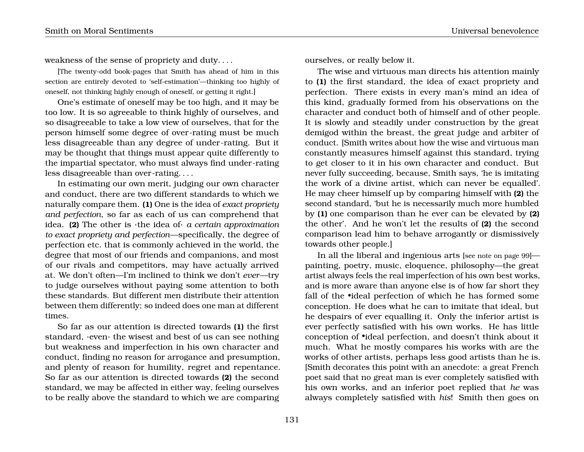weakness of the sense of propriety and duty. . . .

[The twenty-odd book-pages that Smith has ahead of him in this section are entirely devoted to 'self-estimation'—thinking too highly of oneself, not thinking highly enough of oneself, or getting it right.]

One's estimate of oneself may be too high, and it may be too low. It is so agreeable to think highly of ourselves, and so disagreeable to take a low view of ourselves, that for the person himself some degree of over-rating must be much less disagreeable than any degree of under-rating. But it may be thought that things must appear quite differently to the impartial spectator, who must always find under-rating less disagreeable than over-rating. . . .

In estimating our own merit, judging our own character and conduct, there are two different standards to which we naturally compare them. **(1)** One is the idea of *exact propriety and perfection*, so far as each of us can comprehend that idea. **(2)** The other is ·the idea of· *a certain approximation to exact propriety and perfection*—specifically, the degree of perfection etc. that is commonly achieved in the world, the degree that most of our friends and companions, and most of our rivals and competitors, may have actually arrived at. We don't often—I'm inclined to think we don't *ever*—try to judge ourselves without paying some attention to both these standards. But different men distribute their attention between them differently; so indeed does one man at different times.

So far as our attention is directed towards **(1)** the first standard, ·even· the wisest and best of us can see nothing but weakness and imperfection in his own character and conduct, finding no reason for arrogance and presumption, and plenty of reason for humility, regret and repentance. So far as our attention is directed towards **(2)** the second standard, we may be affected in either way, feeling ourselves to be really above the standard to which we are comparing ourselves, or really below it.

The wise and virtuous man directs his attention mainly to **(1)** the first standard, the idea of exact propriety and perfection. There exists in every man's mind an idea of this kind, gradually formed from his observations on the character and conduct both of himself and of other people. It is slowly and steadily under construction by the great demigod within the breast, the great judge and arbiter of conduct. [Smith writes about how the wise and virtuous man constantly measures himself against this standard, trying to get closer to it in his own character and conduct. But never fully succeeding, because, Smith says, 'he is imitating the work of a divine artist, which can never be equalled'. He may cheer himself up by comparing himself with **(2)** the second standard, 'but he is necessarily much more humbled by **(1)** one comparison than he ever can be elevated by **(2)** the other'. And he won't let the results of **(2)** the second comparison lead him to behave arrogantly or dismissively towards other people.]

In all the liberal and ingenious arts [see note on page [99](#page-99-0)] painting, poetry, music, eloquence, philosophy—the great artist always feels the real imperfection of his own best works, and is more aware than anyone else is of how far short they fall of the •ideal perfection of which he has formed some conception. He does what he can to imitate that ideal, but he despairs of ever equalling it. Only the inferior artist is ever perfectly satisfied with his own works. He has little conception of •ideal perfection, and doesn't think about it much. What he mostly compares his works with are the works of other artists, perhaps less good artists than he is. [Smith decorates this point with an anecdote: a great French poet said that no great man is ever completely satisfied with his own works, and an inferior poet replied that *he* was always completely satisfied with *his*! Smith then goes on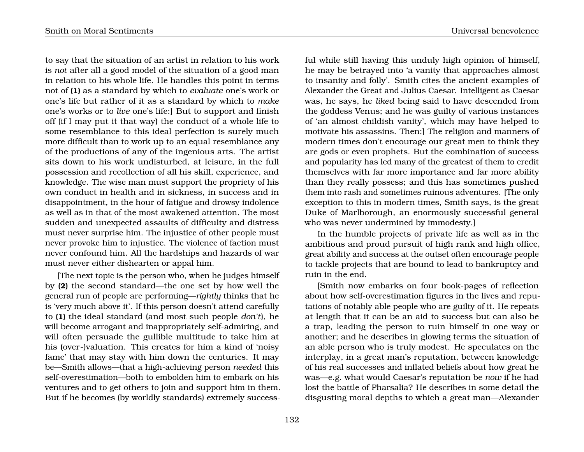to say that the situation of an artist in relation to his work is *not* after all a good model of the situation of a good man in relation to his whole life. He handles this point in terms not of **(1)** as a standard by which to *evaluate* one's work or one's life but rather of it as a standard by which to *make* one's works or to *live* one's life:] But to support and finish off (if I may put it that way) the conduct of a whole life to some resemblance to this ideal perfection is surely much more difficult than to work up to an equal resemblance any of the productions of any of the ingenious arts. The artist sits down to his work undisturbed, at leisure, in the full possession and recollection of all his skill, experience, and knowledge. The wise man must support the propriety of his own conduct in health and in sickness, in success and in disappointment, in the hour of fatigue and drowsy indolence as well as in that of the most awakened attention. The most sudden and unexpected assaults of difficulty and distress must never surprise him. The injustice of other people must never provoke him to injustice. The violence of faction must never confound him. All the hardships and hazards of war must never either dishearten or appal him.

[The next topic is the person who, when he judges himself by **(2)** the second standard—the one set by how well the general run of people are performing—*rightly* thinks that he is 'very much above it'. If this person doesn't attend carefully to **(1)** the ideal standard (and most such people *don't*), he will become arrogant and inappropriately self-admiring, and will often persuade the gullible multitude to take him at his (over-)valuation. This creates for him a kind of 'noisy fame' that may stay with him down the centuries. It may be—Smith allows—that a high-achieving person *needed* this self-overestimation—both to embolden him to embark on his ventures and to get others to join and support him in them. But if he becomes (by worldly standards) extremely successful while still having this unduly high opinion of himself, he may be betrayed into 'a vanity that approaches almost to insanity and folly'. Smith cites the ancient examples of Alexander the Great and Julius Caesar. Intelligent as Caesar was, he says, he *liked* being said to have descended from the goddess Venus; and he was guilty of various instances of 'an almost childish vanity', which may have helped to motivate his assassins. Then:] The religion and manners of modern times don't encourage our great men to think they are gods or even prophets. But the combination of success and popularity has led many of the greatest of them to credit themselves with far more importance and far more ability than they really possess; and this has sometimes pushed them into rash and sometimes ruinous adventures. [The only exception to this in modern times, Smith says, is the great Duke of Marlborough, an enormously successful general who was never undermined by immodesty.]

In the humble projects of private life as well as in the ambitious and proud pursuit of high rank and high office, great ability and success at the outset often encourage people to tackle projects that are bound to lead to bankruptcy and ruin in the end.

[Smith now embarks on four book-pages of reflection about how self-overestimation figures in the lives and reputations of notably able people who are guilty of it. He repeats at length that it can be an aid to success but can also be a trap, leading the person to ruin himself in one way or another; and he describes in glowing terms the situation of an able person who is truly modest. He speculates on the interplay, in a great man's reputation, between knowledge of his real successes and inflated beliefs about how great he was—e.g. what would Caesar's reputation be *now* if he had lost the battle of Pharsalia? He describes in some detail the disgusting moral depths to which a great man—Alexander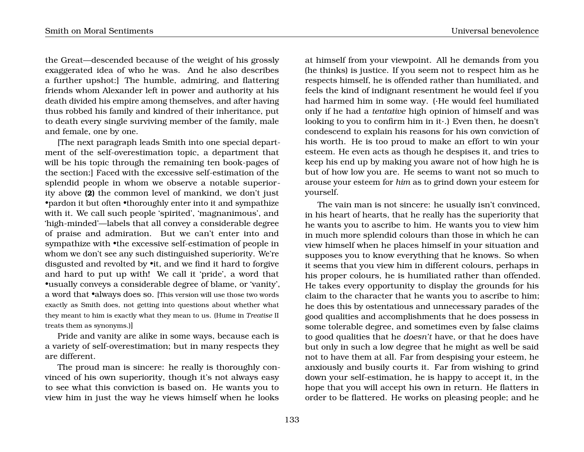the Great—descended because of the weight of his grossly exaggerated idea of who he was. And he also describes a further upshot:] The humble, admiring, and flattering friends whom Alexander left in power and authority at his death divided his empire among themselves, and after having thus robbed his family and kindred of their inheritance, put to death every single surviving member of the family, male and female, one by one.

[The next paragraph leads Smith into one special department of the self-overestimation topic, a department that will be his topic through the remaining ten book-pages of the section:] Faced with the excessive self-estimation of the splendid people in whom we observe a notable superiority above **(2)** the common level of mankind, we don't just •pardon it but often •thoroughly enter into it and sympathize with it. We call such people 'spirited', 'magnanimous', and 'high-minded'—labels that all convey a considerable degree of praise and admiration. But we can't enter into and sympathize with •the excessive self-estimation of people in whom we don't see any such distinguished superiority. We're disgusted and revolted by •it, and we find it hard to forgive and hard to put up with! We call it 'pride', a word that •usually conveys a considerable degree of blame, or 'vanity', a word that •always does so. [This version will use those two words exactly as Smith does, not getting into questions about whether what they meant to him is exactly what they mean to us. (Hume in *Treatise* II treats them as synonyms.)]

Pride and vanity are alike in some ways, because each is a variety of self-overestimation; but in many respects they are different.

The proud man is sincere: he really is thoroughly convinced of his own superiority, though it's not always easy to see what this conviction is based on. He wants you to view him in just the way he views himself when he looks

at himself from your viewpoint. All he demands from you (he thinks) is justice. If you seem not to respect him as he respects himself, he is offended rather than humiliated, and feels the kind of indignant resentment he would feel if you had harmed him in some way. (·He would feel humiliated only if he had a *tentative* high opinion of himself and was looking to you to confirm him in it·.) Even then, he doesn't condescend to explain his reasons for his own conviction of his worth. He is too proud to make an effort to win your esteem. He even acts as though he despises it, and tries to keep his end up by making you aware not of how high he is but of how low you are. He seems to want not so much to arouse your esteem for *him* as to grind down your esteem for yourself.

The vain man is not sincere: he usually isn't convinced, in his heart of hearts, that he really has the superiority that he wants you to ascribe to him. He wants you to view him in much more splendid colours than those in which he can view himself when he places himself in your situation and supposes you to know everything that he knows. So when it seems that you view him in different colours, perhaps in his proper colours, he is humiliated rather than offended. He takes every opportunity to display the grounds for his claim to the character that he wants you to ascribe to him; he does this by ostentatious and unnecessary parades of the good qualities and accomplishments that he does possess in some tolerable degree, and sometimes even by false claims to good qualities that he *doesn't* have, or that he does have but only in such a low degree that he might as well be said not to have them at all. Far from despising your esteem, he anxiously and busily courts it. Far from wishing to grind down your self-estimation, he is happy to accept it, in the hope that you will accept his own in return. He flatters in order to be flattered. He works on pleasing people; and he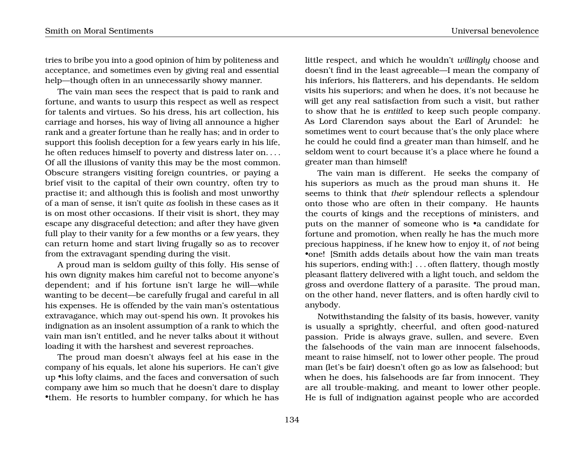tries to bribe you into a good opinion of him by politeness and acceptance, and sometimes even by giving real and essential help—though often in an unnecessarily showy manner.

The vain man sees the respect that is paid to rank and fortune, and wants to usurp this respect as well as respect for talents and virtues. So his dress, his art collection, his carriage and horses, his way of living all announce a higher rank and a greater fortune than he really has; and in order to support this foolish deception for a few years early in his life, he often reduces himself to poverty and distress later on. . . . Of all the illusions of vanity this may be the most common. Obscure strangers visiting foreign countries, or paying a brief visit to the capital of their own country, often try to practise it; and although this is foolish and most unworthy of a man of sense, it isn't quite *as* foolish in these cases as it is on most other occasions. If their visit is short, they may escape any disgraceful detection; and after they have given full play to their vanity for a few months or a few years, they can return home and start living frugally so as to recover from the extravagant spending during the visit.

A proud man is seldom guilty of this folly. His sense of his own dignity makes him careful not to become anyone's dependent; and if his fortune isn't large he will—while wanting to be decent—be carefully frugal and careful in all his expenses. He is offended by the vain man's ostentatious extravagance, which may out-spend his own. It provokes his indignation as an insolent assumption of a rank to which the vain man isn't entitled, and he never talks about it without loading it with the harshest and severest reproaches.

The proud man doesn't always feel at his ease in the company of his equals, let alone his superiors. He can't give up •his lofty claims, and the faces and conversation of such company awe him so much that he doesn't dare to display •them. He resorts to humbler company, for which he has

little respect, and which he wouldn't *willingly* choose and doesn't find in the least agreeable—I mean the company of his inferiors, his flatterers, and his dependants. He seldom visits his superiors; and when he does, it's not because he will get any real satisfaction from such a visit, but rather to show that he is *entitled* to keep such people company. As Lord Clarendon says about the Earl of Arundel: he sometimes went to court because that's the only place where he could he could find a greater man than himself, and he seldom went to court because it's a place where he found a greater man than himself!

The vain man is different. He seeks the company of his superiors as much as the proud man shuns it. He seems to think that *their* splendour reflects a splendour onto those who are often in their company. He haunts the courts of kings and the receptions of ministers, and puts on the manner of someone who is •a candidate for fortune and promotion, when really he has the much more precious happiness, if he knew how to enjoy it, of *not* being •one! [Smith adds details about how the vain man treats his superiors, ending with:  $\vert \ldots$  often flattery, though mostly pleasant flattery delivered with a light touch, and seldom the gross and overdone flattery of a parasite. The proud man, on the other hand, never flatters, and is often hardly civil to anybody.

Notwithstanding the falsity of its basis, however, vanity is usually a sprightly, cheerful, and often good-natured passion. Pride is always grave, sullen, and severe. Even the falsehoods of the vain man are innocent falsehoods, meant to raise himself, not to lower other people. The proud man (let's be fair) doesn't often go as low as falsehood; but when he does, his falsehoods are far from innocent. They are all trouble-making, and meant to lower other people. He is full of indignation against people who are accorded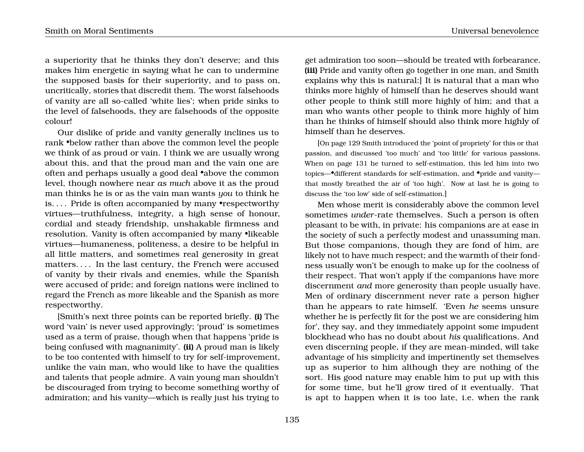a superiority that he thinks they don't deserve; and this makes him energetic in saying what he can to undermine the supposed basis for their superiority, and to pass on, uncritically, stories that discredit them. The worst falsehoods of vanity are all so-called 'white lies'; when pride sinks to the level of falsehoods, they are falsehoods of the opposite colour!

Our dislike of pride and vanity generally inclines us to rank •below rather than above the common level the people we think of as proud or vain. I think we are usually wrong about this, and that the proud man and the vain one are often and perhaps usually a good deal •above the common level, though nowhere near *as much* above it as the proud man thinks he is or as the vain man wants *you* to think he is. . . . Pride is often accompanied by many •respectworthy virtues—truthfulness, integrity, a high sense of honour, cordial and steady friendship, unshakable firmness and resolution. Vanity is often accompanied by many •likeable virtues—humaneness, politeness, a desire to be helpful in all little matters, and sometimes real generosity in great matters. . . . In the last century, the French were accused of vanity by their rivals and enemies, while the Spanish were accused of pride; and foreign nations were inclined to regard the French as more likeable and the Spanish as more respectworthy.

[Smith's next three points can be reported briefly. **(i)** The word 'vain' is never used approvingly; 'proud' is sometimes used as a term of praise, though when that happens 'pride is being confused with magnanimity'. **(ii)** A proud man is likely to be too contented with himself to try for self-improvement, unlike the vain man, who would like to have the qualities and talents that people admire. A vain young man shouldn't be discouraged from trying to become something worthy of admiration; and his vanity—which is really just his trying to

get admiration too soon—should be treated with forbearance. **(iii)** Pride and vanity often go together in one man, and Smith explains why this is natural:] It is natural that a man who thinks more highly of himself than he deserves should want other people to think still more highly of him; and that a man who wants other people to think more highly of him than he thinks of himself should also think more highly of himself than he deserves.

[On page [129](#page-129-0) Smith introduced the 'point of propriety' for this or that passion, and discussed 'too much' and 'too little' for various passions. When on page [131](#page-129-0) he turned to self-estimation, this led him into two topics—•different standards for self-estimation, and •pride and vanity that mostly breathed the air of 'too high'. Now at last he is going to discuss the 'too low' side of self-estimation.]

Men whose merit is considerably above the common level sometimes *under*-rate themselves. Such a person is often pleasant to be with, in private: his companions are at ease in the society of such a perfectly modest and unassuming man. But those companions, though they are fond of him, are likely not to have much respect; and the warmth of their fondness usually won't be enough to make up for the coolness of their respect. That won't apply if the companions have more discernment *and* more generosity than people usually have. Men of ordinary discernment never rate a person higher than he appears to rate himself. 'Even *he* seems unsure whether he is perfectly fit for the post we are considering him for', they say, and they immediately appoint some impudent blockhead who has no doubt about *his* qualifications. And even discerning people, if they are mean-minded, will take advantage of his simplicity and impertinently set themselves up as superior to him although they are nothing of the sort. His good nature may enable him to put up with this for some time, but he'll grow tired of it eventually. That is apt to happen when it is too late, i.e. when the rank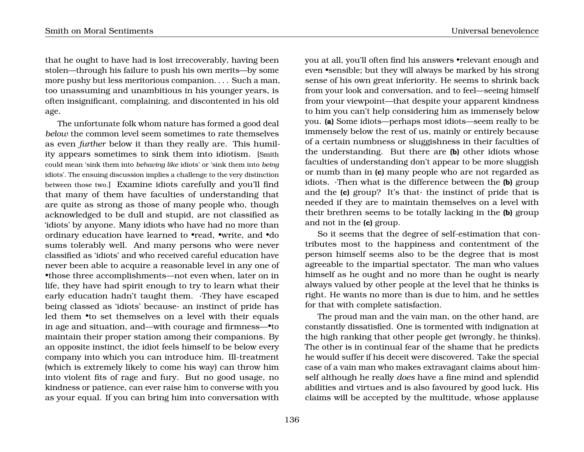that he ought to have had is lost irrecoverably, having been stolen—through his failure to push his own merits—by some more pushy but less meritorious companion. . . . Such a man, too unassuming and unambitious in his younger years, is often insignificant, complaining, and discontented in his old age.

The unfortunate folk whom nature has formed a good deal *below* the common level seem sometimes to rate themselves as even *further* below it than they really are. This humility appears sometimes to sink them into idiotism. [Smith could mean 'sink them into *behaving like* idiots' or 'sink them into *being* idiots'. The ensuing discussion implies a challenge to the very distinction between those two.] Examine idiots carefully and you'll find that many of them have faculties of understanding that are quite as strong as those of many people who, though acknowledged to be dull and stupid, are not classified as 'idiots' by anyone. Many idiots who have had no more than ordinary education have learned to •read, •write, and •do sums tolerably well. And many persons who were never classified as 'idiots' and who received careful education have never been able to acquire a reasonable level in any one of •those three accomplishments—not even when, later on in life, they have had spirit enough to try to learn what their early education hadn't taught them. ·They have escaped being classed as 'idiots' because· an instinct of pride has led them •to set themselves on a level with their equals in age and situation, and—with courage and firmness—•to maintain their proper station among their companions. By an opposite instinct, the idiot feels himself to be below every company into which you can introduce him. Ill-treatment (which is extremely likely to come his way) can throw him into violent fits of rage and fury. But no good usage, no kindness or patience, can ever raise him to converse with you as your equal. If you can bring him into conversation with

you at all, you'll often find his answers •relevant enough and even •sensible; but they will always be marked by his strong sense of his own great inferiority. He seems to shrink back from your look and conversation, and to feel—seeing himself from your viewpoint—that despite your apparent kindness to him you can't help considering him as immensely below you. **(a)** Some idiots—perhaps most idiots—seem really to be immensely below the rest of us, mainly or entirely because of a certain numbness or sluggishness in their faculties of the understanding. But there are **(b)** other idiots whose faculties of understanding don't appear to be more sluggish or numb than in **(c)** many people who are not regarded as idiots. ·Then what is the difference between the **(b)** group and the **(c)** group? It's that· the instinct of pride that is needed if they are to maintain themselves on a level with their brethren seems to be totally lacking in the **(b)** group and not in the **(c)** group.

So it seems that the degree of self-estimation that contributes most to the happiness and contentment of the person himself seems also to be the degree that is most agreeable to the impartial spectator. The man who values himself as he ought and no more than he ought is nearly always valued by other people at the level that he thinks is right. He wants no more than is due to him, and he settles for that with complete satisfaction.

The proud man and the vain man, on the other hand, are constantly dissatisfied. One is tormented with indignation at the high ranking that other people get (wrongly, he thinks). The other is in continual fear of the shame that he predicts he would suffer if his deceit were discovered. Take the special case of a vain man who makes extravagant claims about himself although he really *does* have a fine mind and splendid abilities and virtues and is also favoured by good luck. His claims will be accepted by the multitude, whose applause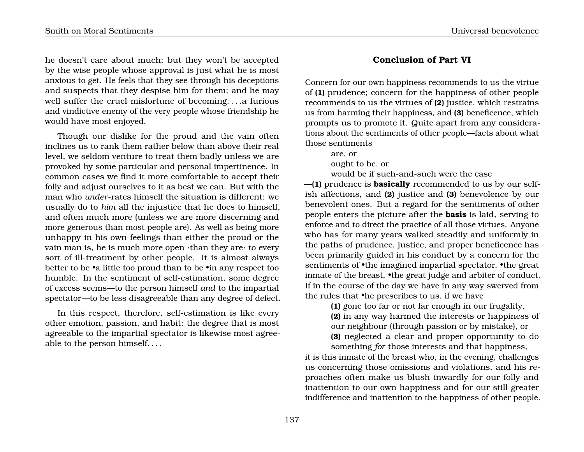he doesn't care about much; but they won't be accepted by the wise people whose approval is just what he is most anxious to get. He feels that they see through his deceptions and suspects that they despise him for them; and he may well suffer the cruel misfortune of becoming. . . .a furious and vindictive enemy of the very people whose friendship he would have most enjoyed.

Though our dislike for the proud and the vain often inclines us to rank them rather below than above their real level, we seldom venture to treat them badly unless we are provoked by some particular and personal impertinence. In common cases we find it more comfortable to accept their folly and adjust ourselves to it as best we can. But with the man who *under*-rates himself the situation is different: we usually do to *him* all the injustice that he does to himself, and often much more (unless we are more discerning and more generous than most people are). As well as being more unhappy in his own feelings than either the proud or the vain man is, he is much more open ·than they are· to every sort of ill-treatment by other people. It is almost always better to be •a little too proud than to be •in any respect too humble. In the sentiment of self-estimation, some degree of excess seems—to the person himself *and* to the impartial spectator—to be less disagreeable than any degree of defect.

In this respect, therefore, self-estimation is like every other emotion, passion, and habit: the degree that is most agreeable to the impartial spectator is likewise most agreeable to the person himself. . . .

#### **Conclusion of Part VI**

Concern for our own happiness recommends to us the virtue of **(1)** prudence; concern for the happiness of other people recommends to us the virtues of **(2)** justice, which restrains us from harming their happiness, and **(3)** beneficence, which prompts us to promote it. Quite apart from any considerations about the sentiments of other people—facts about what those sentiments

are, or

ought to be, or

would be if such-and-such were the case

—**(1)** prudence is **basically** recommended to us by our selfish affections, and **(2)** justice and **(3)** benevolence by our benevolent ones. But a regard for the sentiments of other people enters the picture after the **basis** is laid, serving to enforce and to direct the practice of all those virtues. Anyone who has for many years walked steadily and uniformly in the paths of prudence, justice, and proper beneficence has been primarily guided in his conduct by a concern for the sentiments of •the imagined impartial spectator, •the great inmate of the breast, •the great judge and arbiter of conduct. If in the course of the day we have in any way swerved from the rules that •he prescribes to us, if we have

**(1)** gone too far or not far enough in our frugality,

**(2)** in any way harmed the interests or happiness of our neighbour (through passion or by mistake), or **(3)** neglected a clear and proper opportunity to do something *for* those interests and that happiness,

it is this inmate of the breast who, in the evening, challenges us concerning those omissions and violations, and his reproaches often make us blush inwardly for our folly and inattention to our own happiness and for our still greater indifference and inattention to the happiness of other people.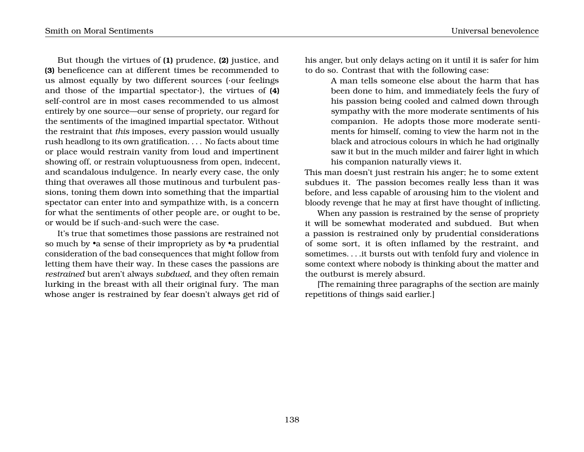But though the virtues of **(1)** prudence, **(2)** justice, and **(3)** beneficence can at different times be recommended to us almost equally by two different sources (·our feelings and those of the impartial spectator·), the virtues of **(4)** self-control are in most cases recommended to us almost entirely by one source—our sense of propriety, our regard for the sentiments of the imagined impartial spectator. Without the restraint that *this* imposes, every passion would usually rush headlong to its own gratification. . . . No facts about time or place would restrain vanity from loud and impertinent showing off, or restrain voluptuousness from open, indecent, and scandalous indulgence. In nearly every case, the only thing that overawes all those mutinous and turbulent passions, toning them down into something that the impartial spectator can enter into and sympathize with, is a concern for what the sentiments of other people are, or ought to be, or would be if such-and-such were the case.

It's true that sometimes those passions are restrained not so much by •a sense of their impropriety as by •a prudential consideration of the bad consequences that might follow from letting them have their way. In these cases the passions are *restrained* but aren't always *subdued*, and they often remain lurking in the breast with all their original fury. The man whose anger is restrained by fear doesn't always get rid of his anger, but only delays acting on it until it is safer for him to do so. Contrast that with the following case:

> A man tells someone else about the harm that has been done to him, and immediately feels the fury of his passion being cooled and calmed down through sympathy with the more moderate sentiments of his companion. He adopts those more moderate sentiments for himself, coming to view the harm not in the black and atrocious colours in which he had originally saw it but in the much milder and fairer light in which his companion naturally views it.

This man doesn't just restrain his anger; he to some extent subdues it. The passion becomes really less than it was before, and less capable of arousing him to the violent and bloody revenge that he may at first have thought of inflicting.

When any passion is restrained by the sense of propriety it will be somewhat moderated and subdued. But when a passion is restrained only by prudential considerations of some sort, it is often inflamed by the restraint, and sometimes. . . .it bursts out with tenfold fury and violence in some context where nobody is thinking about the matter and the outburst is merely absurd.

[The remaining three paragraphs of the section are mainly repetitions of things said earlier.]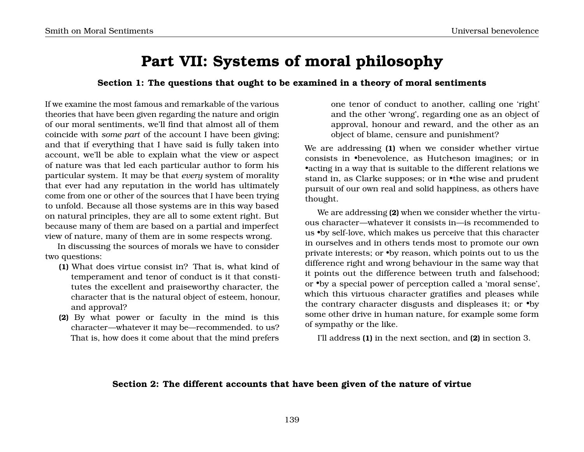## **Part VII: Systems of moral philosophy**

### **Section 1: The questions that ought to be examined in a theory of moral sentiments**

If we examine the most famous and remarkable of the various theories that have been given regarding the nature and origin of our moral sentiments, we'll find that almost all of them coincide with *some part* of the account I have been giving; and that if everything that I have said is fully taken into account, we'll be able to explain what the view or aspect of nature was that led each particular author to form his particular system. It may be that *every* system of morality that ever had any reputation in the world has ultimately come from one or other of the sources that I have been trying to unfold. Because all those systems are in this way based on natural principles, they are all to some extent right. But because many of them are based on a partial and imperfect view of nature, many of them are in some respects wrong.

In discussing the sources of morals we have to consider two questions:

- **(1)** What does virtue consist in? That is, what kind of temperament and tenor of conduct is it that constitutes the excellent and praiseworthy character, the character that is the natural object of esteem, honour, and approval?
- **(2)** By what power or faculty in the mind is this character—whatever it may be—recommended. to us? That is, how does it come about that the mind prefers

one tenor of conduct to another, calling one 'right' and the other 'wrong', regarding one as an object of approval, honour and reward, and the other as an object of blame, censure and punishment?

We are addressing **(1)** when we consider whether virtue consists in •benevolence, as Hutcheson imagines; or in •acting in a way that is suitable to the different relations we stand in, as Clarke supposes; or in •the wise and prudent pursuit of our own real and solid happiness, as others have thought.

We are addressing **(2)** when we consider whether the virtuous character—whatever it consists in—is recommended to us •by self-love, which makes us perceive that this character in ourselves and in others tends most to promote our own private interests; or •by reason, which points out to us the difference right and wrong behaviour in the same way that it points out the difference between truth and falsehood; or •by a special power of perception called a 'moral sense', which this virtuous character gratifies and pleases while the contrary character disgusts and displeases it; or •by some other drive in human nature, for example some form of sympathy or the like.

I'll address **(1)** in the next section, and **(2)** in section 3.

#### **Section 2: The different accounts that have been given of the nature of virtue**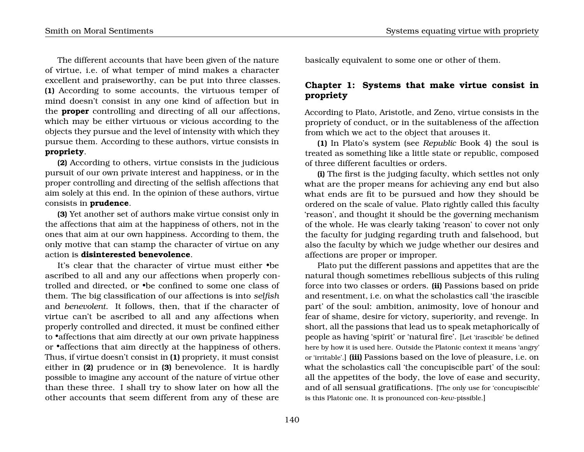The different accounts that have been given of the nature of virtue, i.e. of what temper of mind makes a character excellent and praiseworthy, can be put into three classes. **(1)** According to some accounts, the virtuous temper of mind doesn't consist in any one kind of affection but in the **proper** controlling and directing of all our affections, which may be either virtuous or vicious according to the objects they pursue and the level of intensity with which they pursue them. According to these authors, virtue consists in **propriety**.

**(2)** According to others, virtue consists in the judicious pursuit of our own private interest and happiness, or in the proper controlling and directing of the selfish affections that aim solely at this end. In the opinion of these authors, virtue consists in **prudence**.

**(3)** Yet another set of authors make virtue consist only in the affections that aim at the happiness of others, not in the ones that aim at our own happiness. According to them, the only motive that can stamp the character of virtue on any action is **disinterested benevolence**.

It's clear that the character of virtue must either •be ascribed to all and any our affections when properly controlled and directed, or •be confined to some one class of them. The big classification of our affections is into *selfish* and *benevolent*. It follows, then, that if the character of virtue can't be ascribed to all and any affections when properly controlled and directed, it must be confined either to •affections that aim directly at our own private happiness or •affections that aim directly at the happiness of others. Thus, if virtue doesn't consist in **(1)** propriety, it must consist either in **(2)** prudence or in **(3)** benevolence. It is hardly possible to imagine any account of the nature of virtue other than these three. I shall try to show later on how all the other accounts that seem different from any of these are

basically equivalent to some one or other of them.

## **Chapter 1: Systems that make virtue consist in propriety**

According to Plato, Aristotle, and Zeno, virtue consists in the propriety of conduct, or in the suitableness of the affection from which we act to the object that arouses it.

**(1)** In Plato's system (see *Republic* Book 4) the soul is treated as something like a little state or republic, composed of three different faculties or orders.

**(i)** The first is the judging faculty, which settles not only what are the proper means for achieving any end but also what ends are fit to be pursued and how they should be ordered on the scale of value. Plato rightly called this faculty 'reason', and thought it should be the governing mechanism of the whole. He was clearly taking 'reason' to cover not only the faculty for judging regarding truth and falsehood, but also the faculty by which we judge whether our desires and affections are proper or improper.

Plato put the different passions and appetites that are the natural though sometimes rebellious subjects of this ruling force into two classes or orders. **(ii)** Passions based on pride and resentment, i.e. on what the scholastics call 'the irascible part' of the soul: ambition, animosity, love of honour and fear of shame, desire for victory, superiority, and revenge. In short, all the passions that lead us to speak metaphorically of people as having 'spirit' or 'natural fire'. [Let 'irascible' be defined here by how it is used here. Outside the Platonic context it means 'angry' or 'irritable'.] **(iii)** Passions based on the love of pleasure, i.e. on what the scholastics call 'the concupiscible part' of the soul: all the appetites of the body, the love of ease and security, and of all sensual gratifications. [The only use for 'concupiscible' is this Platonic one. It is pronounced con-*kew*-pissible.]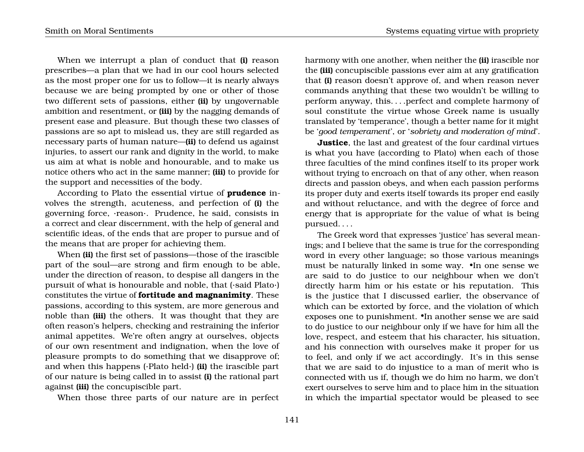When we interrupt a plan of conduct that **(i)** reason prescribes—a plan that we had in our cool hours selected as the most proper one for us to follow—it is nearly always because we are being prompted by one or other of those two different sets of passions, either **(ii)** by ungovernable ambition and resentment, or **(iii)** by the nagging demands of present ease and pleasure. But though these two classes of passions are so apt to mislead us, they are still regarded as necessary parts of human nature—**(ii)** to defend us against injuries, to assert our rank and dignity in the world, to make us aim at what is noble and honourable, and to make us notice others who act in the same manner; **(iii)** to provide for the support and necessities of the body.

According to Plato the essential virtue of **prudence** involves the strength, acuteness, and perfection of **(i)** the governing force, ·reason·. Prudence, he said, consists in a correct and clear discernment, with the help of general and scientific ideas, of the ends that are proper to pursue and of the means that are proper for achieving them.

When **(ii)** the first set of passions—those of the irascible part of the soul—are strong and firm enough to be able, under the direction of reason, to despise all dangers in the pursuit of what is honourable and noble, that (·said Plato·) constitutes the virtue of **fortitude and magnanimity**. These passions, according to this system, are more generous and noble than **(iii)** the others. It was thought that they are often reason's helpers, checking and restraining the inferior animal appetites. We're often angry at ourselves, objects of our own resentment and indignation, when the love of pleasure prompts to do something that we disapprove of; and when this happens (·Plato held·) **(ii)** the irascible part of our nature is being called in to assist **(i)** the rational part against **(iii)** the concupiscible part.

When those three parts of our nature are in perfect

harmony with one another, when neither the **(ii)** irascible nor the **(iii)** concupiscible passions ever aim at any gratification that **(i)** reason doesn't approve of, and when reason never commands anything that these two wouldn't be willing to perform anyway, this. . . .perfect and complete harmony of soul constitute the virtue whose Greek name is usually translated by 'temperance', though a better name for it might be '*good temperament*', or '*sobriety and moderation of mind*'.

**Justice**, the last and greatest of the four cardinal virtues is what you have (according to Plato) when each of those three faculties of the mind confines itself to its proper work without trying to encroach on that of any other, when reason directs and passion obeys, and when each passion performs its proper duty and exerts itself towards its proper end easily and without reluctance, and with the degree of force and energy that is appropriate for the value of what is being pursued. . . .

The Greek word that expresses 'justice' has several meanings; and I believe that the same is true for the corresponding word in every other language; so those various meanings must be naturally linked in some way. •In one sense we are said to do justice to our neighbour when we don't directly harm him or his estate or his reputation. This is the justice that I discussed earlier, the observance of which can be extorted by force, and the violation of which exposes one to punishment. •In another sense we are said to do justice to our neighbour only if we have for him all the love, respect, and esteem that his character, his situation, and his connection with ourselves make it proper for us to feel, and only if we act accordingly. It's in this sense that we are said to do injustice to a man of merit who is connected with us if, though we do him no harm, we don't exert ourselves to serve him and to place him in the situation in which the impartial spectator would be pleased to see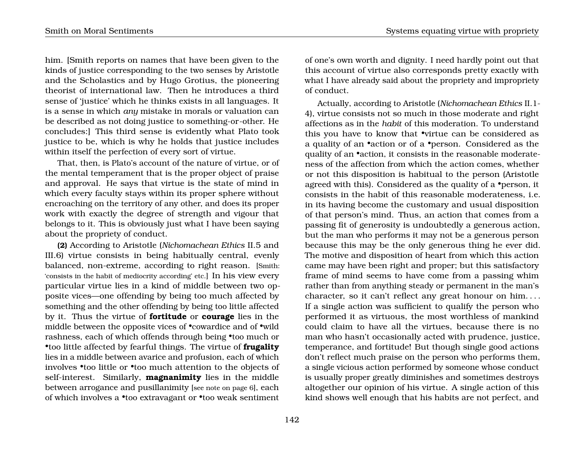him. [Smith reports on names that have been given to the kinds of justice corresponding to the two senses by Aristotle and the Scholastics and by Hugo Grotius, the pioneering theorist of international law. Then he introduces a third sense of 'justice' which he thinks exists in all languages. It is a sense in which *any* mistake in morals or valuation can be described as not doing justice to something-or-other. He concludes:] This third sense is evidently what Plato took justice to be, which is why he holds that justice includes within itself the perfection of every sort of virtue.

That, then, is Plato's account of the nature of virtue, or of the mental temperament that is the proper object of praise and approval. He says that virtue is the state of mind in which every faculty stays within its proper sphere without encroaching on the territory of any other, and does its proper work with exactly the degree of strength and vigour that belongs to it. This is obviously just what I have been saying about the propriety of conduct.

**(2)** According to Aristotle (*Nichomachean Ethics* II.5 and III.6) virtue consists in being habitually central, evenly balanced, non-extreme, according to right reason. [Smith: 'consists in the habit of mediocrity according' etc.] In his view every particular virtue lies in a kind of middle between two opposite vices—one offending by being too much affected by something and the other offending by being too little affected by it. Thus the virtue of **fortitude** or **courage** lies in the middle between the opposite vices of •cowardice and of •wild rashness, each of which offends through being •too much or •too little affected by fearful things. The virtue of **frugality** lies in a middle between avarice and profusion, each of which involves •too little or •too much attention to the objects of self-interest. Similarly, **magnanimity** lies in the middle between arrogance and pusillanimity [see note on page [6](#page-7-0)], each of which involves a •too extravagant or •too weak sentiment

of one's own worth and dignity. I need hardly point out that this account of virtue also corresponds pretty exactly with what I have already said about the propriety and impropriety of conduct.

Actually, according to Aristotle (*Nichomachean Ethics* II.1- 4), virtue consists not so much in those moderate and right affections as in the *habit* of this moderation. To understand this you have to know that •virtue can be considered as a quality of an •action or of a •person. Considered as the quality of an •action, it consists in the reasonable moderateness of the affection from which the action comes, whether or not this disposition is habitual to the person (Aristotle agreed with this). Considered as the quality of a •person, it consists in the habit of this reasonable moderateness, i.e. in its having become the customary and usual disposition of that person's mind. Thus, an action that comes from a passing fit of generosity is undoubtedly a generous action, but the man who performs it may not be a generous person because this may be the only generous thing he ever did. The motive and disposition of heart from which this action came may have been right and proper; but this satisfactory frame of mind seems to have come from a passing whim rather than from anything steady or permanent in the man's character, so it can't reflect any great honour on him. . . . If a single action was sufficient to qualify the person who performed it as virtuous, the most worthless of mankind could claim to have all the virtues, because there is no man who hasn't occasionally acted with prudence, justice, temperance, and fortitude! But though single good actions don't reflect much praise on the person who performs them, a single vicious action performed by someone whose conduct is usually proper greatly diminishes and sometimes destroys altogether our opinion of his virtue. A single action of this kind shows well enough that his habits are not perfect, and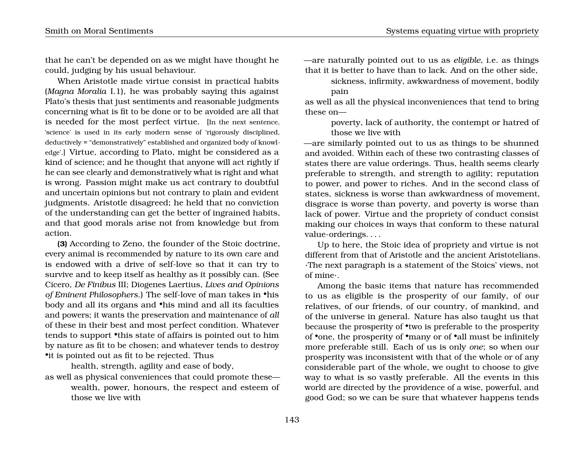that he can't be depended on as we might have thought he could, judging by his usual behaviour.

When Aristotle made virtue consist in practical habits (*Magna Moralia* I.1), he was probably saying this against Plato's thesis that just sentiments and reasonable judgments concerning what is fit to be done or to be avoided are all that is needed for the most perfect virtue. [In the next sentence, 'science' is used in its early modern sense of 'rigorously disciplined, deductively = "demonstratively" established and organized body of knowledge'.] Virtue, according to Plato, might be considered as a kind of science; and he thought that anyone will act rightly if he can see clearly and demonstratively what is right and what is wrong. Passion might make us act contrary to doubtful and uncertain opinions but not contrary to plain and evident judgments. Aristotle disagreed; he held that no conviction of the understanding can get the better of ingrained habits, and that good morals arise not from knowledge but from action.

**(3)** According to Zeno, the founder of the Stoic doctrine, every animal is recommended by nature to its own care and is endowed with a drive of self-love so that it can try to survive and to keep itself as healthy as it possibly can. (See Cicero, *De Finibus* III; Diogenes Laertius, *Lives and Opinions of Eminent Philosophers*.) The self-love of man takes in •his body and all its organs and •his mind and all its faculties and powers; it wants the preservation and maintenance of *all* of these in their best and most perfect condition. Whatever tends to support •this state of affairs is pointed out to him by nature as fit to be chosen; and whatever tends to destroy •it is pointed out as fit to be rejected. Thus

health, strength, agility and ease of body, as well as physical conveniences that could promote these wealth, power, honours, the respect and esteem of those we live with

—are naturally pointed out to us as *eligible*, i.e. as things that it is better to have than to lack. And on the other side,

sickness, infirmity, awkwardness of movement, bodily pain

as well as all the physical inconveniences that tend to bring these on—

poverty, lack of authority, the contempt or hatred of those we live with

—are similarly pointed out to us as things to be shunned and avoided. Within each of these two contrasting classes of states there are value orderings. Thus, health seems clearly preferable to strength, and strength to agility; reputation to power, and power to riches. And in the second class of states, sickness is worse than awkwardness of movement. disgrace is worse than poverty, and poverty is worse than lack of power. Virtue and the propriety of conduct consist making our choices in ways that conform to these natural value-orderings. . . .

Up to here, the Stoic idea of propriety and virtue is not different from that of Aristotle and the ancient Aristotelians. ·The next paragraph is a statement of the Stoics' views, not of mine·.

Among the basic items that nature has recommended to us as eligible is the prosperity of our family, of our relatives, of our friends, of our country, of mankind, and of the universe in general. Nature has also taught us that because the prosperity of •two is preferable to the prosperity of •one, the prosperity of •many or of •all must be infinitely more preferable still. Each of us is only *one*; so when our prosperity was inconsistent with that of the whole or of any considerable part of the whole, we ought to choose to give way to what is so vastly preferable. All the events in this world are directed by the providence of a wise, powerful, and good God; so we can be sure that whatever happens tends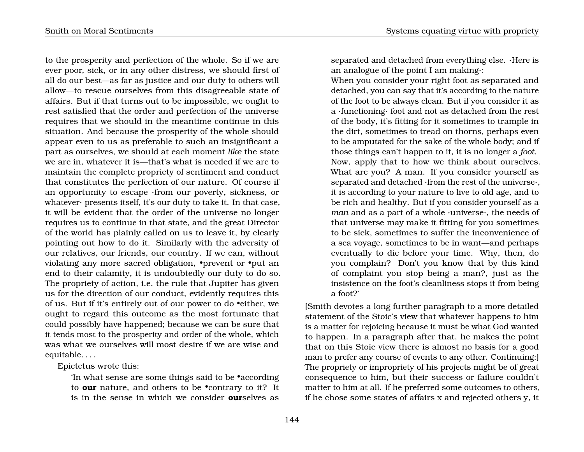to the prosperity and perfection of the whole. So if we are ever poor, sick, or in any other distress, we should first of all do our best—as far as justice and our duty to others will allow—to rescue ourselves from this disagreeable state of affairs. But if that turns out to be impossible, we ought to rest satisfied that the order and perfection of the universe requires that we should in the meantime continue in this situation. And because the prosperity of the whole should appear even to us as preferable to such an insignificant a part as ourselves, we should at each moment *like* the state we are in, whatever it is—that's what is needed if we are to maintain the complete propriety of sentiment and conduct that constitutes the perfection of our nature. Of course if an opportunity to escape ·from our poverty, sickness, or whatever· presents itself, it's our duty to take it. In that case, it will be evident that the order of the universe no longer requires us to continue in that state, and the great Director of the world has plainly called on us to leave it, by clearly pointing out how to do it. Similarly with the adversity of our relatives, our friends, our country. If we can, without violating any more sacred obligation, •prevent or •put an end to their calamity, it is undoubtedly our duty to do so. The propriety of action, i.e. the rule that Jupiter has given us for the direction of our conduct, evidently requires this of us. But if it's entirely out of our power to do •either, we ought to regard this outcome as the most fortunate that could possibly have happened; because we can be sure that it tends most to the prosperity and order of the whole, which was what we ourselves will most desire if we are wise and equitable. . . .

Epictetus wrote this:

'In what sense are some things said to be •according to **our** nature, and others to be •contrary to it? It is in the sense in which we consider **our**selves as

separated and detached from everything else. ·Here is an analogue of the point I am making·:

When you consider your right foot as separated and detached, you can say that it's according to the nature of the foot to be always clean. But if you consider it as a ·functioning· foot and not as detached from the rest of the body, it's fitting for it sometimes to trample in the dirt, sometimes to tread on thorns, perhaps even to be amputated for the sake of the whole body; and if those things can't happen to it, it is no longer a *foot*. Now, apply that to how we think about ourselves. What are you? A man. If you consider yourself as separated and detached ·from the rest of the universe·, it is according to your nature to live to old age, and to be rich and healthy. But if you consider yourself as a *man* and as a part of a whole ·universe·, the needs of that universe may make it fitting for you sometimes to be sick, sometimes to suffer the inconvenience of a sea voyage, sometimes to be in want—and perhaps eventually to die before your time. Why, then, do you complain? Don't you know that by this kind of complaint you stop being a man?, just as the insistence on the foot's cleanliness stops it from being a foot?'

[Smith devotes a long further paragraph to a more detailed statement of the Stoic's view that whatever happens to him is a matter for rejoicing because it must be what God wanted to happen. In a paragraph after that, he makes the point that on this Stoic view there is almost no basis for a good man to prefer any course of events to any other. Continuing:] The propriety or impropriety of his projects might be of great consequence to him, but their success or failure couldn't matter to him at all. If he preferred some outcomes to others, if he chose some states of affairs x and rejected others y, it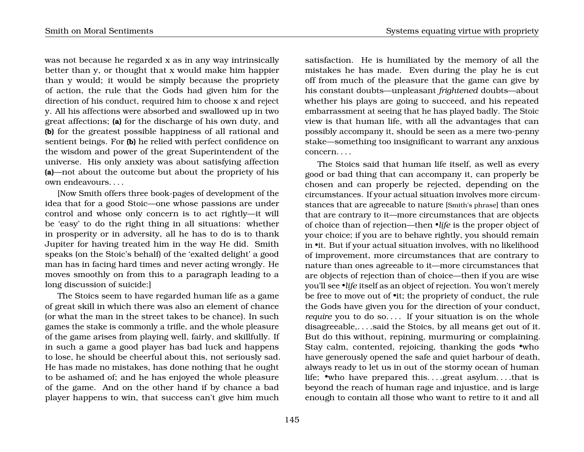was not because he regarded x as in any way intrinsically better than y, or thought that x would make him happier than y would; it would be simply because the propriety of action, the rule that the Gods had given him for the direction of his conduct, required him to choose x and reject y. All his affections were absorbed and swallowed up in two great affections; **(a)** for the discharge of his own duty, and **(b)** for the greatest possible happiness of all rational and sentient beings. For **(b)** he relied with perfect confidence on the wisdom and power of the great Superintendent of the universe. His only anxiety was about satisfying affection **(a)**—not about the outcome but about the propriety of his own endeavours. . . .

[Now Smith offers three book-pages of development of the idea that for a good Stoic—one whose passions are under control and whose only concern is to act rightly—it will be 'easy' to do the right thing in all situations: whether in prosperity or in adversity, all he has to do is to thank Jupiter for having treated him in the way He did. Smith speaks (on the Stoic's behalf) of the 'exalted delight' a good man has in facing hard times and never acting wrongly. He moves smoothly on from this to a paragraph leading to a long discussion of suicide:]

The Stoics seem to have regarded human life as a game of great skill in which there was also an element of chance (or what the man in the street takes to be chance). In such games the stake is commonly a trifle, and the whole pleasure of the game arises from playing well, fairly, and skillfully. If in such a game a good player has bad luck and happens to lose, he should be cheerful about this, not seriously sad. He has made no mistakes, has done nothing that he ought to be ashamed of; and he has enjoyed the whole pleasure of the game. And on the other hand if by chance a bad player happens to win, that success can't give him much

satisfaction. He is humiliated by the memory of all the mistakes he has made. Even during the play he is cut off from much of the pleasure that the game can give by his constant doubts—unpleasant *frightened* doubts—about whether his plays are going to succeed, and his repeated embarrassment at seeing that he has played badly. The Stoic view is that human life, with all the advantages that can possibly accompany it, should be seen as a mere two-penny stake—something too insignificant to warrant any anxious concern. . . .

The Stoics said that human life itself, as well as every good or bad thing that can accompany it, can properly be chosen and can properly be rejected, depending on the circumstances. If your actual situation involves more circumstances that are agreeable to nature [Smith's phrase] than ones that are contrary to it—more circumstances that are objects of choice than of rejection—then •*life* is the proper object of your choice; if you are to behave rightly, you should remain in •it. But if your actual situation involves, with no likelihood of improvement, more circumstances that are contrary to nature than ones agreeable to it—more circumstances that are objects of rejection than of choice—then if you are wise you'll see •*life* itself as an object of rejection. You won't merely be free to move out of •it; the propriety of conduct, the rule the Gods have given you for the direction of your conduct, *require* you to do so.... If your situation is on the whole disagreeable,. . . .said the Stoics, by all means get out of it. But do this without, repining, murmuring or complaining. Stay calm, contented, rejoicing, thanking the gods •who have generously opened the safe and quiet harbour of death, always ready to let us in out of the stormy ocean of human life; •who have prepared this...great asylum...that is beyond the reach of human rage and injustice, and is large enough to contain all those who want to retire to it and all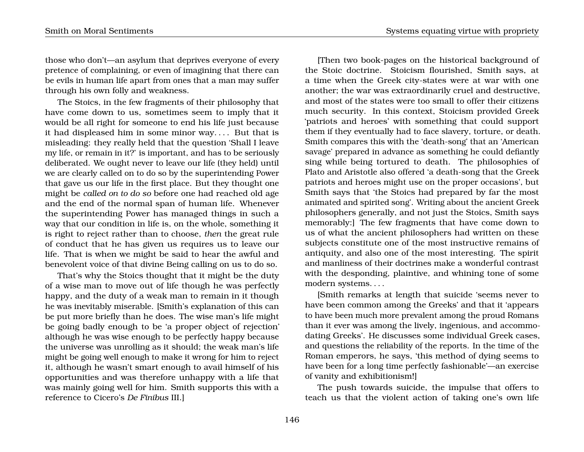those who don't—an asylum that deprives everyone of every pretence of complaining, or even of imagining that there can be evils in human life apart from ones that a man may suffer through his own folly and weakness.

The Stoics, in the few fragments of their philosophy that have come down to us, sometimes seem to imply that it would be all right for someone to end his life just because it had displeased him in some minor way. . . . But that is misleading: they really held that the question 'Shall I leave my life, or remain in it?' is important, and has to be seriously deliberated. We ought never to leave our life (they held) until we are clearly called on to do so by the superintending Power that gave us our life in the first place. But they thought one might be *called on to do so* before one had reached old age and the end of the normal span of human life. Whenever the superintending Power has managed things in such a way that our condition in life is, on the whole, something it is right to reject rather than to choose, *then* the great rule of conduct that he has given us requires us to leave our life. That is when we might be said to hear the awful and benevolent voice of that divine Being calling on us to do so.

That's why the Stoics thought that it might be the duty of a wise man to move out of life though he was perfectly happy, and the duty of a weak man to remain in it though he was inevitably miserable. [Smith's explanation of this can be put more briefly than he does. The wise man's life might be going badly enough to be 'a proper object of rejection' although he was wise enough to be perfectly happy because the universe was unrolling as it should; the weak man's life might be going well enough to make it wrong for him to reject it, although he wasn't smart enough to avail himself of his opportunities and was therefore unhappy with a life that was mainly going well for him. Smith supports this with a reference to Cicero's *De Finibus* III.]

[Then two book-pages on the historical background of the Stoic doctrine. Stoicism flourished, Smith says, at a time when the Greek city-states were at war with one another; the war was extraordinarily cruel and destructive, and most of the states were too small to offer their citizens much security. In this context, Stoicism provided Greek 'patriots and heroes' with something that could support them if they eventually had to face slavery, torture, or death. Smith compares this with the 'death-song' that an 'American savage' prepared in advance as something he could defiantly sing while being tortured to death. The philosophies of Plato and Aristotle also offered 'a death-song that the Greek patriots and heroes might use on the proper occasions', but Smith says that 'the Stoics had prepared by far the most animated and spirited song'. Writing about the ancient Greek philosophers generally, and not just the Stoics, Smith says memorably:] The few fragments that have come down to us of what the ancient philosophers had written on these subjects constitute one of the most instructive remains of antiquity, and also one of the most interesting. The spirit and manliness of their doctrines make a wonderful contrast with the desponding, plaintive, and whining tone of some modern systems. . . .

[Smith remarks at length that suicide 'seems never to have been common among the Greeks' and that it 'appears to have been much more prevalent among the proud Romans than it ever was among the lively, ingenious, and accommodating Greeks'. He discusses some individual Greek cases, and questions the reliability of the reports. In the time of the Roman emperors, he says, 'this method of dying seems to have been for a long time perfectly fashionable'—an exercise of vanity and exhibitionism!]

The push towards suicide, the impulse that offers to teach us that the violent action of taking one's own life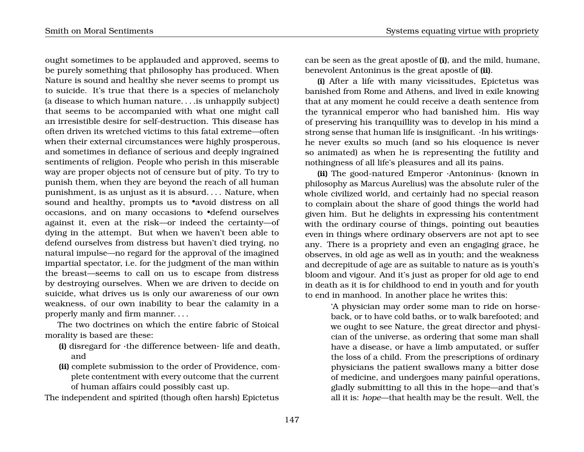ought sometimes to be applauded and approved, seems to be purely something that philosophy has produced. When Nature is sound and healthy she never seems to prompt us to suicide. It's true that there is a species of melancholy (a disease to which human nature. . . .is unhappily subject) that seems to be accompanied with what one might call an irresistible desire for self-destruction. This disease has often driven its wretched victims to this fatal extreme—often when their external circumstances were highly prosperous, and sometimes in defiance of serious and deeply ingrained sentiments of religion. People who perish in this miserable way are proper objects not of censure but of pity. To try to punish them, when they are beyond the reach of all human punishment, is as unjust as it is absurd. . . . Nature, when sound and healthy, prompts us to •avoid distress on all occasions, and on many occasions to •defend ourselves against it, even at the risk—or indeed the certainty—of dying in the attempt. But when we haven't been able to defend ourselves from distress but haven't died trying, no natural impulse—no regard for the approval of the imagined impartial spectator, i.e. for the judgment of the man within the breast—seems to call on us to escape from distress by destroying ourselves. When we are driven to decide on suicide, what drives us is only our awareness of our own weakness, of our own inability to bear the calamity in a properly manly and firm manner. . . .

The two doctrines on which the entire fabric of Stoical morality is based are these:

- **(i)** disregard for ·the difference between· life and death, and
- **(ii)** complete submission to the order of Providence, complete contentment with every outcome that the current of human affairs could possibly cast up.

The independent and spirited (though often harsh) Epictetus

can be seen as the great apostle of **(i)**, and the mild, humane, benevolent Antoninus is the great apostle of **(ii)**.

**(i)** After a life with many vicissitudes, Epictetus was banished from Rome and Athens, and lived in exile knowing that at any moment he could receive a death sentence from the tyrannical emperor who had banished him. His way of preserving his tranquillity was to develop in his mind a strong sense that human life is insignificant. ·In his writings· he never exults so much (and so his eloquence is never so animated) as when he is representing the futility and nothingness of all life's pleasures and all its pains.

**(ii)** The good-natured Emperor ·Antoninus· (known in philosophy as Marcus Aurelius) was the absolute ruler of the whole civilized world, and certainly had no special reason to complain about the share of good things the world had given him. But he delights in expressing his contentment with the ordinary course of things, pointing out beauties even in things where ordinary observers are not apt to see any. There is a propriety and even an engaging grace, he observes, in old age as well as in youth; and the weakness and decrepitude of age are as suitable to nature as is youth's bloom and vigour. And it's just as proper for old age to end in death as it is for childhood to end in youth and for youth to end in manhood. In another place he writes this:

> 'A physician may order some man to ride on horseback, or to have cold baths, or to walk barefooted; and we ought to see Nature, the great director and physician of the universe, as ordering that some man shall have a disease, or have a limb amputated, or suffer the loss of a child. From the prescriptions of ordinary physicians the patient swallows many a bitter dose of medicine, and undergoes many painful operations, gladly submitting to all this in the hope—and that's all it is: *hope*—that health may be the result. Well, the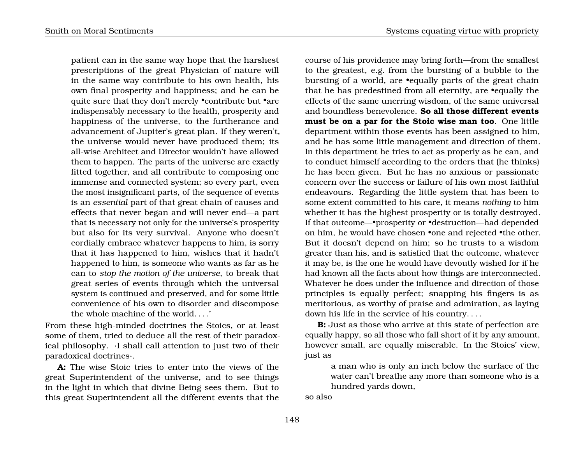Smith on Moral Sentiments Systems equating virtue with propriety

patient can in the same way hope that the harshest prescriptions of the great Physician of nature will in the same way contribute to his own health, his own final prosperity and happiness; and he can be quite sure that they don't merely •contribute but •are indispensably necessary to the health, prosperity and happiness of the universe, to the furtherance and advancement of Jupiter's great plan. If they weren't, the universe would never have produced them; its all-wise Architect and Director wouldn't have allowed them to happen. The parts of the universe are exactly fitted together, and all contribute to composing one immense and connected system; so every part, even the most insignificant parts, of the sequence of events is an *essential* part of that great chain of causes and effects that never began and will never end—a part that is necessary not only for the universe's prosperity but also for its very survival. Anyone who doesn't cordially embrace whatever happens to him, is sorry that it has happened to him, wishes that it hadn't happened to him, is someone who wants as far as he can to *stop the motion of the universe*, to break that great series of events through which the universal system is continued and preserved, and for some little convenience of his own to disorder and discompose the whole machine of the world. . . .'

From these high-minded doctrines the Stoics, or at least some of them, tried to deduce all the rest of their paradoxical philosophy. ·I shall call attention to just two of their paradoxical doctrines·.

**A:** The wise Stoic tries to enter into the views of the great Superintendent of the universe, and to see things in the light in which that divine Being sees them. But to this great Superintendent all the different events that the

course of his providence may bring forth—from the smallest to the greatest, e.g. from the bursting of a bubble to the bursting of a world, are •equally parts of the great chain that he has predestined from all eternity, are •equally the effects of the same unerring wisdom, of the same universal and boundless benevolence. **So all those different events must be on a par for the Stoic wise man too**. One little department within those events has been assigned to him, and he has some little management and direction of them. In this department he tries to act as properly as he can, and to conduct himself according to the orders that (he thinks) he has been given. But he has no anxious or passionate concern over the success or failure of his own most faithful endeavours. Regarding the little system that has been to some extent committed to his care, it means *nothing* to him whether it has the highest prosperity or is totally destroyed. If that outcome—•prosperity or •destruction—had depended on him, he would have chosen •one and rejected •the other. But it doesn't depend on him; so he trusts to a wisdom greater than his, and is satisfied that the outcome, whatever it may be, is the one he would have devoutly wished for if he had known all the facts about how things are interconnected. Whatever he does under the influence and direction of those principles is equally perfect; snapping his fingers is as meritorious, as worthy of praise and admiration, as laying down his life in the service of his country. . . .

**B:** Just as those who arrive at this state of perfection are equally happy, so all those who fall short of it by any amount, however small, are equally miserable. In the Stoics' view, just as

> a man who is only an inch below the surface of the water can't breathe any more than someone who is a hundred yards down,

so also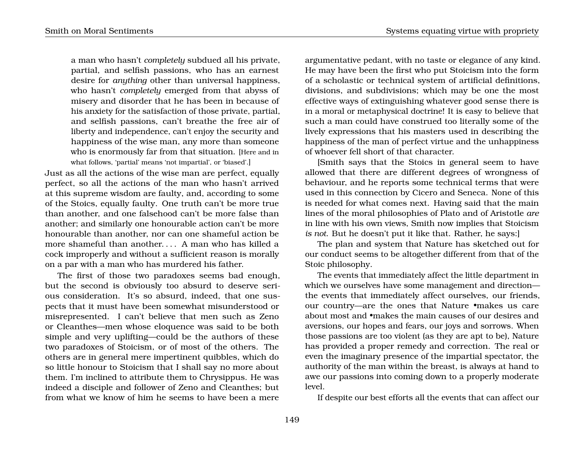Smith on Moral Sentiments Systems equating virtue with propriety

a man who hasn't *completely* subdued all his private, partial, and selfish passions, who has an earnest desire for *anything* other than universal happiness, who hasn't *completely* emerged from that abyss of misery and disorder that he has been in because of his anxiety for the satisfaction of those private, partial, and selfish passions, can't breathe the free air of liberty and independence, can't enjoy the security and happiness of the wise man, any more than someone who is enormously far from that situation. [Here and in what follows, 'partial' means 'not impartial', or 'biased'.]

Just as all the actions of the wise man are perfect, equally perfect, so all the actions of the man who hasn't arrived at this supreme wisdom are faulty, and, according to some of the Stoics, equally faulty. One truth can't be more true than another, and one falsehood can't be more false than another; and similarly one honourable action can't be more honourable than another, nor can one shameful action be more shameful than another. . . . A man who has killed a cock improperly and without a sufficient reason is morally on a par with a man who has murdered his father.

The first of those two paradoxes seems bad enough, but the second is obviously too absurd to deserve serious consideration. It's so absurd, indeed, that one suspects that it must have been somewhat misunderstood or misrepresented. I can't believe that men such as Zeno or Cleanthes—men whose eloquence was said to be both simple and very uplifting—could be the authors of these two paradoxes of Stoicism, or of most of the others. The others are in general mere impertinent quibbles, which do so little honour to Stoicism that I shall say no more about them. I'm inclined to attribute them to Chrysippus. He was indeed a disciple and follower of Zeno and Cleanthes; but from what we know of him he seems to have been a mere

argumentative pedant, with no taste or elegance of any kind. He may have been the first who put Stoicism into the form of a scholastic or technical system of artificial definitions, divisions, and subdivisions; which may be one the most effective ways of extinguishing whatever good sense there is in a moral or metaphysical doctrine! It is easy to believe that such a man could have construed too literally some of the lively expressions that his masters used in describing the happiness of the man of perfect virtue and the unhappiness of whoever fell short of that character.

[Smith says that the Stoics in general seem to have allowed that there are different degrees of wrongness of behaviour, and he reports some technical terms that were used in this connection by Cicero and Seneca. None of this is needed for what comes next. Having said that the main lines of the moral philosophies of Plato and of Aristotle *are* in line with his own views, Smith now implies that Stoicism *is not*. But he doesn't put it like that. Rather, he says:]

The plan and system that Nature has sketched out for our conduct seems to be altogether different from that of the Stoic philosophy.

The events that immediately affect the little department in which we ourselves have some management and direction the events that immediately affect ourselves, our friends, our country—are the ones that Nature •makes us care about most and •makes the main causes of our desires and aversions, our hopes and fears, our joys and sorrows. When those passions are too violent (as they are apt to be), Nature has provided a proper remedy and correction. The real or even the imaginary presence of the impartial spectator, the authority of the man within the breast, is always at hand to awe our passions into coming down to a properly moderate level.

If despite our best efforts all the events that can affect our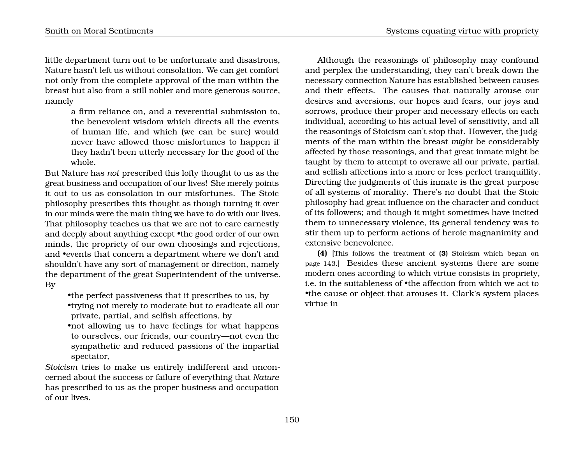little department turn out to be unfortunate and disastrous, Nature hasn't left us without consolation. We can get comfort not only from the complete approval of the man within the breast but also from a still nobler and more generous source, namely

> a firm reliance on, and a reverential submission to, the benevolent wisdom which directs all the events of human life, and which (we can be sure) would never have allowed those misfortunes to happen if they hadn't been utterly necessary for the good of the whole.

But Nature has *not* prescribed this lofty thought to us as the great business and occupation of our lives! She merely points it out to us as consolation in our misfortunes. The Stoic philosophy prescribes this thought as though turning it over in our minds were the main thing we have to do with our lives. That philosophy teaches us that we are not to care earnestly and deeply about anything except •the good order of our own minds, the propriety of our own choosings and rejections, and •events that concern a department where we don't and shouldn't have any sort of management or direction, namely the department of the great Superintendent of the universe. By

•the perfect passiveness that it prescribes to us, by •trying not merely to moderate but to eradicate all our private, partial, and selfish affections, by

•not allowing us to have feelings for what happens to ourselves, our friends, our country—not even the sympathetic and reduced passions of the impartial spectator,

*Stoicism* tries to make us entirely indifferent and unconcerned about the success or failure of everything that *Nature* has prescribed to us as the proper business and occupation of our lives.

Although the reasonings of philosophy may confound and perplex the understanding, they can't break down the necessary connection Nature has established between causes and their effects. The causes that naturally arouse our desires and aversions, our hopes and fears, our joys and sorrows, produce their proper and necessary effects on each individual, according to his actual level of sensitivity, and all the reasonings of Stoicism can't stop that. However, the judgments of the man within the breast *might* be considerably affected by those reasonings, and that great inmate might be taught by them to attempt to overawe all our private, partial, and selfish affections into a more or less perfect tranquillity. Directing the judgments of this inmate is the great purpose of all systems of morality. There's no doubt that the Stoic philosophy had great influence on the character and conduct of its followers; and though it might sometimes have incited them to unnecessary violence, its general tendency was to stir them up to perform actions of heroic magnanimity and extensive benevolence.

**(4)** [This follows the treatment of **(3)** Stoicism which began on page [143.](#page-143-0)] Besides these ancient systems there are some modern ones according to which virtue consists in propriety, i.e. in the suitableness of •the affection from which we act to •the cause or object that arouses it. Clark's system places virtue in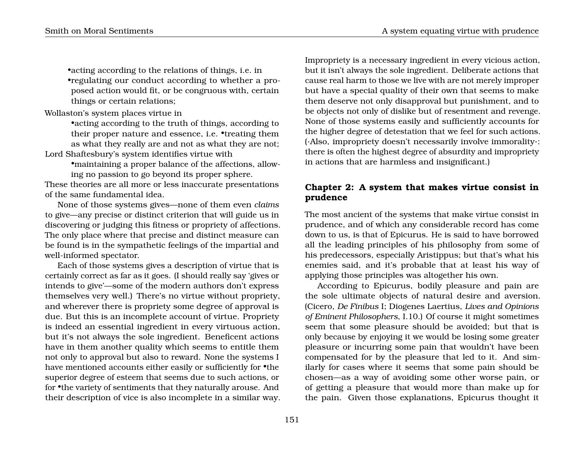•acting according to the relations of things, i.e. in •regulating our conduct according to whether a proposed action would fit, or be congruous with, certain things or certain relations;

### Wollaston's system places virtue in

•acting according to the truth of things, according to their proper nature and essence, i.e. **•**treating them as what they really are and not as what they are not; Lord Shaftesbury's system identifies virtue with

> •maintaining a proper balance of the affections, allowing no passion to go beyond its proper sphere.

These theories are all more or less inaccurate presentations of the same fundamental idea.

None of those systems gives—none of them even *claims* to give—any precise or distinct criterion that will guide us in discovering or judging this fitness or propriety of affections. The only place where that precise and distinct measure can be found is in the sympathetic feelings of the impartial and well-informed spectator.

Each of those systems gives a description of virtue that is certainly correct as far as it goes. (I should really say 'gives or intends to give'—some of the modern authors don't express themselves very well.) There's no virtue without propriety, and wherever there is propriety some degree of approval is due. But this is an incomplete account of virtue. Propriety is indeed an essential ingredient in every virtuous action, but it's not always the sole ingredient. Beneficent actions have in them another quality which seems to entitle them not only to approval but also to reward. None the systems I have mentioned accounts either easily or sufficiently for  $\bullet$ the superior degree of esteem that seems due to such actions, or for •the variety of sentiments that they naturally arouse. And their description of vice is also incomplete in a similar way. Impropriety is a necessary ingredient in every vicious action, but it isn't always the sole ingredient. Deliberate actions that cause real harm to those we live with are not merely improper but have a special quality of their own that seems to make them deserve not only disapproval but punishment, and to be objects not only of dislike but of resentment and revenge. None of those systems easily and sufficiently accounts for the higher degree of detestation that we feel for such actions. (·Also, impropriety doesn't necessarily involve immorality·: there is often the highest degree of absurdity and impropriety in actions that are harmless and insignificant.)

### <span id="page-154-0"></span>**Chapter 2: A system that makes virtue consist in prudence**

The most ancient of the systems that make virtue consist in prudence, and of which any considerable record has come down to us, is that of Epicurus. He is said to have borrowed all the leading principles of his philosophy from some of his predecessors, especially Aristippus; but that's what his enemies said, and it's probable that at least his way of applying those principles was altogether his own.

According to Epicurus, bodily pleasure and pain are the sole ultimate objects of natural desire and aversion. (Cicero, *De Finibus* I; Diogenes Laertius, *Lives and Opinions of Eminent Philosophers*, I.10.) Of course it might sometimes seem that some pleasure should be avoided; but that is only because by enjoying it we would be losing some greater pleasure or incurring some pain that wouldn't have been compensated for by the pleasure that led to it. And similarly for cases where it seems that some pain should be chosen—as a way of avoiding some other worse pain, or of getting a pleasure that would more than make up for the pain. Given those explanations, Epicurus thought it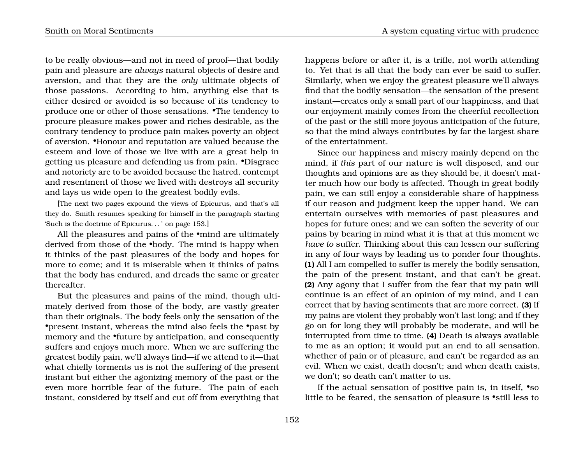to be really obvious—and not in need of proof—that bodily pain and pleasure are *always* natural objects of desire and aversion, and that they are the *only* ultimate objects of those passions. According to him, anything else that is either desired or avoided is so because of its tendency to produce one or other of those sensations. •The tendency to procure pleasure makes power and riches desirable, as the contrary tendency to produce pain makes poverty an object of aversion. •Honour and reputation are valued because the esteem and love of those we live with are a great help in getting us pleasure and defending us from pain. •Disgrace and notoriety are to be avoided because the hatred, contempt and resentment of those we lived with destroys all security and lays us wide open to the greatest bodily evils.

[The next two pages expound the views of Epicurus, and that's all they do. Smith resumes speaking for himself in the paragraph starting 'Such is the doctrine of Epicurus. . . ' on page [153.](#page-154-0)]

All the pleasures and pains of the •mind are ultimately derived from those of the •body. The mind is happy when it thinks of the past pleasures of the body and hopes for more to come; and it is miserable when it thinks of pains that the body has endured, and dreads the same or greater thereafter.

But the pleasures and pains of the mind, though ultimately derived from those of the body, are vastly greater than their originals. The body feels only the sensation of the •present instant, whereas the mind also feels the •past by memory and the •future by anticipation, and consequently suffers and enjoys much more. When we are suffering the greatest bodily pain, we'll always find—if we attend to it—that what chiefly torments us is not the suffering of the present instant but either the agonizing memory of the past or the even more horrible fear of the future. The pain of each instant, considered by itself and cut off from everything that happens before or after it, is a trifle, not worth attending to. Yet that is all that the body can ever be said to suffer. Similarly, when we enjoy the greatest pleasure we'll always find that the bodily sensation—the sensation of the present instant—creates only a small part of our happiness, and that our enjoyment mainly comes from the cheerful recollection of the past or the still more joyous anticipation of the future, so that the mind always contributes by far the largest share of the entertainment.

Since our happiness and misery mainly depend on the mind, if *this* part of our nature is well disposed, and our thoughts and opinions are as they should be, it doesn't matter much how our body is affected. Though in great bodily pain, we can still enjoy a considerable share of happiness if our reason and judgment keep the upper hand. We can entertain ourselves with memories of past pleasures and hopes for future ones; and we can soften the severity of our pains by bearing in mind what it is that at this moment we *have to* suffer. Thinking about this can lessen our suffering in any of four ways by leading us to ponder four thoughts. **(1)** All I am compelled to suffer is merely the bodily sensation, the pain of the present instant, and that can't be great. **(2)** Any agony that I suffer from the fear that my pain will continue is an effect of an opinion of my mind, and I can correct that by having sentiments that are more correct. **(3)** If my pains are violent they probably won't last long; and if they go on for long they will probably be moderate, and will be interrupted from time to time. **(4)** Death is always available to me as an option; it would put an end to all sensation, whether of pain or of pleasure, and can't be regarded as an evil. When we exist, death doesn't; and when death exists, we don't; so death can't matter to us.

If the actual sensation of positive pain is, in itself, •so little to be feared, the sensation of pleasure is •still less to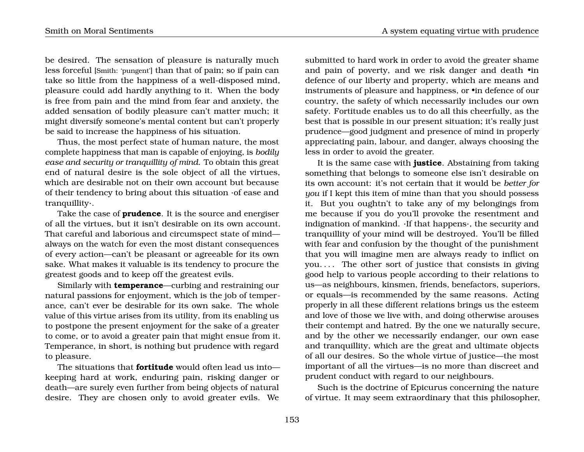be desired. The sensation of pleasure is naturally much less forceful [Smith: 'pungent'] than that of pain; so if pain can take so little from the happiness of a well-disposed mind, pleasure could add hardly anything to it. When the body is free from pain and the mind from fear and anxiety, the added sensation of bodily pleasure can't matter much; it might diversify someone's mental content but can't properly be said to increase the happiness of his situation.

Thus, the most perfect state of human nature, the most complete happiness that man is capable of enjoying, is *bodily ease and security or tranquillity of mind*. To obtain this great end of natural desire is the sole object of all the virtues, which are desirable not on their own account but because of their tendency to bring about this situation ·of ease and tranquillity·.

Take the case of **prudence**. It is the source and energiser of all the virtues, but it isn't desirable on its own account. That careful and laborious and circumspect state of mind always on the watch for even the most distant consequences of every action—can't be pleasant or agreeable for its own sake. What makes it valuable is its tendency to procure the greatest goods and to keep off the greatest evils.

Similarly with **temperance**—curbing and restraining our natural passions for enjoyment, which is the job of temperance, can't ever be desirable for its own sake. The whole value of this virtue arises from its utility, from its enabling us to postpone the present enjoyment for the sake of a greater to come, or to avoid a greater pain that might ensue from it. Temperance, in short, is nothing but prudence with regard to pleasure.

The situations that **fortitude** would often lead us into keeping hard at work, enduring pain, risking danger or death—are surely even further from being objects of natural desire. They are chosen only to avoid greater evils. We

submitted to hard work in order to avoid the greater shame and pain of poverty, and we risk danger and death •in defence of our liberty and property, which are means and instruments of pleasure and happiness, or •in defence of our country, the safety of which necessarily includes our own safety. Fortitude enables us to do all this cheerfully, as the best that is possible in our present situation; it's really just prudence—good judgment and presence of mind in properly appreciating pain, labour, and danger, always choosing the less in order to avoid the greater.

It is the same case with **justice**. Abstaining from taking something that belongs to someone else isn't desirable on its own account: it's not certain that it would be *better for you* if I kept this item of mine than that you should possess it. But you oughtn't to take any of my belongings from me because if you do you'll provoke the resentment and indignation of mankind. ·If that happens·, the security and tranquillity of your mind will be destroyed. You'll be filled with fear and confusion by the thought of the punishment that you will imagine men are always ready to inflict on you. . . . The other sort of justice that consists in giving good help to various people according to their relations to us—as neighbours, kinsmen, friends, benefactors, superiors, or equals—is recommended by the same reasons. Acting properly in all these different relations brings us the esteem and love of those we live with, and doing otherwise arouses their contempt and hatred. By the one we naturally secure, and by the other we necessarily endanger, our own ease and tranquillity, which are the great and ultimate objects of all our desires. So the whole virtue of justice—the most important of all the virtues—is no more than discreet and prudent conduct with regard to our neighbours.

Such is the doctrine of Epicurus concerning the nature of virtue. It may seem extraordinary that this philosopher,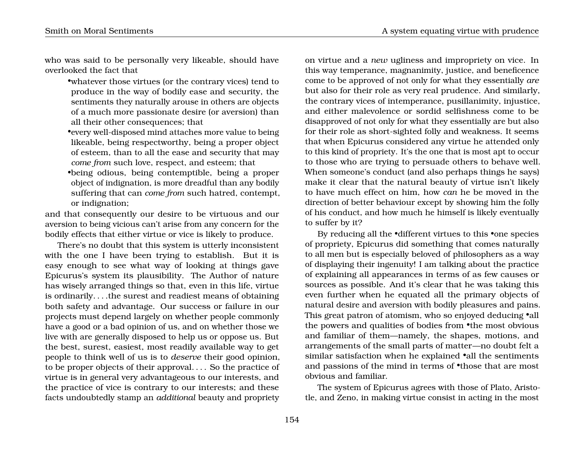who was said to be personally very likeable, should have overlooked the fact that

- •whatever those virtues (or the contrary vices) tend to produce in the way of bodily ease and security, the sentiments they naturally arouse in others are objects of a much more passionate desire (or aversion) than all their other consequences; that
- •every well-disposed mind attaches more value to being likeable, being respectworthy, being a proper object of esteem, than to all the ease and security that may *come from* such love, respect, and esteem; that
- •being odious, being contemptible, being a proper object of indignation, is more dreadful than any bodily suffering that can *come from* such hatred, contempt, or indignation;

and that consequently our desire to be virtuous and our aversion to being vicious can't arise from any concern for the bodily effects that either virtue or vice is likely to produce.

There's no doubt that this system is utterly inconsistent with the one I have been trying to establish. But it is easy enough to see what way of looking at things gave Epicurus's system its plausibility. The Author of nature has wisely arranged things so that, even in this life, virtue is ordinarily. . . .the surest and readiest means of obtaining both safety and advantage. Our success or failure in our projects must depend largely on whether people commonly have a good or a bad opinion of us, and on whether those we live with are generally disposed to help us or oppose us. But the best, surest, easiest, most readily available way to get people to think well of us is to *deserve* their good opinion, to be proper objects of their approval. . . . So the practice of virtue is in general very advantageous to our interests, and the practice of vice is contrary to our interests; and these facts undoubtedly stamp an *additional* beauty and propriety on virtue and a *new* ugliness and impropriety on vice. In this way temperance, magnanimity, justice, and beneficence come to be approved of not only for what they essentially *are* but also for their role as very real prudence. And similarly, the contrary vices of intemperance, pusillanimity, injustice, and either malevolence or sordid selfishness come to be disapproved of not only for what they essentially are but also for their role as short-sighted folly and weakness. It seems that when Epicurus considered any virtue he attended only to this kind of propriety. It's the one that is most apt to occur to those who are trying to persuade others to behave well. When someone's conduct (and also perhaps things he says) make it clear that the natural beauty of virtue isn't likely to have much effect on him, how *can* he be moved in the direction of better behaviour except by showing him the folly of his conduct, and how much he himself is likely eventually to suffer by it?

By reducing all the •different virtues to this •one species of propriety, Epicurus did something that comes naturally to all men but is especially beloved of philosophers as a way of displaying their ingenuity! I am talking about the practice of explaining all appearances in terms of as few causes or sources as possible. And it's clear that he was taking this even further when he equated all the primary objects of natural desire and aversion with bodily pleasures and pains. This great patron of atomism, who so enjoyed deducing •all the powers and qualities of bodies from •the most obvious and familiar of them—namely, the shapes, motions, and arrangements of the small parts of matter—no doubt felt a similar satisfaction when he explained •all the sentiments and passions of the mind in terms of •those that are most obvious and familiar.

The system of Epicurus agrees with those of Plato, Aristotle, and Zeno, in making virtue consist in acting in the most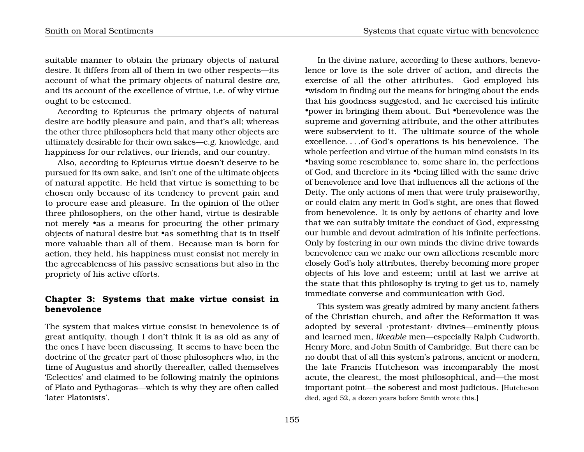suitable manner to obtain the primary objects of natural desire. It differs from all of them in two other respects—its account of what the primary objects of natural desire *are*, and its account of the excellence of virtue, i.e. of why virtue ought to be esteemed.

According to Epicurus the primary objects of natural desire are bodily pleasure and pain, and that's all; whereas the other three philosophers held that many other objects are ultimately desirable for their own sakes—e.g. knowledge, and happiness for our relatives, our friends, and our country.

Also, according to Epicurus virtue doesn't deserve to be pursued for its own sake, and isn't one of the ultimate objects of natural appetite. He held that virtue is something to be chosen only because of its tendency to prevent pain and to procure ease and pleasure. In the opinion of the other three philosophers, on the other hand, virtue is desirable not merely •as a means for procuring the other primary objects of natural desire but •as something that is in itself more valuable than all of them. Because man is born for action, they held, his happiness must consist not merely in the agreeableness of his passive sensations but also in the propriety of his active efforts.

# <span id="page-158-0"></span>**Chapter 3: Systems that make virtue consist in benevolence**

The system that makes virtue consist in benevolence is of great antiquity, though I don't think it is as old as any of the ones I have been discussing. It seems to have been the doctrine of the greater part of those philosophers who, in the time of Augustus and shortly thereafter, called themselves 'Eclectics' and claimed to be following mainly the opinions of Plato and Pythagoras—which is why they are often called 'later Platonists'.

In the divine nature, according to these authors, benevolence or love is the sole driver of action, and directs the exercise of all the other attributes. God employed his •wisdom in finding out the means for bringing about the ends that his goodness suggested, and he exercised his infinite •power in bringing them about. But •benevolence was the supreme and governing attribute, and the other attributes were subservient to it. The ultimate source of the whole excellence. . . .of God's operations is his benevolence. The whole perfection and virtue of the human mind consists in its •having some resemblance to, some share in, the perfections of God, and therefore in its •being filled with the same drive of benevolence and love that influences all the actions of the Deity. The only actions of men that were truly praiseworthy, or could claim any merit in God's sight, are ones that flowed from benevolence. It is only by actions of charity and love that we can suitably imitate the conduct of God, expressing our humble and devout admiration of his infinite perfections. Only by fostering in our own minds the divine drive towards benevolence can we make our own affections resemble more closely God's holy attributes, thereby becoming more proper objects of his love and esteem; until at last we arrive at the state that this philosophy is trying to get us to, namely immediate converse and communication with God.

This system was greatly admired by many ancient fathers of the Christian church, and after the Reformation it was adopted by several ·protestant· divines—eminently pious and learned men, *likeable* men—especially Ralph Cudworth, Henry More, and John Smith of Cambridge. But there can be no doubt that of all this system's patrons, ancient or modern, the late Francis Hutcheson was incomparably the most acute, the clearest, the most philosophical, and—the most important point—the soberest and most judicious. [Hutcheson died, aged 52, a dozen years before Smith wrote this.]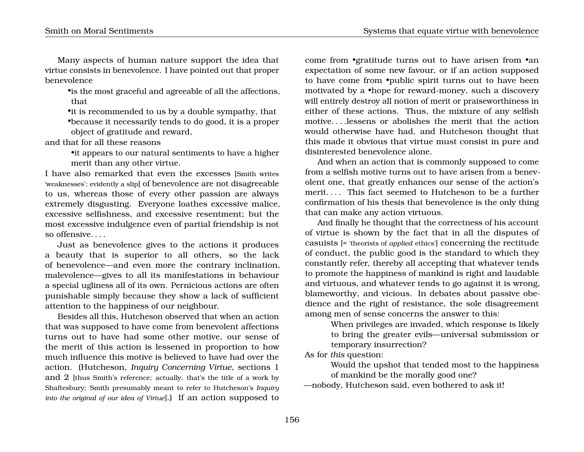Many aspects of human nature support the idea that virtue consists in benevolence. I have pointed out that proper benevolence

•is the most graceful and agreeable of all the affections, that

•it is recommended to us by a double sympathy, that •because it necessarily tends to do good, it is a proper object of gratitude and reward,

and that for all these reasons

•it appears to our natural sentiments to have a higher merit than any other virtue.

I have also remarked that even the excesses [Smith writes 'weaknesses'; evidently a slip] of benevolence are not disagreeable to us, whereas those of every other passion are always extremely disgusting. Everyone loathes excessive malice, excessive selfishness, and excessive resentment; but the most excessive indulgence even of partial friendship is not so offensive. . . .

Just as benevolence gives to the actions it produces a beauty that is superior to all others, so the lack of benevolence—and even more the contrary inclination, malevolence—gives to all its manifestations in behaviour a special ugliness all of its own. Pernicious actions are often punishable simply because they show a lack of sufficient attention to the happiness of our neighbour.

Besides all this, Hutcheson observed that when an action that was supposed to have come from benevolent affections turns out to have had some other motive, our sense of the merit of this action is lessened in proportion to how much influence this motive is believed to have had over the action. (Hutcheson, *Inquiry Concerning Virtue*, sections 1 and 2 [thus Smith's reference; actually, that's the title of a work by Shaftesbury; Smith presumably meant to refer to Hutcheson's *Inquiry into the original of our idea of Virtue*].) If an action supposed to

come from •gratitude turns out to have arisen from •an expectation of some new favour, or if an action supposed to have come from •public spirit turns out to have been motivated by a •hope for reward-money, such a discovery will entirely destroy all notion of merit or praiseworthiness in either of these actions. Thus, the mixture of any selfish motive. . . .lessens or abolishes the merit that the action would otherwise have had, and Hutcheson thought that this made it obvious that virtue must consist in pure and disinterested benevolence alone.

And when an action that is commonly supposed to come from a selfish motive turns out to have arisen from a benevolent one, that greatly enhances our sense of the action's merit. . . . This fact seemed to Hutcheson to be a further confirmation of his thesis that benevolence is the only thing that can make any action virtuous.

And finally he thought that the correctness of his account of virtue is shown by the fact that in all the disputes of casuists [= 'theorists of *applied* ethics'] concerning the rectitude of conduct, the public good is the standard to which they constantly refer, thereby all accepting that whatever tends to promote the happiness of mankind is right and laudable and virtuous, and whatever tends to go against it is wrong, blameworthy, and vicious. In debates about passive obedience and the right of resistance, the sole disagreement among men of sense concerns the answer to this:

> When privileges are invaded, which response is likely to bring the greater evils—universal submission or temporary insurrection?

As for *this* question:

Would the upshot that tended most to the happiness of mankind be the morally good one?

—nobody, Hutcheson said, even bothered to ask it!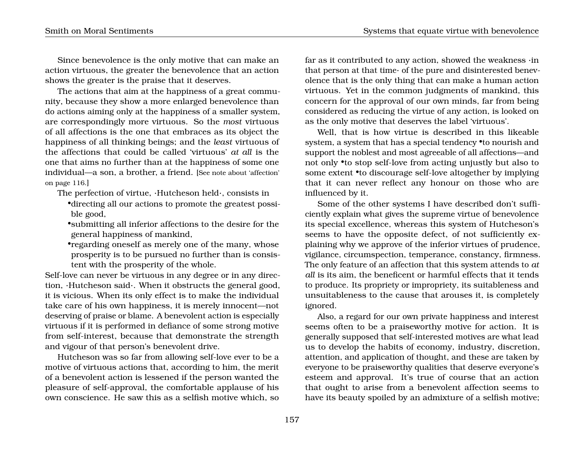Since benevolence is the only motive that can make an action virtuous, the greater the benevolence that an action shows the greater is the praise that it deserves.

The actions that aim at the happiness of a great community, because they show a more enlarged benevolence than do actions aiming only at the happiness of a smaller system, are correspondingly more virtuous. So the *most* virtuous of all affections is the one that embraces as its object the happiness of all thinking beings; and the *least* virtuous of the affections that could be called 'virtuous' *at all* is the one that aims no further than at the happiness of some one individual—a son, a brother, a friend. [See note about 'affection' on page [116.](#page-119-0)]

The perfection of virtue, ·Hutcheson held·, consists in

- •directing all our actions to promote the greatest possible good,
- •submitting all inferior affections to the desire for the general happiness of mankind,
- •regarding oneself as merely one of the many, whose prosperity is to be pursued no further than is consistent with the prosperity of the whole.

Self-love can never be virtuous in any degree or in any direction, ·Hutcheson said·. When it obstructs the general good, it is vicious. When its only effect is to make the individual take care of his own happiness, it is merely innocent—not deserving of praise or blame. A benevolent action is especially virtuous if it is performed in defiance of some strong motive from self-interest, because that demonstrate the strength and vigour of that person's benevolent drive.

Hutcheson was so far from allowing self-love ever to be a motive of virtuous actions that, according to him, the merit of a benevolent action is lessened if the person wanted the pleasure of self-approval, the comfortable applause of his own conscience. He saw this as a selfish motive which, so

far as it contributed to any action, showed the weakness ·in that person at that time· of the pure and disinterested benevolence that is the only thing that can make a human action virtuous. Yet in the common judgments of mankind, this concern for the approval of our own minds, far from being considered as reducing the virtue of any action, is looked on as the only motive that deserves the label 'virtuous'.

Well, that is how virtue is described in this likeable system, a system that has a special tendency •to nourish and support the noblest and most agreeable of all affections—and not only •to stop self-love from acting unjustly but also to some extent •to discourage self-love altogether by implying that it can never reflect any honour on those who are influenced by it.

Some of the other systems I have described don't sufficiently explain what gives the supreme virtue of benevolence its special excellence, whereas this system of Hutcheson's seems to have the opposite defect, of not sufficiently explaining why we approve of the inferior virtues of prudence, vigilance, circumspection, temperance, constancy, firmness. The only feature of an affection that this system attends to *at all* is its aim, the beneficent or harmful effects that it tends to produce. Its propriety or impropriety, its suitableness and unsuitableness to the cause that arouses it, is completely ignored.

Also, a regard for our own private happiness and interest seems often to be a praiseworthy motive for action. It is generally supposed that self-interested motives are what lead us to develop the habits of economy, industry, discretion, attention, and application of thought, and these are taken by everyone to be praiseworthy qualities that deserve everyone's esteem and approval. It's true of course that an action that ought to arise from a benevolent affection seems to have its beauty spoiled by an admixture of a selfish motive;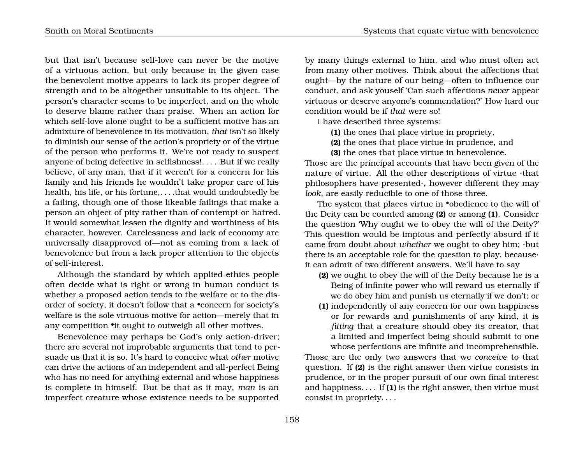but that isn't because self-love can never be the motive of a virtuous action, but only because in the given case the benevolent motive appears to lack its proper degree of strength and to be altogether unsuitable to its object. The person's character seems to be imperfect, and on the whole to deserve blame rather than praise. When an action for which self-love alone ought to be a sufficient motive has an admixture of benevolence in its motivation, *that* isn't so likely to diminish our sense of the action's propriety or of the virtue of the person who performs it. We're not ready to suspect anyone of being defective in selfishness!. . . . But if we really believe, of any man, that if it weren't for a concern for his family and his friends he wouldn't take proper care of his health, his life, or his fortune,. . . .that would undoubtedly be a failing, though one of those likeable failings that make a person an object of pity rather than of contempt or hatred. It would somewhat lessen the dignity and worthiness of his character, however. Carelessness and lack of economy are universally disapproved of—not as coming from a lack of benevolence but from a lack proper attention to the objects of self-interest.

Although the standard by which applied-ethics people often decide what is right or wrong in human conduct is whether a proposed action tends to the welfare or to the disorder of society, it doesn't follow that a •concern for society's welfare is the sole virtuous motive for action—merely that in any competition •it ought to outweigh all other motives.

Benevolence may perhaps be God's only action-driver; there are several not improbable arguments that tend to persuade us that it is so. It's hard to conceive what *other* motive can drive the actions of an independent and all-perfect Being who has no need for anything external and whose happiness is complete in himself. But be that as it may, *man* is an imperfect creature whose existence needs to be supported by many things external to him, and who must often act from many other motives. Think about the affections that ought—by the nature of our being—often to influence our conduct, and ask youself 'Can such affections *never* appear virtuous or deserve anyone's commendation?' How hard our condition would be if *that* were so!

I have described three systems:

**(1)** the ones that place virtue in propriety,

- **(2)** the ones that place virtue in prudence, and
- **(3)** the ones that place virtue in benevolence.

Those are the principal accounts that have been given of the nature of virtue. All the other descriptions of virtue ·that philosophers have presented·, however different they may *look*, are easily reducible to one of those three.

The system that places virtue in •obedience to the will of the Deity can be counted among **(2)** or among **(1)**. Consider the question 'Why ought we to obey the will of the Deity?' This question would be impious and perfectly absurd if it came from doubt about *whether* we ought to obey him; ·but there is an acceptable role for the question to play, because· it can admit of two different answers. We'll have to say

- **(2)** we ought to obey the will of the Deity because he is a Being of infinite power who will reward us eternally if we do obey him and punish us eternally if we don't; or
- **(1)** independently of any concern for our own happiness or for rewards and punishments of any kind, it is *fitting* that a creature should obey its creator, that a limited and imperfect being should submit to one whose perfections are infinite and incomprehensible.

Those are the only two answers that we *conceive* to that question. If **(2)** is the right answer then virtue consists in prudence, or in the proper pursuit of our own final interest and happiness. . . . If **(1)** is the right answer, then virtue must consist in propriety. . . .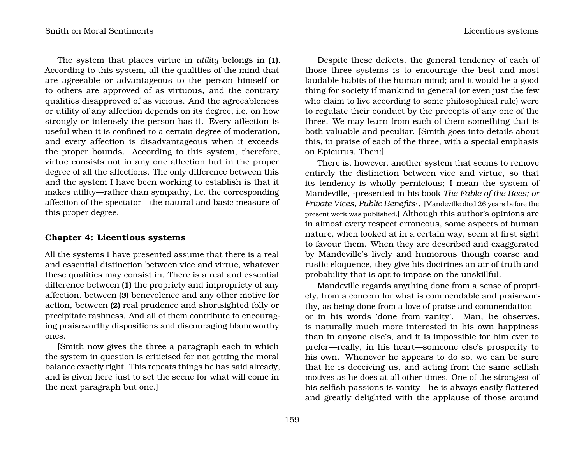The system that places virtue in *utility* belongs in **(1)**. According to this system, all the qualities of the mind that are agreeable or advantageous to the person himself or to others are approved of as virtuous, and the contrary qualities disapproved of as vicious. And the agreeableness or utility of any affection depends on its degree, i.e. on how strongly or intensely the person has it. Every affection is useful when it is confined to a certain degree of moderation, and every affection is disadvantageous when it exceeds the proper bounds. According to this system, therefore, virtue consists not in any one affection but in the proper degree of all the affections. The only difference between this and the system I have been working to establish is that it makes utility—rather than sympathy, i.e. the corresponding affection of the spectator—the natural and basic measure of this proper degree.

### **Chapter 4: Licentious systems**

All the systems I have presented assume that there is a real and essential distinction between vice and virtue, whatever these qualities may consist in. There is a real and essential difference between **(1)** the propriety and impropriety of any affection, between **(3)** benevolence and any other motive for action, between **(2)** real prudence and shortsighted folly or precipitate rashness. And all of them contribute to encouraging praiseworthy dispositions and discouraging blameworthy ones.

[Smith now gives the three a paragraph each in which the system in question is criticised for not getting the moral balance exactly right. This repeats things he has said already, and is given here just to set the scene for what will come in the next paragraph but one.]

Despite these defects, the general tendency of each of those three systems is to encourage the best and most laudable habits of the human mind; and it would be a good thing for society if mankind in general (or even just the few who claim to live according to some philosophical rule) were to regulate their conduct by the precepts of any one of the three. We may learn from each of them something that is both valuable and peculiar. [Smith goes into details about this, in praise of each of the three, with a special emphasis on Epicurus. Then:]

There is, however, another system that seems to remove entirely the distinction between vice and virtue, so that its tendency is wholly pernicious; I mean the system of Mandeville, ·presented in his book *The Fable of the Bees; or Private Vices, Public Benefits*·. [Mandeville died 26 years before the present work was published.] Although this author's opinions are in almost every respect erroneous, some aspects of human nature, when looked at in a certain way, seem at first sight to favour them. When they are described and exaggerated by Mandeville's lively and humorous though coarse and rustic eloquence, they give his doctrines an air of truth and probability that is apt to impose on the unskillful.

Mandeville regards anything done from a sense of propriety, from a concern for what is commendable and praiseworthy, as being done from a love of praise and commendation or in his words 'done from vanity'. Man, he observes, is naturally much more interested in his own happiness than in anyone else's, and it is impossible for him ever to prefer—really, in his heart—someone else's prosperity to his own. Whenever he appears to do so, we can be sure that he is deceiving us, and acting from the same selfish motives as he does at all other times. One of the strongest of his selfish passions is vanity—he is always easily flattered and greatly delighted with the applause of those around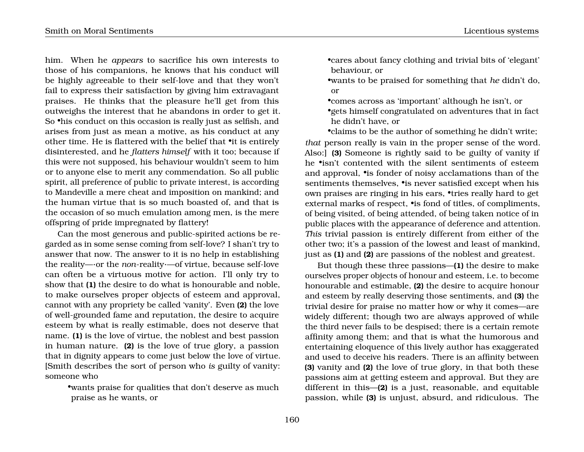him. When he *appears* to sacrifice his own interests to those of his companions, he knows that his conduct will be highly agreeable to their self-love and that they won't fail to express their satisfaction by giving him extravagant praises. He thinks that the pleasure he'll get from this outweighs the interest that he abandons in order to get it. So •his conduct on this occasion is really just as selfish, and arises from just as mean a motive, as his conduct at any other time. He is flattered with the belief that •it is entirely disinterested, and he *flatters himself* with it too; because if this were not supposed, his behaviour wouldn't seem to him or to anyone else to merit any commendation. So all public spirit, all preference of public to private interest, is according to Mandeville a mere cheat and imposition on mankind; and the human virtue that is so much boasted of, and that is the occasion of so much emulation among men, is the mere offspring of pride impregnated by flattery!

Can the most generous and public-spirited actions be regarded as in some sense coming from self-love? I shan't try to answer that now. The answer to it is no help in establishing the reality—·or the *non*-reality·—of virtue, because self-love can often be a virtuous motive for action. I'll only try to show that **(1)** the desire to do what is honourable and noble, to make ourselves proper objects of esteem and approval, cannot with any propriety be called 'vanity'. Even **(2)** the love of well-grounded fame and reputation, the desire to acquire esteem by what is really estimable, does not deserve that name. **(1)** is the love of virtue, the noblest and best passion in human nature. **(2)** is the love of true glory, a passion that in dignity appears to come just below the love of virtue. [Smith describes the sort of person who *is* guilty of vanity: someone who

•wants praise for qualities that don't deserve as much praise as he wants, or

•cares about fancy clothing and trivial bits of 'elegant' behaviour, or

- •wants to be praised for something that *he* didn't do, or
- •comes across as 'important' although he isn't, or •gets himself congratulated on adventures that in fact
- he didn't have, or

•claims to be the author of something he didn't write;

*that* person really is vain in the proper sense of the word. Also:] **(3)** Someone is rightly said to be guilty of vanity if he •isn't contented with the silent sentiments of esteem and approval, •is fonder of noisy acclamations than of the sentiments themselves, •is never satisfied except when his own praises are ringing in his ears, •tries really hard to get external marks of respect, • is fond of titles, of compliments, of being visited, of being attended, of being taken notice of in public places with the appearance of deference and attention. *This* trivial passion is entirely different from either of the other two; it's a passion of the lowest and least of mankind, just as **(1)** and **(2)** are passions of the noblest and greatest.

But though these three passions—**(1)** the desire to make ourselves proper objects of honour and esteem, i.e. to become honourable and estimable, **(2)** the desire to acquire honour and esteem by really deserving those sentiments, and **(3)** the trivial desire for praise no matter how or why it comes—are widely different; though two are always approved of while the third never fails to be despised; there is a certain remote affinity among them; and that is what the humorous and entertaining eloquence of this lively author has exaggerated and used to deceive his readers. There is an affinity between **(3)** vanity and **(2)** the love of true glory, in that both these passions aim at getting esteem and approval. But they are different in this—**(2)** is a just, reasonable, and equitable passion, while **(3)** is unjust, absurd, and ridiculous. The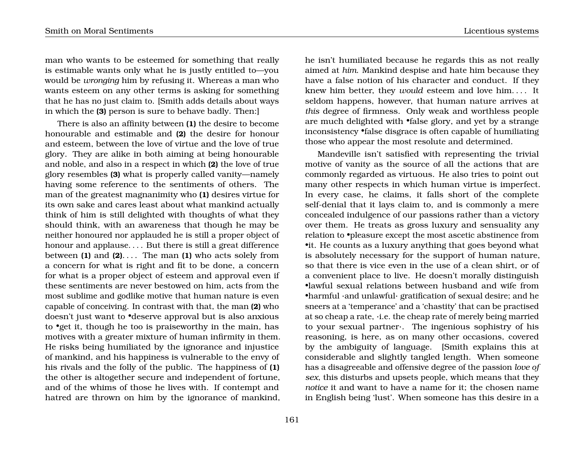man who wants to be esteemed for something that really is estimable wants only what he is justly entitled to—you would be *wronging* him by refusing it. Whereas a man who wants esteem on any other terms is asking for something that he has no just claim to. [Smith adds details about ways in which the **(3)** person is sure to behave badly. Then:]

There is also an affinity between **(1)** the desire to become honourable and estimable and **(2)** the desire for honour and esteem, between the love of virtue and the love of true glory. They are alike in both aiming at being honourable and noble, and also in a respect in which **(2)** the love of true glory resembles **(3)** what is properly called vanity—namely having some reference to the sentiments of others. The man of the greatest magnanimity who **(1)** desires virtue for its own sake and cares least about what mankind actually think of him is still delighted with thoughts of what they should think, with an awareness that though he may be neither honoured nor applauded he is still a proper object of honour and applause.... But there is still a great difference between **(1)** and **(2)**. . . . The man **(1)** who acts solely from a concern for what is right and fit to be done, a concern for what is a proper object of esteem and approval even if these sentiments are never bestowed on him, acts from the most sublime and godlike motive that human nature is even capable of conceiving. In contrast with that, the man **(2)** who doesn't just want to •deserve approval but is also anxious to •get it, though he too is praiseworthy in the main, has motives with a greater mixture of human infirmity in them. He risks being humiliated by the ignorance and injustice of mankind, and his happiness is vulnerable to the envy of his rivals and the folly of the public. The happiness of **(1)** the other is altogether secure and independent of fortune, and of the whims of those he lives with. If contempt and hatred are thrown on him by the ignorance of mankind,

he isn't humiliated because he regards this as not really aimed at *him*. Mankind despise and hate him because they have a false notion of his character and conduct. If they knew him better, they *would* esteem and love him. . . . It seldom happens, however, that human nature arrives at *this* degree of firmness. Only weak and worthless people are much delighted with •false glory, and yet by a strange inconsistency •false disgrace is often capable of humiliating those who appear the most resolute and determined.

Mandeville isn't satisfied with representing the trivial motive of vanity as the source of all the actions that are commonly regarded as virtuous. He also tries to point out many other respects in which human virtue is imperfect. In every case, he claims, it falls short of the complete self-denial that it lays claim to, and is commonly a mere concealed indulgence of our passions rather than a victory over them. He treats as gross luxury and sensuality any relation to •pleasure except the most ascetic abstinence from •it. He counts as a luxury anything that goes beyond what is absolutely necessary for the support of human nature, so that there is vice even in the use of a clean shirt, or of a convenient place to live. He doesn't morally distinguish •lawful sexual relations between husband and wife from •harmful ·and unlawful· gratification of sexual desire; and he sneers at a 'temperance' and a 'chastity' that can be practised at so cheap a rate, ·i.e. the cheap rate of merely being married to your sexual partner·. The ingenious sophistry of his reasoning, is here, as on many other occasions, covered by the ambiguity of language. [Smith explains this at considerable and slightly tangled length. When someone has a disagreeable and offensive degree of the passion *love of sex*, this disturbs and upsets people, which means that they *notice* it and want to have a name for it; the chosen name in English being 'lust'. When someone has this desire in a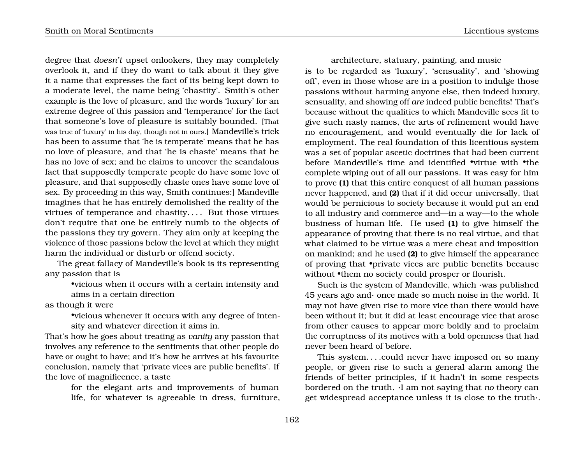degree that *doesn't* upset onlookers, they may completely overlook it, and if they do want to talk about it they give it a name that expresses the fact of its being kept down to a moderate level, the name being 'chastity'. Smith's other example is the love of pleasure, and the words 'luxury' for an extreme degree of this passion and 'temperance' for the fact that someone's love of pleasure is suitably bounded. [That was true of 'luxury' in his day, though not in ours.] Mandeville's trick has been to assume that 'he is temperate' means that he has no love of pleasure, and that 'he is chaste' means that he has no love of sex; and he claims to uncover the scandalous fact that supposedly temperate people do have some love of pleasure, and that supposedly chaste ones have some love of sex. By proceeding in this way, Smith continues:] Mandeville imagines that he has entirely demolished the reality of the virtues of temperance and chastity. . . . But those virtues don't require that one be entirely numb to the objects of the passions they try govern. They aim only at keeping the violence of those passions below the level at which they might harm the individual or disturb or offend society.

The great fallacy of Mandeville's book is its representing any passion that is

> •vicious when it occurs with a certain intensity and aims in a certain direction

as though it were

•vicious whenever it occurs with any degree of intensity and whatever direction it aims in.

That's how he goes about treating as *vanity* any passion that involves any reference to the sentiments that other people do have or ought to have; and it's how he arrives at his favourite conclusion, namely that 'private vices are public benefits'. If the love of magnificence, a taste

> for the elegant arts and improvements of human life, for whatever is agreeable in dress, furniture,

architecture, statuary, painting, and music is to be regarded as 'luxury', 'sensuality', and 'showing off', even in those whose are in a position to indulge those passions without harming anyone else, then indeed luxury, sensuality, and showing off *are* indeed public benefits! That's because without the qualities to which Mandeville sees fit to give such nasty names, the arts of refinement would have no encouragement, and would eventually die for lack of employment. The real foundation of this licentious system was a set of popular ascetic doctrines that had been current before Mandeville's time and identified •virtue with •the complete wiping out of all our passions. It was easy for him to prove **(1)** that this entire conquest of all human passions never happened, and **(2)** that if it did occur universally, that would be pernicious to society because it would put an end to all industry and commerce and—in a way—to the whole business of human life. He used **(1)** to give himself the appearance of proving that there is no real virtue, and that what claimed to be virtue was a mere cheat and imposition on mankind; and he used **(2)** to give himself the appearance of proving that •private vices are public benefits because without •them no society could prosper or flourish.

Such is the system of Mandeville, which ·was published 45 years ago and· once made so much noise in the world. It may not have given rise to more vice than there would have been without it; but it did at least encourage vice that arose from other causes to appear more boldly and to proclaim the corruptness of its motives with a bold openness that had never been heard of before.

This system. . . .could never have imposed on so many people, or given rise to such a general alarm among the friends of better principles, if it hadn't in some respects bordered on the truth. ·I am not saying that *no* theory can get widespread acceptance unless it is close to the truth·.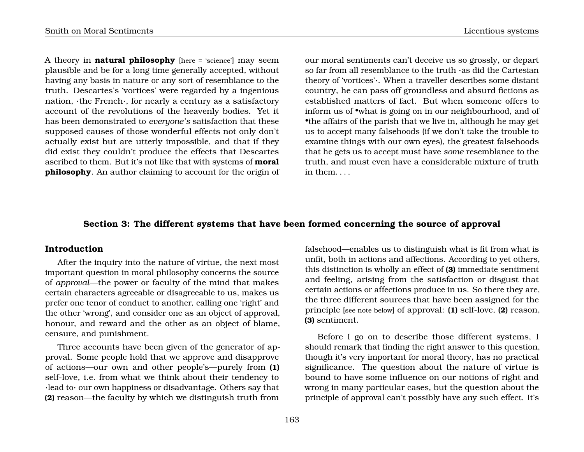A theory in **natural philosophy** [here = 'science'] may seem plausible and be for a long time generally accepted, without having any basis in nature or any sort of resemblance to the truth. Descartes's 'vortices' were regarded by a ingenious nation, ·the French·, for nearly a century as a satisfactory account of the revolutions of the heavenly bodies. Yet it has been demonstrated to *everyone's* satisfaction that these supposed causes of those wonderful effects not only don't actually exist but are utterly impossible, and that if they did exist they couldn't produce the effects that Descartes ascribed to them. But it's not like that with systems of **moral philosophy**. An author claiming to account for the origin of our moral sentiments can't deceive us so grossly, or depart so far from all resemblance to the truth ·as did the Cartesian theory of 'vortices'·. When a traveller describes some distant country, he can pass off groundless and absurd fictions as established matters of fact. But when someone offers to inform us of •what is going on in our neighbourhood, and of •the affairs of the parish that we live in, although he may get us to accept many falsehoods (if we don't take the trouble to examine things with our own eyes), the greatest falsehoods that he gets us to accept must have *some* resemblance to the truth, and must even have a considerable mixture of truth in them. . . .

### **Section 3: The different systems that have been formed concerning the source of approval**

#### **Introduction**

After the inquiry into the nature of virtue, the next most important question in moral philosophy concerns the source of *approval*—the power or faculty of the mind that makes certain characters agreeable or disagreeable to us, makes us prefer one tenor of conduct to another, calling one 'right' and the other 'wrong', and consider one as an object of approval, honour, and reward and the other as an object of blame, censure, and punishment.

Three accounts have been given of the generator of approval. Some people hold that we approve and disapprove of actions—our own and other people's—purely from **(1)** self-love, i.e. from what we think about their tendency to ·lead to· our own happiness or disadvantage. Others say that **(2)** reason—the faculty by which we distinguish truth from

falsehood—enables us to distinguish what is fit from what is unfit, both in actions and affections. According to yet others, this distinction is wholly an effect of **(3)** immediate sentiment and feeling, arising from the satisfaction or disgust that certain actions or affections produce in us. So there they are, the three different sources that have been assigned for the principle [see note below] of approval: **(1)** self-love, **(2)** reason, **(3)** sentiment.

Before I go on to describe those different systems, I should remark that finding the right answer to this question, though it's very important for moral theory, has no practical significance. The question about the nature of virtue is bound to have some influence on our notions of right and wrong in many particular cases, but the question about the principle of approval can't possibly have any such effect. It's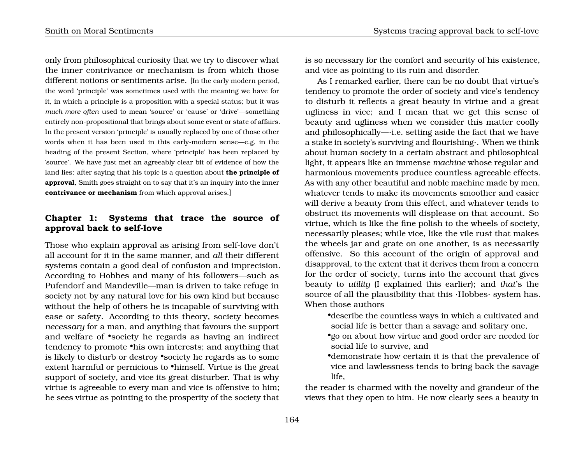only from philosophical curiosity that we try to discover what the inner contrivance or mechanism is from which those different notions or sentiments arise. [In the early modern period, the word 'principle' was sometimes used with the meaning we have for it, in which a principle is a proposition with a special status; but it was *much more often* used to mean 'source' or 'cause' or 'drive'—something entirely non-propositional that brings about some event or state of affairs. In the present version 'principle' is usually replaced by one of those other words when it has been used in this early-modern sense—e.g. in the heading of the present Section, where 'principle' has been replaced by 'source'. We have just met an agreeably clear bit of evidence of how the land lies: after saying that his topic is a question about **the principle of approval**, Smith goes straight on to say that it's an inquiry into the inner **contrivance or mechanism** from which approval arises.]

# **Chapter 1: Systems that trace the source of approval back to self-love**

Those who explain approval as arising from self-love don't all account for it in the same manner, and *all* their different systems contain a good deal of confusion and imprecision. According to Hobbes and many of his followers—such as Pufendorf and Mandeville—man is driven to take refuge in society not by any natural love for his own kind but because without the help of others he is incapable of surviving with ease or safety. According to this theory, society becomes *necessary* for a man, and anything that favours the support and welfare of •society he regards as having an indirect tendency to promote •his own interests; and anything that is likely to disturb or destroy •society he regards as to some extent harmful or pernicious to •himself. Virtue is the great support of society, and vice its great disturber. That is why virtue is agreeable to every man and vice is offensive to him; he sees virtue as pointing to the prosperity of the society that

is so necessary for the comfort and security of his existence, and vice as pointing to its ruin and disorder.

As I remarked earlier, there can be no doubt that virtue's tendency to promote the order of society and vice's tendency to disturb it reflects a great beauty in virtue and a great ugliness in vice; and I mean that we get this sense of beauty and ugliness when we consider this matter coolly and philosophically—·i.e. setting aside the fact that we have a stake in society's surviving and flourishing·. When we think about human society in a certain abstract and philosophical light, it appears like an immense *machine* whose regular and harmonious movements produce countless agreeable effects. As with any other beautiful and noble machine made by men, whatever tends to make its movements smoother and easier will derive a beauty from this effect, and whatever tends to obstruct its movements will displease on that account. So virtue, which is like the fine polish to the wheels of society, necessarily pleases; while vice, like the vile rust that makes the wheels jar and grate on one another, is as necessarily offensive. So this account of the origin of approval and disapproval, to the extent that it derives them from a concern for the order of society, turns into the account that gives beauty to *utility* (I explained this earlier); and *that*'s the source of all the plausibility that this  $\cdot$ Hobbes $\cdot$  system has. When those authors

•describe the countless ways in which a cultivated and social life is better than a savage and solitary one,

•go on about how virtue and good order are needed for social life to survive, and

•demonstrate how certain it is that the prevalence of vice and lawlessness tends to bring back the savage life,

the reader is charmed with the novelty and grandeur of the views that they open to him. He now clearly sees a beauty in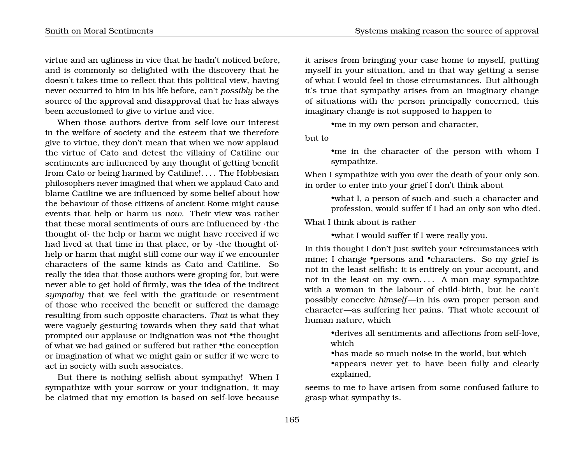virtue and an ugliness in vice that he hadn't noticed before, and is commonly so delighted with the discovery that he doesn't takes time to reflect that this political view, having never occurred to him in his life before, can't *possibly* be the source of the approval and disapproval that he has always been accustomed to give to virtue and vice.

When those authors derive from self-love our interest in the welfare of society and the esteem that we therefore give to virtue, they don't mean that when we now applaud the virtue of Cato and detest the villainy of Catiline our sentiments are influenced by any thought of getting benefit from Cato or being harmed by Catiline!. . . . The Hobbesian philosophers never imagined that when we applaud Cato and blame Catiline we are influenced by some belief about how the behaviour of those citizens of ancient Rome might cause events that help or harm us *now*. Their view was rather that these moral sentiments of ours are influenced by ·the thought of· the help or harm we might have received if we had lived at that time in that place, or by ·the thought of· help or harm that might still come our way if we encounter characters of the same kinds as Cato and Catiline. So really the idea that those authors were groping for, but were never able to get hold of firmly, was the idea of the indirect *sympathy* that we feel with the gratitude or resentment of those who received the benefit or suffered the damage resulting from such opposite characters. *That* is what they were vaguely gesturing towards when they said that what prompted our applause or indignation was not •the thought of what we had gained or suffered but rather •the conception or imagination of what we might gain or suffer if we were to act in society with such associates.

But there is nothing selfish about sympathy! When I sympathize with your sorrow or your indignation, it may be claimed that my emotion is based on self-love because it arises from bringing your case home to myself, putting myself in your situation, and in that way getting a sense of what I would feel in those circumstances. But although it's true that sympathy arises from an imaginary change of situations with the person principally concerned, this imaginary change is not supposed to happen to

•me in my own person and character,

but to

•me in the character of the person with whom I sympathize.

When I sympathize with you over the death of your only son, in order to enter into your grief I don't think about

> •what I, a person of such-and-such a character and profession, would suffer if I had an only son who died.

What I think about is rather

•what I would suffer if I were really you.

In this thought I don't just switch your •circumstances with mine; I change •persons and •characters. So my grief is not in the least selfish: it is entirely on your account, and not in the least on my own. . . . A man may sympathize with a woman in the labour of child-birth, but he can't possibly conceive *himself* —in his own proper person and character—as suffering her pains. That whole account of human nature, which

> •derives all sentiments and affections from self-love, which

•has made so much noise in the world, but which

•appears never yet to have been fully and clearly explained,

seems to me to have arisen from some confused failure to grasp what sympathy is.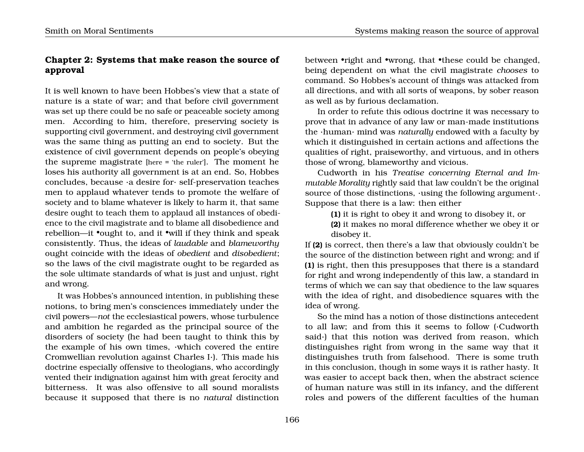# **Chapter 2: Systems that make reason the source of approval**

It is well known to have been Hobbes's view that a state of nature is a state of war; and that before civil government was set up there could be no safe or peaceable society among men. According to him, therefore, preserving society is supporting civil government, and destroying civil government was the same thing as putting an end to society. But the existence of civil government depends on people's obeying the supreme magistrate [here = 'the ruler']. The moment he loses his authority all government is at an end. So, Hobbes concludes, because ·a desire for· self-preservation teaches men to applaud whatever tends to promote the welfare of society and to blame whatever is likely to harm it, that same desire ought to teach them to applaud all instances of obedience to the civil magistrate and to blame all disobedience and rebellion—it •ought to, and it •will if they think and speak consistently. Thus, the ideas of *laudable* and *blameworthy* ought coincide with the ideas of *obedient* and *disobedient*; so the laws of the civil magistrate ought to be regarded as the sole ultimate standards of what is just and unjust, right and wrong.

It was Hobbes's announced intention, in publishing these notions, to bring men's consciences immediately under the civil powers—*not* the ecclesiastical powers, whose turbulence and ambition he regarded as the principal source of the disorders of society (he had been taught to think this by the example of his own times, ·which covered the entire Cromwellian revolution against Charles I·). This made his doctrine especially offensive to theologians, who accordingly vented their indignation against him with great ferocity and bitterness. It was also offensive to all sound moralists because it supposed that there is no *natural* distinction

between •right and •wrong, that •these could be changed, being dependent on what the civil magistrate *chooses* to command. So Hobbes's account of things was attacked from all directions, and with all sorts of weapons, by sober reason as well as by furious declamation.

In order to refute this odious doctrine it was necessary to prove that in advance of any law or man-made institutions the ·human· mind was *naturally* endowed with a faculty by which it distinguished in certain actions and affections the qualities of right, praiseworthy, and virtuous, and in others those of wrong, blameworthy and vicious.

Cudworth in his *Treatise concerning Eternal and Immutable Morality* rightly said that law couldn't be the original source of those distinctions, ·using the following argument·. Suppose that there is a law: then either

**(1)** it is right to obey it and wrong to disobey it, or

**(2)** it makes no moral difference whether we obey it or disobey it.

If **(2)** is correct, then there's a law that obviously couldn't be the source of the distinction between right and wrong; and if **(1)** is right, then this presupposes that there is a standard for right and wrong independently of this law, a standard in terms of which we can say that obedience to the law squares with the idea of right, and disobedience squares with the idea of wrong.

So the mind has a notion of those distinctions antecedent to all law; and from this it seems to follow (·Cudworth said·) that this notion was derived from reason, which distinguishes right from wrong in the same way that it distinguishes truth from falsehood. There is some truth in this conclusion, though in some ways it is rather hasty. It was easier to accept back then, when the abstract science of human nature was still in its infancy, and the different roles and powers of the different faculties of the human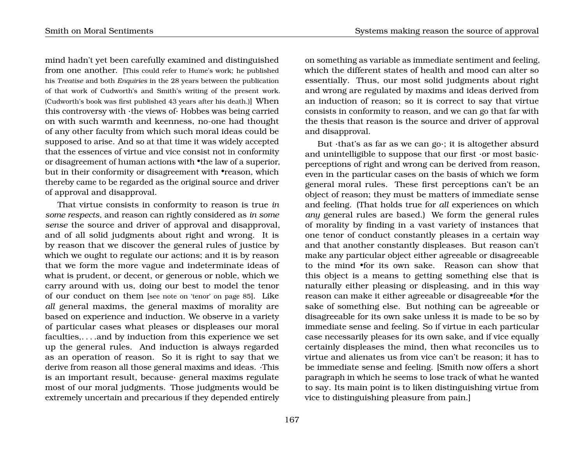mind hadn't yet been carefully examined and distinguished from one another. [This could refer to Hume's work; he published his *Treatise* and both *Enquiries* in the 28 years between the publication of that work of Cudworth's and Smith's writing of the present work. (Cudworth's book was first published 43 years after his death.)] When this controversy with ·the views of· Hobbes was being carried on with such warmth and keenness, no-one had thought of any other faculty from which such moral ideas could be supposed to arise. And so at that time it was widely accepted that the essences of virtue and vice consist not in conformity or disagreement of human actions with •the law of a superior, but in their conformity or disagreement with •reason, which thereby came to be regarded as the original source and driver of approval and disapproval.

That virtue consists in conformity to reason is true *in some respects*, and reason can rightly considered as *in some sense* the source and driver of approval and disapproval, and of all solid judgments about right and wrong. It is by reason that we discover the general rules of justice by which we ought to regulate our actions; and it is by reason that we form the more vague and indeterminate ideas of what is prudent, or decent, or generous or noble, which we carry around with us, doing our best to model the tenor of our conduct on them [see note on 'tenor' on page [85](#page-87-0)]. Like *all* general maxims, the general maxims of morality are based on experience and induction. We observe in a variety of particular cases what pleases or displeases our moral faculties,. . . .and by induction from this experience we set up the general rules. And induction is always regarded as an operation of reason. So it is right to say that we derive from reason all those general maxims and ideas. ·This is an important result, because· general maxims regulate most of our moral judgments. Those judgments would be extremely uncertain and precarious if they depended entirely

on something as variable as immediate sentiment and feeling, which the different states of health and mood can alter so essentially. Thus, our most solid judgments about right and wrong are regulated by maxims and ideas derived from an induction of reason; so it is correct to say that virtue consists in conformity to reason, and we can go that far with the thesis that reason is the source and driver of approval and disapproval.

But ·that's as far as we can go·; it is altogether absurd and unintelligible to suppose that our first ·or most basic· perceptions of right and wrong can be derived from reason, even in the particular cases on the basis of which we form general moral rules. These first perceptions can't be an object of reason; they must be matters of immediate sense and feeling. (That holds true for *all* experiences on which *any* general rules are based.) We form the general rules of morality by finding in a vast variety of instances that one tenor of conduct constantly pleases in a certain way and that another constantly displeases. But reason can't make any particular object either agreeable or disagreeable to the mind •for its own sake. Reason can show that this object is a means to getting something else that is naturally either pleasing or displeasing, and in this way reason can make it either agreeable or disagreeable •for the sake of something else. But nothing can be agreeable or disagreeable for its own sake unless it is made to be so by immediate sense and feeling. So if virtue in each particular case necessarily pleases for its own sake, and if vice equally certainly displeases the mind, then what reconciles us to virtue and alienates us from vice can't be reason; it has to be immediate sense and feeling. [Smith now offers a short paragraph in which he seems to lose track of what he wanted to say. Its main point is to liken distinguishing virtue from vice to distinguishing pleasure from pain.]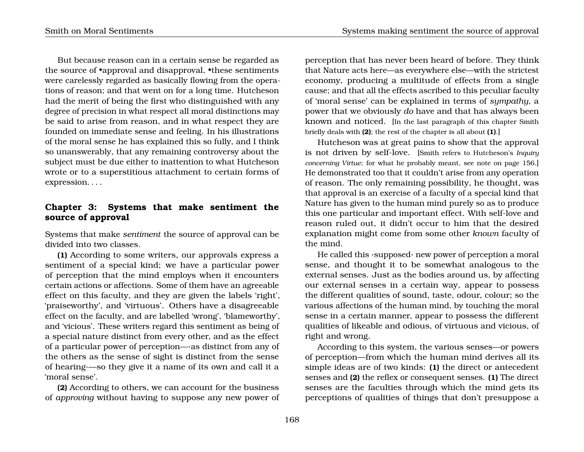But because reason can in a certain sense be regarded as the source of •approval and disapproval, •these sentiments were carelessly regarded as basically flowing from the operations of reason; and that went on for a long time. Hutcheson had the merit of being the first who distinguished with any degree of precision in what respect all moral distinctions may be said to arise from reason, and in what respect they are founded on immediate sense and feeling. In his illustrations of the moral sense he has explained this so fully, and I think so unanswerably, that any remaining controversy about the subject must be due either to inattention to what Hutcheson wrote or to a superstitious attachment to certain forms of expression. . . .

# <span id="page-171-0"></span>**Chapter 3: Systems that make sentiment the source of approval**

Systems that make *sentiment* the source of approval can be divided into two classes.

**(1)** According to some writers, our approvals express a sentiment of a special kind; we have a particular power of perception that the mind employs when it encounters certain actions or affections. Some of them have an agreeable effect on this faculty, and they are given the labels 'right', 'praiseworthy', and 'virtuous'. Others have a disagreeable effect on the faculty, and are labelled 'wrong', 'blameworthy', and 'vicious'. These writers regard this sentiment as being of a special nature distinct from every other, and as the effect of a particular power of perception—·as distinct from any of the others as the sense of sight is distinct from the sense of hearing·—so they give it a name of its own and call it a 'moral sense'.

**(2)** According to others, we can account for the business of *approving* without having to suppose any new power of perception that has never been heard of before. They think that Nature acts here—as everywhere else—with the strictest economy, producing a multitude of effects from a single cause; and that all the effects ascribed to this peculiar faculty of 'moral sense' can be explained in terms of *sympathy*, a power that we obviously *do* have and that has always been known and noticed. [In the last paragraph of this chapter Smith briefly deals with **(2)**; the rest of the chapter is all about **(1)**.]

Hutcheson was at great pains to show that the approval is not driven by self-love. [Smith refers to Hutcheson's *Inquiry concerning Virtue*; for what he probably meant, see note on page [156.](#page-158-0)] He demonstrated too that it couldn't arise from any operation of reason. The only remaining possibility, he thought, was that approval is an exercise of a faculty of a special kind that Nature has given to the human mind purely so as to produce this one particular and important effect. With self-love and reason ruled out, it didn't occur to him that the desired explanation might come from some other *known* faculty of the mind.

He called this ·supposed· new power of perception a moral sense, and thought it to be somewhat analogous to the external senses. Just as the bodies around us, by affecting our external senses in a certain way, appear to possess the different qualities of sound, taste, odour, colour; so the various affections of the human mind, by touching the moral sense in a certain manner, appear to possess the different qualities of likeable and odious, of virtuous and vicious, of right and wrong.

According to this system, the various senses—or powers of perception—from which the human mind derives all its simple ideas are of two kinds: **(1)** the direct or antecedent senses and **(2)** the reflex or consequent senses. **(1)** The direct senses are the faculties through which the mind gets its perceptions of qualities of things that don't presuppose a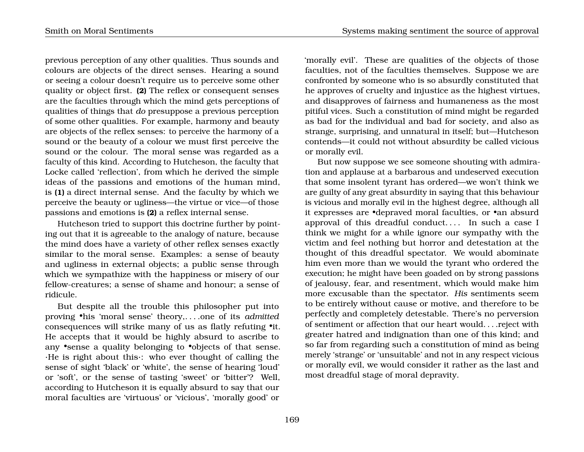previous perception of any other qualities. Thus sounds and colours are objects of the direct senses. Hearing a sound or seeing a colour doesn't require us to perceive some other quality or object first. **(2)** The reflex or consequent senses are the faculties through which the mind gets perceptions of qualities of things that *do* presuppose a previous perception of some other qualities. For example, harmony and beauty are objects of the reflex senses: to perceive the harmony of a sound or the beauty of a colour we must first perceive the sound or the colour. The moral sense was regarded as a faculty of this kind. According to Hutcheson, the faculty that Locke called 'reflection', from which he derived the simple ideas of the passions and emotions of the human mind, is **(1)** a direct internal sense. And the faculty by which we perceive the beauty or ugliness—the virtue or vice—of those passions and emotions is **(2)** a reflex internal sense.

Hutcheson tried to support this doctrine further by pointing out that it is agreeable to the analogy of nature, because the mind does have a variety of other reflex senses exactly similar to the moral sense. Examples: a sense of beauty and ugliness in external objects; a public sense through which we sympathize with the happiness or misery of our fellow-creatures; a sense of shame and honour; a sense of ridicule.

But despite all the trouble this philosopher put into proving •his 'moral sense' theory,. . . .one of its *admitted* consequences will strike many of us as flatly refuting •it. He accepts that it would be highly absurd to ascribe to any •sense a quality belonging to •objects of that sense. ·He is right about this·: who ever thought of calling the sense of sight 'black' or 'white', the sense of hearing 'loud' or 'soft', or the sense of tasting 'sweet' or 'bitter'? Well, according to Hutcheson it is equally absurd to say that our moral faculties are 'virtuous' or 'vicious', 'morally good' or

'morally evil'. These are qualities of the objects of those faculties, not of the faculties themselves. Suppose we are confronted by someone who is so absurdly constituted that he approves of cruelty and injustice as the highest virtues, and disapproves of fairness and humaneness as the most pitiful vices. Such a constitution of mind might be regarded as bad for the individual and bad for society, and also as strange, surprising, and unnatural in itself; but—Hutcheson contends—it could not without absurdity be called vicious or morally evil.

But now suppose we see someone shouting with admiration and applause at a barbarous and undeserved execution that some insolent tyrant has ordered—we won't think we are guilty of any great absurdity in saying that this behaviour is vicious and morally evil in the highest degree, although all it expresses are •depraved moral faculties, or •an absurd approval of this dreadful conduct.... In such a case I think we might for a while ignore our sympathy with the victim and feel nothing but horror and detestation at the thought of this dreadful spectator. We would abominate him even more than we would the tyrant who ordered the execution; he might have been goaded on by strong passions of jealousy, fear, and resentment, which would make him more excusable than the spectator. *His* sentiments seem to be entirely without cause or motive, and therefore to be perfectly and completely detestable. There's no perversion of sentiment or affection that our heart would. . . .reject with greater hatred and indignation than one of this kind; and so far from regarding such a constitution of mind as being merely 'strange' or 'unsuitable' and not in any respect vicious or morally evil, we would consider it rather as the last and most dreadful stage of moral depravity.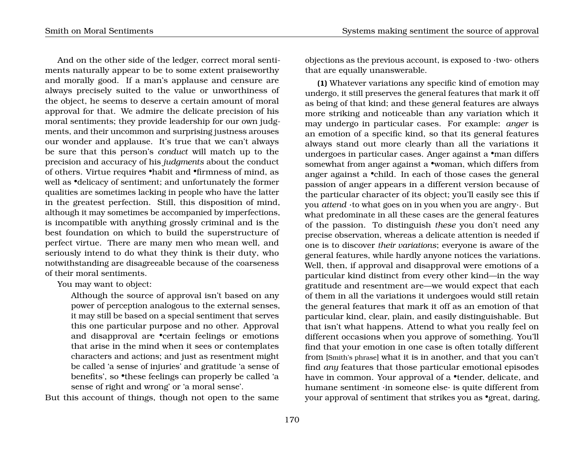Smith on Moral Sentiments Systems making sentiment the source of approval

And on the other side of the ledger, correct moral sentiments naturally appear to be to some extent praiseworthy and morally good. If a man's applause and censure are always precisely suited to the value or unworthiness of the object, he seems to deserve a certain amount of moral approval for that. We admire the delicate precision of his moral sentiments; they provide leadership for our own judgments, and their uncommon and surprising justness arouses our wonder and applause. It's true that we can't always be sure that this person's *conduct* will match up to the precision and accuracy of his *judgments* about the conduct of others. Virtue requires •habit and •firmness of mind, as well as •delicacy of sentiment; and unfortunately the former qualities are sometimes lacking in people who have the latter in the greatest perfection. Still, this disposition of mind, although it may sometimes be accompanied by imperfections, is incompatible with anything grossly criminal and is the best foundation on which to build the superstructure of perfect virtue. There are many men who mean well, and seriously intend to do what they think is their duty, who notwithstanding are disagreeable because of the coarseness of their moral sentiments.

You may want to object:

Although the source of approval isn't based on any power of perception analogous to the external senses, it may still be based on a special sentiment that serves this one particular purpose and no other. Approval and disapproval are •certain feelings or emotions that arise in the mind when it sees or contemplates characters and actions; and just as resentment might be called 'a sense of injuries' and gratitude 'a sense of benefits', so •these feelings can properly be called 'a sense of right and wrong' or 'a moral sense'.

But this account of things, though not open to the same

objections as the previous account, is exposed to ·two· others that are equally unanswerable.

**(1)** Whatever variations any specific kind of emotion may undergo, it still preserves the general features that mark it off as being of that kind; and these general features are always more striking and noticeable than any variation which it may undergo in particular cases. For example: *anger* is an emotion of a specific kind, so that its general features always stand out more clearly than all the variations it undergoes in particular cases. Anger against a •man differs somewhat from anger against a •woman, which differs from anger against a •child. In each of those cases the general passion of anger appears in a different version because of the particular character of its object; you'll easily see this if you *attend* ·to what goes on in you when you are angry·. But what predominate in all these cases are the general features of the passion. To distinguish *these* you don't need any precise observation, whereas a delicate attention is needed if one is to discover *their variations*; everyone is aware of the general features, while hardly anyone notices the variations. Well, then, if approval and disapproval were emotions of a particular kind distinct from every other kind—in the way gratitude and resentment are—we would expect that each of them in all the variations it undergoes would still retain the general features that mark it off as an emotion of that particular kind, clear, plain, and easily distinguishable. But that isn't what happens. Attend to what you really feel on different occasions when you approve of something. You'll find that your emotion in one case is often totally different from [Smith's phrase] what it is in another, and that you can't find *any* features that those particular emotional episodes have in common. Your approval of a •tender, delicate, and humane sentiment ·in someone else· is quite different from your approval of sentiment that strikes you as •great, daring,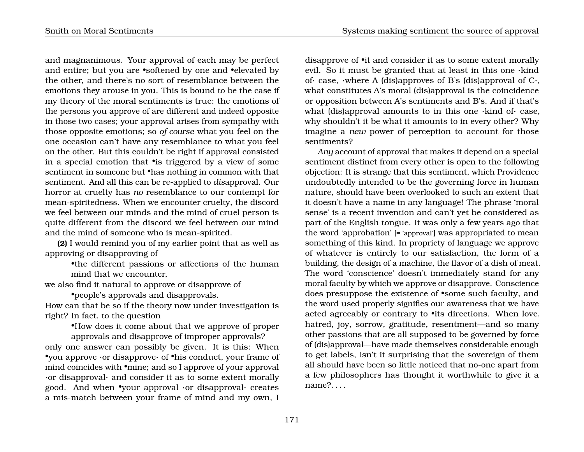and magnanimous. Your approval of each may be perfect and entire; but you are •softened by one and •elevated by the other, and there's no sort of resemblance between the emotions they arouse in you. This is bound to be the case if my theory of the moral sentiments is true: the emotions of the persons you approve of are different and indeed opposite in those two cases; your approval arises from sympathy with those opposite emotions; so *of course* what you feel on the one occasion can't have any resemblance to what you feel on the other. But this couldn't be right if approval consisted in a special emotion that •is triggered by a view of some sentiment in someone but •has nothing in common with that sentiment. And all this can be re-applied to *dis*approval. Our horror at cruelty has *no* resemblance to our contempt for mean-spiritedness. When we encounter cruelty, the discord we feel between our minds and the mind of cruel person is quite different from the discord we feel between our mind and the mind of someone who is mean-spirited.

**(2)** I would remind you of my earlier point that as well as approving or disapproving of

> •the different passions or affections of the human mind that we encounter,

we also find it natural to approve or disapprove of

•people's approvals and disapprovals.

How can that be so if the theory now under investigation is right? In fact, to the question

> •How does it come about that we approve of proper approvals and disapprove of improper approvals?

only one answer can possibly be given. It is this: When •you approve ·or disapprove· of •his conduct, your frame of mind coincides with •mine; and so I approve of your approval ·or disapproval· and consider it as to some extent morally good. And when •your approval ·or disapproval· creates a mis-match between your frame of mind and my own, I disapprove of •it and consider it as to some extent morally evil. So it must be granted that at least in this one ·kind of case, where A (dis)approves of B's (dis)approval of  $C$ . what constitutes A's moral (dis)approval is the coincidence or opposition between A's sentiments and B's. And if that's what (dis)approval amounts to in this one ·kind of· case, why shouldn't it be what it amounts to in every other? Why imagine a *new* power of perception to account for those sentiments?

*Any* account of approval that makes it depend on a special sentiment distinct from every other is open to the following objection: It is strange that this sentiment, which Providence undoubtedly intended to be the governing force in human nature, should have been overlooked to such an extent that it doesn't have a name in any language! The phrase 'moral sense' is a recent invention and can't yet be considered as part of the English tongue. It was only a few years ago that the word 'approbation' [= 'approval'] was appropriated to mean something of this kind. In propriety of language we approve of whatever is entirely to our satisfaction, the form of a building, the design of a machine, the flavor of a dish of meat. The word 'conscience' doesn't immediately stand for any moral faculty by which we approve or disapprove. Conscience does presuppose the existence of •some such faculty, and the word used properly signifies our awareness that we have acted agreeably or contrary to •its directions. When love, hatred, joy, sorrow, gratitude, resentment—and so many other passions that are all supposed to be governed by force of (dis)approval—have made themselves considerable enough to get labels, isn't it surprising that the sovereign of them all should have been so little noticed that no-one apart from a few philosophers has thought it worthwhile to give it a name?. . . .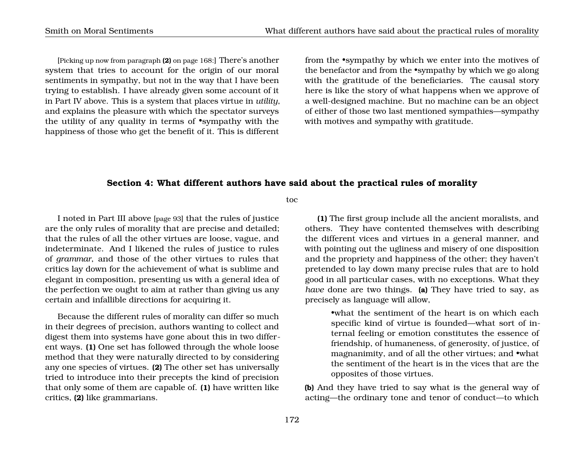[Picking up now from paragraph **(2)** on page [168:](#page-171-0)] There's another system that tries to account for the origin of our moral sentiments in sympathy, but not in the way that I have been trying to establish. I have already given some account of it in Part IV above. This is a system that places virtue in *utility*, and explains the pleasure with which the spectator surveys the utility of any quality in terms of •sympathy with the happiness of those who get the benefit of it. This is different from the •sympathy by which we enter into the motives of the benefactor and from the •sympathy by which we go along with the gratitude of the beneficiaries. The causal story here is like the story of what happens when we approve of a well-designed machine. But no machine can be an object of either of those two last mentioned sympathies—sympathy with motives and sympathy with gratitude.

### <span id="page-175-0"></span>**Section 4: What different authors have said about the practical rules of morality**

toc

I noted in Part III above [page [93](#page-93-0)] that the rules of justice are the only rules of morality that are precise and detailed; that the rules of all the other virtues are loose, vague, and indeterminate. And I likened the rules of justice to rules of *grammar*, and those of the other virtues to rules that critics lay down for the achievement of what is sublime and elegant in composition, presenting us with a general idea of the perfection we ought to aim at rather than giving us any certain and infallible directions for acquiring it.

Because the different rules of morality can differ so much in their degrees of precision, authors wanting to collect and digest them into systems have gone about this in two different ways. **(1)** One set has followed through the whole loose method that they were naturally directed to by considering any one species of virtues. **(2)** The other set has universally tried to introduce into their precepts the kind of precision that only some of them are capable of. **(1)** have written like critics, **(2)** like grammarians.

**(1)** The first group include all the ancient moralists, and others. They have contented themselves with describing the different vices and virtues in a general manner, and with pointing out the ugliness and misery of one disposition and the propriety and happiness of the other; they haven't pretended to lay down many precise rules that are to hold good in all particular cases, with no exceptions. What they *have* done are two things. **(a)** They have tried to say, as precisely as language will allow,

> •what the sentiment of the heart is on which each specific kind of virtue is founded—what sort of internal feeling or emotion constitutes the essence of friendship, of humaneness, of generosity, of justice, of magnanimity, and of all the other virtues; and •what the sentiment of the heart is in the vices that are the opposites of those virtues.

**(b)** And they have tried to say what is the general way of acting—the ordinary tone and tenor of conduct—to which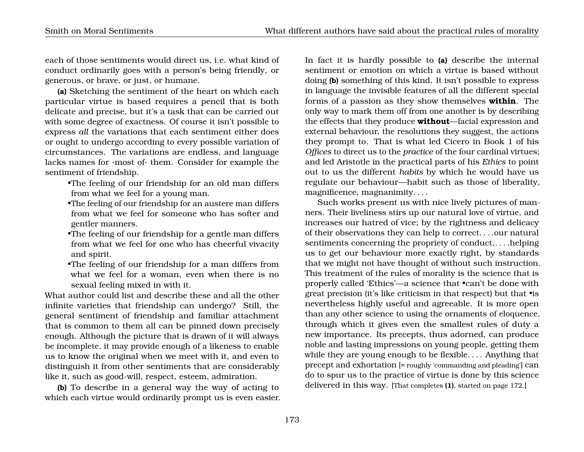each of those sentiments would direct us, i.e. what kind of conduct ordinarily goes with a person's being friendly, or generous, or brave, or just, or humane.

**(a)** Sketching the sentiment of the heart on which each particular virtue is based requires a pencil that is both delicate and precise, but it's a task that can be carried out with some degree of exactness. Of course it isn't possible to express *all* the variations that each sentiment either does or ought to undergo according to every possible variation of circumstances. The variations are endless, and language lacks names for ·most of· them. Consider for example the sentiment of friendship.

- •The feeling of our friendship for an old man differs from what we feel for a young man.
- •The feeling of our friendship for an austere man differs from what we feel for someone who has softer and gentler manners.
- •The feeling of our friendship for a gentle man differs from what we feel for one who has cheerful vivacity and spirit.
- •The feeling of our friendship for a man differs from what we feel for a woman, even when there is no sexual feeling mixed in with it.

What author could list and describe these and all the other infinite varieties that friendship can undergo? Still, the general sentiment of friendship and familiar attachment that is common to them all can be pinned down precisely enough. Although the picture that is drawn of it will always be incomplete, it may provide enough of a likeness to enable us to know the original when we meet with it, and even to distinguish it from other sentiments that are considerably like it, such as good-will, respect, esteem, admiration.

**(b)** To describe in a general way the way of acting to which each virtue would ordinarily prompt us is even easier. In fact it is hardly possible to **(a)** describe the internal sentiment or emotion on which a virtue is based without doing **(b)** something of this kind. It isn't possible to express in language the invisible features of all the different special forms of a passion as they show themselves **within**. The only way to mark them off from one another is by describing the effects that they produce **without**—facial expression and external behaviour, the resolutions they suggest, the actions they prompt to. That is what led Cicero in Book 1 of his *Offices* to direct us to the *practice* of the four cardinal virtues; and led Aristotle in the practical parts of his *Ethics* to point out to us the different *habits* by which he would have us regulate our behaviour—habit such as those of liberality, magnificence, magnanimity. . . .

Such works present us with nice lively pictures of manners. Their liveliness stirs up our natural love of virtue, and increases our hatred of vice; by the rightness and delicacy of their observations they can help to correct. . . .our natural sentiments concerning the propriety of conduct,. . . .helping us to get our behaviour more exactly right, by standards that we might not have thought of without such instruction. This treatment of the rules of morality is the science that is properly called 'Ethics'—a science that •can't be done with great precision (it's like criticism in that respect) but that •is nevertheless highly useful and agreeable. It is more open than any other science to using the ornaments of eloquence, through which it gives even the smallest rules of duty a new importance. Its precepts, thus adorned, can produce noble and lasting impressions on young people, getting them while they are young enough to be flexible. . . . Anything that precept and exhortation [= roughly 'commanding and pleading'] can do to spur us to the practice of virtue is done by this science delivered in this way. [That completes **(1)**, started on page [172.](#page-175-0)]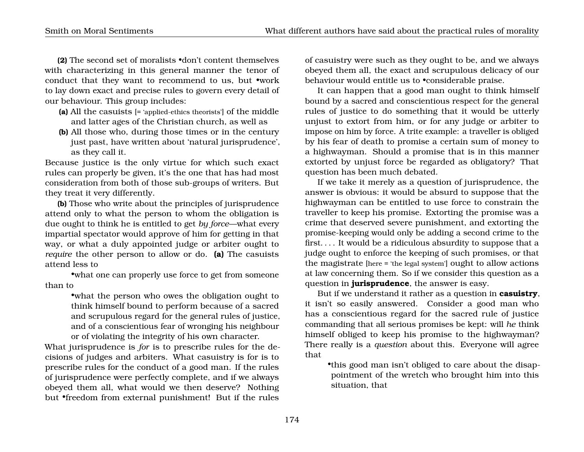**(2)** The second set of moralists •don't content themselves with characterizing in this general manner the tenor of conduct that they want to recommend to us, but •work to lay down exact and precise rules to govern every detail of our behaviour. This group includes:

- **(a)** All the casuists [= 'applied-ethics theorists'] of the middle and latter ages of the Christian church, as well as
- **(b)** All those who, during those times or in the century just past, have written about 'natural jurisprudence', as they call it.

Because justice is the only virtue for which such exact rules can properly be given, it's the one that has had most consideration from both of those sub-groups of writers. But they treat it very differently.

**(b)** Those who write about the principles of jurisprudence attend only to what the person to whom the obligation is due ought to think he is entitled to get *by force*—what every impartial spectator would approve of him for getting in that way, or what a duly appointed judge or arbiter ought to *require* the other person to allow or do. **(a)** The casuists attend less to

•what one can properly use force to get from someone than to

> •what the person who owes the obligation ought to think himself bound to perform because of a sacred and scrupulous regard for the general rules of justice, and of a conscientious fear of wronging his neighbour or of violating the integrity of his own character.

What jurisprudence is *for* is to prescribe rules for the decisions of judges and arbiters. What casuistry is for is to prescribe rules for the conduct of a good man. If the rules of jurisprudence were perfectly complete, and if we always obeyed them all, what would we then deserve? Nothing but •freedom from external punishment! But if the rules

of casuistry were such as they ought to be, and we always obeyed them all, the exact and scrupulous delicacy of our behaviour would entitle us to •considerable praise.

It can happen that a good man ought to think himself bound by a sacred and conscientious respect for the general rules of justice to do something that it would be utterly unjust to extort from him, or for any judge or arbiter to impose on him by force. A trite example: a traveller is obliged by his fear of death to promise a certain sum of money to a highwayman. Should a promise that is in this manner extorted by unjust force be regarded as obligatory? That question has been much debated.

If we take it merely as a question of jurisprudence, the answer is obvious: it would be absurd to suppose that the highwayman can be entitled to use force to constrain the traveller to keep his promise. Extorting the promise was a crime that deserved severe punishment, and extorting the promise-keeping would only be adding a second crime to the first. . . . It would be a ridiculous absurdity to suppose that a judge ought to enforce the keeping of such promises, or that the magistrate [here = 'the legal system'] ought to allow actions at law concerning them. So if we consider this question as a question in **jurisprudence**, the answer is easy.

But if we understand it rather as a question in **casuistry**, it isn't so easily answered. Consider a good man who has a conscientious regard for the sacred rule of justice commanding that all serious promises be kept: will *he* think himself obliged to keep his promise to the highwayman? There really is a *question* about this. Everyone will agree that

•this good man isn't obliged to care about the disappointment of the wretch who brought him into this situation, that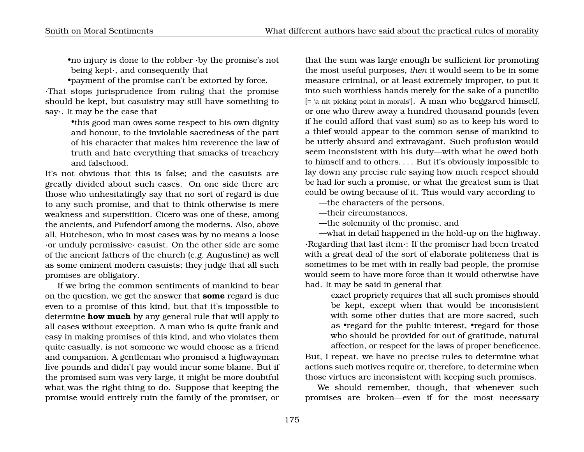•no injury is done to the robber ·by the promise's not being kept·, and consequently that

•payment of the promise can't be extorted by force. ·That stops jurisprudence from ruling that the promise should be kept, but casuistry may still have something to say·. It may be the case that

> •this good man owes some respect to his own dignity and honour, to the inviolable sacredness of the part of his character that makes him reverence the law of truth and hate everything that smacks of treachery and falsehood.

It's not obvious that this is false; and the casuists are greatly divided about such cases. On one side there are those who unhesitatingly say that no sort of regard is due to any such promise, and that to think otherwise is mere weakness and superstition. Cicero was one of these, among the ancients, and Pufendorf among the moderns. Also, above all, Hutcheson, who in most cases was by no means a loose ·or unduly permissive· casuist. On the other side are some of the ancient fathers of the church (e.g. Augustine) as well as some eminent modern casuists; they judge that all such promises are obligatory.

If we bring the common sentiments of mankind to bear on the question, we get the answer that **some** regard is due even to a promise of this kind, but that it's impossible to determine **how much** by any general rule that will apply to all cases without exception. A man who is quite frank and easy in making promises of this kind, and who violates them quite casually, is not someone we would choose as a friend and companion. A gentleman who promised a highwayman five pounds and didn't pay would incur some blame. But if the promised sum was very large, it might be more doubtful what was the right thing to do. Suppose that keeping the promise would entirely ruin the family of the promiser, or

that the sum was large enough be sufficient for promoting the most useful purposes, *then* it would seem to be in some measure criminal, or at least extremely improper, to put it into such worthless hands merely for the sake of a punctilio [= 'a nit-picking point in morals']. A man who beggared himself, or one who threw away a hundred thousand pounds (even if he could afford that vast sum) so as to keep his word to a thief would appear to the common sense of mankind to be utterly absurd and extravagant. Such profusion would seem inconsistent with his duty—with what he owed both to himself and to others. . . . But it's obviously impossible to lay down any precise rule saying how much respect should be had for such a promise, or what the greatest sum is that could be owing because of it. This would vary according to

—the characters of the persons,

—their circumstances,

—the solemnity of the promise, and

—what in detail happened in the hold-up on the highway. ·Regarding that last item·: If the promiser had been treated with a great deal of the sort of elaborate politeness that is sometimes to be met with in really bad people, the promise would seem to have more force than it would otherwise have had. It may be said in general that

> exact propriety requires that all such promises should be kept, except when that would be inconsistent with some other duties that are more sacred, such as •regard for the public interest, •regard for those who should be provided for out of gratitude, natural affection, or respect for the laws of proper beneficence.

But, I repeat, we have no precise rules to determine what actions such motives require or, therefore, to determine when those virtues are inconsistent with keeping such promises.

We should remember, though, that whenever such promises are broken—even if for the most necessary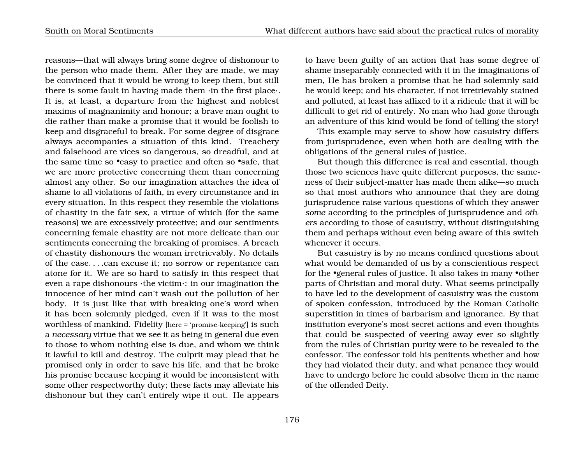reasons—that will always bring some degree of dishonour to the person who made them. After they are made, we may be convinced that it would be wrong to keep them, but still there is some fault in having made them ·in the first place·. It is, at least, a departure from the highest and noblest maxims of magnanimity and honour; a brave man ought to die rather than make a promise that it would be foolish to keep and disgraceful to break. For some degree of disgrace always accompanies a situation of this kind. Treachery and falsehood are vices so dangerous, so dreadful, and at the same time so •easy to practice and often so •safe, that we are more protective concerning them than concerning almost any other. So our imagination attaches the idea of shame to all violations of faith, in every circumstance and in every situation. In this respect they resemble the violations of chastity in the fair sex, a virtue of which (for the same reasons) we are excessively protective; and our sentiments concerning female chastity are not more delicate than our sentiments concerning the breaking of promises. A breach of chastity dishonours the woman irretrievably. No details of the case. . . .can excuse it; no sorrow or repentance can atone for it. We are so hard to satisfy in this respect that even a rape dishonours ·the victim·: in our imagination the innocence of her mind can't wash out the pollution of her body. It is just like that with breaking one's word when it has been solemnly pledged, even if it was to the most worthless of mankind. Fidelity [here = 'promise-keeping'] is such a *necessary* virtue that we see it as being in general due even to those to whom nothing else is due, and whom we think it lawful to kill and destroy. The culprit may plead that he promised only in order to save his life, and that he broke his promise because keeping it would be inconsistent with some other respectworthy duty; these facts may alleviate his dishonour but they can't entirely wipe it out. He appears

to have been guilty of an action that has some degree of shame inseparably connected with it in the imaginations of men, He has broken a promise that he had solemnly said he would keep; and his character, if not irretrievably stained and polluted, at least has affixed to it a ridicule that it will be difficult to get rid of entirely. No man who had gone through an adventure of this kind would be fond of telling the story!

This example may serve to show how casuistry differs from jurisprudence, even when both are dealing with the obligations of the general rules of justice.

But though this difference is real and essential, though those two sciences have quite different purposes, the sameness of their subject-matter has made them alike—so much so that most authors who announce that they are doing jurisprudence raise various questions of which they answer *some* according to the principles of jurisprudence and *others* according to those of casuistry, without distinguishing them and perhaps without even being aware of this switch whenever it occurs.

But casuistry is by no means confined questions about what would be demanded of us by a conscientious respect for the •general rules of justice. It also takes in many •other parts of Christian and moral duty. What seems principally to have led to the development of casuistry was the custom of spoken confession, introduced by the Roman Catholic superstition in times of barbarism and ignorance. By that institution everyone's most secret actions and even thoughts that could be suspected of veering away ever so slightly from the rules of Christian purity were to be revealed to the confessor. The confessor told his penitents whether and how they had violated their duty, and what penance they would have to undergo before he could absolve them in the name of the offended Deity.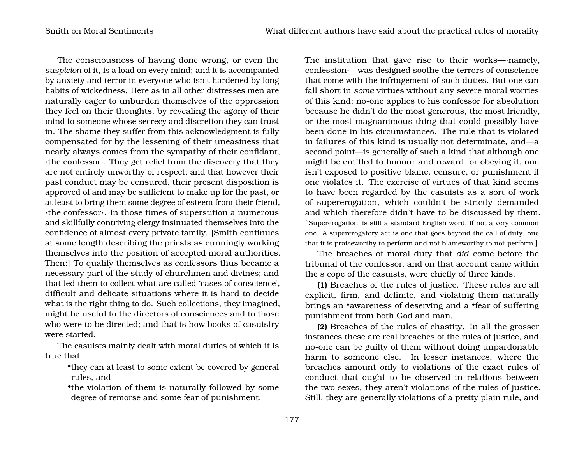The consciousness of having done wrong, or even the *suspicion* of it, is a load on every mind; and it is accompanied by anxiety and terror in everyone who isn't hardened by long habits of wickedness. Here as in all other distresses men are naturally eager to unburden themselves of the oppression they feel on their thoughts, by revealing the agony of their mind to someone whose secrecy and discretion they can trust in. The shame they suffer from this acknowledgment is fully compensated for by the lessening of their uneasiness that nearly always comes from the sympathy of their confidant, ·the confessor·. They get relief from the discovery that they are not entirely unworthy of respect; and that however their past conduct may be censured, their present disposition is approved of and may be sufficient to make up for the past, or at least to bring them some degree of esteem from their friend, ·the confessor·. In those times of superstition a numerous and skillfully contriving clergy insinuated themselves into the confidence of almost every private family. [Smith continues at some length describing the priests as cunningly working themselves into the position of accepted moral authorities. Then:] To qualify themselves as confessors thus became a necessary part of the study of churchmen and divines; and that led them to collect what are called 'cases of conscience', difficult and delicate situations where it is hard to decide what is the right thing to do. Such collections, they imagined, might be useful to the directors of consciences and to those who were to be directed; and that is how books of casuistry were started.

The casuists mainly dealt with moral duties of which it is true that

•they can at least to some extent be covered by general rules, and

•the violation of them is naturally followed by some degree of remorse and some fear of punishment.

The institution that gave rise to their works—·namely, confession·—was designed soothe the terrors of conscience that come with the infringement of such duties. But one can fall short in *some* virtues without any severe moral worries of this kind; no-one applies to his confessor for absolution because he didn't do the most generous, the most friendly, or the most magnanimous thing that could possibly have been done in his circumstances. The rule that is violated in failures of this kind is usually not determinate, and—a second point—is generally of such a kind that although one might be entitled to honour and reward for obeying it, one isn't exposed to positive blame, censure, or punishment if one violates it. The exercise of virtues of that kind seems to have been regarded by the casuists as a sort of work of supererogation, which couldn't be strictly demanded and which therefore didn't have to be discussed by them. ['Supererogation' is still a standard English word, if not a very common one. A supererogatory act is one that goes beyond the call of duty, one that it is praiseworthy to perform and not blameworthy to not-perform.]

The breaches of moral duty that *did* come before the tribunal of the confessor, and on that account came within the s cope of the casuists, were chiefly of three kinds.

**(1)** Breaches of the rules of justice. These rules are all explicit, firm, and definite, and violating them naturally brings an •awareness of deserving and a •fear of suffering punishment from both God and man.

**(2)** Breaches of the rules of chastity. In all the grosser instances these are real breaches of the rules of justice, and no-one can be guilty of them without doing unpardonable harm to someone else. In lesser instances, where the breaches amount only to violations of the exact rules of conduct that ought to be observed in relations between the two sexes, they aren't violations of the rules of justice. Still, they are generally violations of a pretty plain rule, and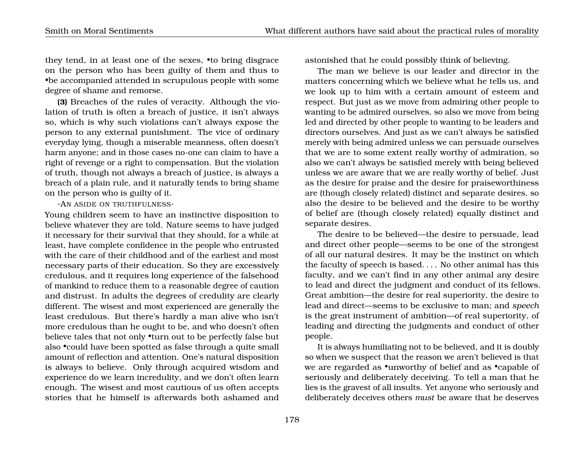they tend, in at least one of the sexes, •to bring disgrace on the person who has been guilty of them and thus to •be accompanied attended in scrupulous people with some degree of shame and remorse.

**(3)** Breaches of the rules of veracity. Although the violation of truth is often a breach of justice, it isn't always so, which is why such violations can't always expose the person to any external punishment. The vice of ordinary everyday lying, though a miserable meanness, often doesn't harm anyone; and in those cases no-one can claim to have a right of revenge or a right to compensation. But the violation of truth, though not always a breach of justice, is always a breach of a plain rule, and it naturally tends to bring shame on the person who is guilty of it.

## ·AN ASIDE ON TRUTHFULNESS·

Young children seem to have an instinctive disposition to believe whatever they are told. Nature seems to have judged it necessary for their survival that they should, for a while at least, have complete confidence in the people who entrusted with the care of their childhood and of the earliest and most necessary parts of their education. So they are excessively credulous, and it requires long experience of the falsehood of mankind to reduce them to a reasonable degree of caution and distrust. In adults the degrees of credulity are clearly different. The wisest and most experienced are generally the least credulous. But there's hardly a man alive who isn't more credulous than he ought to be, and who doesn't often believe tales that not only •turn out to be perfectly false but also •could have been spotted as false through a quite small amount of reflection and attention. One's natural disposition is always to believe. Only through acquired wisdom and experience do we learn incredulity, and we don't often learn enough. The wisest and most cautious of us often accepts stories that he himself is afterwards both ashamed and

astonished that he could possibly think of believing.

The man we believe is our leader and director in the matters concerning which we believe what he tells us, and we look up to him with a certain amount of esteem and respect. But just as we move from admiring other people to wanting to be admired ourselves, so also we move from being led and directed by other people to wanting to be leaders and directors ourselves. And just as we can't always be satisfied merely with being admired unless we can persuade ourselves that we are to some extent really worthy of admiration, so also we can't always be satisfied merely with being believed unless we are aware that we are really worthy of belief. Just as the desire for praise and the desire for praiseworthiness are (though closely related) distinct and separate desires, so also the desire to be believed and the desire to be worthy of belief are (though closely related) equally distinct and separate desires.

The desire to be believed—the desire to persuade, lead and direct other people—seems to be one of the strongest of all our natural desires. It may be the instinct on which the faculty of speech is based. . . . No other animal has this faculty, and we can't find in any other animal any desire to lead and direct the judgment and conduct of its fellows. Great ambition—the desire for real superiority, the desire to lead and direct—seems to be exclusive to man; and *speech* is the great instrument of ambition—of real superiority, of leading and directing the judgments and conduct of other people.

It is always humiliating not to be believed, and it is doubly so when we suspect that the reason we aren't believed is that we are regarded as •unworthy of belief and as •capable of seriously and deliberately deceiving. To tell a man that he lies is the gravest of all insults. Yet anyone who seriously and deliberately deceives others *must* be aware that he deserves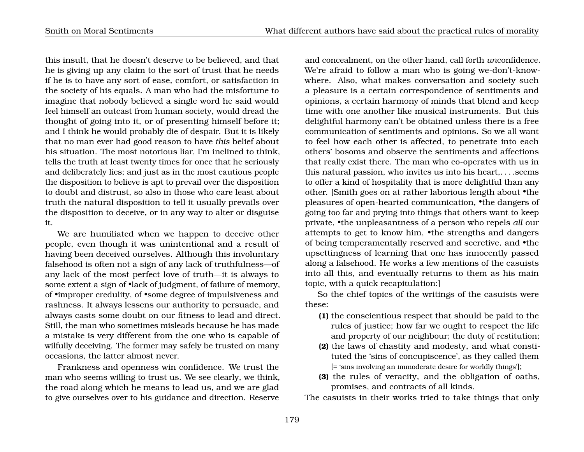this insult, that he doesn't deserve to be believed, and that he is giving up any claim to the sort of trust that he needs if he is to have any sort of ease, comfort, or satisfaction in the society of his equals. A man who had the misfortune to imagine that nobody believed a single word he said would feel himself an outcast from human society, would dread the thought of going into it, or of presenting himself before it; and I think he would probably die of despair. But it is likely that no man ever had good reason to have *this* belief about his situation. The most notorious liar, I'm inclined to think, tells the truth at least twenty times for once that he seriously and deliberately lies; and just as in the most cautious people the disposition to believe is apt to prevail over the disposition to doubt and distrust, so also in those who care least about truth the natural disposition to tell it usually prevails over the disposition to deceive, or in any way to alter or disguise it.

We are humiliated when we happen to deceive other people, even though it was unintentional and a result of having been deceived ourselves. Although this involuntary falsehood is often not a sign of any lack of truthfulness—of any lack of the most perfect love of truth—it is always to some extent a sign of  $\bullet$ lack of judgment, of failure of memory, of •improper credulity, of •some degree of impulsiveness and rashness. It always lessens our authority to persuade, and always casts some doubt on our fitness to lead and direct. Still, the man who sometimes misleads because he has made a mistake is very different from the one who is capable of wilfully deceiving. The former may safely be trusted on many occasions, the latter almost never.

Frankness and openness win confidence. We trust the man who seems willing to trust us. We see clearly, we think, the road along which he means to lead us, and we are glad to give ourselves over to his guidance and direction. Reserve

and concealment, on the other hand, call forth *un*confidence. We're afraid to follow a man who is going we-don't-knowwhere. Also, what makes conversation and society such a pleasure is a certain correspondence of sentiments and opinions, a certain harmony of minds that blend and keep time with one another like musical instruments. But this delightful harmony can't be obtained unless there is a free communication of sentiments and opinions. So we all want to feel how each other is affected, to penetrate into each others' bosoms and observe the sentiments and affections that really exist there. The man who co-operates with us in this natural passion, who invites us into his heart,. . . .seems to offer a kind of hospitality that is more delightful than any other. [Smith goes on at rather laborious length about •the pleasures of open-hearted communication, •the dangers of going too far and prying into things that others want to keep private, •the unpleasantness of a person who repels *all* our attempts to get to know him, •the strengths and dangers of being temperamentally reserved and secretive, and •the upsettingness of learning that one has innocently passed along a falsehood. He works a few mentions of the casuists into all this, and eventually returns to them as his main topic, with a quick recapitulation:]

So the chief topics of the writings of the casuists were these:

- **(1)** the conscientious respect that should be paid to the rules of justice; how far we ought to respect the life and property of our neighbour; the duty of restitution;
- **(2)** the laws of chastity and modesty, and what constituted the 'sins of concupiscence', as they called them [= 'sins involving an immoderate desire for worldly things'];
- **(3)** the rules of veracity, and the obligation of oaths, promises, and contracts of all kinds.

The casuists in their works tried to take things that only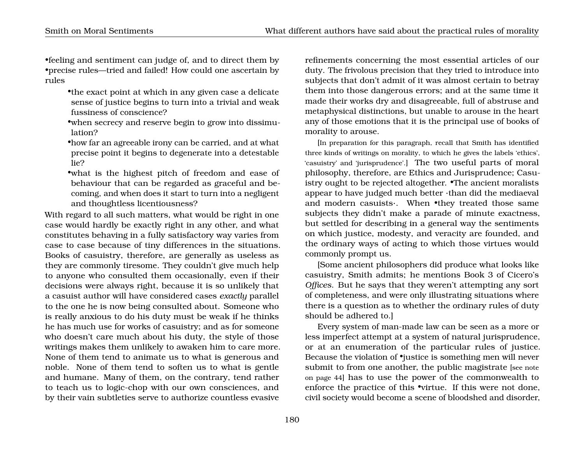•feeling and sentiment can judge of, and to direct them by •precise rules—tried and failed! How could one ascertain by rules

- •the exact point at which in any given case a delicate sense of justice begins to turn into a trivial and weak fussiness of conscience?
- •when secrecy and reserve begin to grow into dissimulation?
- •how far an agreeable irony can be carried, and at what precise point it begins to degenerate into a detestable lie?
- •what is the highest pitch of freedom and ease of behaviour that can be regarded as graceful and becoming, and when does it start to turn into a negligent and thoughtless licentiousness?

With regard to all such matters, what would be right in one case would hardly be exactly right in any other, and what constitutes behaving in a fully satisfactory way varies from case to case because of tiny differences in the situations. Books of casuistry, therefore, are generally as useless as they are commonly tiresome. They couldn't give much help to anyone who consulted them occasionally, even if their decisions were always right, because it is so unlikely that a casuist author will have considered cases *exactly* parallel to the one he is now being consulted about. Someone who is really anxious to do his duty must be weak if he thinks he has much use for works of casuistry; and as for someone who doesn't care much about his duty, the style of those writings makes them unlikely to awaken him to care more. None of them tend to animate us to what is generous and noble. None of them tend to soften us to what is gentle and humane. Many of them, on the contrary, tend rather to teach us to logic-chop with our own consciences, and by their vain subtleties serve to authorize countless evasive

refinements concerning the most essential articles of our duty. The frivolous precision that they tried to introduce into subjects that don't admit of it was almost certain to betray them into those dangerous errors; and at the same time it made their works dry and disagreeable, full of abstruse and metaphysical distinctions, but unable to arouse in the heart any of those emotions that it is the principal use of books of morality to arouse.

[In preparation for this paragraph, recall that Smith has identified three kinds of writings on morality, to which he gives the labels 'ethics', 'casuistry' and 'jurisprudence'.] The two useful parts of moral philosophy, therefore, are Ethics and Jurisprudence; Casuistry ought to be rejected altogether. •The ancient moralists appear to have judged much better ·than did the mediaeval and modern casuists·. When •they treated those same subjects they didn't make a parade of minute exactness, but settled for describing in a general way the sentiments on which justice, modesty, and veracity are founded, and the ordinary ways of acting to which those virtues would commonly prompt us.

[Some ancient philosophers did produce what looks like casuistry, Smith admits; he mentions Book 3 of Cicero's *Offices*. But he says that they weren't attempting any sort of completeness, and were only illustrating situations where there is a question as to whether the ordinary rules of duty should be adhered to.]

Every system of man-made law can be seen as a more or less imperfect attempt at a system of natural jurisprudence, or at an enumeration of the particular rules of justice. Because the violation of •justice is something men will never submit to from one another, the public magistrate [see note on page [44](#page-45-0)] has to use the power of the commonwealth to enforce the practice of this •virtue. If this were not done, civil society would become a scene of bloodshed and disorder,